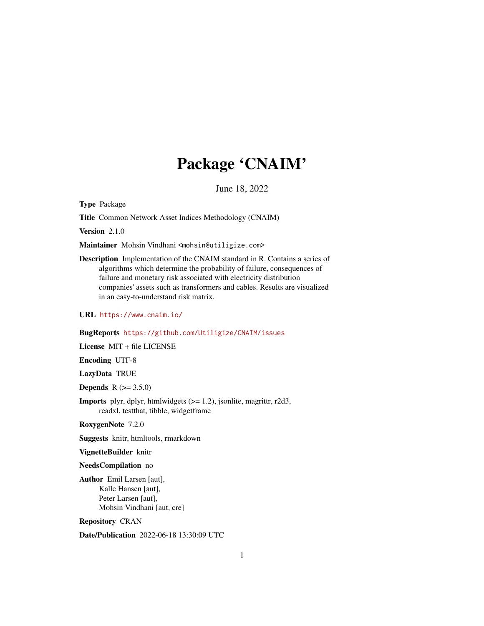# Package 'CNAIM'

June 18, 2022

Type Package

Title Common Network Asset Indices Methodology (CNAIM)

Version 2.1.0

Maintainer Mohsin Vindhani <mohsin@utiligize.com>

Description Implementation of the CNAIM standard in R. Contains a series of algorithms which determine the probability of failure, consequences of failure and monetary risk associated with electricity distribution companies' assets such as transformers and cables. Results are visualized in an easy-to-understand risk matrix.

URL <https://www.cnaim.io/>

# BugReports <https://github.com/Utiligize/CNAIM/issues>

License MIT + file LICENSE

Encoding UTF-8

LazyData TRUE

**Depends** R  $(>= 3.5.0)$ 

**Imports** plyr, dplyr, htmlwidgets  $(>= 1.2)$ , jsonlite, magrittr, r2d3, readxl, testthat, tibble, widgetframe

RoxygenNote 7.2.0

Suggests knitr, htmltools, rmarkdown

VignetteBuilder knitr

NeedsCompilation no

Author Emil Larsen [aut], Kalle Hansen [aut], Peter Larsen [aut], Mohsin Vindhani [aut, cre]

Repository CRAN

Date/Publication 2022-06-18 13:30:09 UTC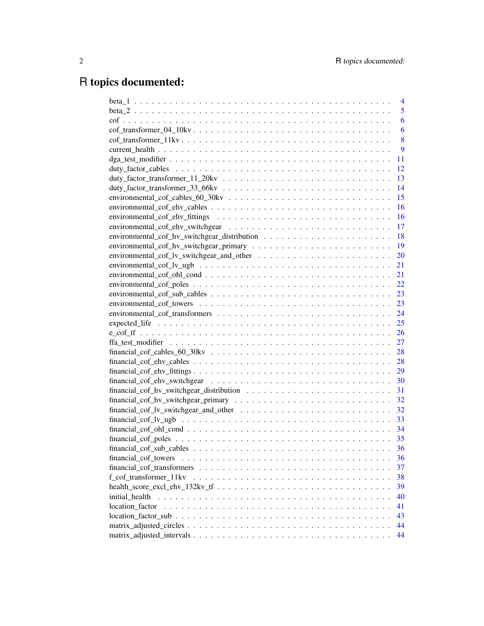# R topics documented:

|                | 4  |
|----------------|----|
|                | 5  |
|                | 6  |
|                | 6  |
|                | 8  |
|                | 9  |
|                | 11 |
|                | 12 |
|                | 13 |
|                | 14 |
|                | 15 |
|                | 16 |
|                | 16 |
|                |    |
|                |    |
|                |    |
|                | 20 |
|                | 21 |
|                |    |
|                | 22 |
|                | 23 |
|                | 23 |
|                | 24 |
|                | 25 |
|                | 26 |
|                | 27 |
|                |    |
|                | 28 |
|                | 29 |
|                | 30 |
|                | 31 |
|                | 32 |
|                | 32 |
|                | 33 |
|                |    |
|                |    |
|                | 36 |
|                | 36 |
|                | 37 |
|                | 38 |
|                | 39 |
| initial health | 40 |
|                | 41 |
|                | 43 |
|                | 44 |
|                | 44 |
|                |    |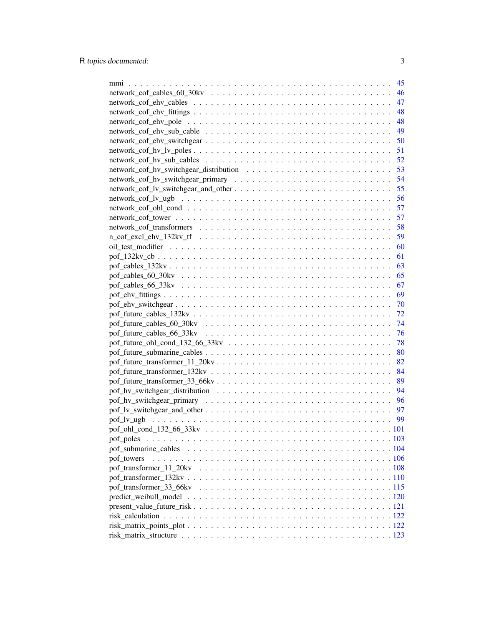|                                                                                                              | 45 |
|--------------------------------------------------------------------------------------------------------------|----|
|                                                                                                              | 46 |
|                                                                                                              | 47 |
|                                                                                                              | 48 |
|                                                                                                              | 48 |
|                                                                                                              | 49 |
|                                                                                                              | 50 |
|                                                                                                              | 51 |
|                                                                                                              | 52 |
|                                                                                                              | 53 |
|                                                                                                              | 54 |
|                                                                                                              | 55 |
|                                                                                                              | 56 |
|                                                                                                              | 57 |
|                                                                                                              | 57 |
|                                                                                                              | 58 |
|                                                                                                              | 59 |
|                                                                                                              | 60 |
|                                                                                                              | 61 |
|                                                                                                              | 63 |
|                                                                                                              | 65 |
|                                                                                                              | 67 |
|                                                                                                              | 69 |
|                                                                                                              | 70 |
|                                                                                                              | 72 |
|                                                                                                              | 74 |
|                                                                                                              | 76 |
|                                                                                                              | 78 |
|                                                                                                              | 80 |
|                                                                                                              | 82 |
|                                                                                                              | 84 |
|                                                                                                              | 89 |
|                                                                                                              | 94 |
|                                                                                                              | 96 |
|                                                                                                              | 97 |
|                                                                                                              | 99 |
|                                                                                                              |    |
| pof_poles                                                                                                    |    |
|                                                                                                              |    |
| pof_towers                                                                                                   |    |
|                                                                                                              |    |
|                                                                                                              |    |
|                                                                                                              |    |
|                                                                                                              |    |
| $present_value_future_fisk \ldots \ldots \ldots \ldots \ldots \ldots \ldots \ldots \ldots \ldots \ldots 121$ |    |
|                                                                                                              |    |
|                                                                                                              |    |
|                                                                                                              |    |
|                                                                                                              |    |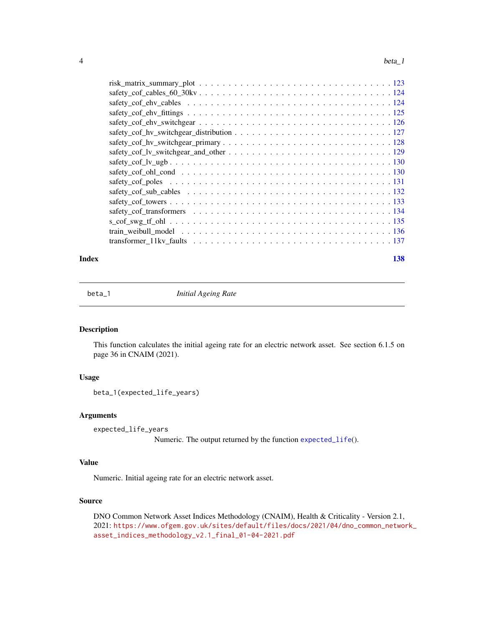<span id="page-3-0"></span>

#### **Index** 2008 **[138](#page-137-0)**

beta\_1 *Initial Ageing Rate*

# Description

This function calculates the initial ageing rate for an electric network asset. See section 6.1.5 on page 36 in CNAIM (2021).

# Usage

beta\_1(expected\_life\_years)

# Arguments

expected\_life\_years

Numeric. The output returned by the function [expected\\_life](#page-24-1)().

# Value

Numeric. Initial ageing rate for an electric network asset.

# Source

DNO Common Network Asset Indices Methodology (CNAIM), Health & Criticality - Version 2.1, 2021: [https://www.ofgem.gov.uk/sites/default/files/docs/2021/04/dno\\_common\\_networ](https://www.ofgem.gov.uk/sites/default/files/docs/2021/04/dno_common_network_asset_indices_methodology_v2.1_final_01-04-2021.pdf)k\_ [asset\\_indices\\_methodology\\_v2.1\\_final\\_01-04-2021.pdf](https://www.ofgem.gov.uk/sites/default/files/docs/2021/04/dno_common_network_asset_indices_methodology_v2.1_final_01-04-2021.pdf)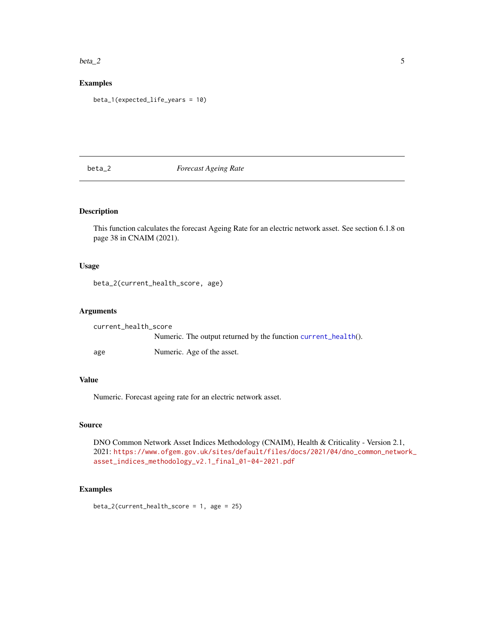#### <span id="page-4-0"></span> $beta_2$  5

# Examples

beta\_1(expected\_life\_years = 10)

# beta\_2 *Forecast Ageing Rate*

# Description

This function calculates the forecast Ageing Rate for an electric network asset. See section 6.1.8 on page 38 in CNAIM (2021).

# Usage

beta\_2(current\_health\_score, age)

# Arguments

| current_health_score |                                                                |
|----------------------|----------------------------------------------------------------|
|                      | Numeric. The output returned by the function current_health(). |
| age                  | Numeric. Age of the asset.                                     |

# Value

Numeric. Forecast ageing rate for an electric network asset.

# Source

DNO Common Network Asset Indices Methodology (CNAIM), Health & Criticality - Version 2.1, 2021: [https://www.ofgem.gov.uk/sites/default/files/docs/2021/04/dno\\_common\\_networ](https://www.ofgem.gov.uk/sites/default/files/docs/2021/04/dno_common_network_asset_indices_methodology_v2.1_final_01-04-2021.pdf)k\_ [asset\\_indices\\_methodology\\_v2.1\\_final\\_01-04-2021.pdf](https://www.ofgem.gov.uk/sites/default/files/docs/2021/04/dno_common_network_asset_indices_methodology_v2.1_final_01-04-2021.pdf)

# Examples

beta\_2(current\_health\_score = 1, age = 25)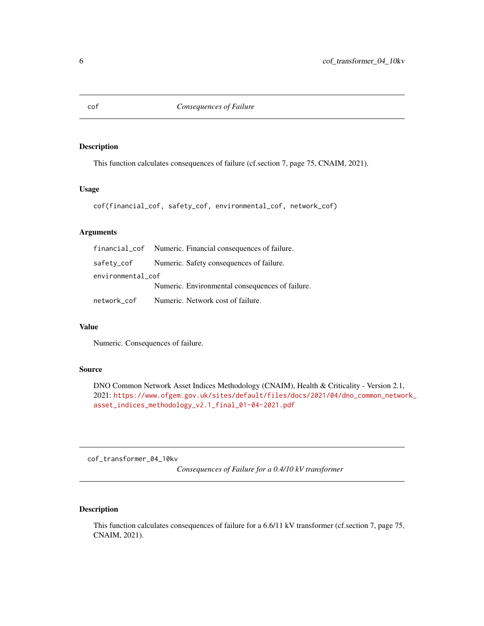<span id="page-5-1"></span><span id="page-5-0"></span>

# Description

This function calculates consequences of failure (cf.section 7, page 75, CNAIM, 2021).

# Usage

```
cof(financial_cof, safety_cof, environmental_cof, network_cof)
```
# Arguments

|                   | financial_cof Numeric. Financial consequences of failure. |
|-------------------|-----------------------------------------------------------|
|                   | safety_cof Numeric. Safety consequences of failure.       |
| environmental_cof |                                                           |
|                   | Numeric. Environmental consequences of failure.           |
| network_cof       | Numeric. Network cost of failure.                         |

# Value

Numeric. Consequences of failure.

# Source

DNO Common Network Asset Indices Methodology (CNAIM), Health & Criticality - Version 2.1, 2021: [https://www.ofgem.gov.uk/sites/default/files/docs/2021/04/dno\\_common\\_networ](https://www.ofgem.gov.uk/sites/default/files/docs/2021/04/dno_common_network_asset_indices_methodology_v2.1_final_01-04-2021.pdf)k\_ [asset\\_indices\\_methodology\\_v2.1\\_final\\_01-04-2021.pdf](https://www.ofgem.gov.uk/sites/default/files/docs/2021/04/dno_common_network_asset_indices_methodology_v2.1_final_01-04-2021.pdf)

cof\_transformer\_04\_10kv

*Consequences of Failure for a 0.4/10 kV transformer*

# Description

This function calculates consequences of failure for a 6.6/11 kV transformer (cf.section 7, page 75, CNAIM, 2021).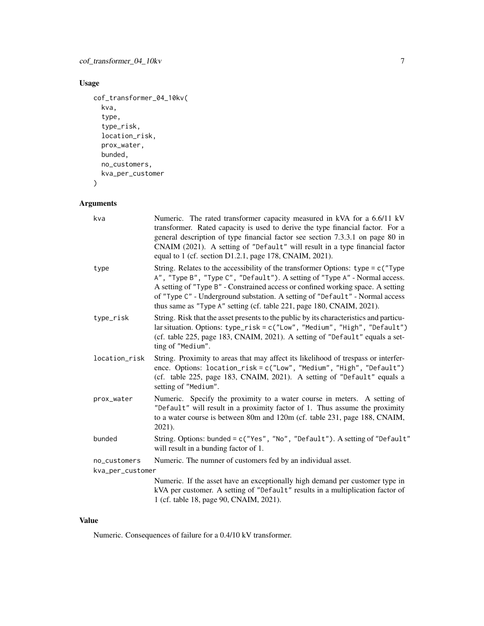# Usage

```
cof_transformer_04_10kv(
 kva,
  type,
  type_risk,
 location_risk,
 prox_water,
 bunded,
 no_customers,
 kva_per_customer
```
 $\mathcal{L}$ 

# Arguments

| kva              | Numeric. The rated transformer capacity measured in kVA for a 6.6/11 kV<br>transformer. Rated capacity is used to derive the type financial factor. For a<br>general description of type financial factor see section 7.3.3.1 on page 80 in<br>CNAIM (2021). A setting of "Default" will result in a type financial factor<br>equal to 1 (cf. section D1.2.1, page 178, CNAIM, 2021).                        |
|------------------|--------------------------------------------------------------------------------------------------------------------------------------------------------------------------------------------------------------------------------------------------------------------------------------------------------------------------------------------------------------------------------------------------------------|
| type             | String. Relates to the accessibility of the transformer Options: type = $c$ ("Type<br>A", "Type B", "Type C", "Default"). A setting of "Type A" - Normal access.<br>A setting of "Type B" - Constrained access or confined working space. A setting<br>of "Type C" - Underground substation. A setting of "Default" - Normal access<br>thus same as "Type A" setting (cf. table 221, page 180, CNAIM, 2021). |
| type_risk        | String. Risk that the asset presents to the public by its characteristics and particu-<br>lar situation. Options: type_risk = c("Low", "Medium", "High", "Default")<br>(cf. table 225, page 183, CNAIM, 2021). A setting of "Default" equals a set-<br>ting of "Medium".                                                                                                                                     |
| location_risk    | String. Proximity to areas that may affect its likelihood of trespass or interfer-<br>ence. Options: location_risk = c("Low", "Medium", "High", "Default")<br>(cf. table 225, page 183, CNAIM, 2021). A setting of "Default" equals a<br>setting of "Medium".                                                                                                                                                |
| prox_water       | Numeric. Specify the proximity to a water course in meters. A setting of<br>"Default" will result in a proximity factor of 1. Thus assume the proximity<br>to a water course is between 80m and 120m (cf. table 231, page 188, CNAIM,<br>2021).                                                                                                                                                              |
| bunded           | String. Options: bunded = c("Yes", "No", "Default"). A setting of "Default"<br>will result in a bunding factor of 1.                                                                                                                                                                                                                                                                                         |
| no_customers     | Numeric. The numner of customers fed by an individual asset.                                                                                                                                                                                                                                                                                                                                                 |
| kva_per_customer |                                                                                                                                                                                                                                                                                                                                                                                                              |
|                  | Numeric. If the asset have an exceptionally high demand per customer type in<br>kVA per customer. A setting of "Default" results in a multiplication factor of<br>1 (cf. table 18, page 90, CNAIM, 2021).                                                                                                                                                                                                    |

# Value

Numeric. Consequences of failure for a 0.4/10 kV transformer.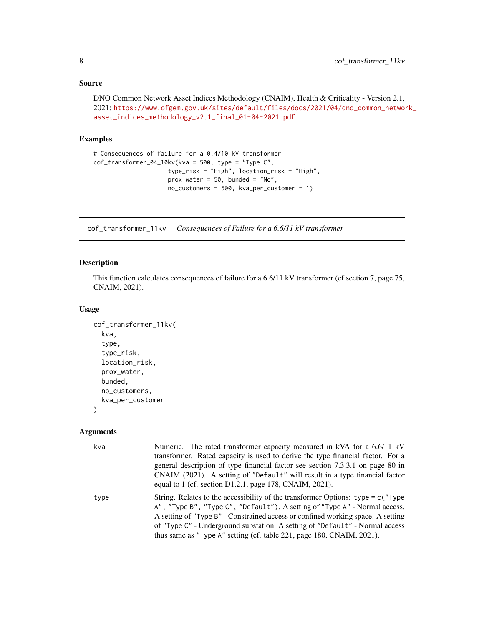```
DNO Common Network Asset Indices Methodology (CNAIM), Health & Criticality - Version 2.1,
2021: https://www.ofgem.gov.uk/sites/default/files/docs/2021/04/dno_common_network_
asset_indices_methodology_v2.1_final_01-04-2021.pdf
```
# Examples

```
# Consequences of failure for a 0.4/10 kV transformer
cof_transformer_04_10kv(kva = 500, type = "Type C",
                     type_risk = "High", location_risk = "High",
                     prox\_water = 50, bunded = "No",
                     no_customers = 500, kva_per_customer = 1)
```
cof\_transformer\_11kv *Consequences of Failure for a 6.6/11 kV transformer*

## Description

This function calculates consequences of failure for a 6.6/11 kV transformer (cf.section 7, page 75, CNAIM, 2021).

# Usage

```
cof_transformer_11kv(
  kva,
  type,
  type_risk,
  location_risk,
  prox_water,
  bunded,
  no_customers,
  kva_per_customer
\lambda
```
## Arguments

| kva  | Numeric. The rated transformer capacity measured in kVA for a 6.6/11 kV                                                                                                                                                                                                                                                                                                                                        |
|------|----------------------------------------------------------------------------------------------------------------------------------------------------------------------------------------------------------------------------------------------------------------------------------------------------------------------------------------------------------------------------------------------------------------|
|      | transformer. Rated capacity is used to derive the type financial factor. For a<br>general description of type financial factor see section 7.3.3.1 on page 80 in                                                                                                                                                                                                                                               |
|      | CNAIM (2021). A setting of "Default" will result in a type financial factor<br>equal to 1 (cf. section $D1.2.1$ , page 178, CNAIM, 2021).                                                                                                                                                                                                                                                                      |
| type | String. Relates to the accessibility of the transformer Options: $type = c$ ("Type")<br>A", "Type B", "Type C", "Default"). A setting of "Type A" - Normal access.<br>A setting of "Type B" - Constrained access or confined working space. A setting<br>of "Type C" - Underground substation. A setting of "Default" - Normal access<br>thus same as "Type A" setting (cf. table 221, page 180, CNAIM, 2021). |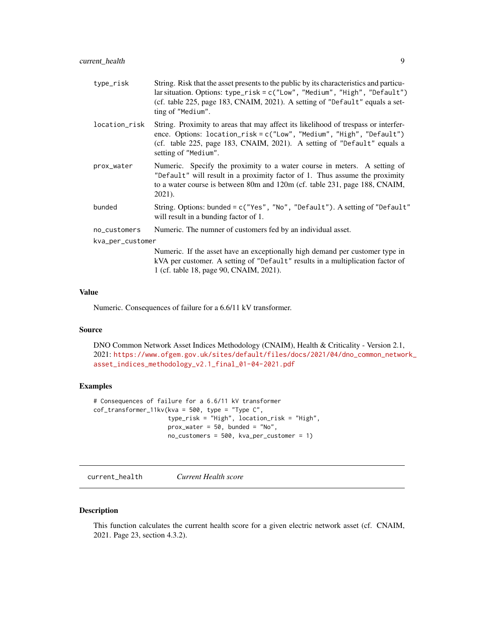<span id="page-8-0"></span>

| type_risk        | String. Risk that the asset presents to the public by its characteristics and particu-<br>lar situation. Options: type_risk = c("Low", "Medium", "High", "Default")<br>(cf. table 225, page 183, CNAIM, 2021). A setting of "Default" equals a set-<br>ting of "Medium". |
|------------------|--------------------------------------------------------------------------------------------------------------------------------------------------------------------------------------------------------------------------------------------------------------------------|
| location_risk    | String. Proximity to areas that may affect its likelihood of trespass or interfer-<br>ence. Options: location_risk = c("Low", "Medium", "High", "Default")<br>(cf. table 225, page 183, CNAIM, 2021). A setting of "Default" equals a<br>setting of "Medium".            |
| prox_water       | Numeric. Specify the proximity to a water course in meters. A setting of<br>"Default" will result in a proximity factor of 1. Thus assume the proximity<br>to a water course is between 80m and 120m (cf. table 231, page 188, CNAIM,<br>2021).                          |
| bunded           | String. Options: bunded = c("Yes", "No", "Default"). A setting of "Default"<br>will result in a bunding factor of 1.                                                                                                                                                     |
| no_customers     | Numeric. The numner of customers fed by an individual asset.                                                                                                                                                                                                             |
| kva_per_customer |                                                                                                                                                                                                                                                                          |
|                  | Numeric. If the asset have an exceptionally high demand per customer type in<br>kVA per customer. A setting of "Default" results in a multiplication factor of<br>1 (cf. table 18, page 90, CNAIM, 2021).                                                                |

#### Value

Numeric. Consequences of failure for a 6.6/11 kV transformer.

# Source

DNO Common Network Asset Indices Methodology (CNAIM), Health & Criticality - Version 2.1, 2021: [https://www.ofgem.gov.uk/sites/default/files/docs/2021/04/dno\\_common\\_networ](https://www.ofgem.gov.uk/sites/default/files/docs/2021/04/dno_common_network_asset_indices_methodology_v2.1_final_01-04-2021.pdf)k\_ [asset\\_indices\\_methodology\\_v2.1\\_final\\_01-04-2021.pdf](https://www.ofgem.gov.uk/sites/default/files/docs/2021/04/dno_common_network_asset_indices_methodology_v2.1_final_01-04-2021.pdf)

# Examples

```
# Consequences of failure for a 6.6/11 kV transformer
cof_{transformer_{11kv(kva = 500, type = "Type C",}type_risk = "High", location_risk = "High",
                     prox\_water = 50, bunded = "No",
                     no_customers = 500, kva_per_customer = 1)
```
<span id="page-8-1"></span>current\_health *Current Health score*

## Description

This function calculates the current health score for a given electric network asset (cf. CNAIM, 2021. Page 23, section 4.3.2).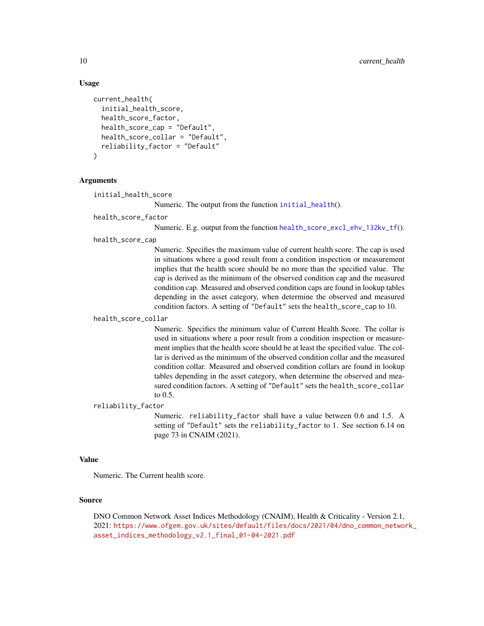# Usage

```
current_health(
  initial_health_score,
  health_score_factor,
  health_score_cap = "Default",
  health_score_collar = "Default",
  reliability_factor = "Default"
)
```
# Arguments

initial\_health\_score

Numeric. The output from the function [initial\\_health](#page-39-1)().

health\_score\_factor

Numeric. E.g. output from the function [health\\_score\\_excl\\_ehv\\_132kv\\_tf](#page-38-1)().

#### health\_score\_cap

Numeric. Specifies the maximum value of current health score. The cap is used in situations where a good result from a condition inspection or measurement implies that the health score should be no more than the specified value. The cap is derived as the minimum of the observed condition cap and the measured condition cap. Measured and observed condition caps are found in lookup tables depending in the asset category, when determine the observed and measured condition factors. A setting of "Default" sets the health\_score\_cap to 10.

#### health\_score\_collar

Numeric. Specifies the minimum value of Current Health Score. The collar is used in situations where a poor result from a condition inspection or measurement implies that the health score should be at least the specified value. The collar is derived as the minimum of the observed condition collar and the measured condition collar. Measured and observed condition collars are found in lookup tables depending in the asset category, when determine the observed and measured condition factors. A setting of "Default" sets the health\_score\_collar to 0.5.

#### reliability\_factor

Numeric. reliability\_factor shall have a value between 0.6 and 1.5. A setting of "Default" sets the reliability\_factor to 1. See section 6.14 on page 73 in CNAIM (2021).

## Value

Numeric. The Current health score.

#### Source

DNO Common Network Asset Indices Methodology (CNAIM), Health & Criticality - Version 2.1, 2021: [https://www.ofgem.gov.uk/sites/default/files/docs/2021/04/dno\\_common\\_networ](https://www.ofgem.gov.uk/sites/default/files/docs/2021/04/dno_common_network_asset_indices_methodology_v2.1_final_01-04-2021.pdf)k\_ [asset\\_indices\\_methodology\\_v2.1\\_final\\_01-04-2021.pdf](https://www.ofgem.gov.uk/sites/default/files/docs/2021/04/dno_common_network_asset_indices_methodology_v2.1_final_01-04-2021.pdf)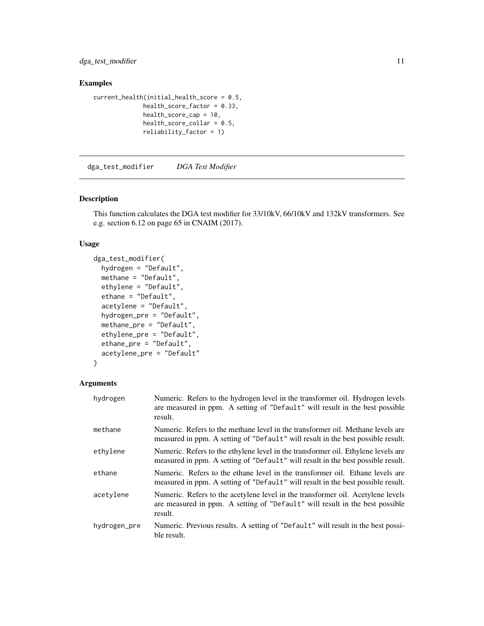<span id="page-10-0"></span>dga\_test\_modifier 11

# Examples

```
current_health(initial_health_score = 0.5,
             health_score_factor = 0.33,
              health_score_cap = 10,
              health_score\_collar = 0.5,
              reliability_factor = 1)
```
dga\_test\_modifier *DGA Test Modifier*

# Description

This function calculates the DGA test modifier for 33/10kV, 66/10kV and 132kV transformers. See e.g. section 6.12 on page 65 in CNAIM (2017).

# Usage

```
dga_test_modifier(
  hydrogen = "Default",
  methane = "Default",
  ethylene = "Default",
  ethane = "Default",
  acetylene = "Default",
  hydrogen_pre = "Default",
  methane_pre = "Default",
  ethylene_pre = "Default",
  ethane_pre = "Default",
  acetylene_pre = "Default"
)
```
# Arguments

| hydrogen     | Numeric. Refers to the hydrogen level in the transformer oil. Hydrogen levels<br>are measured in ppm. A setting of "Default" will result in the best possible<br>result.   |
|--------------|----------------------------------------------------------------------------------------------------------------------------------------------------------------------------|
| methane      | Numeric. Refers to the methane level in the transformer oil. Methane levels are<br>measured in ppm. A setting of "Default" will result in the best possible result.        |
| ethylene     | Numeric. Refers to the ethylene level in the transformer oil. Ethylene levels are<br>measured in ppm. A setting of "Default" will result in the best possible result.      |
| ethane       | Numeric. Refers to the ethane level in the transformer oil. Ethane levels are<br>measured in ppm. A setting of "Default" will result in the best possible result.          |
| acetylene    | Numeric. Refers to the acetylene level in the transformer oil. Acetylene levels<br>are measured in ppm. A setting of "Default" will result in the best possible<br>result. |
| hydrogen_pre | Numeric. Previous results. A setting of "Default" will result in the best possi-<br>ble result.                                                                            |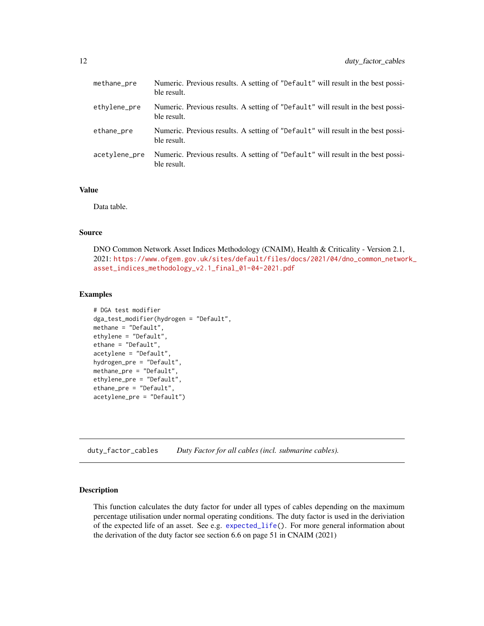<span id="page-11-0"></span>

| methane_pre   | Numeric. Previous results. A setting of "Default" will result in the best possi-<br>ble result. |
|---------------|-------------------------------------------------------------------------------------------------|
| ethylene_pre  | Numeric. Previous results. A setting of "Default" will result in the best possi-<br>ble result. |
| ethane_pre    | Numeric. Previous results. A setting of "Default" will result in the best possi-<br>ble result. |
| acetylene_pre | Numeric. Previous results. A setting of "Default" will result in the best possi-<br>ble result. |

## Value

Data table.

# Source

DNO Common Network Asset Indices Methodology (CNAIM), Health & Criticality - Version 2.1, 2021: [https://www.ofgem.gov.uk/sites/default/files/docs/2021/04/dno\\_common\\_networ](https://www.ofgem.gov.uk/sites/default/files/docs/2021/04/dno_common_network_asset_indices_methodology_v2.1_final_01-04-2021.pdf)k\_ [asset\\_indices\\_methodology\\_v2.1\\_final\\_01-04-2021.pdf](https://www.ofgem.gov.uk/sites/default/files/docs/2021/04/dno_common_network_asset_indices_methodology_v2.1_final_01-04-2021.pdf)

## Examples

```
# DGA test modifier
dga_test_modifier(hydrogen = "Default",
methane = "Default",
ethylene = "Default",
ethane = "Default",
acetylene = "Default",
hydrogen_pre = "Default",
methane_pre = "Default",
ethylene_pre = "Default",
ethane_pre = "Default",
acetylene_pre = "Default")
```
duty\_factor\_cables *Duty Factor for all cables (incl. submarine cables).*

# Description

This function calculates the duty factor for under all types of cables depending on the maximum percentage utilisation under normal operating conditions. The duty factor is used in the deriviation of the expected life of an asset. See e.g. [expected\\_life\(](#page-24-1)). For more general information about the derivation of the duty factor see section 6.6 on page 51 in CNAIM (2021)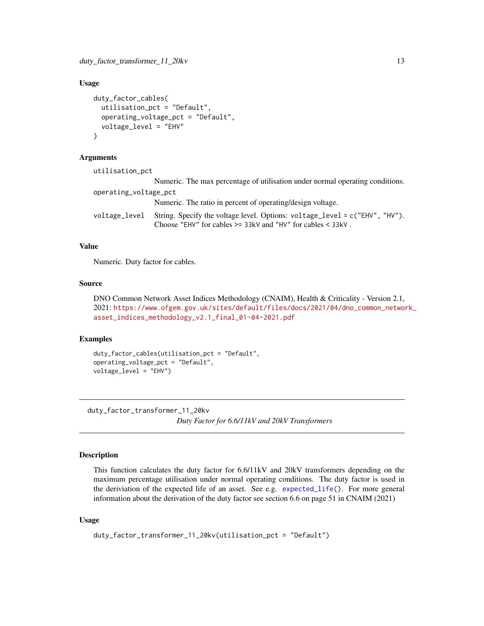# <span id="page-12-0"></span>Usage

```
duty_factor_cables(
  utilisation_pct = "Default",
  operating_voltage_pct = "Default",
  voltage_level = "EHV"
\lambda
```
# **Arguments**

| utilisation_pct       |                                                                                                                                                    |
|-----------------------|----------------------------------------------------------------------------------------------------------------------------------------------------|
|                       | Numeric. The max percentage of utilisation under normal operating conditions.                                                                      |
| operating_voltage_pct |                                                                                                                                                    |
|                       | Numeric. The ratio in percent of operating/design voltage.                                                                                         |
| voltage_level         | String. Specify the voltage level. Options: $voltage\_level = c("EHV", "HV")$ .<br>Choose "EHV" for cables $>=$ 33kV and "HV" for cables $<$ 33kV. |

## Value

Numeric. Duty factor for cables.

# Source

DNO Common Network Asset Indices Methodology (CNAIM), Health & Criticality - Version 2.1, 2021: [https://www.ofgem.gov.uk/sites/default/files/docs/2021/04/dno\\_common\\_networ](https://www.ofgem.gov.uk/sites/default/files/docs/2021/04/dno_common_network_asset_indices_methodology_v2.1_final_01-04-2021.pdf)k\_ [asset\\_indices\\_methodology\\_v2.1\\_final\\_01-04-2021.pdf](https://www.ofgem.gov.uk/sites/default/files/docs/2021/04/dno_common_network_asset_indices_methodology_v2.1_final_01-04-2021.pdf)

# Examples

```
duty_factor_cables(utilisation_pct = "Default",
operating_voltage_pct = "Default",
voltage_level = "EHV")
```
<span id="page-12-1"></span>duty\_factor\_transformer\_11\_20kv

*Duty Factor for 6.6/11kV and 20kV Transformers*

# Description

This function calculates the duty factor for 6.6/11kV and 20kV transformers depending on the maximum percentage utilisation under normal operating conditions. The duty factor is used in the deriviation of the expected life of an asset. See e.g. [expected\\_life\(](#page-24-1)). For more general information about the derivation of the duty factor see section 6.6 on page 51 in CNAIM (2021)

## Usage

```
duty_factor_transformer_11_20kv(utilisation_pct = "Default")
```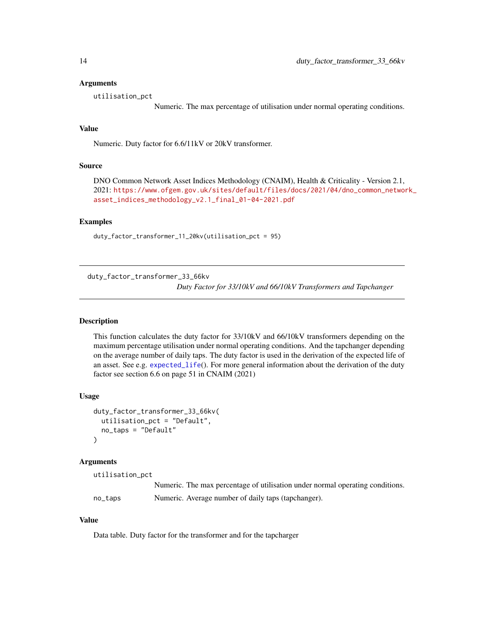## <span id="page-13-0"></span>Arguments

utilisation\_pct

Numeric. The max percentage of utilisation under normal operating conditions.

# Value

Numeric. Duty factor for 6.6/11kV or 20kV transformer.

# Source

DNO Common Network Asset Indices Methodology (CNAIM), Health & Criticality - Version 2.1, 2021: [https://www.ofgem.gov.uk/sites/default/files/docs/2021/04/dno\\_common\\_networ](https://www.ofgem.gov.uk/sites/default/files/docs/2021/04/dno_common_network_asset_indices_methodology_v2.1_final_01-04-2021.pdf)k\_ [asset\\_indices\\_methodology\\_v2.1\\_final\\_01-04-2021.pdf](https://www.ofgem.gov.uk/sites/default/files/docs/2021/04/dno_common_network_asset_indices_methodology_v2.1_final_01-04-2021.pdf)

# Examples

duty\_factor\_transformer\_11\_20kv(utilisation\_pct = 95)

duty\_factor\_transformer\_33\_66kv *Duty Factor for 33/10kV and 66/10kV Transformers and Tapchanger*

# Description

This function calculates the duty factor for 33/10kV and 66/10kV transformers depending on the maximum percentage utilisation under normal operating conditions. And the tapchanger depending on the average number of daily taps. The duty factor is used in the derivation of the expected life of an asset. See e.g. [expected\\_life](#page-24-1)(). For more general information about the derivation of the duty factor see section 6.6 on page 51 in CNAIM (2021)

#### Usage

```
duty_factor_transformer_33_66kv(
 utilisation_pct = "Default",
 no_taps = "Default"
)
```
## Arguments

| utilisation_pct |                                                                               |
|-----------------|-------------------------------------------------------------------------------|
|                 | Numeric. The max percentage of utilisation under normal operating conditions. |
| no_taps         | Numeric. Average number of daily taps (tapchanger).                           |

#### Value

Data table. Duty factor for the transformer and for the tapcharger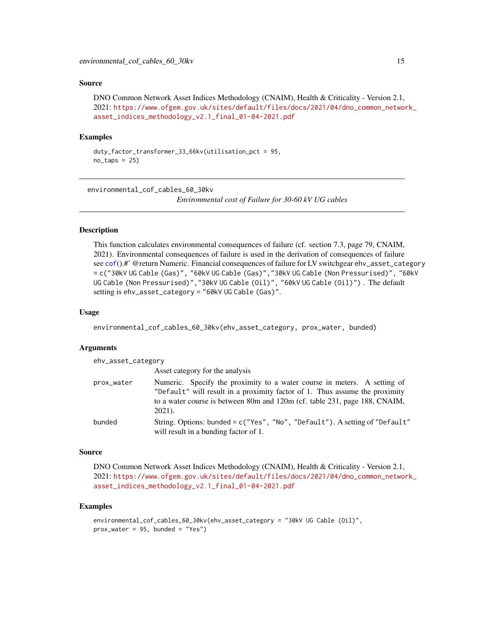<span id="page-14-0"></span>DNO Common Network Asset Indices Methodology (CNAIM), Health & Criticality - Version 2.1, 2021: [https://www.ofgem.gov.uk/sites/default/files/docs/2021/04/dno\\_common\\_networ](https://www.ofgem.gov.uk/sites/default/files/docs/2021/04/dno_common_network_asset_indices_methodology_v2.1_final_01-04-2021.pdf)k\_ [asset\\_indices\\_methodology\\_v2.1\\_final\\_01-04-2021.pdf](https://www.ofgem.gov.uk/sites/default/files/docs/2021/04/dno_common_network_asset_indices_methodology_v2.1_final_01-04-2021.pdf)

#### Examples

```
duty_factor_transformer_33_66kv(utilisation_pct = 95,
no\_taps = 25)
```
environmental\_cof\_cables\_60\_30kv

*Environmental cost of Failure for 30-60 kV UG cables*

# **Description**

This function calculates environmental consequences of failure (cf. section 7.3, page 79, CNAIM, 2021). Environmental consequences of failure is used in the derivation of consequences of failure see [cof](#page-5-1)().#' @return Numeric. Financial consequences of failure for LV switchgear ehv\_asset\_category = c("30kV UG Cable (Gas)", "60kV UG Cable (Gas)","30kV UG Cable (Non Pressurised)", "60kV UG Cable (Non Pressurised)","30kV UG Cable (Oil)", "60kV UG Cable (Oil)") . The default setting is ehv\_asset\_category = "60kV UG Cable (Gas)".

## Usage

environmental\_cof\_cables\_60\_30kv(ehv\_asset\_category, prox\_water, bunded)

#### Arguments

| ehv_asset_category |                                                                                                                                                                                                                                                    |
|--------------------|----------------------------------------------------------------------------------------------------------------------------------------------------------------------------------------------------------------------------------------------------|
|                    | Asset category for the analysis                                                                                                                                                                                                                    |
| prox_water         | Numeric. Specify the proximity to a water course in meters. A setting of<br>"Default" will result in a proximity factor of 1. Thus assume the proximity<br>to a water course is between 80m and 120m (cf. table 231, page 188, CNAIM,<br>$2021$ ). |
| bunded             | String. Options: bunded = c("Yes", "No", "Default"). A setting of "Default"<br>will result in a bunding factor of 1.                                                                                                                               |

## Source

DNO Common Network Asset Indices Methodology (CNAIM), Health & Criticality - Version 2.1, 2021: [https://www.ofgem.gov.uk/sites/default/files/docs/2021/04/dno\\_common\\_networ](https://www.ofgem.gov.uk/sites/default/files/docs/2021/04/dno_common_network_asset_indices_methodology_v2.1_final_01-04-2021.pdf)k\_ [asset\\_indices\\_methodology\\_v2.1\\_final\\_01-04-2021.pdf](https://www.ofgem.gov.uk/sites/default/files/docs/2021/04/dno_common_network_asset_indices_methodology_v2.1_final_01-04-2021.pdf)

#### Examples

```
environmental_cof_cables_60_30kv(ehv_asset_category = "30kV UG Cable (Oil)",
prox_water = 95, bunded = "Yes")
```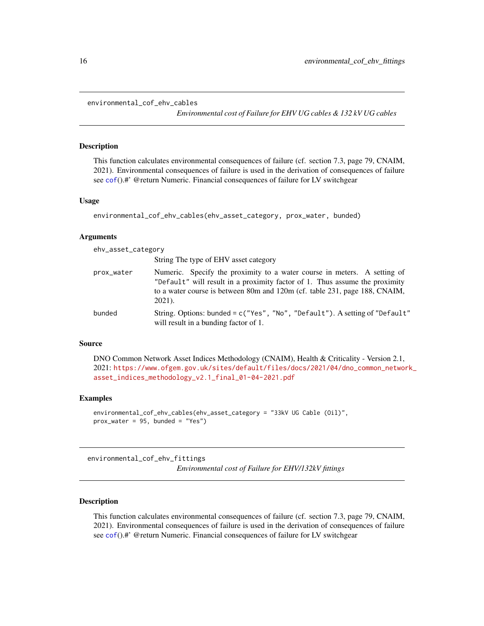```
environmental_cof_ehv_cables
```
*Environmental cost of Failure for EHV UG cables & 132 kV UG cables*

# Description

This function calculates environmental consequences of failure (cf. section 7.3, page 79, CNAIM, 2021). Environmental consequences of failure is used in the derivation of consequences of failure see [cof](#page-5-1)().#' @return Numeric. Financial consequences of failure for LV switchgear

## Usage

```
environmental_cof_ehv_cables(ehv_asset_category, prox_water, bunded)
```
## **Arguments**

|                         | ehv_asset_category                                                                                                                                                                                                                    |
|-------------------------|---------------------------------------------------------------------------------------------------------------------------------------------------------------------------------------------------------------------------------------|
|                         | String The type of EHV asset category                                                                                                                                                                                                 |
| prox_water<br>$2021$ ). | Numeric. Specify the proximity to a water course in meters. A setting of<br>"Default" will result in a proximity factor of 1. Thus assume the proximity<br>to a water course is between 80m and 120m (cf. table 231, page 188, CNAIM, |
| bunded                  | String. Options: bunded = c("Yes", "No", "Default"). A setting of "Default"<br>will result in a bunding factor of 1.                                                                                                                  |

# Source

DNO Common Network Asset Indices Methodology (CNAIM), Health & Criticality - Version 2.1, 2021: [https://www.ofgem.gov.uk/sites/default/files/docs/2021/04/dno\\_common\\_networ](https://www.ofgem.gov.uk/sites/default/files/docs/2021/04/dno_common_network_asset_indices_methodology_v2.1_final_01-04-2021.pdf)k\_ [asset\\_indices\\_methodology\\_v2.1\\_final\\_01-04-2021.pdf](https://www.ofgem.gov.uk/sites/default/files/docs/2021/04/dno_common_network_asset_indices_methodology_v2.1_final_01-04-2021.pdf)

# Examples

```
environmental_cof_ehv_cables(ehv_asset_category = "33kV UG Cable (Oil)",
prox\_water = 95, bunded = "Yes")
```
environmental\_cof\_ehv\_fittings

*Environmental cost of Failure for EHV/132kV fittings*

# **Description**

This function calculates environmental consequences of failure (cf. section 7.3, page 79, CNAIM, 2021). Environmental consequences of failure is used in the derivation of consequences of failure see [cof](#page-5-1)().#' @return Numeric. Financial consequences of failure for LV switchgear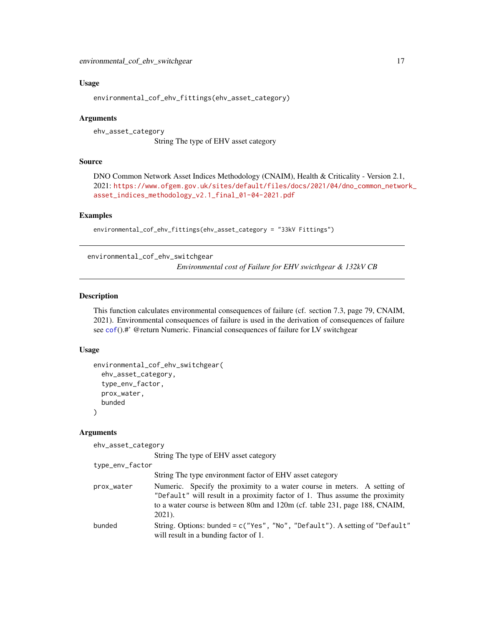# <span id="page-16-0"></span>Usage

environmental\_cof\_ehv\_fittings(ehv\_asset\_category)

# Arguments

ehv\_asset\_category String The type of EHV asset category

# Source

DNO Common Network Asset Indices Methodology (CNAIM), Health & Criticality - Version 2.1, 2021: [https://www.ofgem.gov.uk/sites/default/files/docs/2021/04/dno\\_common\\_networ](https://www.ofgem.gov.uk/sites/default/files/docs/2021/04/dno_common_network_asset_indices_methodology_v2.1_final_01-04-2021.pdf)k\_ [asset\\_indices\\_methodology\\_v2.1\\_final\\_01-04-2021.pdf](https://www.ofgem.gov.uk/sites/default/files/docs/2021/04/dno_common_network_asset_indices_methodology_v2.1_final_01-04-2021.pdf)

#### Examples

```
environmental_cof_ehv_fittings(ehv_asset_category = "33kV Fittings")
```
environmental\_cof\_ehv\_switchgear

*Environmental cost of Failure for EHV swicthgear & 132kV CB*

# **Description**

This function calculates environmental consequences of failure (cf. section 7.3, page 79, CNAIM, 2021). Environmental consequences of failure is used in the derivation of consequences of failure see [cof](#page-5-1)().#' @return Numeric. Financial consequences of failure for LV switchgear

# Usage

```
environmental_cof_ehv_switchgear(
  ehv_asset_category,
  type_env_factor,
 prox_water,
 bunded
\lambda
```
# Arguments

ehv\_asset\_category

String The type of EHV asset category

```
type_env_factor
```

|            | String The type environment factor of EHV asset category                                                                                                                                                                                        |
|------------|-------------------------------------------------------------------------------------------------------------------------------------------------------------------------------------------------------------------------------------------------|
| prox_water | Numeric. Specify the proximity to a water course in meters. A setting of<br>"Default" will result in a proximity factor of 1. Thus assume the proximity<br>to a water course is between 80m and 120m (cf. table 231, page 188, CNAIM,<br>2021). |
| bunded     | String. Options: bunded = $c$ ("Yes", "No", "Default"). A setting of "Default"<br>will result in a bunding factor of 1.                                                                                                                         |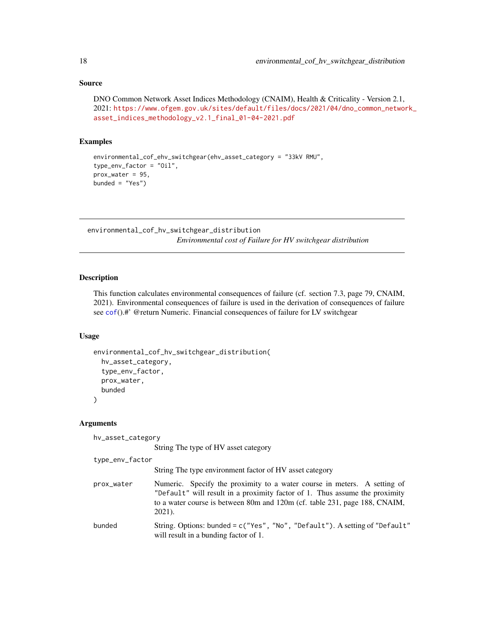```
DNO Common Network Asset Indices Methodology (CNAIM), Health & Criticality - Version 2.1,
2021: https://www.ofgem.gov.uk/sites/default/files/docs/2021/04/dno_common_network_
asset_indices_methodology_v2.1_final_01-04-2021.pdf
```
# Examples

```
environmental_cof_ehv_switchgear(ehv_asset_category = "33kV RMU",
type_env_factor = "Oil",
prox_water = 95,
bunded = "Yes")
```
environmental\_cof\_hv\_switchgear\_distribution *Environmental cost of Failure for HV switchgear distribution*

## Description

This function calculates environmental consequences of failure (cf. section 7.3, page 79, CNAIM, 2021). Environmental consequences of failure is used in the derivation of consequences of failure see [cof](#page-5-1)().#' @return Numeric. Financial consequences of failure for LV switchgear

# Usage

```
environmental_cof_hv_switchgear_distribution(
  hv_asset_category,
  type_env_factor,
  prox_water,
 bunded
\mathcal{E}
```
# Arguments

hv\_asset\_category

String The type of HV asset category

```
type_env_factor
```

|            | String The type environment factor of HV asset category                                                                                                                                                                                            |
|------------|----------------------------------------------------------------------------------------------------------------------------------------------------------------------------------------------------------------------------------------------------|
| prox_water | Numeric. Specify the proximity to a water course in meters. A setting of<br>"Default" will result in a proximity factor of 1. Thus assume the proximity<br>to a water course is between 80m and 120m (cf. table 231, page 188, CNAIM,<br>$2021$ ). |
| bunded     | String. Options: bunded = $c$ ("Yes", "No", "Default"). A setting of "Default"<br>will result in a bunding factor of 1.                                                                                                                            |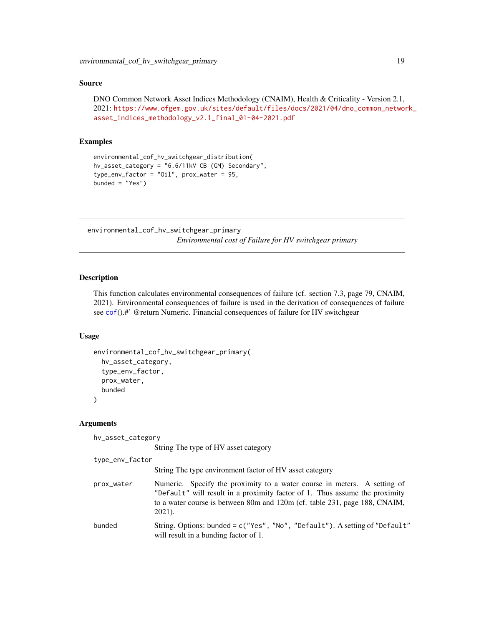```
DNO Common Network Asset Indices Methodology (CNAIM), Health & Criticality - Version 2.1,
2021: https://www.ofgem.gov.uk/sites/default/files/docs/2021/04/dno_common_network_
asset_indices_methodology_v2.1_final_01-04-2021.pdf
```
# Examples

```
environmental_cof_hv_switchgear_distribution(
hv_asset_category = "6.6/11kV CB (GM) Secondary",
type\_env\_factor = "Oil", prox\_water = 95,bunded = "Yes")
```
environmental\_cof\_hv\_switchgear\_primary

*Environmental cost of Failure for HV switchgear primary*

#### **Description**

This function calculates environmental consequences of failure (cf. section 7.3, page 79, CNAIM, 2021). Environmental consequences of failure is used in the derivation of consequences of failure see [cof](#page-5-1)().#' @return Numeric. Financial consequences of failure for HV switchgear

# Usage

```
environmental_cof_hv_switchgear_primary(
  hv_asset_category,
  type_env_factor,
  prox_water,
 bunded
\mathcal{E}
```
# Arguments

hv\_asset\_category

String The type of HV asset category

will result in a bunding factor of 1.

```
type_env_factor
```

|            | String The type environment factor of HV asset category                                                                                                                                                                                            |
|------------|----------------------------------------------------------------------------------------------------------------------------------------------------------------------------------------------------------------------------------------------------|
| prox_water | Numeric. Specify the proximity to a water course in meters. A setting of<br>"Default" will result in a proximity factor of 1. Thus assume the proximity<br>to a water course is between 80m and 120m (cf. table 231, page 188, CNAIM,<br>$2021$ ). |
| bunded     | String. Options: bunded = c("Yes", "No", "Default"). A setting of "Default"                                                                                                                                                                        |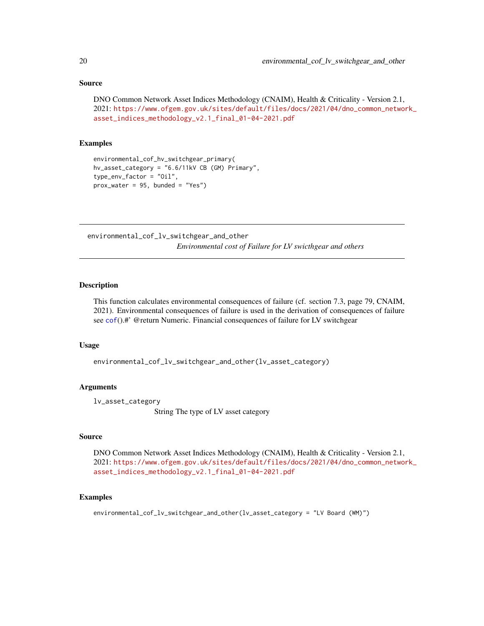```
DNO Common Network Asset Indices Methodology (CNAIM), Health & Criticality - Version 2.1,
2021: https://www.ofgem.gov.uk/sites/default/files/docs/2021/04/dno_common_network_
asset_indices_methodology_v2.1_final_01-04-2021.pdf
```
## Examples

```
environmental_cof_hv_switchgear_primary(
hv_asset_category = "6.6/11kV CB (GM) Primary",
type_env_factor = "Oil",
prox_water = 95, bunded = "Yes")
```
environmental\_cof\_lv\_switchgear\_and\_other *Environmental cost of Failure for LV swicthgear and others*

# Description

This function calculates environmental consequences of failure (cf. section 7.3, page 79, CNAIM, 2021). Environmental consequences of failure is used in the derivation of consequences of failure see [cof](#page-5-1)().#' @return Numeric. Financial consequences of failure for LV switchgear

#### Usage

environmental\_cof\_lv\_switchgear\_and\_other(lv\_asset\_category)

# Arguments

lv\_asset\_category

String The type of LV asset category

## Source

DNO Common Network Asset Indices Methodology (CNAIM), Health & Criticality - Version 2.1, 2021: [https://www.ofgem.gov.uk/sites/default/files/docs/2021/04/dno\\_common\\_networ](https://www.ofgem.gov.uk/sites/default/files/docs/2021/04/dno_common_network_asset_indices_methodology_v2.1_final_01-04-2021.pdf)k\_ [asset\\_indices\\_methodology\\_v2.1\\_final\\_01-04-2021.pdf](https://www.ofgem.gov.uk/sites/default/files/docs/2021/04/dno_common_network_asset_indices_methodology_v2.1_final_01-04-2021.pdf)

## Examples

environmental\_cof\_lv\_switchgear\_and\_other(lv\_asset\_category = "LV Board (WM)")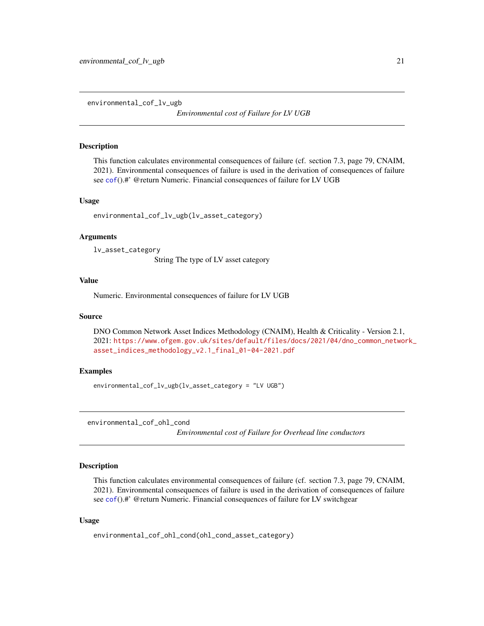<span id="page-20-0"></span>environmental\_cof\_lv\_ugb

*Environmental cost of Failure for LV UGB*

## Description

This function calculates environmental consequences of failure (cf. section 7.3, page 79, CNAIM, 2021). Environmental consequences of failure is used in the derivation of consequences of failure see [cof](#page-5-1)().#' @return Numeric. Financial consequences of failure for LV UGB

## Usage

```
environmental_cof_lv_ugb(lv_asset_category)
```
#### Arguments

lv\_asset\_category

String The type of LV asset category

## Value

Numeric. Environmental consequences of failure for LV UGB

# Source

DNO Common Network Asset Indices Methodology (CNAIM), Health & Criticality - Version 2.1, 2021: [https://www.ofgem.gov.uk/sites/default/files/docs/2021/04/dno\\_common\\_networ](https://www.ofgem.gov.uk/sites/default/files/docs/2021/04/dno_common_network_asset_indices_methodology_v2.1_final_01-04-2021.pdf)k\_ [asset\\_indices\\_methodology\\_v2.1\\_final\\_01-04-2021.pdf](https://www.ofgem.gov.uk/sites/default/files/docs/2021/04/dno_common_network_asset_indices_methodology_v2.1_final_01-04-2021.pdf)

# Examples

environmental\_cof\_lv\_ugb(lv\_asset\_category = "LV UGB")

environmental\_cof\_ohl\_cond

*Environmental cost of Failure for Overhead line conductors*

# Description

This function calculates environmental consequences of failure (cf. section 7.3, page 79, CNAIM, 2021). Environmental consequences of failure is used in the derivation of consequences of failure see [cof](#page-5-1)().#' @return Numeric. Financial consequences of failure for LV switchgear

## Usage

```
environmental_cof_ohl_cond(ohl_cond_asset_category)
```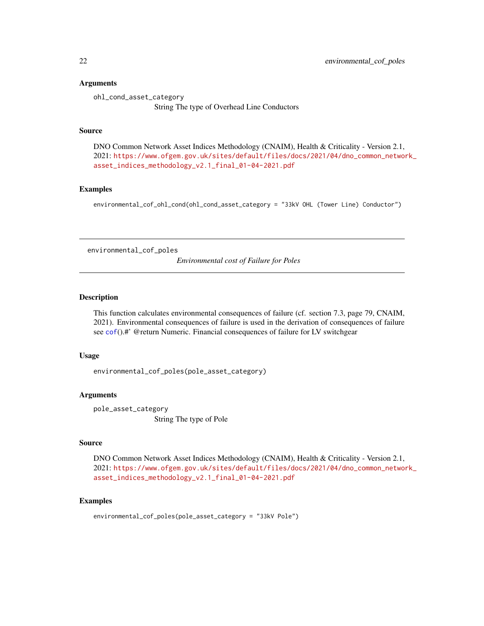# <span id="page-21-0"></span>Arguments

ohl\_cond\_asset\_category String The type of Overhead Line Conductors

## Source

DNO Common Network Asset Indices Methodology (CNAIM), Health & Criticality - Version 2.1, 2021: [https://www.ofgem.gov.uk/sites/default/files/docs/2021/04/dno\\_common\\_networ](https://www.ofgem.gov.uk/sites/default/files/docs/2021/04/dno_common_network_asset_indices_methodology_v2.1_final_01-04-2021.pdf)k\_ [asset\\_indices\\_methodology\\_v2.1\\_final\\_01-04-2021.pdf](https://www.ofgem.gov.uk/sites/default/files/docs/2021/04/dno_common_network_asset_indices_methodology_v2.1_final_01-04-2021.pdf)

# Examples

environmental\_cof\_ohl\_cond(ohl\_cond\_asset\_category = "33kV OHL (Tower Line) Conductor")

environmental\_cof\_poles

*Environmental cost of Failure for Poles*

#### Description

This function calculates environmental consequences of failure (cf. section 7.3, page 79, CNAIM, 2021). Environmental consequences of failure is used in the derivation of consequences of failure see [cof](#page-5-1)().#' @return Numeric. Financial consequences of failure for LV switchgear

# Usage

environmental\_cof\_poles(pole\_asset\_category)

#### Arguments

pole\_asset\_category String The type of Pole

# Source

DNO Common Network Asset Indices Methodology (CNAIM), Health & Criticality - Version 2.1, 2021: [https://www.ofgem.gov.uk/sites/default/files/docs/2021/04/dno\\_common\\_networ](https://www.ofgem.gov.uk/sites/default/files/docs/2021/04/dno_common_network_asset_indices_methodology_v2.1_final_01-04-2021.pdf)k\_ [asset\\_indices\\_methodology\\_v2.1\\_final\\_01-04-2021.pdf](https://www.ofgem.gov.uk/sites/default/files/docs/2021/04/dno_common_network_asset_indices_methodology_v2.1_final_01-04-2021.pdf)

# Examples

environmental\_cof\_poles(pole\_asset\_category = "33kV Pole")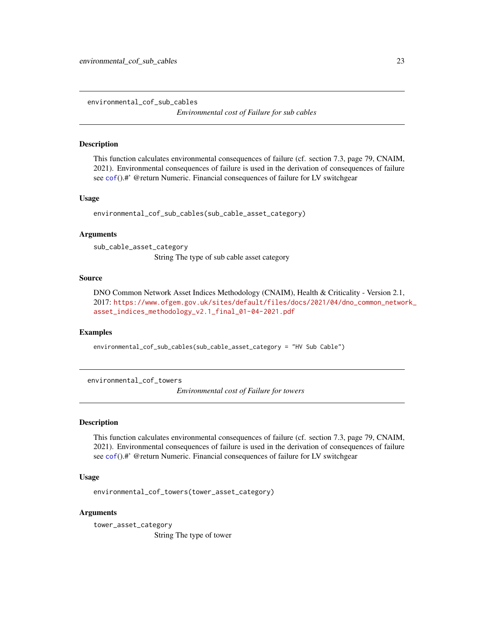<span id="page-22-0"></span>environmental\_cof\_sub\_cables

*Environmental cost of Failure for sub cables*

## Description

This function calculates environmental consequences of failure (cf. section 7.3, page 79, CNAIM, 2021). Environmental consequences of failure is used in the derivation of consequences of failure see [cof](#page-5-1)().#' @return Numeric. Financial consequences of failure for LV switchgear

# Usage

environmental\_cof\_sub\_cables(sub\_cable\_asset\_category)

#### Arguments

sub\_cable\_asset\_category String The type of sub cable asset category

## Source

DNO Common Network Asset Indices Methodology (CNAIM), Health & Criticality - Version 2.1, 2017: [https://www.ofgem.gov.uk/sites/default/files/docs/2021/04/dno\\_common\\_networ](https://www.ofgem.gov.uk/sites/default/files/docs/2021/04/dno_common_network_asset_indices_methodology_v2.1_final_01-04-2021.pdf)k\_ [asset\\_indices\\_methodology\\_v2.1\\_final\\_01-04-2021.pdf](https://www.ofgem.gov.uk/sites/default/files/docs/2021/04/dno_common_network_asset_indices_methodology_v2.1_final_01-04-2021.pdf)

# Examples

environmental\_cof\_sub\_cables(sub\_cable\_asset\_category = "HV Sub Cable")

environmental\_cof\_towers

*Environmental cost of Failure for towers*

# **Description**

This function calculates environmental consequences of failure (cf. section 7.3, page 79, CNAIM, 2021). Environmental consequences of failure is used in the derivation of consequences of failure see [cof](#page-5-1)().#' @return Numeric. Financial consequences of failure for LV switchgear

## Usage

```
environmental_cof_towers(tower_asset_category)
```
#### Arguments

tower\_asset\_category String The type of tower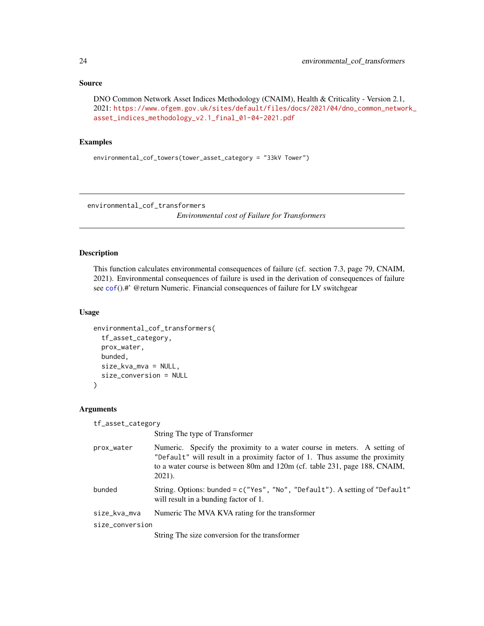```
DNO Common Network Asset Indices Methodology (CNAIM), Health & Criticality - Version 2.1,
2021: https://www.ofgem.gov.uk/sites/default/files/docs/2021/04/dno_common_network_
asset_indices_methodology_v2.1_final_01-04-2021.pdf
```
# Examples

environmental\_cof\_towers(tower\_asset\_category = "33kV Tower")

environmental\_cof\_transformers

*Environmental cost of Failure for Transformers*

# Description

This function calculates environmental consequences of failure (cf. section 7.3, page 79, CNAIM, 2021). Environmental consequences of failure is used in the derivation of consequences of failure see [cof](#page-5-1)().#' @return Numeric. Financial consequences of failure for LV switchgear

# Usage

```
environmental_cof_transformers(
  tf_asset_category,
 prox_water,
 bunded,
 size_kva_mva = NULL,
  size_conversion = NULL
)
```
# Arguments

tf\_asset\_category

String The type of Transformer

| prox_water | Numeric. Specify the proximity to a water course in meters. A setting of                                             |
|------------|----------------------------------------------------------------------------------------------------------------------|
|            | "Default" will result in a proximity factor of 1. Thus assume the proximity                                          |
|            | to a water course is between 80m and 120m (cf. table 231, page 188, CNAIM,<br>$2021$ .                               |
| bunded     | String. Options: bunded = c("Yes", "No", "Default"). A setting of "Default"<br>will result in a bunding factor of 1. |

```
size_kva_mva Numeric The MVA KVA rating for the transformer
```
size\_conversion

String The size conversion for the transformer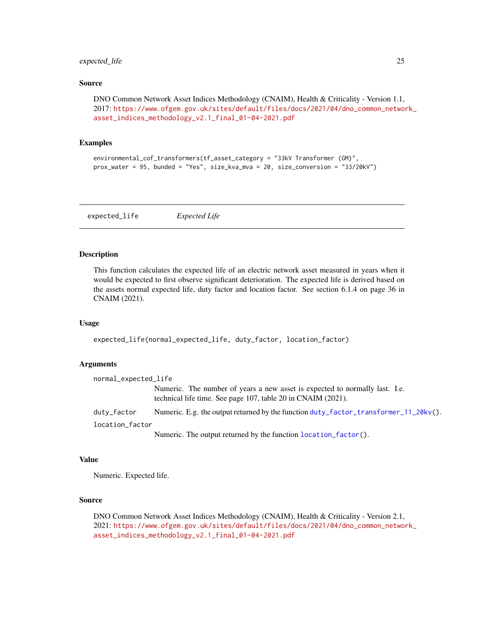# <span id="page-24-0"></span>expected\_life 25

## Source

```
DNO Common Network Asset Indices Methodology (CNAIM), Health & Criticality - Version 1.1,
2017: https://www.ofgem.gov.uk/sites/default/files/docs/2021/04/dno_common_network_
asset_indices_methodology_v2.1_final_01-04-2021.pdf
```
# Examples

```
environmental_cof_transformers(tf_asset_category = "33kV Transformer (GM)",
prox_water = 95, bunded = "Yes", size_kva_mva = 20, size_conversion = "33/20kV")
```
<span id="page-24-1"></span>expected\_life *Expected Life*

## Description

This function calculates the expected life of an electric network asset measured in years when it would be expected to first observe significant deterioration. The expected life is derived based on the assets normal expected life, duty factor and location factor. See section 6.1.4 on page 36 in CNAIM (2021).

## Usage

```
expected_life(normal_expected_life, duty_factor, location_factor)
```
# Arguments

| normal_expected_life |                                                                                                                                             |
|----------------------|---------------------------------------------------------------------------------------------------------------------------------------------|
|                      | Numeric. The number of years a new asset is expected to normally last. I.e.<br>technical life time. See page 107, table 20 in CNAIM (2021). |
| duty_factor          | Numeric. E.g. the output returned by the function duty_factor_transformer_11_20kv().                                                        |
| location_factor      |                                                                                                                                             |
|                      | Numeric. The output returned by the function location factor().                                                                             |

#### Value

Numeric. Expected life.

## Source

DNO Common Network Asset Indices Methodology (CNAIM), Health & Criticality - Version 2.1, 2021: [https://www.ofgem.gov.uk/sites/default/files/docs/2021/04/dno\\_common\\_networ](https://www.ofgem.gov.uk/sites/default/files/docs/2021/04/dno_common_network_asset_indices_methodology_v2.1_final_01-04-2021.pdf)k\_ [asset\\_indices\\_methodology\\_v2.1\\_final\\_01-04-2021.pdf](https://www.ofgem.gov.uk/sites/default/files/docs/2021/04/dno_common_network_asset_indices_methodology_v2.1_final_01-04-2021.pdf)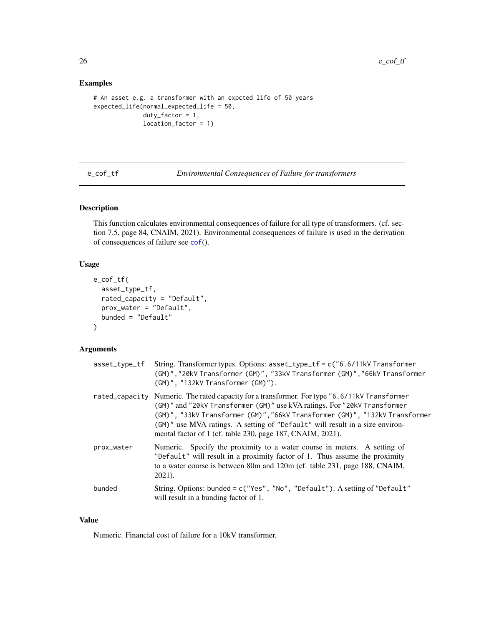# Examples

```
# An asset e.g. a transformer with an expcted life of 50 years
expected_life(normal_expected_life = 50,
             duty_factor = 1,
             location_factor = 1)
```
e\_cof\_tf *Environmental Consequences of Failure for transformers*

# **Description**

This function calculates environmental consequences of failure for all type of transformers. (cf. section 7.5, page 84, CNAIM, 2021). Environmental consequences of failure is used in the derivation of consequences of failure see [cof](#page-5-1)().

# Usage

```
e_cof_tf(
  asset_type_tf,
  rated_capacity = "Default",
 prox_water = "Default",
  bunded = "Default"
)
```
# Arguments

| asset_type_tf | String. Transformer types. Options: $asset_type_t f = c("6.6/11kV Transformer$<br>(GM)","20kV Transformer (GM)", "33kV Transformer (GM)","66kV Transformer<br>(GM)", "132kV Transformer (GM)").                                                                                                                                                                                                       |
|---------------|-------------------------------------------------------------------------------------------------------------------------------------------------------------------------------------------------------------------------------------------------------------------------------------------------------------------------------------------------------------------------------------------------------|
|               | rated_capacity Numeric. The rated capacity for a transformer. For type "6.6/11kV Transformer<br>(GM)" and "20kV Transformer (GM)" use kVA ratings. For "20kV Transformer<br>(GM)", "33kV Transformer (GM)", "66kV Transformer (GM)", "132kV Transformer<br>(GM)" use MVA ratings. A setting of "Default" will result in a size environ-<br>mental factor of 1 (cf. table 230, page 187, CNAIM, 2021). |
| prox_water    | Numeric. Specify the proximity to a water course in meters. A setting of<br>"Default" will result in a proximity factor of 1. Thus assume the proximity<br>to a water course is between 80m and 120m (cf. table 231, page 188, CNAIM,<br>$2021$ ).                                                                                                                                                    |
| bunded        | String. Options: bunded = c("Yes", "No", "Default"). A setting of "Default"<br>will result in a bunding factor of 1.                                                                                                                                                                                                                                                                                  |

#### Value

Numeric. Financial cost of failure for a 10kV transformer.

<span id="page-25-0"></span>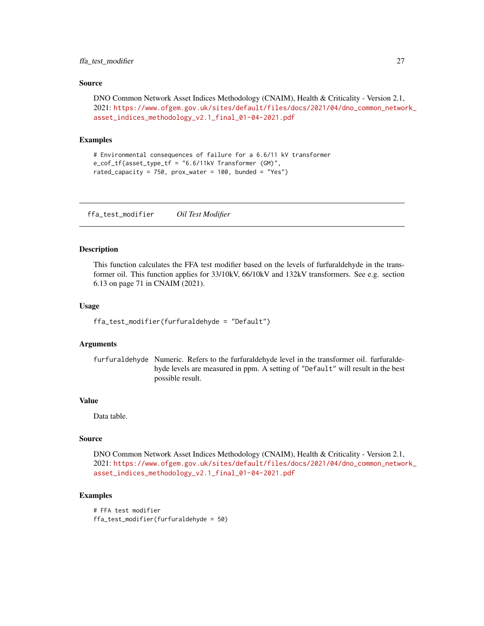# <span id="page-26-0"></span>ffa\_test\_modifier 27

#### Source

```
DNO Common Network Asset Indices Methodology (CNAIM), Health & Criticality - Version 2.1,
2021: https://www.ofgem.gov.uk/sites/default/files/docs/2021/04/dno_common_network_
asset_indices_methodology_v2.1_final_01-04-2021.pdf
```
# Examples

```
# Environmental consequences of failure for a 6.6/11 kV transformer
e_cof_tf(asset_type_tf = "6.6/11kV Transformer (GM)",
rated_capacity = 750, prox_water = 100, bunded = "Yes")
```
ffa\_test\_modifier *Oil Test Modifier*

#### Description

This function calculates the FFA test modifier based on the levels of furfuraldehyde in the transformer oil. This function applies for 33/10kV, 66/10kV and 132kV transformers. See e.g. section 6.13 on page 71 in CNAIM (2021).

## Usage

```
ffa_test_modifier(furfuraldehyde = "Default")
```
#### Arguments

furfuraldehyde Numeric. Refers to the furfuraldehyde level in the transformer oil. furfuraldehyde levels are measured in ppm. A setting of "Default" will result in the best possible result.

# Value

Data table.

# Source

DNO Common Network Asset Indices Methodology (CNAIM), Health & Criticality - Version 2.1, 2021: [https://www.ofgem.gov.uk/sites/default/files/docs/2021/04/dno\\_common\\_networ](https://www.ofgem.gov.uk/sites/default/files/docs/2021/04/dno_common_network_asset_indices_methodology_v2.1_final_01-04-2021.pdf)k\_ [asset\\_indices\\_methodology\\_v2.1\\_final\\_01-04-2021.pdf](https://www.ofgem.gov.uk/sites/default/files/docs/2021/04/dno_common_network_asset_indices_methodology_v2.1_final_01-04-2021.pdf)

# Examples

```
# FFA test modifier
ffa_test_modifier(furfuraldehyde = 50)
```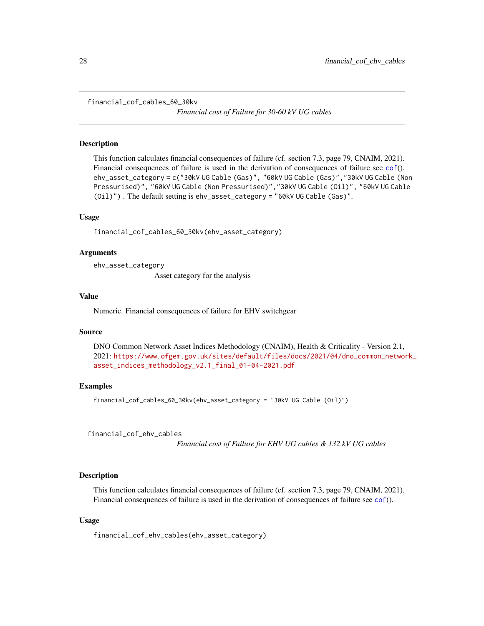<span id="page-27-0"></span>financial\_cof\_cables\_60\_30kv

*Financial cost of Failure for 30-60 kV UG cables*

# Description

This function calculates financial consequences of failure (cf. section 7.3, page 79, CNAIM, 2021). Financial consequences of failure is used in the derivation of consequences of failure see [cof](#page-5-1)(). ehv\_asset\_category = c("30kV UG Cable (Gas)", "60kV UG Cable (Gas)","30kV UG Cable (Non Pressurised)", "60kV UG Cable (Non Pressurised)","30kV UG Cable (Oil)", "60kV UG Cable (Oil)") . The default setting is ehv\_asset\_category = "60kV UG Cable (Gas)".

## Usage

financial\_cof\_cables\_60\_30kv(ehv\_asset\_category)

# Arguments

ehv\_asset\_category

Asset category for the analysis

#### Value

Numeric. Financial consequences of failure for EHV switchgear

## Source

DNO Common Network Asset Indices Methodology (CNAIM), Health & Criticality - Version 2.1, 2021: [https://www.ofgem.gov.uk/sites/default/files/docs/2021/04/dno\\_common\\_networ](https://www.ofgem.gov.uk/sites/default/files/docs/2021/04/dno_common_network_asset_indices_methodology_v2.1_final_01-04-2021.pdf)k\_ [asset\\_indices\\_methodology\\_v2.1\\_final\\_01-04-2021.pdf](https://www.ofgem.gov.uk/sites/default/files/docs/2021/04/dno_common_network_asset_indices_methodology_v2.1_final_01-04-2021.pdf)

# Examples

financial\_cof\_cables\_60\_30kv(ehv\_asset\_category = "30kV UG Cable (Oil)")

financial\_cof\_ehv\_cables

*Financial cost of Failure for EHV UG cables & 132 kV UG cables*

## **Description**

This function calculates financial consequences of failure (cf. section 7.3, page 79, CNAIM, 2021). Financial consequences of failure is used in the derivation of consequences of failure see [cof](#page-5-1)().

## Usage

financial\_cof\_ehv\_cables(ehv\_asset\_category)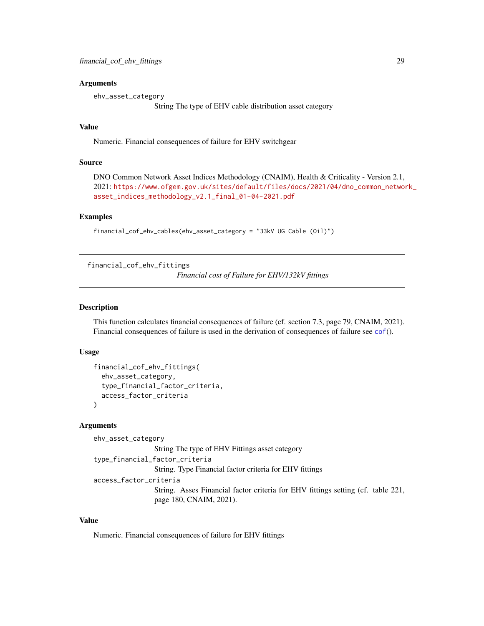## <span id="page-28-0"></span>**Arguments**

ehv\_asset\_category

String The type of EHV cable distribution asset category

# Value

Numeric. Financial consequences of failure for EHV switchgear

# Source

```
DNO Common Network Asset Indices Methodology (CNAIM), Health & Criticality - Version 2.1,
2021: https://www.ofgem.gov.uk/sites/default/files/docs/2021/04/dno_common_network_
asset_indices_methodology_v2.1_final_01-04-2021.pdf
```
#### Examples

financial\_cof\_ehv\_cables(ehv\_asset\_category = "33kV UG Cable (Oil)")

financial\_cof\_ehv\_fittings

*Financial cost of Failure for EHV/132kV fittings*

#### Description

This function calculates financial consequences of failure (cf. section 7.3, page 79, CNAIM, 2021). Financial consequences of failure is used in the derivation of consequences of failure see [cof](#page-5-1)().

# Usage

```
financial_cof_ehv_fittings(
  ehv_asset_category,
  type_financial_factor_criteria,
  access_factor_criteria
)
```
# Arguments

ehv\_asset\_category String The type of EHV Fittings asset category type\_financial\_factor\_criteria String. Type Financial factor criteria for EHV fittings access\_factor\_criteria String. Asses Financial factor criteria for EHV fittings setting (cf. table 221, page 180, CNAIM, 2021).

# Value

Numeric. Financial consequences of failure for EHV fittings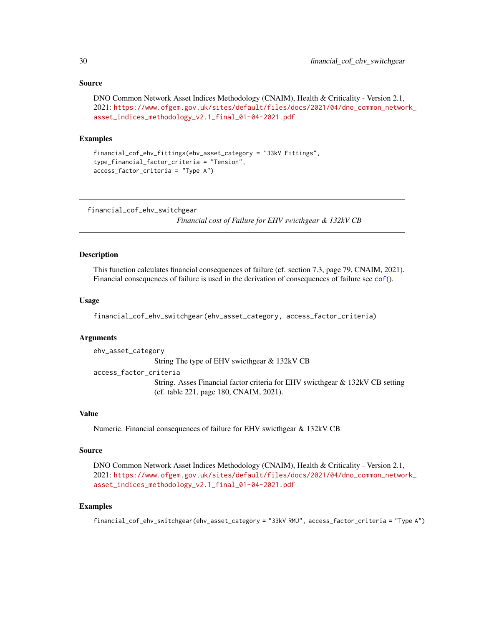```
DNO Common Network Asset Indices Methodology (CNAIM), Health & Criticality - Version 2.1,
2021: https://www.ofgem.gov.uk/sites/default/files/docs/2021/04/dno_common_network_
asset_indices_methodology_v2.1_final_01-04-2021.pdf
```
# Examples

```
financial_cof_ehv_fittings(ehv_asset_category = "33kV Fittings",
type_financial_factor_criteria = "Tension",
access_factor_criteria = "Type A")
```
financial\_cof\_ehv\_switchgear

*Financial cost of Failure for EHV swicthgear & 132kV CB*

# Description

This function calculates financial consequences of failure (cf. section 7.3, page 79, CNAIM, 2021). Financial consequences of failure is used in the derivation of consequences of failure see [cof](#page-5-1)().

# Usage

financial\_cof\_ehv\_switchgear(ehv\_asset\_category, access\_factor\_criteria)

#### Arguments

ehv\_asset\_category String The type of EHV swicthgear & 132kV CB access\_factor\_criteria String. Asses Financial factor criteria for EHV swicthgear & 132kV CB setting (cf. table 221, page 180, CNAIM, 2021).

# Value

Numeric. Financial consequences of failure for EHV swicthgear & 132kV CB

#### Source

DNO Common Network Asset Indices Methodology (CNAIM), Health & Criticality - Version 2.1, 2021: [https://www.ofgem.gov.uk/sites/default/files/docs/2021/04/dno\\_common\\_networ](https://www.ofgem.gov.uk/sites/default/files/docs/2021/04/dno_common_network_asset_indices_methodology_v2.1_final_01-04-2021.pdf)k\_ [asset\\_indices\\_methodology\\_v2.1\\_final\\_01-04-2021.pdf](https://www.ofgem.gov.uk/sites/default/files/docs/2021/04/dno_common_network_asset_indices_methodology_v2.1_final_01-04-2021.pdf)

# Examples

financial\_cof\_ehv\_switchgear(ehv\_asset\_category = "33kV RMU", access\_factor\_criteria = "Type A")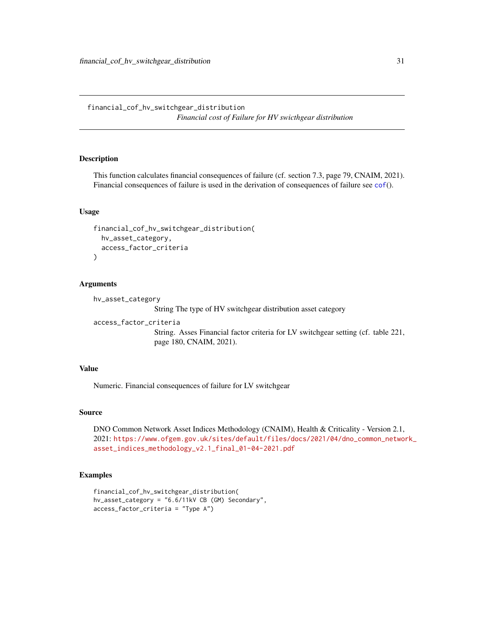<span id="page-30-0"></span>financial\_cof\_hv\_switchgear\_distribution *Financial cost of Failure for HV swicthgear distribution*

# Description

This function calculates financial consequences of failure (cf. section 7.3, page 79, CNAIM, 2021). Financial consequences of failure is used in the derivation of consequences of failure see [cof](#page-5-1)().

# Usage

```
financial_cof_hv_switchgear_distribution(
  hv_asset_category,
 access_factor_criteria
\lambda
```
## Arguments

hv\_asset\_category

String The type of HV switchgear distribution asset category

```
access_factor_criteria
```
String. Asses Financial factor criteria for LV switchgear setting (cf. table 221, page 180, CNAIM, 2021).

## Value

Numeric. Financial consequences of failure for LV switchgear

#### Source

DNO Common Network Asset Indices Methodology (CNAIM), Health & Criticality - Version 2.1, 2021: [https://www.ofgem.gov.uk/sites/default/files/docs/2021/04/dno\\_common\\_networ](https://www.ofgem.gov.uk/sites/default/files/docs/2021/04/dno_common_network_asset_indices_methodology_v2.1_final_01-04-2021.pdf)k\_ [asset\\_indices\\_methodology\\_v2.1\\_final\\_01-04-2021.pdf](https://www.ofgem.gov.uk/sites/default/files/docs/2021/04/dno_common_network_asset_indices_methodology_v2.1_final_01-04-2021.pdf)

# Examples

```
financial_cof_hv_switchgear_distribution(
hv_asset_category = "6.6/11kV CB (GM) Secondary",
access_factor_criteria = "Type A")
```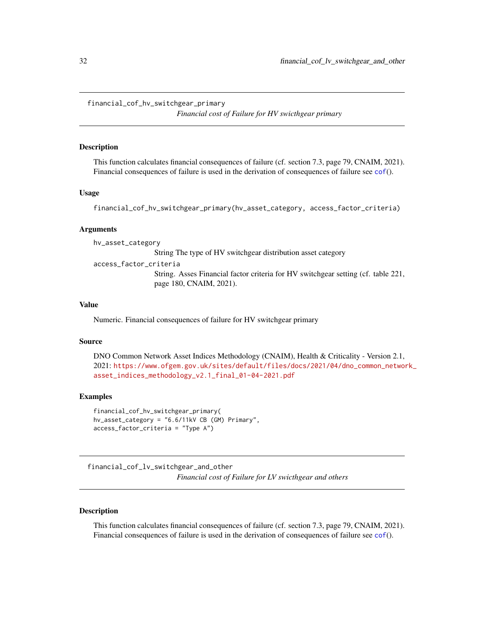<span id="page-31-0"></span>financial\_cof\_hv\_switchgear\_primary

*Financial cost of Failure for HV swicthgear primary*

# Description

This function calculates financial consequences of failure (cf. section 7.3, page 79, CNAIM, 2021). Financial consequences of failure is used in the derivation of consequences of failure see [cof](#page-5-1)().

## Usage

```
financial_cof_hv_switchgear_primary(hv_asset_category, access_factor_criteria)
```
# **Arguments**

hv\_asset\_category

String The type of HV switchgear distribution asset category

access\_factor\_criteria

String. Asses Financial factor criteria for HV switchgear setting (cf. table 221, page 180, CNAIM, 2021).

# Value

Numeric. Financial consequences of failure for HV switchgear primary

## Source

DNO Common Network Asset Indices Methodology (CNAIM), Health & Criticality - Version 2.1, 2021: [https://www.ofgem.gov.uk/sites/default/files/docs/2021/04/dno\\_common\\_networ](https://www.ofgem.gov.uk/sites/default/files/docs/2021/04/dno_common_network_asset_indices_methodology_v2.1_final_01-04-2021.pdf)k\_ [asset\\_indices\\_methodology\\_v2.1\\_final\\_01-04-2021.pdf](https://www.ofgem.gov.uk/sites/default/files/docs/2021/04/dno_common_network_asset_indices_methodology_v2.1_final_01-04-2021.pdf)

# Examples

```
financial_cof_hv_switchgear_primary(
hv_asset_category = "6.6/11kV CB (GM) Primary",
access_factor_criteria = "Type A")
```
financial\_cof\_lv\_switchgear\_and\_other *Financial cost of Failure for LV swicthgear and others*

## Description

This function calculates financial consequences of failure (cf. section 7.3, page 79, CNAIM, 2021). Financial consequences of failure is used in the derivation of consequences of failure see [cof](#page-5-1)().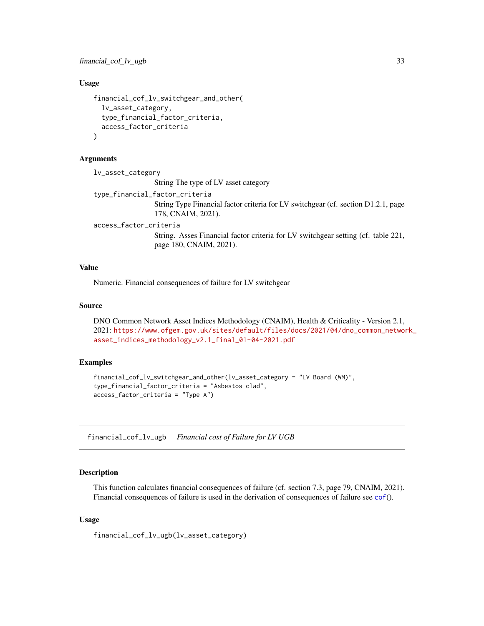<span id="page-32-0"></span>financial\_cof\_lv\_ugb 33

# Usage

```
financial_cof_lv_switchgear_and_other(
  lv_asset_category,
  type_financial_factor_criteria,
  access_factor_criteria
\lambda
```
# Arguments

```
lv_asset_category
                  String The type of LV asset category
type_financial_factor_criteria
                  String Type Financial factor criteria for LV switchgear (cf. section D1.2.1, page
                  178, CNAIM, 2021).
access_factor_criteria
                  String. Asses Financial factor criteria for LV switchgear setting (cf. table 221,
                  page 180, CNAIM, 2021).
```
# Value

Numeric. Financial consequences of failure for LV switchgear

# Source

```
DNO Common Network Asset Indices Methodology (CNAIM), Health & Criticality - Version 2.1,
2021: https://www.ofgem.gov.uk/sites/default/files/docs/2021/04/dno_common_network_
asset_indices_methodology_v2.1_final_01-04-2021.pdf
```
## Examples

```
financial_cof_lv_switchgear_and_other(lv_asset_category = "LV Board (WM)",
type_financial_factor_criteria = "Asbestos clad",
access_factor_criteria = "Type A")
```
financial\_cof\_lv\_ugb *Financial cost of Failure for LV UGB*

#### Description

This function calculates financial consequences of failure (cf. section 7.3, page 79, CNAIM, 2021). Financial consequences of failure is used in the derivation of consequences of failure see [cof](#page-5-1)().

# Usage

financial\_cof\_lv\_ugb(lv\_asset\_category)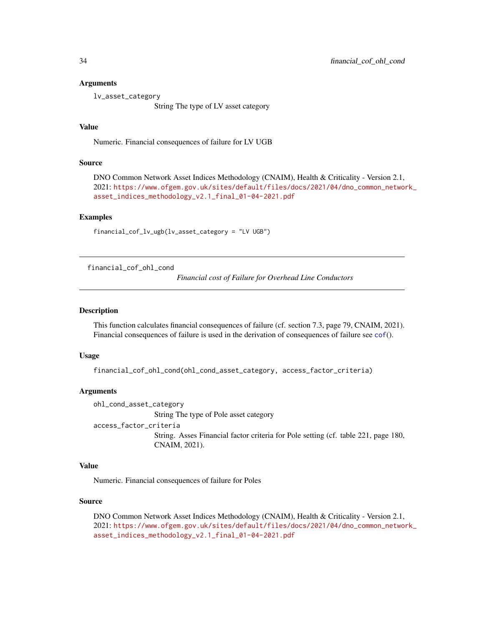## <span id="page-33-0"></span>Arguments

lv\_asset\_category

String The type of LV asset category

# Value

Numeric. Financial consequences of failure for LV UGB

# Source

DNO Common Network Asset Indices Methodology (CNAIM), Health & Criticality - Version 2.1, 2021: [https://www.ofgem.gov.uk/sites/default/files/docs/2021/04/dno\\_common\\_networ](https://www.ofgem.gov.uk/sites/default/files/docs/2021/04/dno_common_network_asset_indices_methodology_v2.1_final_01-04-2021.pdf)k\_ [asset\\_indices\\_methodology\\_v2.1\\_final\\_01-04-2021.pdf](https://www.ofgem.gov.uk/sites/default/files/docs/2021/04/dno_common_network_asset_indices_methodology_v2.1_final_01-04-2021.pdf)

#### Examples

```
financial_cof_lv_ugb(lv_asset_category = "LV UGB")
```
financial\_cof\_ohl\_cond

*Financial cost of Failure for Overhead Line Conductors*

## Description

This function calculates financial consequences of failure (cf. section 7.3, page 79, CNAIM, 2021). Financial consequences of failure is used in the derivation of consequences of failure see [cof](#page-5-1)().

# Usage

```
financial_cof_ohl_cond(ohl_cond_asset_category, access_factor_criteria)
```
# **Arguments**

```
ohl_cond_asset_category
                String The type of Pole asset category
access_factor_criteria
```
String. Asses Financial factor criteria for Pole setting (cf. table 221, page 180, CNAIM, 2021).

# Value

Numeric. Financial consequences of failure for Poles

# Source

DNO Common Network Asset Indices Methodology (CNAIM), Health & Criticality - Version 2.1, 2021: [https://www.ofgem.gov.uk/sites/default/files/docs/2021/04/dno\\_common\\_networ](https://www.ofgem.gov.uk/sites/default/files/docs/2021/04/dno_common_network_asset_indices_methodology_v2.1_final_01-04-2021.pdf)k\_ [asset\\_indices\\_methodology\\_v2.1\\_final\\_01-04-2021.pdf](https://www.ofgem.gov.uk/sites/default/files/docs/2021/04/dno_common_network_asset_indices_methodology_v2.1_final_01-04-2021.pdf)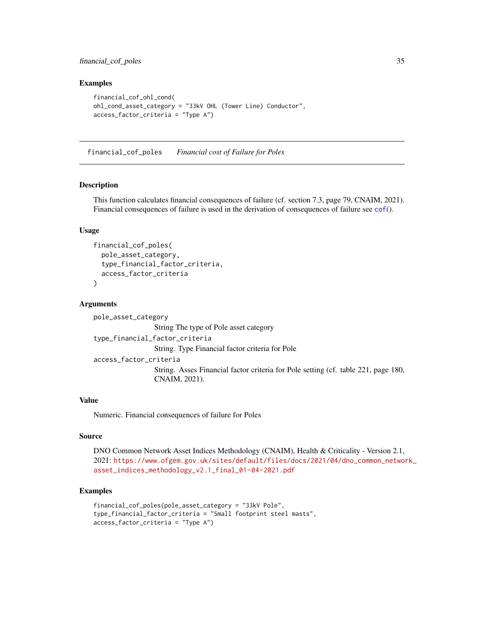# <span id="page-34-0"></span>financial\_cof\_poles 35

# Examples

```
financial_cof_ohl_cond(
ohl_cond_asset_category = "33kV OHL (Tower Line) Conductor",
access_factor_criteria = "Type A")
```
financial\_cof\_poles *Financial cost of Failure for Poles*

#### Description

This function calculates financial consequences of failure (cf. section 7.3, page 79, CNAIM, 2021). Financial consequences of failure is used in the derivation of consequences of failure see [cof](#page-5-1)().

# Usage

```
financial_cof_poles(
  pole_asset_category,
  type_financial_factor_criteria,
  access_factor_criteria
)
```
### Arguments

pole\_asset\_category String The type of Pole asset category type\_financial\_factor\_criteria String. Type Financial factor criteria for Pole access\_factor\_criteria String. Asses Financial factor criteria for Pole setting (cf. table 221, page 180, CNAIM, 2021).

## Value

Numeric. Financial consequences of failure for Poles

# Source

DNO Common Network Asset Indices Methodology (CNAIM), Health & Criticality - Version 2.1, 2021: [https://www.ofgem.gov.uk/sites/default/files/docs/2021/04/dno\\_common\\_networ](https://www.ofgem.gov.uk/sites/default/files/docs/2021/04/dno_common_network_asset_indices_methodology_v2.1_final_01-04-2021.pdf)k\_ [asset\\_indices\\_methodology\\_v2.1\\_final\\_01-04-2021.pdf](https://www.ofgem.gov.uk/sites/default/files/docs/2021/04/dno_common_network_asset_indices_methodology_v2.1_final_01-04-2021.pdf)

# Examples

```
financial_cof_poles(pole_asset_category = "33kV Pole",
type_financial_factor_criteria = "Small footprint steel masts",
access_factor_criteria = "Type A")
```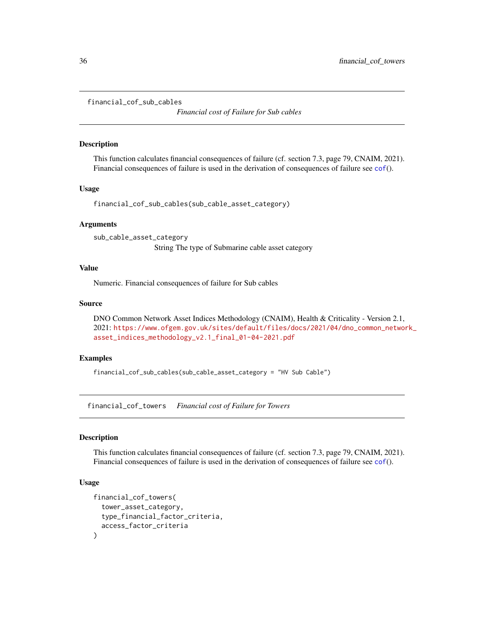<span id="page-35-0"></span>financial\_cof\_sub\_cables

*Financial cost of Failure for Sub cables*

## Description

This function calculates financial consequences of failure (cf. section 7.3, page 79, CNAIM, 2021). Financial consequences of failure is used in the derivation of consequences of failure see [cof](#page-5-1)().

# Usage

```
financial_cof_sub_cables(sub_cable_asset_category)
```
# Arguments

sub\_cable\_asset\_category String The type of Submarine cable asset category

# Value

Numeric. Financial consequences of failure for Sub cables

## Source

DNO Common Network Asset Indices Methodology (CNAIM), Health & Criticality - Version 2.1, 2021: [https://www.ofgem.gov.uk/sites/default/files/docs/2021/04/dno\\_common\\_networ](https://www.ofgem.gov.uk/sites/default/files/docs/2021/04/dno_common_network_asset_indices_methodology_v2.1_final_01-04-2021.pdf)k\_ [asset\\_indices\\_methodology\\_v2.1\\_final\\_01-04-2021.pdf](https://www.ofgem.gov.uk/sites/default/files/docs/2021/04/dno_common_network_asset_indices_methodology_v2.1_final_01-04-2021.pdf)

# Examples

financial\_cof\_sub\_cables(sub\_cable\_asset\_category = "HV Sub Cable")

financial\_cof\_towers *Financial cost of Failure for Towers*

# Description

This function calculates financial consequences of failure (cf. section 7.3, page 79, CNAIM, 2021). Financial consequences of failure is used in the derivation of consequences of failure see [cof](#page-5-1)().

# Usage

```
financial_cof_towers(
  tower_asset_category,
  type_financial_factor_criteria,
  access_factor_criteria
)
```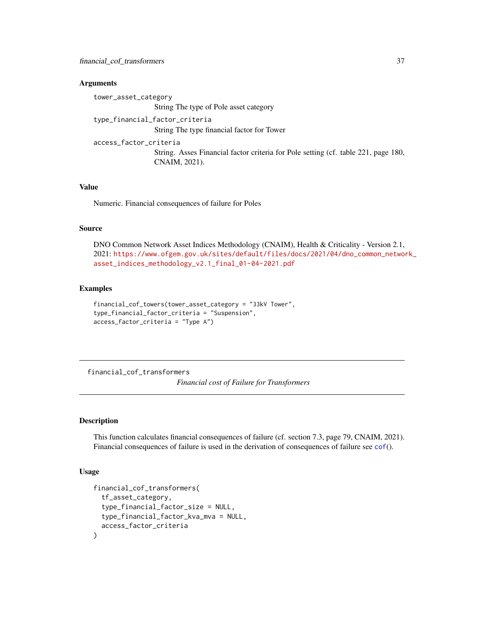tower\_asset\_category String The type of Pole asset category type\_financial\_factor\_criteria String The type financial factor for Tower access\_factor\_criteria String. Asses Financial factor criteria for Pole setting (cf. table 221, page 180, CNAIM, 2021).

# Value

Numeric. Financial consequences of failure for Poles

#### Source

DNO Common Network Asset Indices Methodology (CNAIM), Health & Criticality - Version 2.1, 2021: [https://www.ofgem.gov.uk/sites/default/files/docs/2021/04/dno\\_common\\_networ](https://www.ofgem.gov.uk/sites/default/files/docs/2021/04/dno_common_network_asset_indices_methodology_v2.1_final_01-04-2021.pdf)k\_ [asset\\_indices\\_methodology\\_v2.1\\_final\\_01-04-2021.pdf](https://www.ofgem.gov.uk/sites/default/files/docs/2021/04/dno_common_network_asset_indices_methodology_v2.1_final_01-04-2021.pdf)

#### Examples

```
financial_cof_towers(tower_asset_category = "33kV Tower",
type_financial_factor_criteria = "Suspension",
access_factor_criteria = "Type A")
```
financial\_cof\_transformers

*Financial cost of Failure for Transformers*

### Description

This function calculates financial consequences of failure (cf. section 7.3, page 79, CNAIM, 2021). Financial consequences of failure is used in the derivation of consequences of failure see [cof](#page-5-0)().

```
financial_cof_transformers(
  tf_asset_category,
  type_financial_factor_size = NULL,
  type_financial_factor_kva_mva = NULL,
  access_factor_criteria
)
```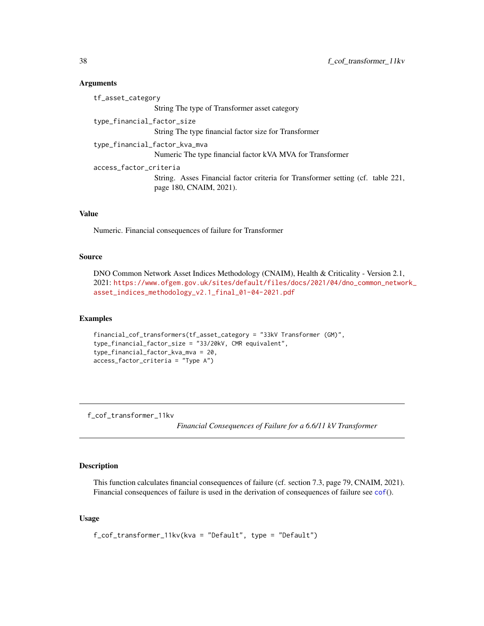| tf_asset_category             |                                                                                                            |
|-------------------------------|------------------------------------------------------------------------------------------------------------|
|                               | String The type of Transformer asset category                                                              |
| type_financial_factor_size    | String The type financial factor size for Transformer                                                      |
| type_financial_factor_kva_mva | Numeric The type financial factor kVA MVA for Transformer                                                  |
| access_factor_criteria        | String. Asses Financial factor criteria for Transformer setting (cf. table 221,<br>page 180, CNAIM, 2021). |

# Value

Numeric. Financial consequences of failure for Transformer

# Source

DNO Common Network Asset Indices Methodology (CNAIM), Health & Criticality - Version 2.1, 2021: [https://www.ofgem.gov.uk/sites/default/files/docs/2021/04/dno\\_common\\_networ](https://www.ofgem.gov.uk/sites/default/files/docs/2021/04/dno_common_network_asset_indices_methodology_v2.1_final_01-04-2021.pdf)k\_ [asset\\_indices\\_methodology\\_v2.1\\_final\\_01-04-2021.pdf](https://www.ofgem.gov.uk/sites/default/files/docs/2021/04/dno_common_network_asset_indices_methodology_v2.1_final_01-04-2021.pdf)

#### Examples

```
financial_cof_transformers(tf_asset_category = "33kV Transformer (GM)",
type_financial_factor_size = "33/20kV, CMR equivalent",
type_financial_factor_kva_mva = 20,
access_factor_criteria = "Type A")
```
f\_cof\_transformer\_11kv

*Financial Consequences of Failure for a 6.6/11 kV Transformer*

# Description

This function calculates financial consequences of failure (cf. section 7.3, page 79, CNAIM, 2021). Financial consequences of failure is used in the derivation of consequences of failure see [cof](#page-5-0)().

### Usage

f\_cof\_transformer\_11kv(kva = "Default", type = "Default")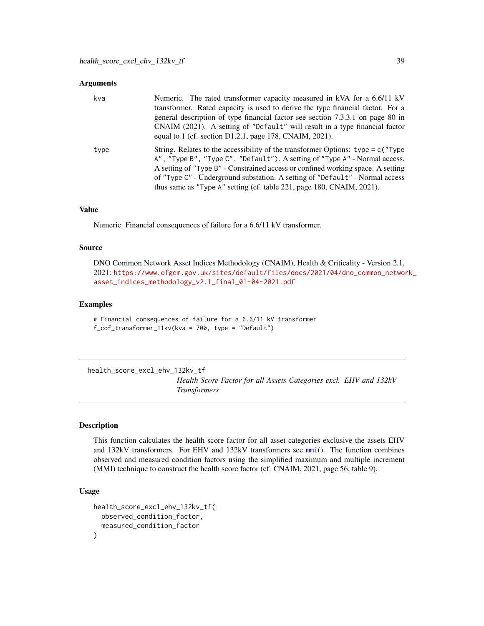| kva  | Numeric. The rated transformer capacity measured in kVA for a 6.6/11 kV<br>transformer. Rated capacity is used to derive the type financial factor. For a<br>general description of type financial factor see section 7.3.3.1 on page 80 in<br>CNAIM (2021). A setting of "Default" will result in a type financial factor<br>equal to 1 (cf. section $D1.2.1$ , page 178, CNAIM, 2021).                       |
|------|----------------------------------------------------------------------------------------------------------------------------------------------------------------------------------------------------------------------------------------------------------------------------------------------------------------------------------------------------------------------------------------------------------------|
| type | String. Relates to the accessibility of the transformer Options: $type = c$ ("Type")<br>A", "Type B", "Type C", "Default"). A setting of "Type A" - Normal access.<br>A setting of "Type B" - Constrained access or confined working space. A setting<br>of "Type C" - Underground substation. A setting of "Default" - Normal access<br>thus same as "Type A" setting (cf. table 221, page 180, CNAIM, 2021). |

# Value

Numeric. Financial consequences of failure for a 6.6/11 kV transformer.

#### Source

DNO Common Network Asset Indices Methodology (CNAIM), Health & Criticality - Version 2.1, 2021: [https://www.ofgem.gov.uk/sites/default/files/docs/2021/04/dno\\_common\\_networ](https://www.ofgem.gov.uk/sites/default/files/docs/2021/04/dno_common_network_asset_indices_methodology_v2.1_final_01-04-2021.pdf)k\_ [asset\\_indices\\_methodology\\_v2.1\\_final\\_01-04-2021.pdf](https://www.ofgem.gov.uk/sites/default/files/docs/2021/04/dno_common_network_asset_indices_methodology_v2.1_final_01-04-2021.pdf)

## Examples

# Financial consequences of failure for a 6.6/11 kV transformer f\_cof\_transformer\_11kv(kva = 700, type = "Default")

<span id="page-38-0"></span>health\_score\_excl\_ehv\_132kv\_tf

*Health Score Factor for all Assets Categories excl. EHV and 132kV Transformers*

### Description

This function calculates the health score factor for all asset categories exclusive the assets EHV and 132kV transformers. For EHV and 132kV transformers see [mmi](#page-44-0)(). The function combines observed and measured condition factors using the simplified maximum and multiple increment (MMI) technique to construct the health score factor (cf. CNAIM, 2021, page 56, table 9).

```
health_score_excl_ehv_132kv_tf(
 observed_condition_factor,
 measured_condition_factor
)
```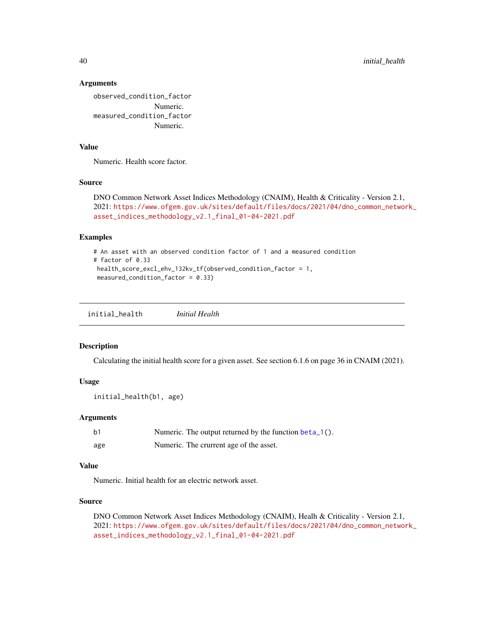observed\_condition\_factor Numeric. measured\_condition\_factor Numeric.

# Value

Numeric. Health score factor.

### Source

```
DNO Common Network Asset Indices Methodology (CNAIM), Health & Criticality - Version 2.1,
2021: https://www.ofgem.gov.uk/sites/default/files/docs/2021/04/dno_common_network_
asset_indices_methodology_v2.1_final_01-04-2021.pdf
```
### Examples

```
# An asset with an observed condition factor of 1 and a measured condition
# factor of 0.33
health_score_excl_ehv_132kv_tf(observed_condition_factor = 1,
measured_condition_factor = 0.33)
```
initial\_health *Initial Health*

### Description

Calculating the initial health score for a given asset. See section 6.1.6 on page 36 in CNAIM (2021).

### Usage

```
initial_health(b1, age)
```
# Arguments

| b1  | Numeric. The output returned by the function beta_1(). |
|-----|--------------------------------------------------------|
| age | Numeric. The crurrent age of the asset.                |

# Value

Numeric. Initial health for an electric network asset.

## Source

DNO Common Network Asset Indices Methodology (CNAIM), Healh & Criticality - Version 2.1, 2021: [https://www.ofgem.gov.uk/sites/default/files/docs/2021/04/dno\\_common\\_networ](https://www.ofgem.gov.uk/sites/default/files/docs/2021/04/dno_common_network_asset_indices_methodology_v2.1_final_01-04-2021.pdf)k\_ [asset\\_indices\\_methodology\\_v2.1\\_final\\_01-04-2021.pdf](https://www.ofgem.gov.uk/sites/default/files/docs/2021/04/dno_common_network_asset_indices_methodology_v2.1_final_01-04-2021.pdf)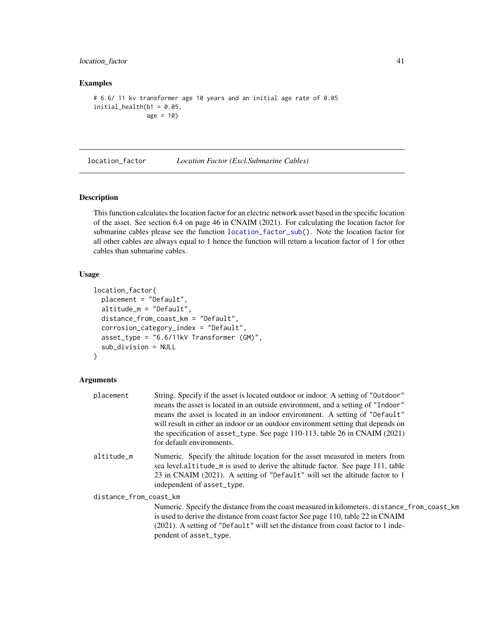# location\_factor 41

### Examples

```
# 6.6/ 11 kv transformer age 10 years and an initial age rate of 0.05
initial\_health(b1 = 0.05,age = 10)
```
<span id="page-40-0"></span>location\_factor *Location Factor (Excl.Submarine Cables)*

## Description

This function calculates the location factor for an electric network asset based in the specific location of the asset. See section 6.4 on page 46 in CNAIM (2021). For calculating the location factor for submarine cables please see the function [location\\_factor\\_sub\(](#page-42-0)). Note the location factor for all other cables are always equal to 1 hence the function will return a location factor of 1 for other cables than submarine cables.

# Usage

```
location_factor(
 placement = "Default",
  altitude_m = "Default",
 distance_from_coast_km = "Default",
  corrosion_category_index = "Default",
  asset_type = "6.6/11kV Transformer (GM)",sub_division = NULL
)
```
### Arguments

| placement              | String. Specify if the asset is located outdoor or indoor. A setting of "Outdoor"           |
|------------------------|---------------------------------------------------------------------------------------------|
|                        | means the asset is located in an outside environment, and a setting of "Indoor"             |
|                        | means the asset is located in an indoor environment. A setting of "Default"                 |
|                        | will result in either an indoor or an outdoor environment setting that depends on           |
|                        | the specification of asset_type. See page $110-113$ , table 26 in CNAIM (2021)              |
|                        | for default environments.                                                                   |
| altitude_m             | Numeric. Specify the altitude location for the asset measured in meters from                |
|                        | sea level.altitude_m is used to derive the altitude factor. See page 111, table             |
|                        | 23 in CNAIM (2021). A setting of "Default" will set the altitude factor to 1                |
|                        | independent of asset_type.                                                                  |
| distance_from_coast_km |                                                                                             |
|                        | Numeric. Specify the distance from the coast measured in kilometers. distance_from_coast_km |
|                        | is used to derive the distance from coast factor See page 110, table 22 in CNAIM            |
|                        | (2021). A setting of "Default" will set the distance from coast factor to 1 inde-           |
|                        | pendent of asset_type.                                                                      |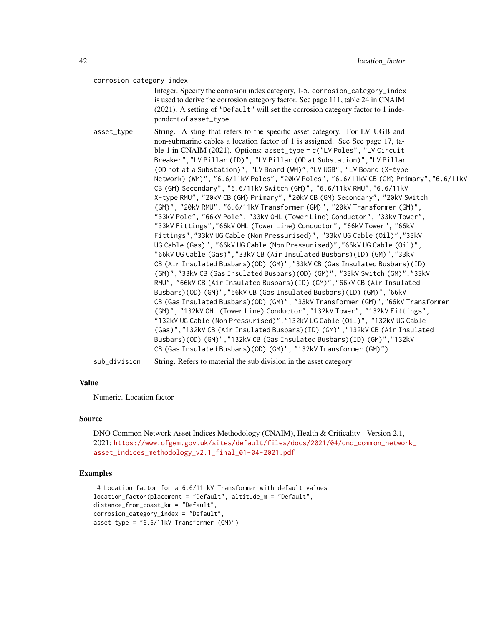### corrosion\_category\_index

Integer. Specify the corrosion index category, 1-5. corrosion\_category\_index is used to derive the corrosion category factor. See page 111, table 24 in CNAIM (2021). A setting of "Default" will set the corrosion category factor to 1 independent of asset\_type.

asset\_type String. A sting that refers to the specific asset category. For LV UGB and non-submarine cables a location factor of 1 is assigned. See See page 17, table 1 in CNAIM (2021). Options: asset\_type = c("LV Poles", "LV Circuit Breaker","LV Pillar (ID)", "LV Pillar (OD at Substation)","LV Pillar (OD not at a Substation)", "LV Board (WM)","LV UGB", "LV Board (X-type Network) (WM)", "6.6/11kV Poles", "20kV Poles", "6.6/11kV CB (GM) Primary","6.6/11kV CB (GM) Secondary", "6.6/11kV Switch (GM)", "6.6/11kV RMU","6.6/11kV X-type RMU", "20kV CB (GM) Primary", "20kV CB (GM) Secondary", "20kV Switch (GM)", "20kV RMU", "6.6/11kV Transformer (GM)", "20kV Transformer (GM)", "33kV Pole", "66kV Pole", "33kV OHL (Tower Line) Conductor", "33kV Tower", "33kV Fittings","66kV OHL (Tower Line) Conductor", "66kV Tower", "66kV Fittings","33kV UG Cable (Non Pressurised)", "33kV UG Cable (Oil)","33kV UG Cable (Gas)", "66kV UG Cable (Non Pressurised)","66kV UG Cable (Oil)", "66kV UG Cable (Gas)","33kV CB (Air Insulated Busbars)(ID) (GM)","33kV CB (Air Insulated Busbars)(OD) (GM)","33kV CB (Gas Insulated Busbars)(ID) (GM)","33kV CB (Gas Insulated Busbars)(OD) (GM)", "33kV Switch (GM)","33kV RMU", "66kV CB (Air Insulated Busbars)(ID) (GM)","66kV CB (Air Insulated Busbars)(OD) (GM)","66kV CB (Gas Insulated Busbars)(ID) (GM)","66kV CB (Gas Insulated Busbars)(OD) (GM)", "33kV Transformer (GM)","66kV Transformer (GM)", "132kV OHL (Tower Line) Conductor","132kV Tower", "132kV Fittings", "132kV UG Cable (Non Pressurised)","132kV UG Cable (Oil)", "132kV UG Cable (Gas)","132kV CB (Air Insulated Busbars)(ID) (GM)","132kV CB (Air Insulated Busbars)(OD) (GM)","132kV CB (Gas Insulated Busbars)(ID) (GM)","132kV CB (Gas Insulated Busbars)(OD) (GM)", "132kV Transformer (GM)") sub\_division String. Refers to material the sub division in the asset category

## Value

Numeric. Location factor

#### Source

DNO Common Network Asset Indices Methodology (CNAIM), Health & Criticality - Version 2.1, 2021: [https://www.ofgem.gov.uk/sites/default/files/docs/2021/04/dno\\_common\\_networ](https://www.ofgem.gov.uk/sites/default/files/docs/2021/04/dno_common_network_asset_indices_methodology_v2.1_final_01-04-2021.pdf)k\_ [asset\\_indices\\_methodology\\_v2.1\\_final\\_01-04-2021.pdf](https://www.ofgem.gov.uk/sites/default/files/docs/2021/04/dno_common_network_asset_indices_methodology_v2.1_final_01-04-2021.pdf)

```
# Location factor for a 6.6/11 kV Transformer with default values
location_factor(placement = "Default", altitude_m = "Default",
distance_from_coast_km = "Default",
corrosion_category_index = "Default",
asset_type = "6.6/11kV Transformer (GM)")
```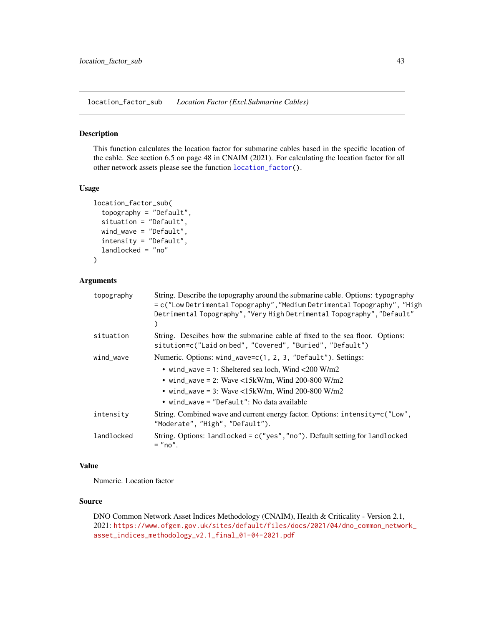<span id="page-42-0"></span>location\_factor\_sub *Location Factor (Excl.Submarine Cables)*

#### Description

This function calculates the location factor for submarine cables based in the specific location of the cable. See section 6.5 on page 48 in CNAIM (2021). For calculating the location factor for all other network assets please see the function [location\\_factor\(](#page-40-0)).

### Usage

```
location_factor_sub(
  topography = "Default",
  situation = "Default",
 wind_wave = "Default",
  intensity = "Default",
  landlocked = "no"
)
```
## Arguments

| topography | String. Describe the topography around the submarine cable. Options: typography<br>= c("Low Detrimental Topography", "Medium Detrimental Topography", "High<br>Detrimental Topography", "Very High Detrimental Topography", "Default"                                        |  |
|------------|------------------------------------------------------------------------------------------------------------------------------------------------------------------------------------------------------------------------------------------------------------------------------|--|
| situation  | String. Descibes how the submarine cable af fixed to the sea floor. Options:<br>sitution=c("Laid on bed", "Covered", "Buried", "Default")                                                                                                                                    |  |
| wind_wave  | Numeric. Options: wind_wave=c(1, 2, 3, "Default"). Settings:<br>• wind_wave = 1: Sheltered sea loch, Wind < $200$ W/m2<br>• wind_wave = 2: Wave <15kW/m, Wind 200-800 W/m2<br>• wind_wave = 3: Wave <15kW/m, Wind 200-800 W/m2<br>• wind_wave = "Default": No data available |  |
| intensity  | String. Combined wave and current energy factor. Options: intensity=c("Low",<br>"Moderate", "High", "Default").                                                                                                                                                              |  |
| landlocked | String. Options: $landlocked = c("yes", "no").$ Default setting for $landlocked$<br>$=$ "no".                                                                                                                                                                                |  |

# Value

Numeric. Location factor

## Source

DNO Common Network Asset Indices Methodology (CNAIM), Health & Criticality - Version 2.1, 2021: [https://www.ofgem.gov.uk/sites/default/files/docs/2021/04/dno\\_common\\_networ](https://www.ofgem.gov.uk/sites/default/files/docs/2021/04/dno_common_network_asset_indices_methodology_v2.1_final_01-04-2021.pdf)k\_ [asset\\_indices\\_methodology\\_v2.1\\_final\\_01-04-2021.pdf](https://www.ofgem.gov.uk/sites/default/files/docs/2021/04/dno_common_network_asset_indices_methodology_v2.1_final_01-04-2021.pdf)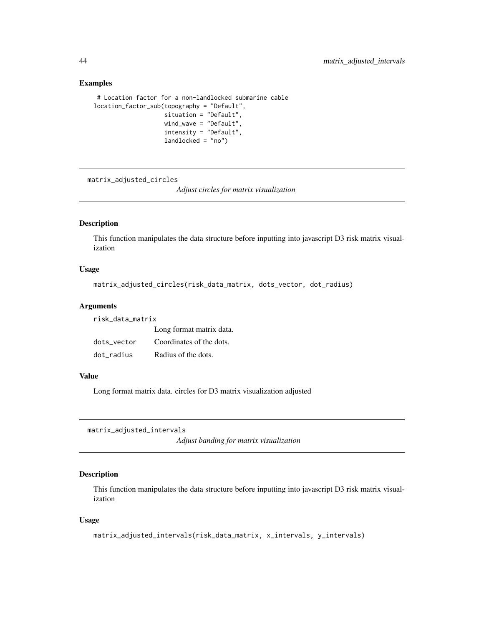### Examples

```
# Location factor for a non-landlocked submarine cable
location_factor_sub(topography = "Default",
                    situation = "Default",
                    wind_wave = "Default",
                    intensity = "Default",
                    landlocked = "no")
```
matrix\_adjusted\_circles

*Adjust circles for matrix visualization*

## Description

This function manipulates the data structure before inputting into javascript D3 risk matrix visualization

# Usage

```
matrix_adjusted_circles(risk_data_matrix, dots_vector, dot_radius)
```
### Arguments

risk\_data\_matrix

|             | Long format matrix data. |
|-------------|--------------------------|
| dots vector | Coordinates of the dots. |
| dot_radius  | Radius of the dots.      |

### Value

Long format matrix data. circles for D3 matrix visualization adjusted

matrix\_adjusted\_intervals

*Adjust banding for matrix visualization*

# Description

This function manipulates the data structure before inputting into javascript D3 risk matrix visualization

```
matrix_adjusted_intervals(risk_data_matrix, x_intervals, y_intervals)
```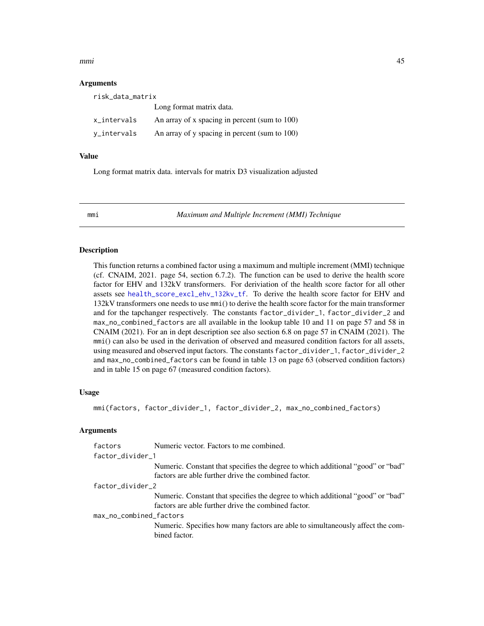#### $mmin$  45

### Arguments

| risk_data_matrix |                                               |  |
|------------------|-----------------------------------------------|--|
|                  | Long format matrix data.                      |  |
| x_intervals      | An array of x spacing in percent (sum to 100) |  |
| y_intervals      | An array of y spacing in percent (sum to 100) |  |

### Value

Long format matrix data. intervals for matrix D3 visualization adjusted

<span id="page-44-0"></span>

mmi *Maximum and Multiple Increment (MMI) Technique*

### **Description**

This function returns a combined factor using a maximum and multiple increment (MMI) technique (cf. CNAIM, 2021. page 54, section 6.7.2). The function can be used to derive the health score factor for EHV and 132kV transformers. For deriviation of the health score factor for all other assets see [health\\_score\\_excl\\_ehv\\_132kv\\_tf](#page-38-0). To derive the health score factor for EHV and 132kV transformers one needs to use mmi() to derive the health score factor for the main transformer and for the tapchanger respectively. The constants factor\_divider\_1, factor\_divider\_2 and max\_no\_combined\_factors are all available in the lookup table 10 and 11 on page 57 and 58 in CNAIM (2021). For an in dept description see also section 6.8 on page 57 in CNAIM (2021). The mmi() can also be used in the derivation of observed and measured condition factors for all assets, using measured and observed input factors. The constants factor\_divider\_1, factor\_divider\_2 and max\_no\_combined\_factors can be found in table 13 on page 63 (observed condition factors) and in table 15 on page 67 (measured condition factors).

### Usage

mmi(factors, factor\_divider\_1, factor\_divider\_2, max\_no\_combined\_factors)

### Arguments

| factors                 | Numeric vector. Factors to me combined.                                         |  |
|-------------------------|---------------------------------------------------------------------------------|--|
| factor_divider_1        |                                                                                 |  |
|                         | Numeric. Constant that specifies the degree to which additional "good" or "bad" |  |
|                         | factors are able further drive the combined factor.                             |  |
| factor_divider_2        |                                                                                 |  |
|                         | Numeric. Constant that specifies the degree to which additional "good" or "bad" |  |
|                         | factors are able further drive the combined factor.                             |  |
| max_no_combined_factors |                                                                                 |  |
|                         | Numeric. Specifies how many factors are able to simultaneously affect the com-  |  |
|                         | bined factor.                                                                   |  |
|                         |                                                                                 |  |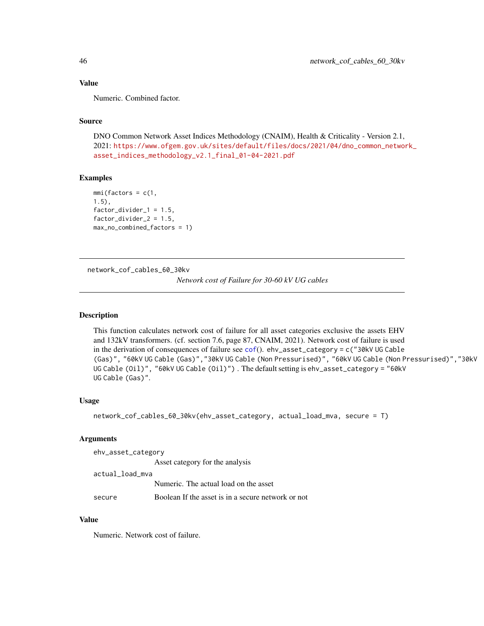## Value

Numeric. Combined factor.

# Source

DNO Common Network Asset Indices Methodology (CNAIM), Health & Criticality - Version 2.1, 2021: [https://www.ofgem.gov.uk/sites/default/files/docs/2021/04/dno\\_common\\_networ](https://www.ofgem.gov.uk/sites/default/files/docs/2021/04/dno_common_network_asset_indices_methodology_v2.1_final_01-04-2021.pdf)k\_ [asset\\_indices\\_methodology\\_v2.1\\_final\\_01-04-2021.pdf](https://www.ofgem.gov.uk/sites/default/files/docs/2021/04/dno_common_network_asset_indices_methodology_v2.1_final_01-04-2021.pdf)

### Examples

```
mmi(factors = c(1,1.5),
factor\_divider_1 = 1.5,
factor\_divider_2 = 1.5,
max_no_combined_factors = 1)
```
network\_cof\_cables\_60\_30kv

*Network cost of Failure for 30-60 kV UG cables*

### Description

This function calculates network cost of failure for all asset categories exclusive the assets EHV and 132kV transformers. (cf. section 7.6, page 87, CNAIM, 2021). Network cost of failure is used in the derivation of consequences of failure see [cof](#page-5-0)(). ehv\_asset\_category = c("30kV UG Cable (Gas)", "60kV UG Cable (Gas)","30kV UG Cable (Non Pressurised)", "60kV UG Cable (Non Pressurised)","30kV UG Cable (Oil)", "60kV UG Cable (Oil)") . The default setting is ehv\_asset\_category = "60kV UG Cable (Gas)".

### Usage

```
network_cof_cables_60_30kv(ehv_asset_category, actual_load_mva, secure = T)
```
## Arguments

| ehv_asset_category |                                                    |  |
|--------------------|----------------------------------------------------|--|
|                    | Asset category for the analysis                    |  |
| actual_load_mva    |                                                    |  |
|                    | Numeric. The actual load on the asset              |  |
| secure             | Boolean If the asset is in a secure network or not |  |

### Value

Numeric. Network cost of failure.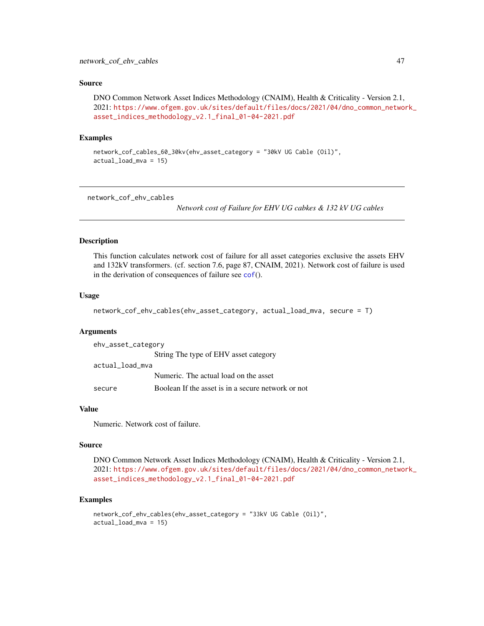### Source

DNO Common Network Asset Indices Methodology (CNAIM), Health & Criticality - Version 2.1, 2021: [https://www.ofgem.gov.uk/sites/default/files/docs/2021/04/dno\\_common\\_networ](https://www.ofgem.gov.uk/sites/default/files/docs/2021/04/dno_common_network_asset_indices_methodology_v2.1_final_01-04-2021.pdf)k\_ [asset\\_indices\\_methodology\\_v2.1\\_final\\_01-04-2021.pdf](https://www.ofgem.gov.uk/sites/default/files/docs/2021/04/dno_common_network_asset_indices_methodology_v2.1_final_01-04-2021.pdf)

### Examples

```
network_cof_cables_60_30kv(ehv_asset_category = "30kV UG Cable (Oil)",
actual_load_mva = 15)
```
network\_cof\_ehv\_cables

*Network cost of Failure for EHV UG cabkes & 132 kV UG cables*

### Description

This function calculates network cost of failure for all asset categories exclusive the assets EHV and 132kV transformers. (cf. section 7.6, page 87, CNAIM, 2021). Network cost of failure is used in the derivation of consequences of failure see [cof](#page-5-0)().

### Usage

network\_cof\_ehv\_cables(ehv\_asset\_category, actual\_load\_mva, secure = T)

#### Arguments

| ehv_asset_category |                                                    |  |
|--------------------|----------------------------------------------------|--|
|                    | String The type of EHV asset category              |  |
| actual load mva    |                                                    |  |
|                    | Numeric. The actual load on the asset              |  |
| secure             | Boolean If the asset is in a secure network or not |  |

## Value

Numeric. Network cost of failure.

#### Source

DNO Common Network Asset Indices Methodology (CNAIM), Health & Criticality - Version 2.1, 2021: [https://www.ofgem.gov.uk/sites/default/files/docs/2021/04/dno\\_common\\_networ](https://www.ofgem.gov.uk/sites/default/files/docs/2021/04/dno_common_network_asset_indices_methodology_v2.1_final_01-04-2021.pdf)k\_ [asset\\_indices\\_methodology\\_v2.1\\_final\\_01-04-2021.pdf](https://www.ofgem.gov.uk/sites/default/files/docs/2021/04/dno_common_network_asset_indices_methodology_v2.1_final_01-04-2021.pdf)

```
network_cof_ehv_cables(ehv_asset_category = "33kV UG Cable (Oil)",
actual_load_mva = 15)
```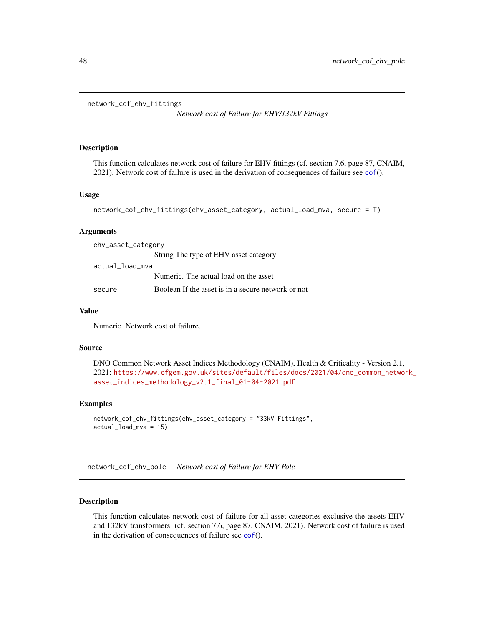network\_cof\_ehv\_fittings

*Network cost of Failure for EHV/132kV Fittings*

#### Description

This function calculates network cost of failure for EHV fittings (cf. section 7.6, page 87, CNAIM, 2021). Network cost of failure is used in the derivation of consequences of failure see [cof](#page-5-0)().

### Usage

```
network_cof_ehv_fittings(ehv_asset_category, actual_load_mva, secure = T)
```
### Arguments

| ehv_asset_category |                                                    |  |
|--------------------|----------------------------------------------------|--|
|                    | String The type of EHV asset category              |  |
| actual_load_mva    |                                                    |  |
|                    | Numeric. The actual load on the asset              |  |
| secure             | Boolean If the asset is in a secure network or not |  |

### Value

Numeric. Network cost of failure.

#### Source

```
DNO Common Network Asset Indices Methodology (CNAIM), Health & Criticality - Version 2.1,
2021: https://www.ofgem.gov.uk/sites/default/files/docs/2021/04/dno_common_network_
asset_indices_methodology_v2.1_final_01-04-2021.pdf
```
### Examples

```
network_cof_ehv_fittings(ehv_asset_category = "33kV Fittings",
actual_load_mva = 15)
```
network\_cof\_ehv\_pole *Network cost of Failure for EHV Pole*

## Description

This function calculates network cost of failure for all asset categories exclusive the assets EHV and 132kV transformers. (cf. section 7.6, page 87, CNAIM, 2021). Network cost of failure is used in the derivation of consequences of failure see [cof](#page-5-0)().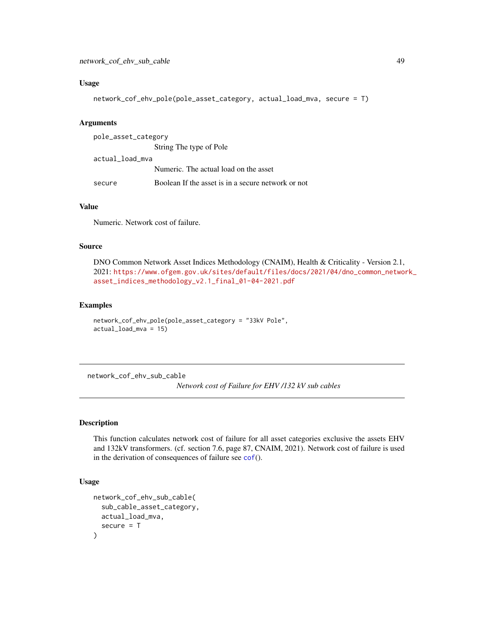### Usage

```
network_cof_ehv_pole(pole_asset_category, actual_load_mva, secure = T)
```
### Arguments

| pole_asset_category |                                                    |  |
|---------------------|----------------------------------------------------|--|
|                     | String The type of Pole                            |  |
| actual_load_mva     |                                                    |  |
|                     | Numeric. The actual load on the asset              |  |
| secure              | Boolean If the asset is in a secure network or not |  |

## Value

Numeric. Network cost of failure.

### Source

DNO Common Network Asset Indices Methodology (CNAIM), Health & Criticality - Version 2.1, 2021: [https://www.ofgem.gov.uk/sites/default/files/docs/2021/04/dno\\_common\\_networ](https://www.ofgem.gov.uk/sites/default/files/docs/2021/04/dno_common_network_asset_indices_methodology_v2.1_final_01-04-2021.pdf)k\_ [asset\\_indices\\_methodology\\_v2.1\\_final\\_01-04-2021.pdf](https://www.ofgem.gov.uk/sites/default/files/docs/2021/04/dno_common_network_asset_indices_methodology_v2.1_final_01-04-2021.pdf)

## Examples

```
network_cof_ehv_pole(pole_asset_category = "33kV Pole",
actual_load_mva = 15)
```
network\_cof\_ehv\_sub\_cable

*Network cost of Failure for EHV /132 kV sub cables*

# Description

This function calculates network cost of failure for all asset categories exclusive the assets EHV and 132kV transformers. (cf. section 7.6, page 87, CNAIM, 2021). Network cost of failure is used in the derivation of consequences of failure see [cof](#page-5-0)().

```
network_cof_ehv_sub_cable(
  sub_cable_asset_category,
 actual_load_mva,
  secure = T)
```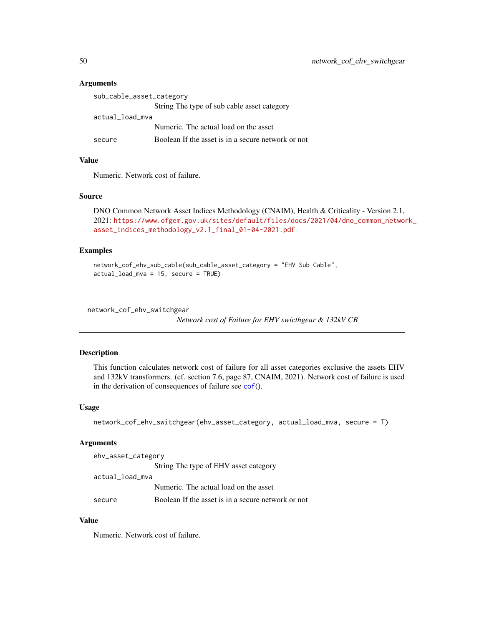| sub_cable_asset_category |                                                    |
|--------------------------|----------------------------------------------------|
|                          | String The type of sub cable asset category        |
| actual_load_mva          |                                                    |
|                          | Numeric. The actual load on the asset              |
| secure                   | Boolean If the asset is in a secure network or not |

### Value

Numeric. Network cost of failure.

#### Source

DNO Common Network Asset Indices Methodology (CNAIM), Health & Criticality - Version 2.1, 2021: [https://www.ofgem.gov.uk/sites/default/files/docs/2021/04/dno\\_common\\_networ](https://www.ofgem.gov.uk/sites/default/files/docs/2021/04/dno_common_network_asset_indices_methodology_v2.1_final_01-04-2021.pdf)k\_ [asset\\_indices\\_methodology\\_v2.1\\_final\\_01-04-2021.pdf](https://www.ofgem.gov.uk/sites/default/files/docs/2021/04/dno_common_network_asset_indices_methodology_v2.1_final_01-04-2021.pdf)

### Examples

network\_cof\_ehv\_sub\_cable(sub\_cable\_asset\_category = "EHV Sub Cable", actual\_load\_mva = 15, secure = TRUE)

```
network_cof_ehv_switchgear
```
*Network cost of Failure for EHV swicthgear & 132kV CB*

## Description

This function calculates network cost of failure for all asset categories exclusive the assets EHV and 132kV transformers. (cf. section 7.6, page 87, CNAIM, 2021). Network cost of failure is used in the derivation of consequences of failure see [cof](#page-5-0)().

#### Usage

```
network_cof_ehv_switchgear(ehv_asset_category, actual_load_mva, secure = T)
```
### Arguments

| ehv_asset_category |                                                    |
|--------------------|----------------------------------------------------|
|                    | String The type of EHV asset category              |
| actual_load_mva    |                                                    |
|                    | Numeric. The actual load on the asset              |
| secure             | Boolean If the asset is in a secure network or not |

## Value

Numeric. Network cost of failure.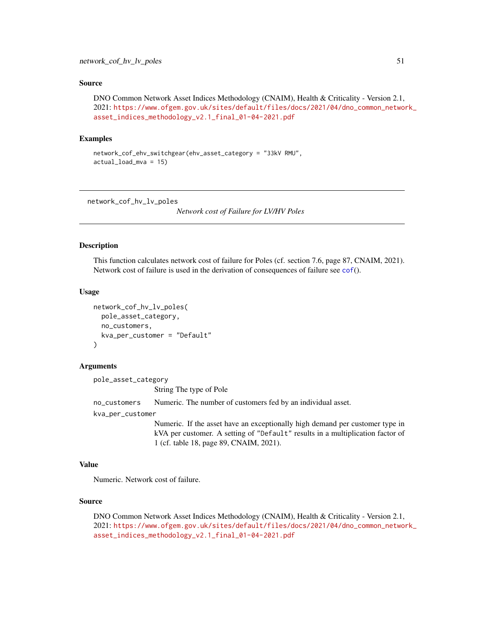### Source

DNO Common Network Asset Indices Methodology (CNAIM), Health & Criticality - Version 2.1, 2021: [https://www.ofgem.gov.uk/sites/default/files/docs/2021/04/dno\\_common\\_networ](https://www.ofgem.gov.uk/sites/default/files/docs/2021/04/dno_common_network_asset_indices_methodology_v2.1_final_01-04-2021.pdf)k\_ [asset\\_indices\\_methodology\\_v2.1\\_final\\_01-04-2021.pdf](https://www.ofgem.gov.uk/sites/default/files/docs/2021/04/dno_common_network_asset_indices_methodology_v2.1_final_01-04-2021.pdf)

# Examples

```
network_cof_ehv_switchgear(ehv_asset_category = "33kV RMU",
actual_load_mva = 15)
```
network\_cof\_hv\_lv\_poles

*Network cost of Failure for LV/HV Poles*

#### Description

This function calculates network cost of failure for Poles (cf. section 7.6, page 87, CNAIM, 2021). Network cost of failure is used in the derivation of consequences of failure see [cof](#page-5-0)().

### Usage

```
network_cof_hv_lv_poles(
  pole_asset_category,
  no_customers,
  kva_per_customer = "Default"
)
```
#### Arguments

pole\_asset\_category

String The type of Pole

no\_customers Numeric. The number of customers fed by an individual asset.

kva\_per\_customer

Numeric. If the asset have an exceptionally high demand per customer type in kVA per customer. A setting of "Default" results in a multiplication factor of 1 (cf. table 18, page 89, CNAIM, 2021).

### Value

Numeric. Network cost of failure.

### Source

DNO Common Network Asset Indices Methodology (CNAIM), Health & Criticality - Version 2.1, 2021: [https://www.ofgem.gov.uk/sites/default/files/docs/2021/04/dno\\_common\\_networ](https://www.ofgem.gov.uk/sites/default/files/docs/2021/04/dno_common_network_asset_indices_methodology_v2.1_final_01-04-2021.pdf)k\_ [asset\\_indices\\_methodology\\_v2.1\\_final\\_01-04-2021.pdf](https://www.ofgem.gov.uk/sites/default/files/docs/2021/04/dno_common_network_asset_indices_methodology_v2.1_final_01-04-2021.pdf)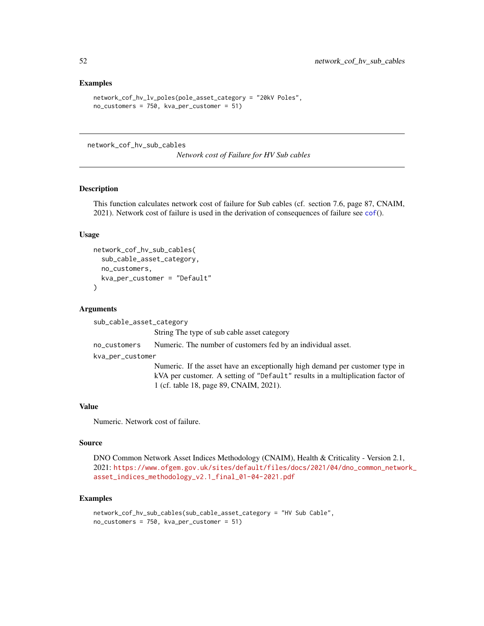### Examples

```
network_cof_hv_lv_poles(pole_asset_category = "20kV Poles",
no_customers = 750, kva_per_customer = 51)
```
network\_cof\_hv\_sub\_cables

*Network cost of Failure for HV Sub cables*

## Description

This function calculates network cost of failure for Sub cables (cf. section 7.6, page 87, CNAIM, 2021). Network cost of failure is used in the derivation of consequences of failure see [cof](#page-5-0)().

### Usage

```
network_cof_hv_sub_cables(
  sub_cable_asset_category,
  no_customers,
 kva_per_customer = "Default"
)
```
#### Arguments

sub\_cable\_asset\_category

String The type of sub cable asset category

no\_customers Numeric. The number of customers fed by an individual asset.

kva\_per\_customer

Numeric. If the asset have an exceptionally high demand per customer type in kVA per customer. A setting of "Default" results in a multiplication factor of 1 (cf. table 18, page 89, CNAIM, 2021).

#### Value

Numeric. Network cost of failure.

#### Source

DNO Common Network Asset Indices Methodology (CNAIM), Health & Criticality - Version 2.1, 2021: [https://www.ofgem.gov.uk/sites/default/files/docs/2021/04/dno\\_common\\_networ](https://www.ofgem.gov.uk/sites/default/files/docs/2021/04/dno_common_network_asset_indices_methodology_v2.1_final_01-04-2021.pdf)k\_ [asset\\_indices\\_methodology\\_v2.1\\_final\\_01-04-2021.pdf](https://www.ofgem.gov.uk/sites/default/files/docs/2021/04/dno_common_network_asset_indices_methodology_v2.1_final_01-04-2021.pdf)

```
network_cof_hv_sub_cables(sub_cable_asset_category = "HV Sub Cable",
no_customers = 750, kva_per_customer = 51)
```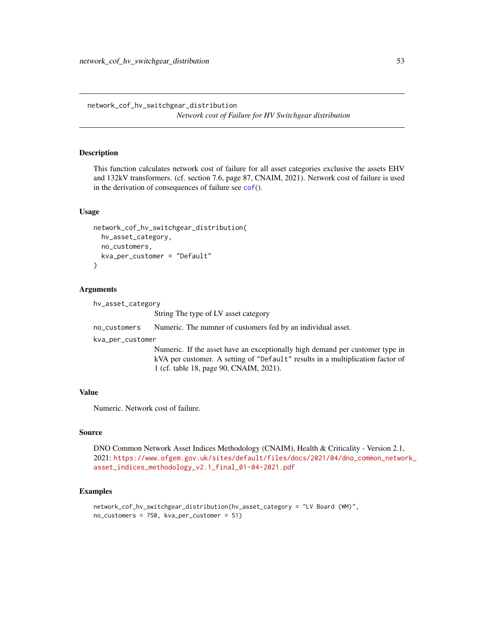network\_cof\_hv\_switchgear\_distribution *Network cost of Failure for HV Switchgear distribution*

# Description

This function calculates network cost of failure for all asset categories exclusive the assets EHV and 132kV transformers. (cf. section 7.6, page 87, CNAIM, 2021). Network cost of failure is used in the derivation of consequences of failure see [cof](#page-5-0)().

### Usage

```
network_cof_hv_switchgear_distribution(
  hv_asset_category,
  no_customers,
 kva_per_customer = "Default"
)
```
### Arguments

| hv_asset_category |                                                                                                                                                                                                           |
|-------------------|-----------------------------------------------------------------------------------------------------------------------------------------------------------------------------------------------------------|
|                   | String The type of LV asset category                                                                                                                                                                      |
| no_customers      | Numeric. The numner of customers fed by an individual asset.                                                                                                                                              |
| kva_per_customer  |                                                                                                                                                                                                           |
|                   | Numeric. If the asset have an exceptionally high demand per customer type in<br>kVA per customer. A setting of "Default" results in a multiplication factor of<br>1 (cf. table 18, page 90, CNAIM, 2021). |

### Value

Numeric. Network cost of failure.

#### Source

DNO Common Network Asset Indices Methodology (CNAIM), Health & Criticality - Version 2.1, 2021: [https://www.ofgem.gov.uk/sites/default/files/docs/2021/04/dno\\_common\\_networ](https://www.ofgem.gov.uk/sites/default/files/docs/2021/04/dno_common_network_asset_indices_methodology_v2.1_final_01-04-2021.pdf)k\_ [asset\\_indices\\_methodology\\_v2.1\\_final\\_01-04-2021.pdf](https://www.ofgem.gov.uk/sites/default/files/docs/2021/04/dno_common_network_asset_indices_methodology_v2.1_final_01-04-2021.pdf)

```
network_cof_hv_switchgear_distribution(hv_asset_category = "LV Board (WM)",
no_customers = 750, kva_per_customer = 51)
```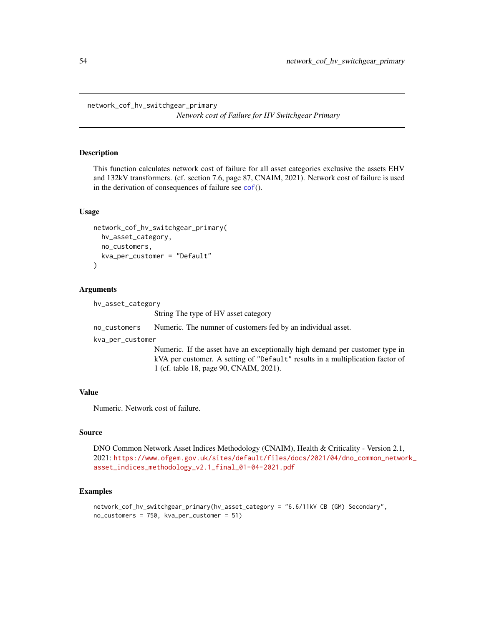*Network cost of Failure for HV Switchgear Primary*

### **Description**

This function calculates network cost of failure for all asset categories exclusive the assets EHV and 132kV transformers. (cf. section 7.6, page 87, CNAIM, 2021). Network cost of failure is used in the derivation of consequences of failure see [cof](#page-5-0)().

### Usage

```
network_cof_hv_switchgear_primary(
  hv_asset_category,
  no_customers,
 kva_per_customer = "Default"
\lambda
```
#### Arguments

```
hv_asset_category
                  String The type of HV asset category
no_customers Numeric. The numner of customers fed by an individual asset.
kva_per_customer
                  Numeric. If the asset have an exceptionally high demand per customer type in
                  kVA per customer. A setting of "Default" results in a multiplication factor of
                  1 (cf. table 18, page 90, CNAIM, 2021).
```
## Value

Numeric. Network cost of failure.

#### Source

DNO Common Network Asset Indices Methodology (CNAIM), Health & Criticality - Version 2.1, 2021: [https://www.ofgem.gov.uk/sites/default/files/docs/2021/04/dno\\_common\\_networ](https://www.ofgem.gov.uk/sites/default/files/docs/2021/04/dno_common_network_asset_indices_methodology_v2.1_final_01-04-2021.pdf)k\_ [asset\\_indices\\_methodology\\_v2.1\\_final\\_01-04-2021.pdf](https://www.ofgem.gov.uk/sites/default/files/docs/2021/04/dno_common_network_asset_indices_methodology_v2.1_final_01-04-2021.pdf)

```
network_cof_hv_switchgear_primary(hv_asset_category = "6.6/11kV CB (GM) Secondary",
no_customers = 750, kva_per_customer = 51)
```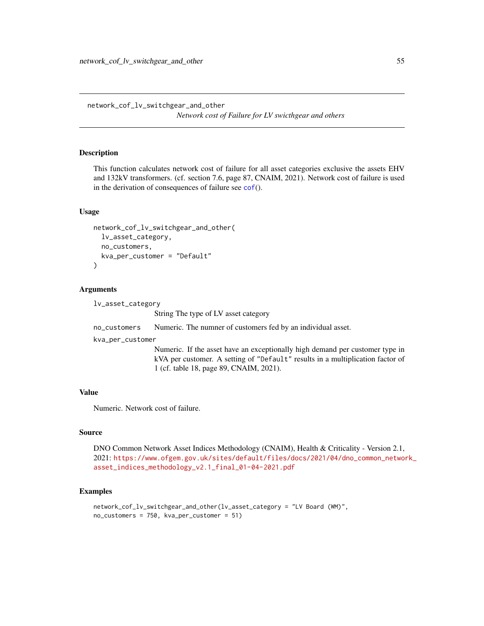network\_cof\_lv\_switchgear\_and\_other *Network cost of Failure for LV swicthgear and others*

# **Description**

This function calculates network cost of failure for all asset categories exclusive the assets EHV and 132kV transformers. (cf. section 7.6, page 87, CNAIM, 2021). Network cost of failure is used in the derivation of consequences of failure see [cof](#page-5-0)().

### Usage

```
network_cof_lv_switchgear_and_other(
  lv_asset_category,
  no_customers,
 kva_per_customer = "Default"
\lambda
```
#### Arguments

```
lv_asset_category
                  String The type of LV asset category
no_customers Numeric. The numner of customers fed by an individual asset.
kva_per_customer
                  Numeric. If the asset have an exceptionally high demand per customer type in
                  kVA per customer. A setting of "Default" results in a multiplication factor of
                  1 (cf. table 18, page 89, CNAIM, 2021).
```
## Value

Numeric. Network cost of failure.

#### Source

DNO Common Network Asset Indices Methodology (CNAIM), Health & Criticality - Version 2.1, 2021: [https://www.ofgem.gov.uk/sites/default/files/docs/2021/04/dno\\_common\\_networ](https://www.ofgem.gov.uk/sites/default/files/docs/2021/04/dno_common_network_asset_indices_methodology_v2.1_final_01-04-2021.pdf)k\_ [asset\\_indices\\_methodology\\_v2.1\\_final\\_01-04-2021.pdf](https://www.ofgem.gov.uk/sites/default/files/docs/2021/04/dno_common_network_asset_indices_methodology_v2.1_final_01-04-2021.pdf)

```
network_cof_lv_switchgear_and_other(lv_asset_category = "LV Board (WM)",
no_customers = 750, kva_per_customer = 51)
```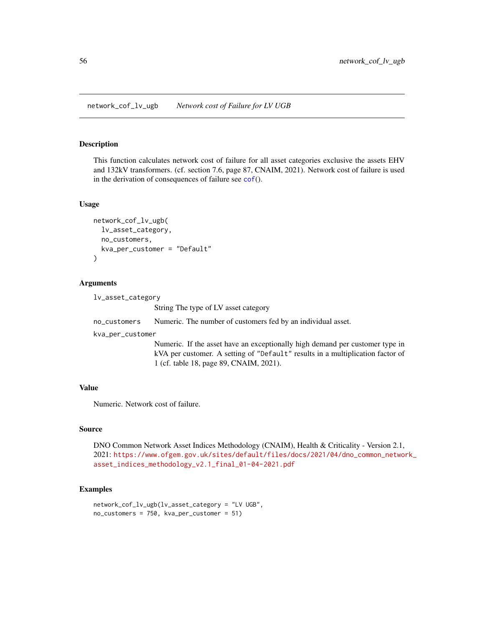## Description

This function calculates network cost of failure for all asset categories exclusive the assets EHV and 132kV transformers. (cf. section 7.6, page 87, CNAIM, 2021). Network cost of failure is used in the derivation of consequences of failure see  $\text{cof}()$  $\text{cof}()$  $\text{cof}()$ .

### Usage

```
network_cof_lv_ugb(
  lv_asset_category,
 no_customers,
 kva_per_customer = "Default"
)
```
#### Arguments

lv\_asset\_category

String The type of LV asset category

no\_customers Numeric. The number of customers fed by an individual asset.

kva\_per\_customer

Numeric. If the asset have an exceptionally high demand per customer type in kVA per customer. A setting of "Default" results in a multiplication factor of 1 (cf. table 18, page 89, CNAIM, 2021).

#### Value

Numeric. Network cost of failure.

### Source

DNO Common Network Asset Indices Methodology (CNAIM), Health & Criticality - Version 2.1, 2021: [https://www.ofgem.gov.uk/sites/default/files/docs/2021/04/dno\\_common\\_networ](https://www.ofgem.gov.uk/sites/default/files/docs/2021/04/dno_common_network_asset_indices_methodology_v2.1_final_01-04-2021.pdf)k\_ [asset\\_indices\\_methodology\\_v2.1\\_final\\_01-04-2021.pdf](https://www.ofgem.gov.uk/sites/default/files/docs/2021/04/dno_common_network_asset_indices_methodology_v2.1_final_01-04-2021.pdf)

```
network_cof_lv_ugb(lv_asset_category = "LV UGB",
no_customers = 750, kva_per_customer = 51)
```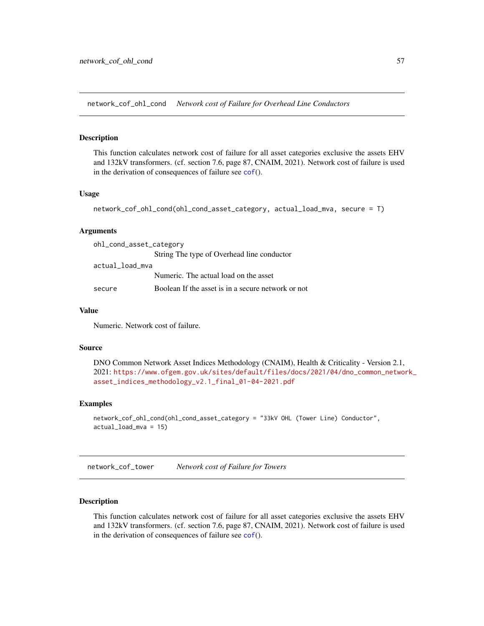network\_cof\_ohl\_cond *Network cost of Failure for Overhead Line Conductors*

### Description

This function calculates network cost of failure for all asset categories exclusive the assets EHV and 132kV transformers. (cf. section 7.6, page 87, CNAIM, 2021). Network cost of failure is used in the derivation of consequences of failure see  $\text{cof}()$  $\text{cof}()$  $\text{cof}()$ .

### Usage

```
network_cof_ohl_cond(ohl_cond_asset_category, actual_load_mva, secure = T)
```
### Arguments

| ohl_cond_asset_category |                                                    |
|-------------------------|----------------------------------------------------|
|                         | String The type of Overhead line conductor         |
| actual_load_mva         |                                                    |
|                         | Numeric. The actual load on the asset              |
| secure                  | Boolean If the asset is in a secure network or not |

### Value

Numeric. Network cost of failure.

#### Source

```
DNO Common Network Asset Indices Methodology (CNAIM), Health & Criticality - Version 2.1,
2021: https://www.ofgem.gov.uk/sites/default/files/docs/2021/04/dno_common_network_
asset_indices_methodology_v2.1_final_01-04-2021.pdf
```
## Examples

```
network_cof_ohl_cond(ohl_cond_asset_category = "33kV OHL (Tower Line) Conductor",
actual_load_mva = 15)
```
network\_cof\_tower *Network cost of Failure for Towers*

### Description

This function calculates network cost of failure for all asset categories exclusive the assets EHV and 132kV transformers. (cf. section 7.6, page 87, CNAIM, 2021). Network cost of failure is used in the derivation of consequences of failure see [cof](#page-5-0)().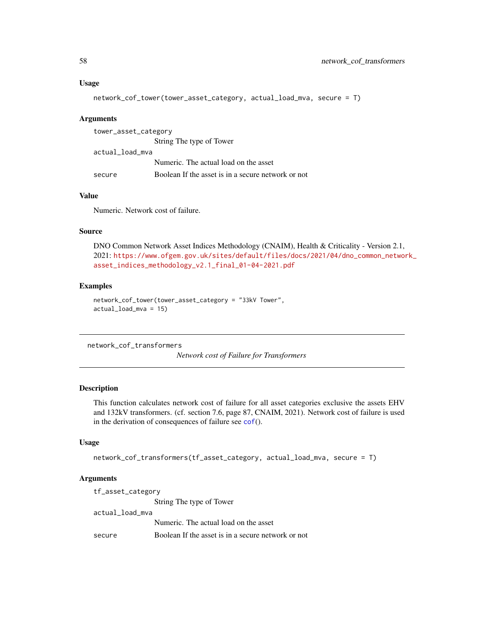### Usage

```
network_cof_tower(tower_asset_category, actual_load_mva, secure = T)
```
### Arguments

| tower_asset_category |                                                    |
|----------------------|----------------------------------------------------|
|                      | String The type of Tower                           |
| actual_load_mva      |                                                    |
|                      | Numeric. The actual load on the asset              |
| secure               | Boolean If the asset is in a secure network or not |

# Value

Numeric. Network cost of failure.

### Source

DNO Common Network Asset Indices Methodology (CNAIM), Health & Criticality - Version 2.1, 2021: [https://www.ofgem.gov.uk/sites/default/files/docs/2021/04/dno\\_common\\_networ](https://www.ofgem.gov.uk/sites/default/files/docs/2021/04/dno_common_network_asset_indices_methodology_v2.1_final_01-04-2021.pdf)k\_ [asset\\_indices\\_methodology\\_v2.1\\_final\\_01-04-2021.pdf](https://www.ofgem.gov.uk/sites/default/files/docs/2021/04/dno_common_network_asset_indices_methodology_v2.1_final_01-04-2021.pdf)

# Examples

```
network_cof_tower(tower_asset_category = "33kV Tower",
actual_load_mva = 15)
```
network\_cof\_transformers

*Network cost of Failure for Transformers*

# Description

This function calculates network cost of failure for all asset categories exclusive the assets EHV and 132kV transformers. (cf. section 7.6, page 87, CNAIM, 2021). Network cost of failure is used in the derivation of consequences of failure see [cof](#page-5-0)().

## Usage

```
network_cof_transformers(tf_asset_category, actual_load_mva, secure = T)
```
### Arguments

| tf_asset_category |                                                    |  |
|-------------------|----------------------------------------------------|--|
|                   | String The type of Tower                           |  |
| actual_load_mva   |                                                    |  |
|                   | Numeric. The actual load on the asset              |  |
| secure            | Boolean If the asset is in a secure network or not |  |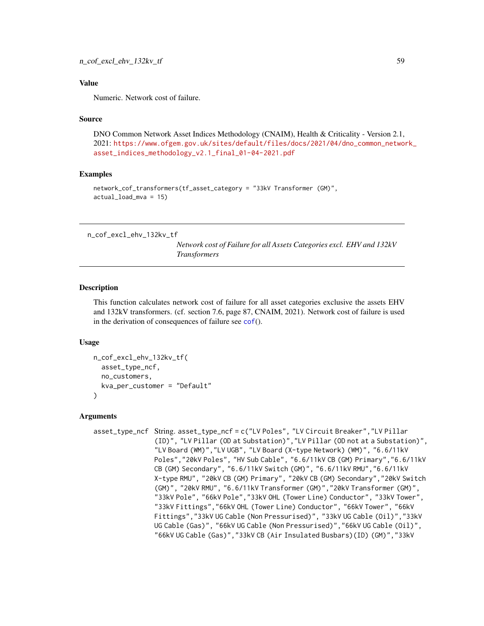### Value

Numeric. Network cost of failure.

#### Source

DNO Common Network Asset Indices Methodology (CNAIM), Health & Criticality - Version 2.1, 2021: [https://www.ofgem.gov.uk/sites/default/files/docs/2021/04/dno\\_common\\_networ](https://www.ofgem.gov.uk/sites/default/files/docs/2021/04/dno_common_network_asset_indices_methodology_v2.1_final_01-04-2021.pdf)k\_ [asset\\_indices\\_methodology\\_v2.1\\_final\\_01-04-2021.pdf](https://www.ofgem.gov.uk/sites/default/files/docs/2021/04/dno_common_network_asset_indices_methodology_v2.1_final_01-04-2021.pdf)

# Examples

```
network_cof_transformers(tf_asset_category = "33kV Transformer (GM)",
actual_load_mva = 15)
```
n\_cof\_excl\_ehv\_132kv\_tf

*Network cost of Failure for all Assets Categories excl. EHV and 132kV Transformers*

### Description

This function calculates network cost of failure for all asset categories exclusive the assets EHV and 132kV transformers. (cf. section 7.6, page 87, CNAIM, 2021). Network cost of failure is used in the derivation of consequences of failure see [cof](#page-5-0)().

### Usage

```
n_cof_excl_ehv_132kv_tf(
  asset_type_ncf,
 no_customers,
  kva_per_customer = "Default"
\lambda
```
#### Arguments

```
asset_type_ncf String. asset_type_ncf = c("LV Poles", "LV Circuit Breaker","LV Pillar
                (ID)", "LV Pillar (OD at Substation)","LV Pillar (OD not at a Substation)",
                "LV Board (WM)","LV UGB", "LV Board (X-type Network) (WM)", "6.6/11kV
                Poles","20kV Poles", "HV Sub Cable", "6.6/11kV CB (GM) Primary","6.6/11kV
                CB (GM) Secondary", "6.6/11kV Switch (GM)", "6.6/11kV RMU","6.6/11kV
                X-type RMU", "20kV CB (GM) Primary", "20kV CB (GM) Secondary","20kV Switch
                (GM)", "20kV RMU", "6.6/11kV Transformer (GM)","20kV Transformer (GM)",
                "33kV Pole", "66kV Pole","33kV OHL (Tower Line) Conductor", "33kV Tower",
                "33kV Fittings","66kV OHL (Tower Line) Conductor", "66kV Tower", "66kV
                Fittings","33kV UG Cable (Non Pressurised)", "33kV UG Cable (Oil)","33kV
                UG Cable (Gas)", "66kV UG Cable (Non Pressurised)","66kV UG Cable (Oil)",
                "66kV UG Cable (Gas)","33kV CB (Air Insulated Busbars)(ID) (GM)","33kV
```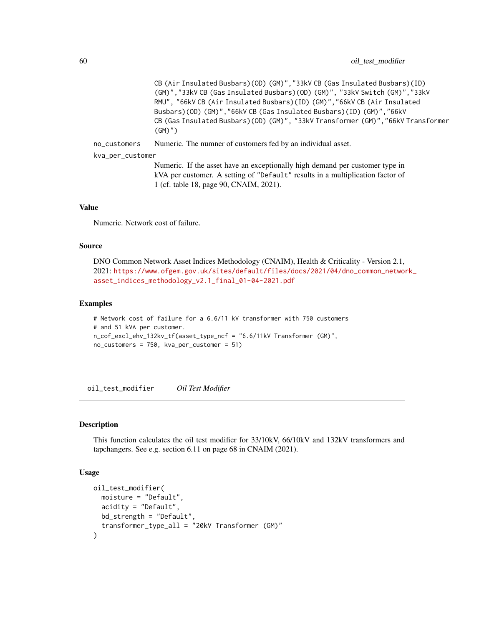CB (Air Insulated Busbars)(OD) (GM)","33kV CB (Gas Insulated Busbars)(ID) (GM)","33kV CB (Gas Insulated Busbars)(OD) (GM)", "33kV Switch (GM)","33kV RMU", "66kV CB (Air Insulated Busbars)(ID) (GM)","66kV CB (Air Insulated Busbars)(OD) (GM)","66kV CB (Gas Insulated Busbars)(ID) (GM)","66kV CB (Gas Insulated Busbars)(OD) (GM)", "33kV Transformer (GM)","66kV Transformer (GM)")

no\_customers Numeric. The numner of customers fed by an individual asset.

kva\_per\_customer

Numeric. If the asset have an exceptionally high demand per customer type in kVA per customer. A setting of "Default" results in a multiplication factor of 1 (cf. table 18, page 90, CNAIM, 2021).

### Value

Numeric. Network cost of failure.

#### Source

DNO Common Network Asset Indices Methodology (CNAIM), Health & Criticality - Version 2.1, 2021: [https://www.ofgem.gov.uk/sites/default/files/docs/2021/04/dno\\_common\\_networ](https://www.ofgem.gov.uk/sites/default/files/docs/2021/04/dno_common_network_asset_indices_methodology_v2.1_final_01-04-2021.pdf)k\_ [asset\\_indices\\_methodology\\_v2.1\\_final\\_01-04-2021.pdf](https://www.ofgem.gov.uk/sites/default/files/docs/2021/04/dno_common_network_asset_indices_methodology_v2.1_final_01-04-2021.pdf)

### Examples

```
# Network cost of failure for a 6.6/11 kV transformer with 750 customers
# and 51 kVA per customer.
n_cof_excl_ehv_132kv_tf(asset_type_ncf = "6.6/11kV Transformer (GM)",
no_customers = 750, kva_per_customer = 51)
```
oil\_test\_modifier *Oil Test Modifier*

### Description

This function calculates the oil test modifier for 33/10kV, 66/10kV and 132kV transformers and tapchangers. See e.g. section 6.11 on page 68 in CNAIM (2021).

```
oil_test_modifier(
 moisture = "Default",
  acidity = "Default",
 bd_strength = "Default",
  transformer_type_all = "20kV Transformer (GM)"
)
```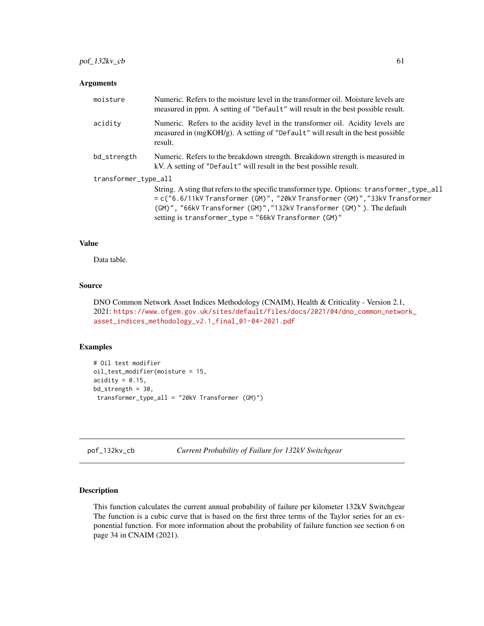| moisture             | Numeric. Refers to the moisture level in the transformer oil. Moisture levels are<br>measured in ppm. A setting of "Default" will result in the best possible result.                                                                                                                                        |
|----------------------|--------------------------------------------------------------------------------------------------------------------------------------------------------------------------------------------------------------------------------------------------------------------------------------------------------------|
| acidity              | Numeric. Refers to the acidity level in the transformer oil. Acidity levels are<br>measured in (mgKOH/g). A setting of "Default" will result in the best possible<br>result.                                                                                                                                 |
| bd_strength          | Numeric. Refers to the breakdown strength. Breakdown strength is measured in<br>kV. A setting of "Default" will result in the best possible result.                                                                                                                                                          |
| transformer_type_all |                                                                                                                                                                                                                                                                                                              |
|                      | String. A sting that refers to the specific transformer type. Options: transformer_type_all<br>= c("6.6/11kV Transformer (GM)", "20kV Transformer (GM)","33kV Transformer<br>(GM)", "66kV Transformer (GM)", "132kV Transformer (GM)"). The default<br>setting is transformer_type = "66kV Transformer (GM)" |

## Value

Data table.

### Source

DNO Common Network Asset Indices Methodology (CNAIM), Health & Criticality - Version 2.1, 2021: [https://www.ofgem.gov.uk/sites/default/files/docs/2021/04/dno\\_common\\_networ](https://www.ofgem.gov.uk/sites/default/files/docs/2021/04/dno_common_network_asset_indices_methodology_v2.1_final_01-04-2021.pdf)k\_ [asset\\_indices\\_methodology\\_v2.1\\_final\\_01-04-2021.pdf](https://www.ofgem.gov.uk/sites/default/files/docs/2021/04/dno_common_network_asset_indices_methodology_v2.1_final_01-04-2021.pdf)

# Examples

```
# Oil test modifier
oil_test_modifier(moisture = 15,
\text{acidity} = 0.15,bd_strength = 30,
transformer_type_all = "20kV Transformer (GM)")
```
pof\_132kv\_cb *Current Probability of Failure for 132kV Switchgear*

# Description

This function calculates the current annual probability of failure per kilometer 132kV Switchgear The function is a cubic curve that is based on the first three terms of the Taylor series for an exponential function. For more information about the probability of failure function see section 6 on page 34 in CNAIM (2021).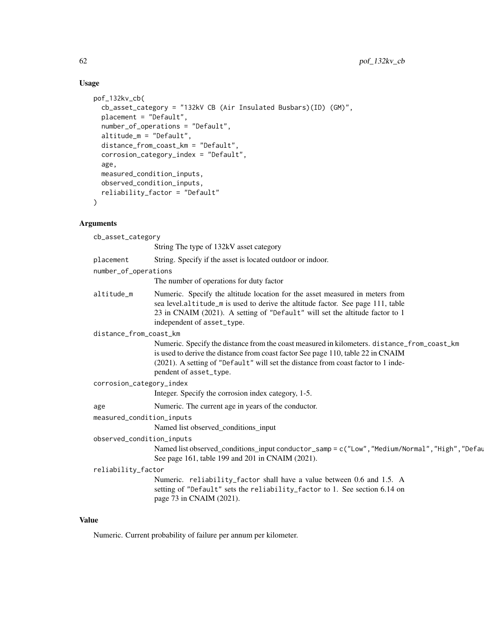### Usage

```
pof_132kv_cb(
  cb_asset_category = "132kV CB (Air Insulated Busbars)(ID) (GM)",
  placement = "Default",
  number_of_operations = "Default",
  altitude_m = "Default",
  distance_from_coast_km = "Default",
  corrosion_category_index = "Default",
  age,
 measured_condition_inputs,
  observed_condition_inputs,
  reliability_factor = "Default"
)
```
### Arguments

cb\_asset\_category String The type of 132kV asset category placement String. Specify if the asset is located outdoor or indoor. number\_of\_operations The number of operations for duty factor altitude\_m Numeric. Specify the altitude location for the asset measured in meters from sea level.altitude\_m is used to derive the altitude factor. See page 111, table 23 in CNAIM (2021). A setting of "Default" will set the altitude factor to 1 independent of asset\_type. distance\_from\_coast\_km Numeric. Specify the distance from the coast measured in kilometers. distance\_from\_coast\_km is used to derive the distance from coast factor See page 110, table 22 in CNAIM (2021). A setting of "Default" will set the distance from coast factor to 1 independent of asset\_type. corrosion\_category\_index Integer. Specify the corrosion index category, 1-5. age Numeric. The current age in years of the conductor. measured\_condition\_inputs Named list observed\_conditions\_input observed\_condition\_inputs Named list observed\_conditions\_input conductor\_samp = c("Low", "Medium/Normal", "High", "Default"). See page 161, table 199 and 201 in CNAIM (2021).

```
reliability_factor
```
Numeric. reliability\_factor shall have a value between 0.6 and 1.5. A setting of "Default" sets the reliability\_factor to 1. See section 6.14 on page 73 in CNAIM (2021).

### Value

Numeric. Current probability of failure per annum per kilometer.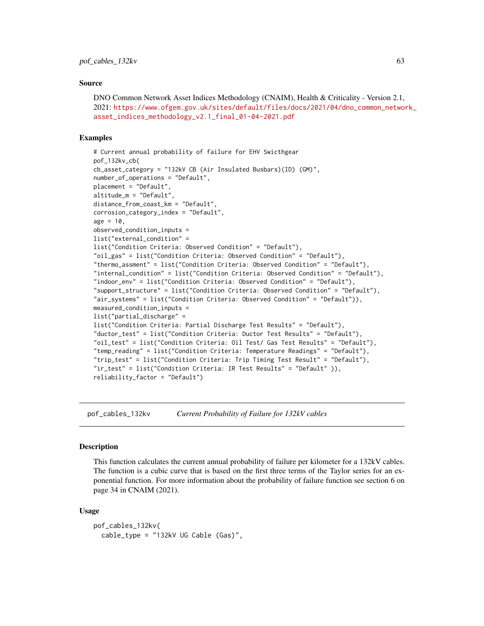### Source

DNO Common Network Asset Indices Methodology (CNAIM), Health & Criticality - Version 2.1, 2021: [https://www.ofgem.gov.uk/sites/default/files/docs/2021/04/dno\\_common\\_networ](https://www.ofgem.gov.uk/sites/default/files/docs/2021/04/dno_common_network_asset_indices_methodology_v2.1_final_01-04-2021.pdf)k\_ [asset\\_indices\\_methodology\\_v2.1\\_final\\_01-04-2021.pdf](https://www.ofgem.gov.uk/sites/default/files/docs/2021/04/dno_common_network_asset_indices_methodology_v2.1_final_01-04-2021.pdf)

### Examples

```
# Current annual probability of failure for EHV Swicthgear
pof_132kv_cb(
cb_asset_category = "132kV CB (Air Insulated Busbars)(ID) (GM)",
number_of_operations = "Default",
placement = "Default",
altitude_m = "Default",
distance_from_coast_km = "Default",
corrosion_category_index = "Default",
age = 10,observed_condition_inputs =
list("external_condition" =
list("Condition Criteria: Observed Condition" = "Default"),
"oil_gas" = list("Condition Criteria: Observed Condition" = "Default"),
"thermo_assment" = list("Condition Criteria: Observed Condition" = "Default"),
"internal_condition" = list("Condition Criteria: Observed Condition" = "Default"),
"indoor_env" = list("Condition Criteria: Observed Condition" = "Default"),
"support_structure" = list("Condition Criteria: Observed Condition" = "Default"),
"air_systems" = list("Condition Criteria: Observed Condition" = "Default")),
measured_condition_inputs =
list("partial_discharge" =
list("Condition Criteria: Partial Discharge Test Results" = "Default"),
"ductor_test" = list("Condition Criteria: Ductor Test Results" = "Default"),
"oil_test" = list("Condition Criteria: Oil Test/ Gas Test Results" = "Default"),
"temp_reading" = list("Condition Criteria: Temperature Readings" = "Default"),
"trip_test" = list("Condition Criteria: Trip Timing Test Result" = "Default"),
"ir_test" = list("Condition Criteria: IR Test Results" = "Default" )),
reliability_factor = "Default")
```
pof\_cables\_132kv *Current Probability of Failure for 132kV cables*

#### **Description**

This function calculates the current annual probability of failure per kilometer for a 132kV cables. The function is a cubic curve that is based on the first three terms of the Taylor series for an exponential function. For more information about the probability of failure function see section 6 on page 34 in CNAIM (2021).

```
pof_cables_132kv(
  cable_type = "132kV UG Cable (Gas)",
```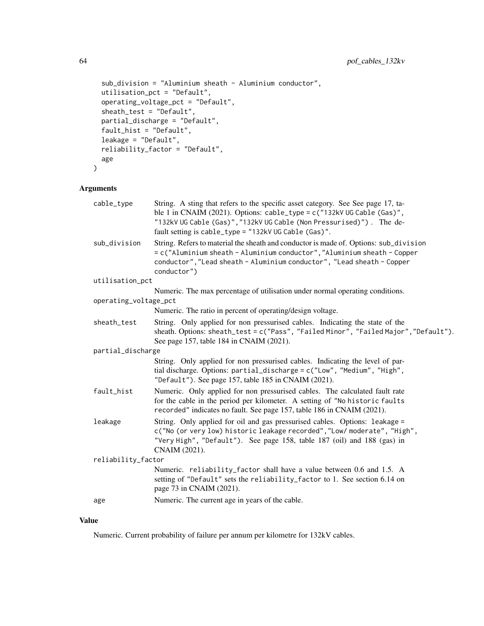```
sub_division = "Aluminium sheath - Aluminium conductor",
 utilisation_pct = "Default",
 operating_voltage_pct = "Default",
  sheath_test = "Default",
 partial_discharge = "Default",
 fault_hist = "Default",
 leakage = "Default",
 reliability_factor = "Default",
  age
)
```

| cable_type            | String. A sting that refers to the specific asset category. See See page 17, ta-<br>ble 1 in CNAIM (2021). Options: $cable_type = c("132kV \cup GCable (Gas)",$<br>"132kV UG Cable (Gas)", "132kV UG Cable (Non Pressurised)"). The de-<br>fault setting is cable_type = "132kV UG Cable (Gas)". |
|-----------------------|--------------------------------------------------------------------------------------------------------------------------------------------------------------------------------------------------------------------------------------------------------------------------------------------------|
| sub_division          | String. Refers to material the sheath and conductor is made of. Options: sub_division<br>= c("Aluminium sheath - Aluminium conductor", "Aluminium sheath - Copper<br>conductor", "Lead sheath - Aluminium conductor", "Lead sheath - Copper<br>conductor")                                       |
| utilisation_pct       |                                                                                                                                                                                                                                                                                                  |
|                       | Numeric. The max percentage of utilisation under normal operating conditions.                                                                                                                                                                                                                    |
| operating_voltage_pct |                                                                                                                                                                                                                                                                                                  |
|                       | Numeric. The ratio in percent of operating/design voltage.                                                                                                                                                                                                                                       |
| sheath_test           | String. Only applied for non pressurised cables. Indicating the state of the<br>sheath. Options: sheath_test = c("Pass", "Failed Minor", "Failed Major", "Default").<br>See page 157, table 184 in CNAIM (2021).                                                                                 |
| partial_discharge     |                                                                                                                                                                                                                                                                                                  |
|                       | String. Only applied for non pressurised cables. Indicating the level of par-<br>tial discharge. Options: partial_discharge = c("Low", "Medium", "High",<br>"Default"). See page 157, table 185 in CNAIM (2021).                                                                                 |
| fault_hist            | Numeric. Only applied for non pressurised cables. The calculated fault rate<br>for the cable in the period per kilometer. A setting of "No historic faults<br>recorded" indicates no fault. See page 157, table 186 in CNAIM (2021).                                                             |
| leakage               | String. Only applied for oil and gas pressurised cables. Options: leakage =<br>c("No (or very low) historic leakage recorded", "Low/ moderate", "High",<br>"Very High", "Default"). See page 158, table 187 (oil) and 188 (gas) in<br>CNAIM (2021).                                              |
| reliability_factor    |                                                                                                                                                                                                                                                                                                  |
|                       | Numeric. reliability_factor shall have a value between 0.6 and 1.5. A<br>setting of "Default" sets the reliability_factor to 1. See section 6.14 on<br>page 73 in CNAIM (2021).                                                                                                                  |
| age                   | Numeric. The current age in years of the cable.                                                                                                                                                                                                                                                  |
|                       |                                                                                                                                                                                                                                                                                                  |

## Value

Numeric. Current probability of failure per annum per kilometre for 132kV cables.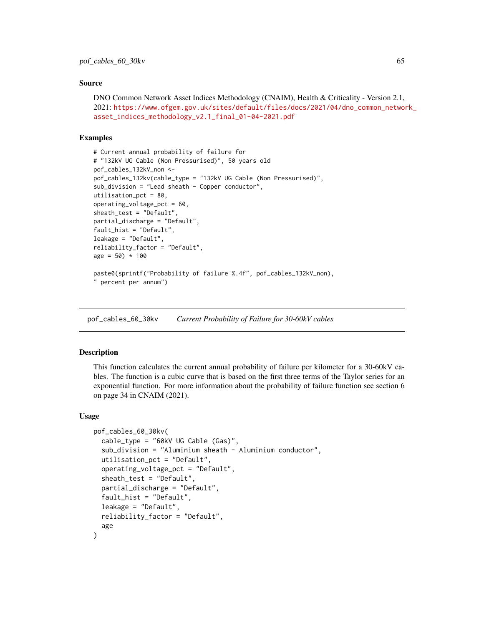### Source

DNO Common Network Asset Indices Methodology (CNAIM), Health & Criticality - Version 2.1, 2021: [https://www.ofgem.gov.uk/sites/default/files/docs/2021/04/dno\\_common\\_networ](https://www.ofgem.gov.uk/sites/default/files/docs/2021/04/dno_common_network_asset_indices_methodology_v2.1_final_01-04-2021.pdf)k\_ [asset\\_indices\\_methodology\\_v2.1\\_final\\_01-04-2021.pdf](https://www.ofgem.gov.uk/sites/default/files/docs/2021/04/dno_common_network_asset_indices_methodology_v2.1_final_01-04-2021.pdf)

## Examples

```
# Current annual probability of failure for
# "132kV UG Cable (Non Pressurised)", 50 years old
pof_cables_132kV_non <-
pof_cables_132kv(cable_type = "132kV UG Cable (Non Pressurised)",
sub_division = "Lead sheath - Copper conductor",
utilisation_pct = 80,
operating_voltage_pct = 60,
sheath_test = "Default",
partial_discharge = "Default",
fault_hist = "Default",
leakage = "Default",
reliability_factor = "Default",
age = 50) * 100paste0(sprintf("Probability of failure %.4f", pof_cables_132kV_non),
" percent per annum")
```
pof\_cables\_60\_30kv *Current Probability of Failure for 30-60kV cables*

### Description

This function calculates the current annual probability of failure per kilometer for a 30-60kV cables. The function is a cubic curve that is based on the first three terms of the Taylor series for an exponential function. For more information about the probability of failure function see section 6 on page 34 in CNAIM (2021).

```
pof_cables_60_30kv(
  cable_type = "60kV UG Cable (Gas)",
  sub_division = "Aluminium sheath - Aluminium conductor",
  utilisation_pct = "Default",
  operating_voltage_pct = "Default",
  sheath_test = "Default",
  partial_discharge = "Default",
  fault_hist = "Default",
  leakage = "Default",
  reliability_factor = "Default",
  age
)
```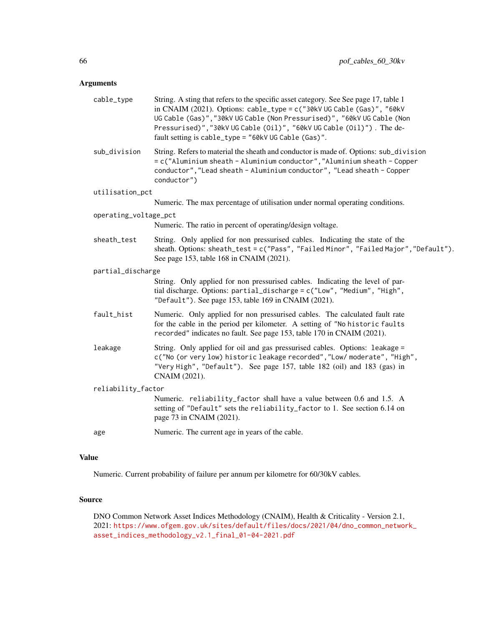| cable_type            | String. A sting that refers to the specific asset category. See See page 17, table 1<br>in CNAIM (2021). Options: cable_type = $c$ ("30kV UG Cable (Gas)", "60kV<br>UG Cable (Gas)", "30kV UG Cable (Non Pressurised)", "60kV UG Cable (Non<br>Pressurised)", "30kV UG Cable (Oil)", "60kV UG Cable (Oil)"). The de-<br>fault setting is cable_type = "60kV UG Cable (Gas)". |
|-----------------------|------------------------------------------------------------------------------------------------------------------------------------------------------------------------------------------------------------------------------------------------------------------------------------------------------------------------------------------------------------------------------|
| sub_division          | String. Refers to material the sheath and conductor is made of. Options: sub_division<br>= c("Aluminium sheath - Aluminium conductor", "Aluminium sheath - Copper<br>conductor", "Lead sheath - Aluminium conductor", "Lead sheath - Copper<br>conductor")                                                                                                                   |
| utilisation_pct       |                                                                                                                                                                                                                                                                                                                                                                              |
|                       | Numeric. The max percentage of utilisation under normal operating conditions.                                                                                                                                                                                                                                                                                                |
| operating_voltage_pct |                                                                                                                                                                                                                                                                                                                                                                              |
|                       | Numeric. The ratio in percent of operating/design voltage.                                                                                                                                                                                                                                                                                                                   |
| sheath_test           | String. Only applied for non pressurised cables. Indicating the state of the<br>sheath. Options: sheath_test = c("Pass", "Failed Minor", "Failed Major", "Default").<br>See page 153, table 168 in CNAIM (2021).                                                                                                                                                             |
| partial_discharge     |                                                                                                                                                                                                                                                                                                                                                                              |
|                       | String. Only applied for non pressurised cables. Indicating the level of par-<br>tial discharge. Options: partial_discharge = c("Low", "Medium", "High",<br>"Default"). See page 153, table 169 in CNAIM (2021).                                                                                                                                                             |
| fault_hist            | Numeric. Only applied for non pressurised cables. The calculated fault rate<br>for the cable in the period per kilometer. A setting of "No historic faults<br>recorded" indicates no fault. See page 153, table 170 in CNAIM (2021).                                                                                                                                         |
| leakage               | String. Only applied for oil and gas pressurised cables. Options: leakage =<br>c("No (or very low) historic leakage recorded", "Low/ moderate", "High",<br>"Very High", "Default"). See page 157, table 182 (oil) and 183 (gas) in<br>CNAIM (2021).                                                                                                                          |
| reliability_factor    |                                                                                                                                                                                                                                                                                                                                                                              |
|                       | Numeric. reliability_factor shall have a value between 0.6 and 1.5. A<br>setting of "Default" sets the reliability_factor to 1. See section 6.14 on<br>page 73 in CNAIM (2021).                                                                                                                                                                                              |
| age                   | Numeric. The current age in years of the cable.                                                                                                                                                                                                                                                                                                                              |
|                       |                                                                                                                                                                                                                                                                                                                                                                              |

# Value

Numeric. Current probability of failure per annum per kilometre for 60/30kV cables.

# Source

DNO Common Network Asset Indices Methodology (CNAIM), Health & Criticality - Version 2.1, 2021: [https://www.ofgem.gov.uk/sites/default/files/docs/2021/04/dno\\_common\\_networ](https://www.ofgem.gov.uk/sites/default/files/docs/2021/04/dno_common_network_asset_indices_methodology_v2.1_final_01-04-2021.pdf)k\_ [asset\\_indices\\_methodology\\_v2.1\\_final\\_01-04-2021.pdf](https://www.ofgem.gov.uk/sites/default/files/docs/2021/04/dno_common_network_asset_indices_methodology_v2.1_final_01-04-2021.pdf)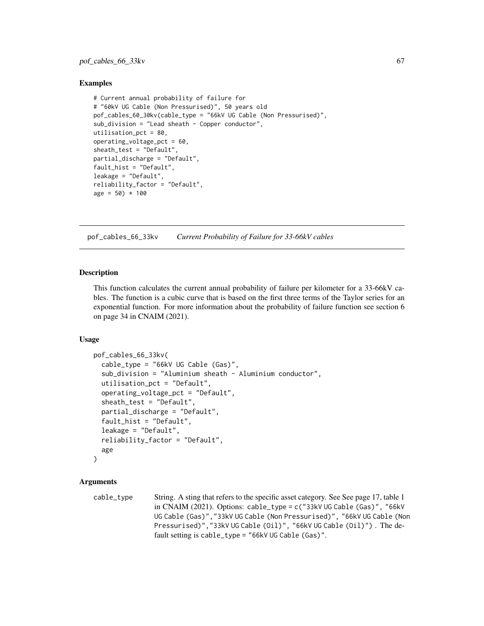### Examples

```
# Current annual probability of failure for
# "60kV UG Cable (Non Pressurised)", 50 years old
pof_cables_60_30kv(cable_type = "66kV UG Cable (Non Pressurised)",
sub_division = "Lead sheath - Copper conductor",
utilisation_pct = 80,
operating_voltage_pct = 60,
sheath_test = "Default",
partial_discharge = "Default",
fault_hist = "Default",
leakage = "Default",
reliability_factor = "Default",
age = 50) * 100
```
pof\_cables\_66\_33kv *Current Probability of Failure for 33-66kV cables*

### Description

This function calculates the current annual probability of failure per kilometer for a 33-66kV cables. The function is a cubic curve that is based on the first three terms of the Taylor series for an exponential function. For more information about the probability of failure function see section 6 on page 34 in CNAIM (2021).

### Usage

```
pof_cables_66_33kv(
  cable_type = "66kV UG Cable (Gas)",
  sub_division = "Aluminium sheath - Aluminium conductor",
  utilisation_pct = "Default",
  operating_voltage_pct = "Default",
  sheath_test = "Default",
  partial_discharge = "Default",
  fault_hist = "Default",
  leakage = "Default",
  reliability_factor = "Default",
  age
)
```
### Arguments

```
cable_type String. A sting that refers to the specific asset category. See See page 17, table 1
                 in CNAIM (2021). Options: cable_type = c ("33kV UG Cable (Gas)", "66kV
                 UG Cable (Gas)","33kV UG Cable (Non Pressurised)", "66kV UG Cable (Non
                 Pressurised)","33kV UG Cable (Oil)", "66kV UG Cable (Oil)") . The de-
                 fault setting is cable_type = "66kV UG Cable (Gas)".
```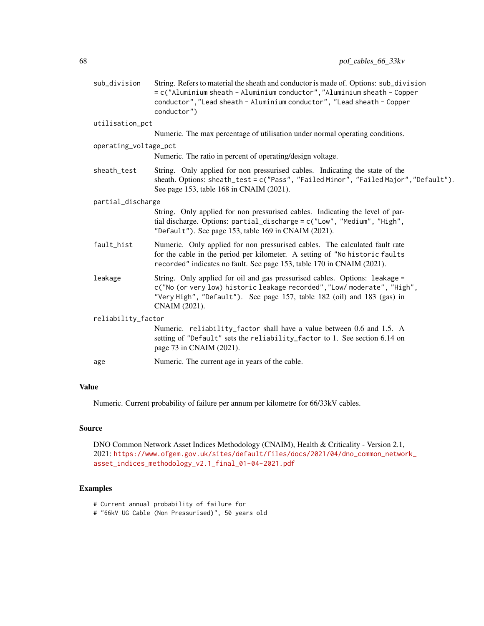| sub_division          | String. Refers to material the sheath and conductor is made of. Options: sub_division<br>= c("Aluminium sheath - Aluminium conductor", "Aluminium sheath - Copper<br>conductor", "Lead sheath - Aluminium conductor", "Lead sheath - Copper<br>conductor") |
|-----------------------|------------------------------------------------------------------------------------------------------------------------------------------------------------------------------------------------------------------------------------------------------------|
| utilisation_pct       |                                                                                                                                                                                                                                                            |
|                       | Numeric. The max percentage of utilisation under normal operating conditions.                                                                                                                                                                              |
| operating_voltage_pct |                                                                                                                                                                                                                                                            |
|                       | Numeric. The ratio in percent of operating/design voltage.                                                                                                                                                                                                 |
| sheath_test           | String. Only applied for non pressurised cables. Indicating the state of the<br>sheath. Options: sheath_test = c("Pass", "Failed Minor", "Failed Major", "Default").<br>See page 153, table 168 in CNAIM (2021).                                           |
| partial_discharge     |                                                                                                                                                                                                                                                            |
|                       | String. Only applied for non pressurised cables. Indicating the level of par-<br>tial discharge. Options: partial_discharge = c("Low", "Medium", "High",<br>"Default"). See page 153, table 169 in CNAIM (2021).                                           |
| fault_hist            | Numeric. Only applied for non pressurised cables. The calculated fault rate<br>for the cable in the period per kilometer. A setting of "No historic faults<br>recorded" indicates no fault. See page 153, table 170 in CNAIM (2021).                       |
| leakage               | String. Only applied for oil and gas pressurised cables. Options: leakage =<br>c("No (or very low) historic leakage recorded", "Low/ moderate", "High",<br>"Very High", "Default"). See page 157, table 182 (oil) and 183 (gas) in<br>CNAIM (2021).        |
| reliability_factor    |                                                                                                                                                                                                                                                            |
|                       | Numeric. reliability_factor shall have a value between 0.6 and 1.5. A<br>setting of "Default" sets the reliability_factor to 1. See section 6.14 on<br>page 73 in CNAIM (2021).                                                                            |
| age                   | Numeric. The current age in years of the cable.                                                                                                                                                                                                            |

# Value

Numeric. Current probability of failure per annum per kilometre for 66/33kV cables.

# Source

DNO Common Network Asset Indices Methodology (CNAIM), Health & Criticality - Version 2.1, 2021: [https://www.ofgem.gov.uk/sites/default/files/docs/2021/04/dno\\_common\\_networ](https://www.ofgem.gov.uk/sites/default/files/docs/2021/04/dno_common_network_asset_indices_methodology_v2.1_final_01-04-2021.pdf)k\_ [asset\\_indices\\_methodology\\_v2.1\\_final\\_01-04-2021.pdf](https://www.ofgem.gov.uk/sites/default/files/docs/2021/04/dno_common_network_asset_indices_methodology_v2.1_final_01-04-2021.pdf)

## Examples

# Current annual probability of failure for

# "66kV UG Cable (Non Pressurised)", 50 years old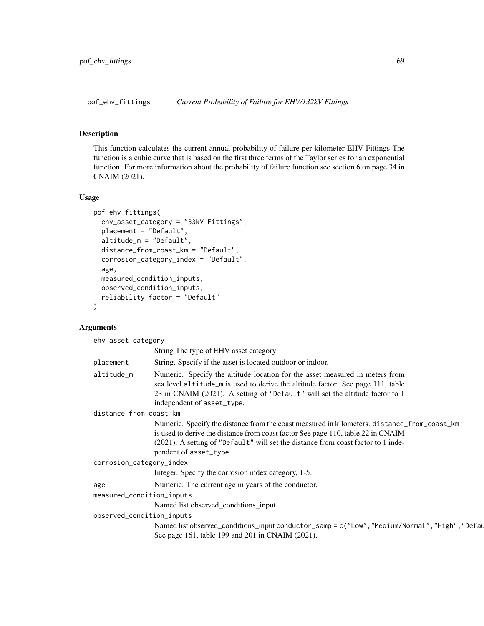### Description

This function calculates the current annual probability of failure per kilometer EHV Fittings The function is a cubic curve that is based on the first three terms of the Taylor series for an exponential function. For more information about the probability of failure function see section 6 on page 34 in CNAIM (2021).

#### Usage

```
pof_ehv_fittings(
  ehv_asset_category = "33kV Fittings",
  placement = "Default",
  altitude_m = "Default",
  distance_from_coast_km = "Default",
  corrosion_category_index = "Default",
  age,
  measured_condition_inputs,
  observed_condition_inputs,
  reliability_factor = "Default"
)
```
### Arguments

ehv\_asset\_category String The type of EHV asset category placement String. Specify if the asset is located outdoor or indoor. altitude\_m Numeric. Specify the altitude location for the asset measured in meters from sea level.altitude\_m is used to derive the altitude factor. See page 111, table 23 in CNAIM (2021). A setting of "Default" will set the altitude factor to 1 independent of asset\_type. distance\_from\_coast\_km Numeric. Specify the distance from the coast measured in kilometers. distance\_from\_coast\_km is used to derive the distance from coast factor See page 110, table 22 in CNAIM (2021). A setting of "Default" will set the distance from coast factor to 1 independent of asset\_type. corrosion\_category\_index Integer. Specify the corrosion index category, 1-5. age Numeric. The current age in years of the conductor. measured\_condition\_inputs Named list observed\_conditions\_input observed\_condition\_inputs Named list observed\_conditions\_input conductor\_samp = c("Low", "Medium/Normal", "High", "Defau See page 161, table 199 and 201 in CNAIM (2021).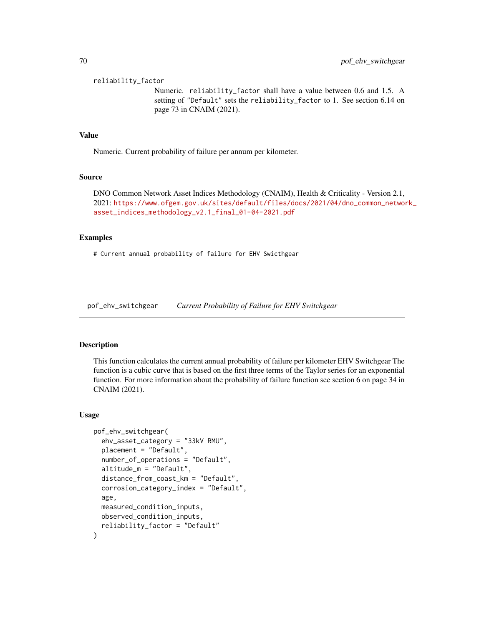reliability\_factor

Numeric. reliability\_factor shall have a value between 0.6 and 1.5. A setting of "Default" sets the reliability\_factor to 1. See section 6.14 on page 73 in CNAIM (2021).

### Value

Numeric. Current probability of failure per annum per kilometer.

#### Source

DNO Common Network Asset Indices Methodology (CNAIM), Health & Criticality - Version 2.1, 2021: [https://www.ofgem.gov.uk/sites/default/files/docs/2021/04/dno\\_common\\_networ](https://www.ofgem.gov.uk/sites/default/files/docs/2021/04/dno_common_network_asset_indices_methodology_v2.1_final_01-04-2021.pdf)k\_ [asset\\_indices\\_methodology\\_v2.1\\_final\\_01-04-2021.pdf](https://www.ofgem.gov.uk/sites/default/files/docs/2021/04/dno_common_network_asset_indices_methodology_v2.1_final_01-04-2021.pdf)

### Examples

# Current annual probability of failure for EHV Swicthgear

pof\_ehv\_switchgear *Current Probability of Failure for EHV Switchgear*

#### Description

This function calculates the current annual probability of failure per kilometer EHV Switchgear The function is a cubic curve that is based on the first three terms of the Taylor series for an exponential function. For more information about the probability of failure function see section 6 on page 34 in CNAIM (2021).

```
pof_ehv_switchgear(
  ehv_asset_category = "33kV RMU",
  placement = "Default",
  number_of_operations = "Default",
  altitude_m = "Default",
  distance_from_coast_km = "Default",
  corrosion_category_index = "Default",
  age,
  measured_condition_inputs,
  observed_condition_inputs,
  reliability_factor = "Default"
)
```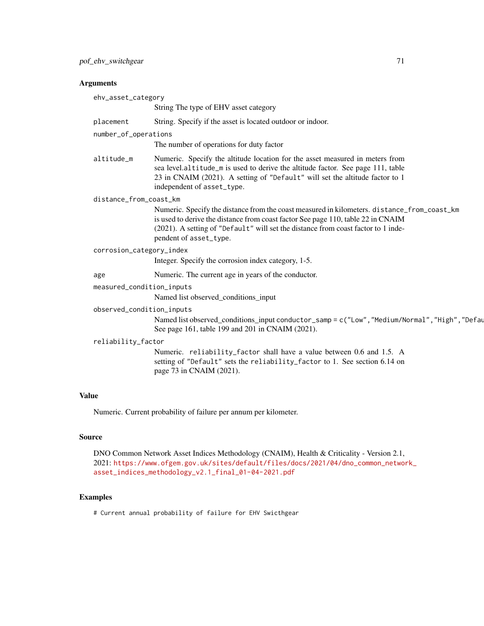| ehv_asset_category        |                                                                                                                                                                                                                                                                                                |
|---------------------------|------------------------------------------------------------------------------------------------------------------------------------------------------------------------------------------------------------------------------------------------------------------------------------------------|
|                           | String The type of EHV asset category                                                                                                                                                                                                                                                          |
| placement                 | String. Specify if the asset is located outdoor or indoor.                                                                                                                                                                                                                                     |
| number_of_operations      |                                                                                                                                                                                                                                                                                                |
|                           | The number of operations for duty factor                                                                                                                                                                                                                                                       |
| altitude_m                | Numeric. Specify the altitude location for the asset measured in meters from<br>sea level.altitude_m is used to derive the altitude factor. See page 111, table<br>23 in CNAIM (2021). A setting of "Default" will set the altitude factor to 1<br>independent of asset_type.                  |
| distance_from_coast_km    |                                                                                                                                                                                                                                                                                                |
|                           | Numeric. Specify the distance from the coast measured in kilometers. distance_from_coast_km<br>is used to derive the distance from coast factor See page 110, table 22 in CNAIM<br>(2021). A setting of "Default" will set the distance from coast factor to 1 inde-<br>pendent of asset_type. |
| corrosion_category_index  |                                                                                                                                                                                                                                                                                                |
|                           | Integer. Specify the corrosion index category, 1-5.                                                                                                                                                                                                                                            |
| age                       | Numeric. The current age in years of the conductor.                                                                                                                                                                                                                                            |
| measured_condition_inputs |                                                                                                                                                                                                                                                                                                |
|                           | Named list observed_conditions_input                                                                                                                                                                                                                                                           |
| observed_condition_inputs |                                                                                                                                                                                                                                                                                                |
|                           | Named list observed_conditions_input conductor_samp = c("Low", "Medium/Normal", "High", "Defau<br>See page 161, table 199 and 201 in CNAIM (2021).                                                                                                                                             |
| reliability_factor        |                                                                                                                                                                                                                                                                                                |
|                           | Numeric. reliability_factor shall have a value between 0.6 and 1.5. A<br>setting of "Default" sets the reliability_factor to 1. See section 6.14 on<br>page 73 in CNAIM (2021).                                                                                                                |
|                           |                                                                                                                                                                                                                                                                                                |

# Value

Numeric. Current probability of failure per annum per kilometer.

# Source

DNO Common Network Asset Indices Methodology (CNAIM), Health & Criticality - Version 2.1, 2021: [https://www.ofgem.gov.uk/sites/default/files/docs/2021/04/dno\\_common\\_networ](https://www.ofgem.gov.uk/sites/default/files/docs/2021/04/dno_common_network_asset_indices_methodology_v2.1_final_01-04-2021.pdf)k\_ [asset\\_indices\\_methodology\\_v2.1\\_final\\_01-04-2021.pdf](https://www.ofgem.gov.uk/sites/default/files/docs/2021/04/dno_common_network_asset_indices_methodology_v2.1_final_01-04-2021.pdf)

# Examples

# Current annual probability of failure for EHV Swicthgear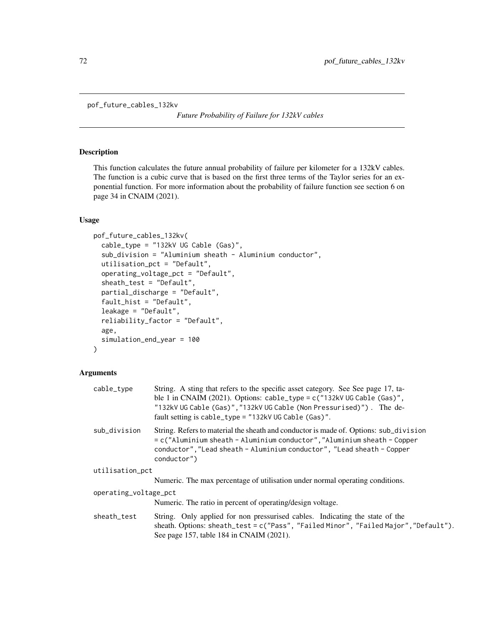```
pof_future_cables_132kv
```
*Future Probability of Failure for 132kV cables*

# Description

This function calculates the future annual probability of failure per kilometer for a 132kV cables. The function is a cubic curve that is based on the first three terms of the Taylor series for an exponential function. For more information about the probability of failure function see section 6 on page 34 in CNAIM (2021).

# Usage

```
pof_future_cables_132kv(
  cable_type = "132kV UG Cable (Gas)",
  sub_division = "Aluminium sheath - Aluminium conductor",
  utilisation_pct = "Default",
  operating_voltage_pct = "Default",
  sheath_test = "Default",
  partial_discharge = "Default",
  fault_hist = "Default",
  leakage = "Default",
  reliability_factor = "Default",
  age,
  simulation_end_year = 100
)
```
### Arguments

| cable_type            | String. A sting that refers to the specific asset category. See See page 17, ta-<br>ble 1 in CNAIM (2021). Options: $cable_type = c("132kV \cup G Cable (Gas)",$<br>"132kV UG Cable (Gas)", "132kV UG Cable (Non Pressurised)"). The de-<br>fault setting is cable_type = "132kV UG Cable (Gas)". |
|-----------------------|---------------------------------------------------------------------------------------------------------------------------------------------------------------------------------------------------------------------------------------------------------------------------------------------------|
| sub_division          | String. Refers to material the sheath and conductor is made of. Options: sub_division<br>$=$ c("Aluminium sheath - Aluminium conductor", "Aluminium sheath - Copper<br>conductor", "Lead sheath - Aluminium conductor", "Lead sheath - Copper<br>conductor")                                      |
| utilisation_pct       |                                                                                                                                                                                                                                                                                                   |
|                       | Numeric. The max percentage of utilisation under normal operating conditions.                                                                                                                                                                                                                     |
| operating_voltage_pct |                                                                                                                                                                                                                                                                                                   |
|                       | Numeric. The ratio in percent of operating/design voltage.                                                                                                                                                                                                                                        |
| sheath_test           | String. Only applied for non pressurised cables. Indicating the state of the<br>sheath. Options: sheath_test = c("Pass", "Failed Minor", "Failed Major", "Default").<br>See page 157, table 184 in CNAIM (2021).                                                                                  |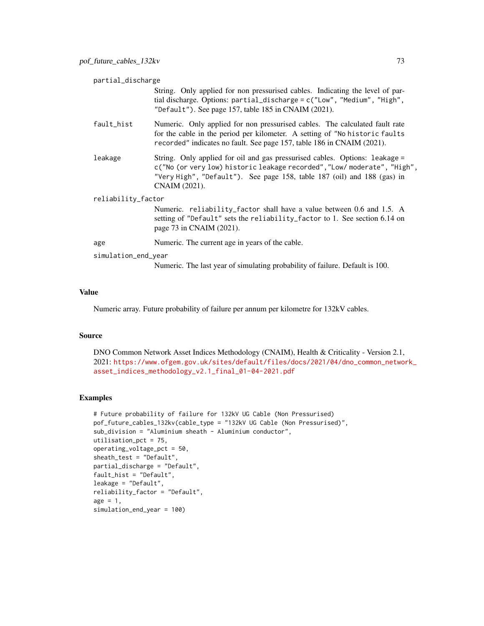| partial_discharge   |                                                                                                                                                                                                                                                     |
|---------------------|-----------------------------------------------------------------------------------------------------------------------------------------------------------------------------------------------------------------------------------------------------|
|                     | String. Only applied for non pressurised cables. Indicating the level of par-<br>tial discharge. Options: partial_discharge = c("Low", "Medium", "High",<br>"Default"). See page 157, table 185 in CNAIM $(2021)$ .                                 |
| fault_hist          | Numeric. Only applied for non pressurised cables. The calculated fault rate<br>for the cable in the period per kilometer. A setting of "No historic faults"<br>recorded" indicates no fault. See page 157, table 186 in CNAIM (2021).               |
| leakage             | String. Only applied for oil and gas pressurised cables. Options: leakage =<br>c("No (or very low) historic leakage recorded", "Low/ moderate", "High",<br>"Very High", "Default"). See page 158, table 187 (oil) and 188 (gas) in<br>CNAIM (2021). |
| reliability_factor  |                                                                                                                                                                                                                                                     |
|                     | Numeric. reliability_factor shall have a value between 0.6 and 1.5. A<br>setting of "Default" sets the reliability_factor to 1. See section 6.14 on<br>page 73 in CNAIM (2021).                                                                     |
| age                 | Numeric. The current age in years of the cable.                                                                                                                                                                                                     |
| simulation_end_year |                                                                                                                                                                                                                                                     |
|                     | Numeric. The last year of simulating probability of failure. Default is 100.                                                                                                                                                                        |

Numeric array. Future probability of failure per annum per kilometre for 132kV cables.

#### Source

DNO Common Network Asset Indices Methodology (CNAIM), Health & Criticality - Version 2.1, 2021: [https://www.ofgem.gov.uk/sites/default/files/docs/2021/04/dno\\_common\\_networ](https://www.ofgem.gov.uk/sites/default/files/docs/2021/04/dno_common_network_asset_indices_methodology_v2.1_final_01-04-2021.pdf)k\_ [asset\\_indices\\_methodology\\_v2.1\\_final\\_01-04-2021.pdf](https://www.ofgem.gov.uk/sites/default/files/docs/2021/04/dno_common_network_asset_indices_methodology_v2.1_final_01-04-2021.pdf)

```
# Future probability of failure for 132kV UG Cable (Non Pressurised)
pof_future_cables_132kv(cable_type = "132kV UG Cable (Non Pressurised)",
sub_division = "Aluminium sheath - Aluminium conductor",
utilisation_pct = 75,
operating_voltage_pct = 50,
sheath_test = "Default",
partial_discharge = "Default",
fault_hist = "Default",
leakage = "Default",
reliability_factor = "Default",
age = 1,simulation_end_year = 100)
```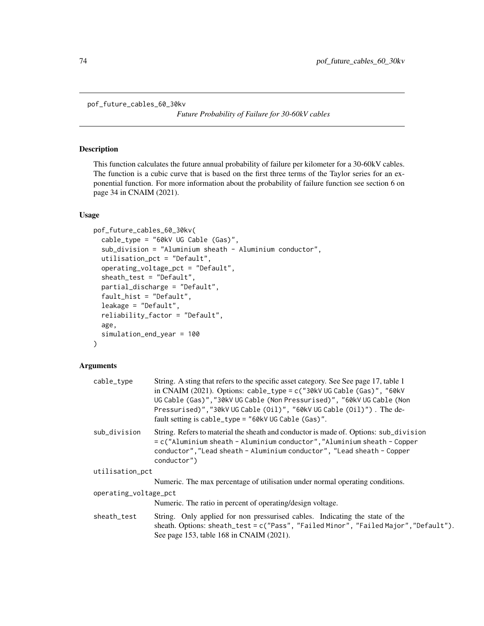pof\_future\_cables\_60\_30kv

*Future Probability of Failure for 30-60kV cables*

## Description

This function calculates the future annual probability of failure per kilometer for a 30-60kV cables. The function is a cubic curve that is based on the first three terms of the Taylor series for an exponential function. For more information about the probability of failure function see section 6 on page 34 in CNAIM (2021).

#### Usage

```
pof_future_cables_60_30kv(
  cable_type = "60kV UG Cable (Gas)",
  sub_division = "Aluminium sheath - Aluminium conductor",
  utilisation_pct = "Default",
  operating_voltage_pct = "Default",
  sheath_test = "Default",
  partial_discharge = "Default",
  fault_hist = "Default",
  leakage = "Default",
  reliability_factor = "Default",
  age,
  simulation_end_year = 100
)
```

| cable_type            | String. A sting that refers to the specific asset category. See See page 17, table 1<br>in CNAIM (2021). Options: cable_type = $c$ ("30kV UG Cable (Gas)", "60kV<br>UG Cable (Gas)", "30kV UG Cable (Non Pressurised)", "60kV UG Cable (Non<br>Pressurised)","30kV UG Cable (Oil)", "60kV UG Cable (Oil)"). The de-<br>fault setting is $cable_type = "60kVUG Cable (Gas)".$ |
|-----------------------|------------------------------------------------------------------------------------------------------------------------------------------------------------------------------------------------------------------------------------------------------------------------------------------------------------------------------------------------------------------------------|
| sub_division          | String. Refers to material the sheath and conductor is made of. Options: sub_division<br>= c("Aluminium sheath - Aluminium conductor", "Aluminium sheath - Copper<br>conductor", "Lead sheath - Aluminium conductor", "Lead sheath - Copper<br>conductor")                                                                                                                   |
| utilisation_pct       |                                                                                                                                                                                                                                                                                                                                                                              |
|                       | Numeric. The max percentage of utilisation under normal operating conditions.                                                                                                                                                                                                                                                                                                |
| operating_voltage_pct |                                                                                                                                                                                                                                                                                                                                                                              |
|                       | Numeric. The ratio in percent of operating/design voltage.                                                                                                                                                                                                                                                                                                                   |
| sheath_test           | String. Only applied for non pressurised cables. Indicating the state of the<br>sheath. Options: sheath_test = c("Pass", "Failed Minor", "Failed Major", "Default").<br>See page 153, table 168 in CNAIM (2021).                                                                                                                                                             |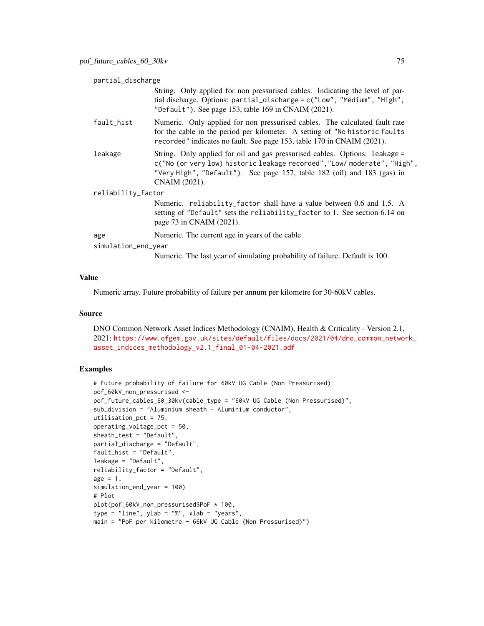| partial_discharge   |                                                                                                                                                                                                                                                     |  |
|---------------------|-----------------------------------------------------------------------------------------------------------------------------------------------------------------------------------------------------------------------------------------------------|--|
|                     | String. Only applied for non pressurised cables. Indicating the level of par-<br>tial discharge. Options: partial_discharge = c("Low", "Medium", "High",<br>"Default"). See page 153, table 169 in CNAIM $(2021)$ .                                 |  |
| fault_hist          | Numeric. Only applied for non pressurised cables. The calculated fault rate<br>for the cable in the period per kilometer. A setting of "No historic faults"<br>recorded" indicates no fault. See page 153, table 170 in CNAIM (2021).               |  |
| leakage             | String. Only applied for oil and gas pressurised cables. Options: leakage =<br>c("No (or very low) historic leakage recorded", "Low/ moderate", "High",<br>"Very High", "Default"). See page 157, table 182 (oil) and 183 (gas) in<br>CNAIM (2021). |  |
| reliability_factor  |                                                                                                                                                                                                                                                     |  |
|                     | Numeric. reliability_factor shall have a value between 0.6 and 1.5. A<br>setting of "Default" sets the reliability_factor to 1. See section 6.14 on<br>page 73 in CNAIM (2021).                                                                     |  |
| age                 | Numeric. The current age in years of the cable.                                                                                                                                                                                                     |  |
| simulation_end_year |                                                                                                                                                                                                                                                     |  |
|                     | Numeric. The last year of simulating probability of failure. Default is 100.                                                                                                                                                                        |  |

Numeric array. Future probability of failure per annum per kilometre for 30-60kV cables.

#### Source

DNO Common Network Asset Indices Methodology (CNAIM), Health & Criticality - Version 2.1, 2021: [https://www.ofgem.gov.uk/sites/default/files/docs/2021/04/dno\\_common\\_networ](https://www.ofgem.gov.uk/sites/default/files/docs/2021/04/dno_common_network_asset_indices_methodology_v2.1_final_01-04-2021.pdf)k\_ [asset\\_indices\\_methodology\\_v2.1\\_final\\_01-04-2021.pdf](https://www.ofgem.gov.uk/sites/default/files/docs/2021/04/dno_common_network_asset_indices_methodology_v2.1_final_01-04-2021.pdf)

```
# Future probability of failure for 60kV UG Cable (Non Pressurised)
pof_60kV_non_pressurised <-
pof_future_cables_60_30kv(cable_type = "60kV UG Cable (Non Pressurised)",
sub_division = "Aluminium sheath - Aluminium conductor",
utilisation_pct = 75,
operating_voltage_pct = 50,
sheath_test = "Default",
partial_discharge = "Default",
fault_hist = "Default",
leakage = "Default",
reliability_factor = "Default",
age = 1,simulation_end_year = 100)
# Plot
plot(pof_60kV_non_pressurised$PoF * 100,
type = "line", ylab = "%", xlab = "years",
main = "PoF per kilometre - 66kV UG Cable (Non Pressurised)")
```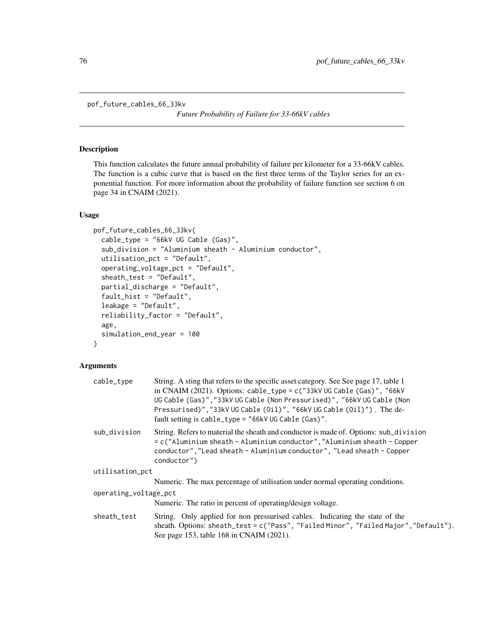```
pof_future_cables_66_33kv
```
*Future Probability of Failure for 33-66kV cables*

## Description

This function calculates the future annual probability of failure per kilometer for a 33-66kV cables. The function is a cubic curve that is based on the first three terms of the Taylor series for an exponential function. For more information about the probability of failure function see section 6 on page 34 in CNAIM (2021).

## Usage

```
pof_future_cables_66_33kv(
  cable_type = "66kV UG Cable (Gas)",
  sub_division = "Aluminium sheath - Aluminium conductor",
  utilisation_pct = "Default",
  operating_voltage_pct = "Default",
  sheath_test = "Default",
  partial_discharge = "Default",
  fault_hist = "Default",
  leakage = "Default",
  reliability_factor = "Default",
  age,
  simulation_end_year = 100
)
```

| cable_type            | String. A sting that refers to the specific asset category. See See page 17, table 1<br>in CNAIM (2021). Options: cable_type = $c$ ("33kV UG Cable (Gas)", "66kV<br>UG Cable (Gas)", "33kV UG Cable (Non Pressurised)", "66kV UG Cable (Non<br>Pressurised)","33kV UG Cable (Oil)", "66kV UG Cable (Oil)"). The de-<br>fault setting is cable_type = "66kV UG Cable (Gas)". |
|-----------------------|-----------------------------------------------------------------------------------------------------------------------------------------------------------------------------------------------------------------------------------------------------------------------------------------------------------------------------------------------------------------------------|
| sub_division          | String. Refers to material the sheath and conductor is made of. Options: sub_division<br>= c("Aluminium sheath - Aluminium conductor", "Aluminium sheath - Copper<br>conductor", "Lead sheath - Aluminium conductor", "Lead sheath - Copper<br>conductor")                                                                                                                  |
| utilisation_pct       |                                                                                                                                                                                                                                                                                                                                                                             |
|                       | Numeric. The max percentage of utilisation under normal operating conditions.                                                                                                                                                                                                                                                                                               |
| operating_voltage_pct |                                                                                                                                                                                                                                                                                                                                                                             |
|                       | Numeric. The ratio in percent of operating/design voltage.                                                                                                                                                                                                                                                                                                                  |
| sheath_test           | String. Only applied for non pressurised cables. Indicating the state of the<br>sheath. Options: sheath_test = c("Pass", "Failed Minor", "Failed Major", "Default").<br>See page 153, table 168 in CNAIM (2021).                                                                                                                                                            |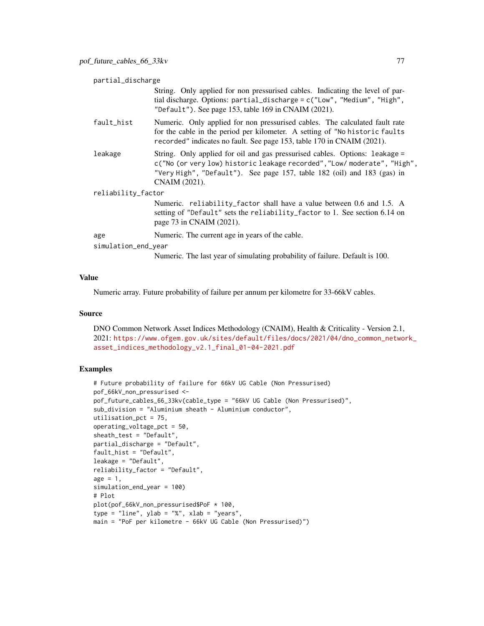| partial_discharge   |                                                                                                                                                                                                                                                     |  |
|---------------------|-----------------------------------------------------------------------------------------------------------------------------------------------------------------------------------------------------------------------------------------------------|--|
|                     | String. Only applied for non pressurised cables. Indicating the level of par-<br>tial discharge. Options: partial_discharge = c("Low", "Medium", "High",<br>"Default"). See page 153, table 169 in CNAIM $(2021)$ .                                 |  |
| fault_hist          | Numeric. Only applied for non pressurised cables. The calculated fault rate<br>for the cable in the period per kilometer. A setting of "No historic faults"<br>recorded" indicates no fault. See page 153, table 170 in CNAIM (2021).               |  |
| leakage             | String. Only applied for oil and gas pressurised cables. Options: leakage =<br>c("No (or very low) historic leakage recorded", "Low/ moderate", "High",<br>"Very High", "Default"). See page 157, table 182 (oil) and 183 (gas) in<br>CNAIM (2021). |  |
| reliability_factor  |                                                                                                                                                                                                                                                     |  |
|                     | Numeric. reliability_factor shall have a value between 0.6 and 1.5. A<br>setting of "Default" sets the reliability_factor to 1. See section 6.14 on<br>page 73 in CNAIM (2021).                                                                     |  |
| age                 | Numeric. The current age in years of the cable.                                                                                                                                                                                                     |  |
| simulation_end_year |                                                                                                                                                                                                                                                     |  |
|                     | Numeric. The last year of simulating probability of failure. Default is 100.                                                                                                                                                                        |  |

Numeric array. Future probability of failure per annum per kilometre for 33-66kV cables.

## Source

DNO Common Network Asset Indices Methodology (CNAIM), Health & Criticality - Version 2.1, 2021: [https://www.ofgem.gov.uk/sites/default/files/docs/2021/04/dno\\_common\\_networ](https://www.ofgem.gov.uk/sites/default/files/docs/2021/04/dno_common_network_asset_indices_methodology_v2.1_final_01-04-2021.pdf)k\_ [asset\\_indices\\_methodology\\_v2.1\\_final\\_01-04-2021.pdf](https://www.ofgem.gov.uk/sites/default/files/docs/2021/04/dno_common_network_asset_indices_methodology_v2.1_final_01-04-2021.pdf)

```
# Future probability of failure for 66kV UG Cable (Non Pressurised)
pof_66kV_non_pressurised <-
pof_future_cables_66_33kv(cable_type = "66kV UG Cable (Non Pressurised)",
sub_division = "Aluminium sheath - Aluminium conductor",
utilisation_pct = 75,
operating_voltage_pct = 50,
sheath_test = "Default",
partial_discharge = "Default",
fault_hist = "Default",
leakage = "Default",
reliability_factor = "Default",
age = 1,simulation_end_year = 100)
# Plot
plot(pof_66kV_non_pressurised$PoF * 100,
type = "line", ylab = "%", xlab = "years",
main = "PoF per kilometre - 66kV UG Cable (Non Pressurised)")
```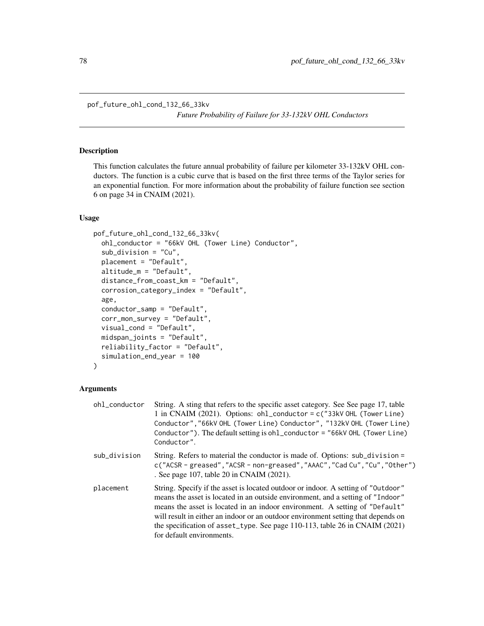```
pof_future_ohl_cond_132_66_33kv
```
*Future Probability of Failure for 33-132kV OHL Conductors*

## Description

This function calculates the future annual probability of failure per kilometer 33-132kV OHL conductors. The function is a cubic curve that is based on the first three terms of the Taylor series for an exponential function. For more information about the probability of failure function see section 6 on page 34 in CNAIM (2021).

## Usage

```
pof_future_ohl_cond_132_66_33kv(
  ohl_conductor = "66kV OHL (Tower Line) Conductor",
  sub_division = "Cu",
  placement = "Default",
  altitude_m = "Default",
  distance_from_coast_km = "Default",
  corrosion_category_index = "Default",
  age,
  conductor_samp = "Default",
  corr_mon_survey = "Default",
  visual_cond = "Default",
  midspan_joints = "Default",
  reliability_factor = "Default",
  simulation_end_year = 100
)
```

| ohl_conductor | String. A sting that refers to the specific asset category. See See page 17, table<br>1 in CNAIM (2021). Options: ohl_conductor = c("33kV OHL (Tower Line)<br>Conductor", "66kV OHL (Tower Line) Conductor", "132kV OHL (Tower Line)<br>Conductor"). The default setting is ohl_conductor = "66kV OHL (Tower Line)<br>Conductor".                                                                                                                       |
|---------------|---------------------------------------------------------------------------------------------------------------------------------------------------------------------------------------------------------------------------------------------------------------------------------------------------------------------------------------------------------------------------------------------------------------------------------------------------------|
| sub_division  | String. Refers to material the conductor is made of. Options: sub_division =<br>c("ACSR - greased", "ACSR - non-greased", "AAAC", "Cad Cu", "Cu", "Other")<br>. See page 107, table 20 in CNAIM (2021).                                                                                                                                                                                                                                                 |
| placement     | String. Specify if the asset is located outdoor or indoor. A setting of "Outdoor"<br>means the asset is located in an outside environment, and a setting of "Indoor"<br>means the asset is located in an indoor environment. A setting of "Default"<br>will result in either an indoor or an outdoor environment setting that depends on<br>the specification of asset_type. See page $110-113$ , table 26 in CNAIM (2021)<br>for default environments. |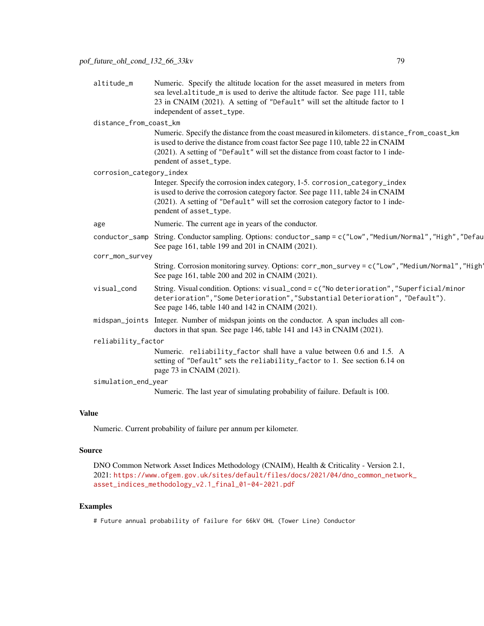| altitude_m               | Numeric. Specify the altitude location for the asset measured in meters from<br>sea level.altitude_m is used to derive the altitude factor. See page 111, table<br>23 in CNAIM (2021). A setting of "Default" will set the altitude factor to 1<br>independent of asset_type. |
|--------------------------|-------------------------------------------------------------------------------------------------------------------------------------------------------------------------------------------------------------------------------------------------------------------------------|
|                          |                                                                                                                                                                                                                                                                               |
| distance_from_coast_km   |                                                                                                                                                                                                                                                                               |
|                          | Numeric. Specify the distance from the coast measured in kilometers. distance_from_coast_km                                                                                                                                                                                   |
|                          | is used to derive the distance from coast factor See page 110, table 22 in CNAIM                                                                                                                                                                                              |
|                          | (2021). A setting of "Default" will set the distance from coast factor to 1 inde-<br>pendent of asset_type.                                                                                                                                                                   |
|                          |                                                                                                                                                                                                                                                                               |
| corrosion_category_index |                                                                                                                                                                                                                                                                               |
|                          | Integer. Specify the corrosion index category, 1-5. corrosion_category_index                                                                                                                                                                                                  |
|                          | is used to derive the corrosion category factor. See page 111, table 24 in CNAIM                                                                                                                                                                                              |
|                          | (2021). A setting of "Default" will set the corrosion category factor to 1 inde-<br>pendent of asset_type.                                                                                                                                                                    |
|                          |                                                                                                                                                                                                                                                                               |
| age                      | Numeric. The current age in years of the conductor.                                                                                                                                                                                                                           |
| conductor_samp           | String. Conductor sampling. Options: conductor_samp = c("Low", "Medium/Normal", "High", "Defau<br>See page 161, table 199 and 201 in CNAIM (2021).                                                                                                                            |
| corr_mon_survey          |                                                                                                                                                                                                                                                                               |
|                          | String. Corrosion monitoring survey. Options: corr_mon_survey = c("Low", "Medium/Normal", "High'<br>See page 161, table 200 and 202 in CNAIM (2021).                                                                                                                          |
| visual_cond              | String. Visual condition. Options: visual_cond = $c$ ("No deterioration", "Superficial/minor<br>deterioration", "Some Deterioration", "Substantial Deterioration", "Default").<br>See page 146, table 140 and 142 in CNAIM (2021).                                            |
|                          | midspan_joints Integer. Number of midspan joints on the conductor. A span includes all con-<br>ductors in that span. See page 146, table 141 and 143 in CNAIM (2021).                                                                                                         |
| reliability_factor       |                                                                                                                                                                                                                                                                               |
|                          | Numeric. reliability_factor shall have a value between 0.6 and 1.5. A                                                                                                                                                                                                         |
|                          | setting of "Default" sets the reliability_factor to 1. See section 6.14 on<br>page 73 in CNAIM (2021).                                                                                                                                                                        |
| simulation_end_year      |                                                                                                                                                                                                                                                                               |
|                          | Numeric. The last year of simulating probability of failure. Default is 100.                                                                                                                                                                                                  |
|                          |                                                                                                                                                                                                                                                                               |

Numeric. Current probability of failure per annum per kilometer.

#### Source

```
DNO Common Network Asset Indices Methodology (CNAIM), Health & Criticality - Version 2.1,
2021: https://www.ofgem.gov.uk/sites/default/files/docs/2021/04/dno_common_network_
asset_indices_methodology_v2.1_final_01-04-2021.pdf
```
# Examples

# Future annual probability of failure for 66kV OHL (Tower Line) Conductor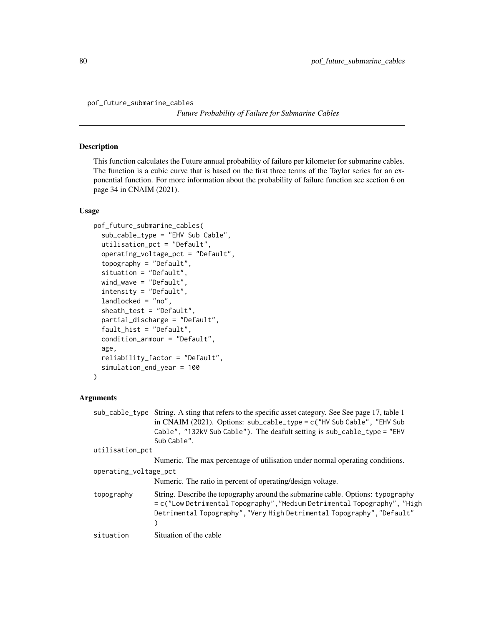pof\_future\_submarine\_cables

*Future Probability of Failure for Submarine Cables*

## **Description**

This function calculates the Future annual probability of failure per kilometer for submarine cables. The function is a cubic curve that is based on the first three terms of the Taylor series for an exponential function. For more information about the probability of failure function see section 6 on page 34 in CNAIM (2021).

## Usage

```
pof_future_submarine_cables(
  sub_cable_type = "EHV Sub Cable",
  utilisation_pct = "Default",
  operating_voltage_pct = "Default",
  topography = "Default",
  situation = "Default",
  wind_wave = "Default",
  intensity = "Default",
  landlocked = "no",
  sheath_test = "Default",
  partial_discharge = "Default",
  fault_hist = "Default",
  condition_armour = "Default",
  age,
  reliability_factor = "Default",
  simulation_end_year = 100
)
```

```
sub_cable_type String. A sting that refers to the specific asset category. See See page 17, table 1
                 in CNAIM (2021). Options: sub_cable_type = c("HV Sub Cable", "EHV Sub
                 Cable", "132kV Sub Cable"). The deafult setting is sub_cable_type = "EHV
                 Sub Cable".
utilisation_pct
                 Numeric. The max percentage of utilisation under normal operating conditions.
operating_voltage_pct
                 Numeric. The ratio in percent of operating/design voltage.
topography String. Describe the topography around the submarine cable. Options: typography
                 = c("Low Detrimental Topography","Medium Detrimental Topography", "High
                 Detrimental Topography","Very High Detrimental Topography","Default"
                 )
situation Situation of the cable
```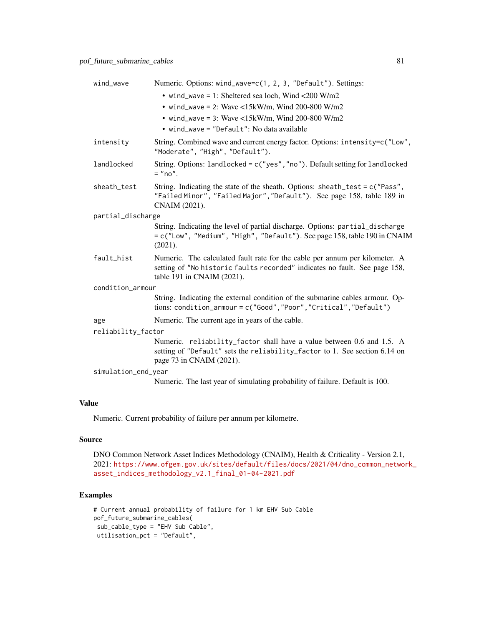| wind_wave           | Numeric. Options: wind_wave=c(1, 2, 3, "Default"). Settings:                                                                                                                            |
|---------------------|-----------------------------------------------------------------------------------------------------------------------------------------------------------------------------------------|
|                     | • wind_wave = 1: Sheltered sea loch, Wind <200 W/m2                                                                                                                                     |
|                     | • wind_wave = 2: Wave <15kW/m, Wind 200-800 W/m2                                                                                                                                        |
|                     | • wind_wave = 3: Wave <15kW/m, Wind 200-800 W/m2                                                                                                                                        |
|                     | • wind_wave = "Default": No data available                                                                                                                                              |
| intensity           | String. Combined wave and current energy factor. Options: intensity=c("Low",<br>"Moderate", "High", "Default").                                                                         |
| landlocked          | String. Options: landlocked = c("yes", "no"). Default setting for landlocked<br>$=$ "no".                                                                                               |
| sheath_test         | String. Indicating the state of the sheath. Options: sheath_test = $c$ ("Pass",<br>"Failed Minor", "Failed Major", "Default"). See page 158, table 189 in<br>CNAIM (2021).              |
| partial_discharge   |                                                                                                                                                                                         |
|                     | String. Indicating the level of partial discharge. Options: partial_discharge<br>= c("Low", "Medium", "High", "Default"). See page 158, table 190 in CNAIM<br>(2021).                   |
| fault_hist          | Numeric. The calculated fault rate for the cable per annum per kilometer. A<br>setting of "No historic faults recorded" indicates no fault. See page 158,<br>table 191 in CNAIM (2021). |
| condition_armour    |                                                                                                                                                                                         |
|                     | String. Indicating the external condition of the submarine cables armour. Op-<br>tions: condition_armour = c("Good", "Poor", "Critical", "Default")                                     |
| age                 | Numeric. The current age in years of the cable.                                                                                                                                         |
| reliability_factor  |                                                                                                                                                                                         |
|                     | Numeric. reliability_factor shall have a value between 0.6 and 1.5. A<br>setting of "Default" sets the reliability_factor to 1. See section 6.14 on<br>page 73 in CNAIM (2021).         |
| simulation_end_year |                                                                                                                                                                                         |
|                     | Numeric. The last year of simulating probability of failure. Default is 100.                                                                                                            |

Numeric. Current probability of failure per annum per kilometre.

# Source

DNO Common Network Asset Indices Methodology (CNAIM), Health & Criticality - Version 2.1, 2021: [https://www.ofgem.gov.uk/sites/default/files/docs/2021/04/dno\\_common\\_networ](https://www.ofgem.gov.uk/sites/default/files/docs/2021/04/dno_common_network_asset_indices_methodology_v2.1_final_01-04-2021.pdf)k\_ [asset\\_indices\\_methodology\\_v2.1\\_final\\_01-04-2021.pdf](https://www.ofgem.gov.uk/sites/default/files/docs/2021/04/dno_common_network_asset_indices_methodology_v2.1_final_01-04-2021.pdf)

```
# Current annual probability of failure for 1 km EHV Sub Cable
pof_future_submarine_cables(
sub_cable_type = "EHV Sub Cable",
utilisation_pct = "Default",
```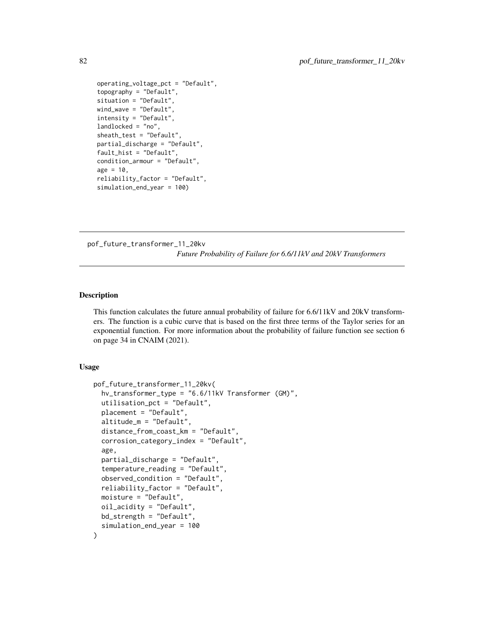```
operating_voltage_pct = "Default",
topography = "Default",
situation = "Default",
wind_wave = "Default",
intensity = "Default",
landlocked = "no",
sheath_test = "Default",
partial_discharge = "Default",
fault_hist = "Default",
condition_armour = "Default",
age = 10,reliability_factor = "Default",
simulation_end_year = 100)
```
pof\_future\_transformer\_11\_20kv

*Future Probability of Failure for 6.6/11kV and 20kV Transformers*

## Description

This function calculates the future annual probability of failure for 6.6/11kV and 20kV transformers. The function is a cubic curve that is based on the first three terms of the Taylor series for an exponential function. For more information about the probability of failure function see section 6 on page 34 in CNAIM (2021).

## Usage

```
pof_future_transformer_11_20kv(
  hv_transformer_type = "6.6/11kV Transformer (GM)",
  utilisation_pct = "Default",
 placement = "Default",
  altitude_m = "Default",
  distance_from_coast_km = "Default",
  corrosion_category_index = "Default",
  age,
  partial_discharge = "Default",
  temperature_reading = "Default",
  observed_condition = "Default",
  reliability_factor = "Default",
 moisture = "Default",
  oil_acidity = "Default",
 bd_strength = "Default",
  simulation_end_year = 100
)
```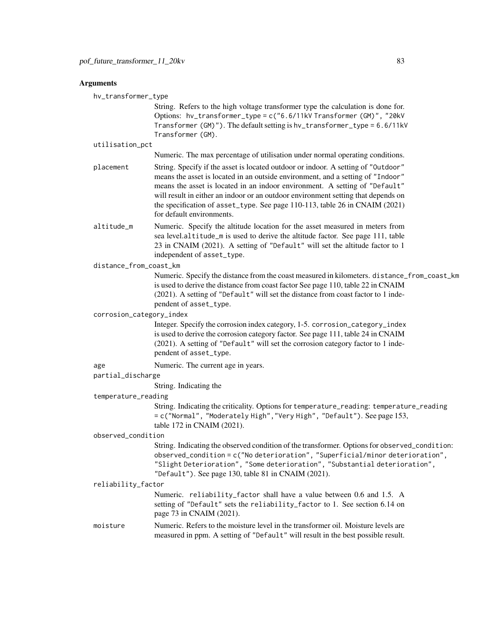#### Arguments

hv\_transformer\_type

String. Refers to the high voltage transformer type the calculation is done for. Options: hv\_transformer\_type = c("6.6/11kV Transformer (GM)", "20kV Transformer (GM)"). The default setting is hv\_transformer\_type = 6.6/11kV Transformer (GM).

utilisation\_pct

Numeric. The max percentage of utilisation under normal operating conditions.

- placement String. Specify if the asset is located outdoor or indoor. A setting of "Outdoor" means the asset is located in an outside environment, and a setting of "Indoor" means the asset is located in an indoor environment. A setting of "Default" will result in either an indoor or an outdoor environment setting that depends on the specification of asset\_type. See page 110-113, table 26 in CNAIM (2021) for default environments.
- altitude\_m Numeric. Specify the altitude location for the asset measured in meters from sea level.altitude\_m is used to derive the altitude factor. See page 111, table 23 in CNAIM (2021). A setting of "Default" will set the altitude factor to 1 independent of asset\_type.

#### distance\_from\_coast\_km

Numeric. Specify the distance from the coast measured in kilometers. distance\_from\_coast\_km is used to derive the distance from coast factor See page 110, table 22 in CNAIM (2021). A setting of "Default" will set the distance from coast factor to 1 independent of asset\_type.

corrosion\_category\_index

Integer. Specify the corrosion index category, 1-5. corrosion\_category\_index is used to derive the corrosion category factor. See page 111, table 24 in CNAIM (2021). A setting of "Default" will set the corrosion category factor to 1 independent of asset\_type.

age Numeric. The current age in years.

#### partial\_discharge

String. Indicating the

#### temperature\_reading

String. Indicating the criticality. Options for temperature\_reading: temperature\_reading = c("Normal", "Moderately High","Very High", "Default"). See page 153, table 172 in CNAIM (2021).

#### observed\_condition

String. Indicating the observed condition of the transformer. Options for observed\_condition: observed\_condition = c("No deterioration", "Superficial/minor deterioration", "Slight Deterioration", "Some deterioration", "Substantial deterioration", "Default"). See page 130, table 81 in CNAIM (2021).

#### reliability\_factor

Numeric. reliability\_factor shall have a value between 0.6 and 1.5. A setting of "Default" sets the reliability\_factor to 1. See section 6.14 on page 73 in CNAIM (2021).

moisture Numeric. Refers to the moisture level in the transformer oil. Moisture levels are measured in ppm. A setting of "Default" will result in the best possible result.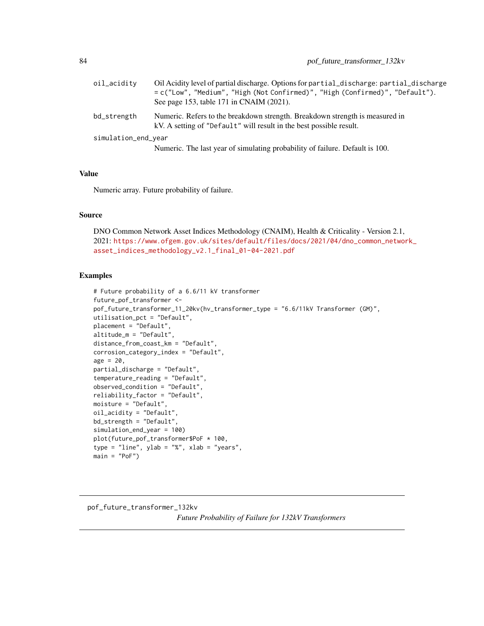| oil_acidity         | Oil Acidity level of partial discharge. Options for partial_discharge: partial_discharge<br>= c("Low", "Medium", "High (Not Confirmed)", "High (Confirmed)", "Default").<br>See page 153, table 171 in CNAIM (2021). |
|---------------------|----------------------------------------------------------------------------------------------------------------------------------------------------------------------------------------------------------------------|
| bd_strength         | Numeric. Refers to the breakdown strength. Breakdown strength is measured in<br>kV. A setting of "Default" will result in the best possible result.                                                                  |
| simulation_end_year | Numeric. The last year of simulating probability of failure. Default is 100.                                                                                                                                         |

Numeric array. Future probability of failure.

## Source

DNO Common Network Asset Indices Methodology (CNAIM), Health & Criticality - Version 2.1, 2021: [https://www.ofgem.gov.uk/sites/default/files/docs/2021/04/dno\\_common\\_networ](https://www.ofgem.gov.uk/sites/default/files/docs/2021/04/dno_common_network_asset_indices_methodology_v2.1_final_01-04-2021.pdf)k\_ [asset\\_indices\\_methodology\\_v2.1\\_final\\_01-04-2021.pdf](https://www.ofgem.gov.uk/sites/default/files/docs/2021/04/dno_common_network_asset_indices_methodology_v2.1_final_01-04-2021.pdf)

```
# Future probability of a 6.6/11 kV transformer
future_pof_transformer <-
pof_future_transformer_11_20kv(hv_transformer_type = "6.6/11kV Transformer (GM)",
utilisation_pct = "Default",
placement = "Default",
altitude_m = "Default",
distance_from_coast_km = "Default",
corrosion_category_index = "Default",
age = 20,partial_discharge = "Default",
temperature_reading = "Default",
observed_condition = "Default",
reliability_factor = "Default",
moisture = "Default",
oil_acidity = "Default",
bd_strength = "Default",
simulation_end_year = 100)
plot(future_pof_transformer$PoF * 100,
type = "line", ylab = "%", xlab = "years",
main = "PoF")
```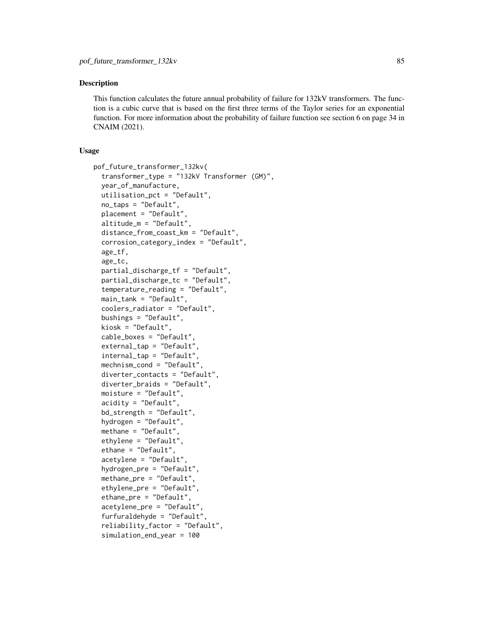## **Description**

This function calculates the future annual probability of failure for 132kV transformers. The function is a cubic curve that is based on the first three terms of the Taylor series for an exponential function. For more information about the probability of failure function see section 6 on page 34 in CNAIM (2021).

## Usage

```
pof_future_transformer_132kv(
  transformer_type = "132kV Transformer (GM)",
  year_of_manufacture,
  utilisation_pct = "Default",
  no_taps = "Default",
  placement = "Default"
  altitude_m = "Default",
  distance_from_coast_km = "Default",
  corrosion_category_index = "Default",
  age_tf,
  age_tc,
  partial_discharge_tf = "Default",
  partial_discharge_tc = "Default",
  temperature_reading = "Default",
  main_tank = "Default",
  coolers_radiator = "Default",
  bushings = "Default",
  kiosk = "Default",
  cable_boxes = "Default",
  external_tap = "Default",
  internal_tap = "Default",
  mechnism_cond = "Default",
  diverter_contacts = "Default",
  diverter_braids = "Default",
  moisture = "Default",
  acidity = "Default",
  bd_strength = "Default",
  hydrogen = "Default",
  methane = "Default",
  ethylene = "Default",
  ethane = "Default",
  acetylene = "Default",
  hydrogen_pre = "Default",
  methane_pre = "Default",
  ethylene_pre = "Default",
  ethane_pre = "Default",
  acetylene_pre = "Default",
  furfuraldehyde = "Default",
  reliability_factor = "Default",
  simulation_end_year = 100
```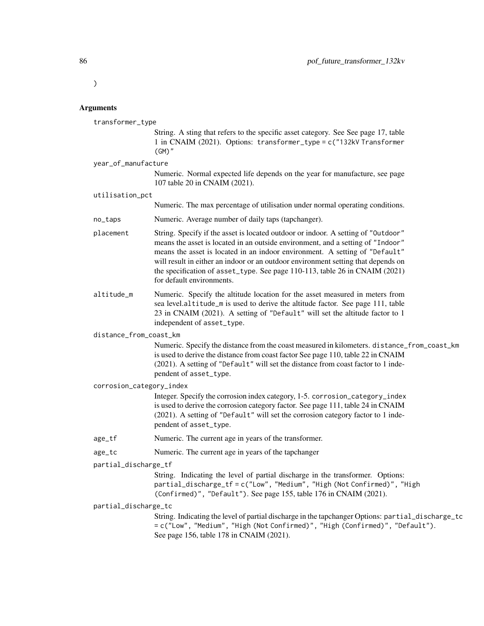)

#### Arguments

transformer\_type

String. A sting that refers to the specific asset category. See See page 17, table 1 in CNAIM (2021). Options: transformer\_type = c("132kV Transformer (GM)"

year\_of\_manufacture

Numeric. Normal expected life depends on the year for manufacture, see page 107 table 20 in CNAIM (2021).

utilisation\_pct

Numeric. The max percentage of utilisation under normal operating conditions.

- no\_taps Numeric. Average number of daily taps (tapchanger).
- placement String. Specify if the asset is located outdoor or indoor. A setting of "Outdoor" means the asset is located in an outside environment, and a setting of "Indoor" means the asset is located in an indoor environment. A setting of "Default" will result in either an indoor or an outdoor environment setting that depends on the specification of asset\_type. See page 110-113, table 26 in CNAIM (2021) for default environments.
- altitude\_m Numeric. Specify the altitude location for the asset measured in meters from sea level.altitude\_m is used to derive the altitude factor. See page 111, table 23 in CNAIM (2021). A setting of "Default" will set the altitude factor to 1 independent of asset\_type.

distance\_from\_coast\_km

Numeric. Specify the distance from the coast measured in kilometers. distance\_from\_coast\_km is used to derive the distance from coast factor See page 110, table 22 in CNAIM (2021). A setting of "Default" will set the distance from coast factor to 1 independent of asset\_type.

corrosion\_category\_index

Integer. Specify the corrosion index category, 1-5. corrosion\_category\_index is used to derive the corrosion category factor. See page 111, table 24 in CNAIM (2021). A setting of "Default" will set the corrosion category factor to 1 independent of asset\_type.

- age\_tf Numeric. The current age in years of the transformer.
- age\_tc Numeric. The current age in years of the tapchanger

partial\_discharge\_tf

String. Indicating the level of partial discharge in the transformer. Options: partial\_discharge\_tf = c("Low", "Medium", "High (Not Confirmed)", "High (Confirmed)", "Default"). See page 155, table 176 in CNAIM (2021).

#### partial\_discharge\_tc

String. Indicating the level of partial discharge in the tapchanger Options: partial\_discharge\_tc = c("Low", "Medium", "High (Not Confirmed)", "High (Confirmed)", "Default"). See page 156, table 178 in CNAIM (2021).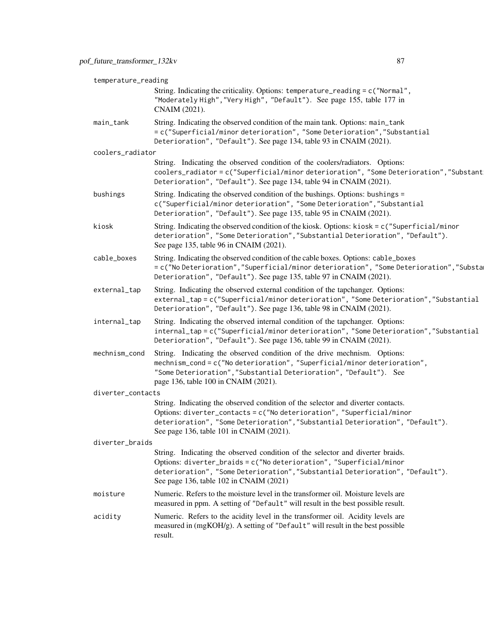|                   | temperature_reading                                                                                                                                                                                                                                                                     |  |  |
|-------------------|-----------------------------------------------------------------------------------------------------------------------------------------------------------------------------------------------------------------------------------------------------------------------------------------|--|--|
|                   | String. Indicating the criticality. Options: temperature_reading = c("Normal",<br>"Moderately High", "Very High", "Default"). See page 155, table 177 in<br>CNAIM (2021).                                                                                                               |  |  |
| main_tank         | String. Indicating the observed condition of the main tank. Options: main_tank<br>= c("Superficial/minor deterioration", "Some Deterioration", "Substantial<br>Deterioration", "Default"). See page 134, table 93 in CNAIM (2021).                                                      |  |  |
| coolers_radiator  |                                                                                                                                                                                                                                                                                         |  |  |
|                   | String. Indicating the observed condition of the coolers/radiators. Options:<br>coolers_radiator=c("Superficial/minor deterioration", "Some Deterioration", "Substant<br>Deterioration", "Default"). See page 134, table 94 in CNAIM (2021).                                            |  |  |
| bushings          | String. Indicating the observed condition of the bushings. Options: bushings =<br>c("Superficial/minor deterioration", "Some Deterioration", "Substantial<br>Deterioration", "Default"). See page 135, table 95 in CNAIM (2021).                                                        |  |  |
| kiosk             | String. Indicating the observed condition of the kiosk. Options: $k$ iosk = c("Superficial/minor<br>deterioration", "Some Deterioration", "Substantial Deterioration", "Default").<br>See page 135, table 96 in CNAIM (2021).                                                           |  |  |
| cable_boxes       | String. Indicating the observed condition of the cable boxes. Options: cable_boxes<br>= c("No Deterioration", "Superficial/minor deterioration", "Some Deterioration", "Substa<br>Deterioration", "Default"). See page 135, table 97 in CNAIM (2021).                                   |  |  |
| external_tap      | String. Indicating the observed external condition of the tapchanger. Options:<br>external_tap=c("Superficial/minor deterioration", "Some Deterioration", "Substantial<br>Deterioration", "Default"). See page 136, table 98 in CNAIM (2021).                                           |  |  |
| internal_tap      | String. Indicating the observed internal condition of the tapchanger. Options:<br>internal_tap=c("Superficial/minor deterioration", "Some Deterioration", "Substantial<br>Deterioration", "Default"). See page 136, table 99 in CNAIM (2021).                                           |  |  |
| mechnism_cond     | String. Indicating the observed condition of the drive mechnism. Options:<br>mechnism_cond = c("No deterioration", "Superficial/minor deterioration",<br>"Some Deterioration", "Substantial Deterioration", "Default"). See<br>page 136, table 100 in CNAIM (2021).                     |  |  |
| diverter_contacts |                                                                                                                                                                                                                                                                                         |  |  |
|                   | String. Indicating the observed condition of the selector and diverter contacts.<br>Options: diverter_contacts = c("No deterioration", "Superficial/minor<br>deterioration", "Some Deterioration", "Substantial Deterioration", "Default").<br>See page 136, table 101 in CNAIM (2021). |  |  |
| diverter_braids   |                                                                                                                                                                                                                                                                                         |  |  |
|                   | String. Indicating the observed condition of the selector and diverter braids.<br>Options: diverter_braids = c("No deterioration", "Superficial/minor<br>deterioration", "Some Deterioration", "Substantial Deterioration", "Default").<br>See page 136, table 102 in CNAIM (2021)      |  |  |
| moisture          | Numeric. Refers to the moisture level in the transformer oil. Moisture levels are<br>measured in ppm. A setting of "Default" will result in the best possible result.                                                                                                                   |  |  |
| acidity           | Numeric. Refers to the acidity level in the transformer oil. Acidity levels are<br>measured in (mgKOH/g). A setting of "Default" will result in the best possible<br>result.                                                                                                            |  |  |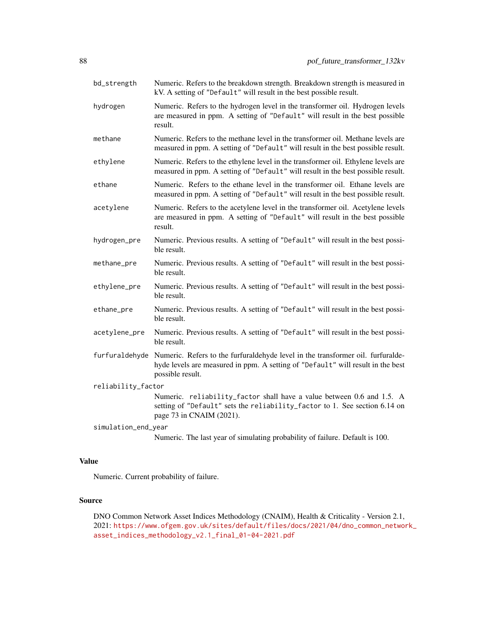| bd_strength         | Numeric. Refers to the breakdown strength. Breakdown strength is measured in<br>kV. A setting of "Default" will result in the best possible result.                                    |
|---------------------|----------------------------------------------------------------------------------------------------------------------------------------------------------------------------------------|
| hydrogen            | Numeric. Refers to the hydrogen level in the transformer oil. Hydrogen levels<br>are measured in ppm. A setting of "Default" will result in the best possible<br>result.               |
| methane             | Numeric. Refers to the methane level in the transformer oil. Methane levels are<br>measured in ppm. A setting of "Default" will result in the best possible result.                    |
| ethylene            | Numeric. Refers to the ethylene level in the transformer oil. Ethylene levels are<br>measured in ppm. A setting of "Default" will result in the best possible result.                  |
| ethane              | Numeric. Refers to the ethane level in the transformer oil. Ethane levels are<br>measured in ppm. A setting of "Default" will result in the best possible result.                      |
| acetylene           | Numeric. Refers to the acetylene level in the transformer oil. Acetylene levels<br>are measured in ppm. A setting of "Default" will result in the best possible<br>result.             |
| hydrogen_pre        | Numeric. Previous results. A setting of "Default" will result in the best possi-<br>ble result.                                                                                        |
| methane_pre         | Numeric. Previous results. A setting of "Default" will result in the best possi-<br>ble result.                                                                                        |
| ethylene_pre        | Numeric. Previous results. A setting of "Default" will result in the best possi-<br>ble result.                                                                                        |
| ethane_pre          | Numeric. Previous results. A setting of "Default" will result in the best possi-<br>ble result.                                                                                        |
| acetylene_pre       | Numeric. Previous results. A setting of "Default" will result in the best possi-<br>ble result.                                                                                        |
| furfuraldehyde      | Numeric. Refers to the furfuraldehyde level in the transformer oil. furfuralde-<br>hyde levels are measured in ppm. A setting of "Default" will result in the best<br>possible result. |
| reliability_factor  |                                                                                                                                                                                        |
|                     | Numeric. reliability_factor shall have a value between 0.6 and 1.5. A<br>setting of "Default" sets the reliability_factor to 1. See section 6.14 on<br>page 73 in CNAIM (2021).        |
| simulation_end_year |                                                                                                                                                                                        |
|                     | Numeric. The last year of simulating probability of failure. Default is 100.                                                                                                           |

Numeric. Current probability of failure.

## Source

DNO Common Network Asset Indices Methodology (CNAIM), Health & Criticality - Version 2.1, 2021: [https://www.ofgem.gov.uk/sites/default/files/docs/2021/04/dno\\_common\\_networ](https://www.ofgem.gov.uk/sites/default/files/docs/2021/04/dno_common_network_asset_indices_methodology_v2.1_final_01-04-2021.pdf)k\_ [asset\\_indices\\_methodology\\_v2.1\\_final\\_01-04-2021.pdf](https://www.ofgem.gov.uk/sites/default/files/docs/2021/04/dno_common_network_asset_indices_methodology_v2.1_final_01-04-2021.pdf)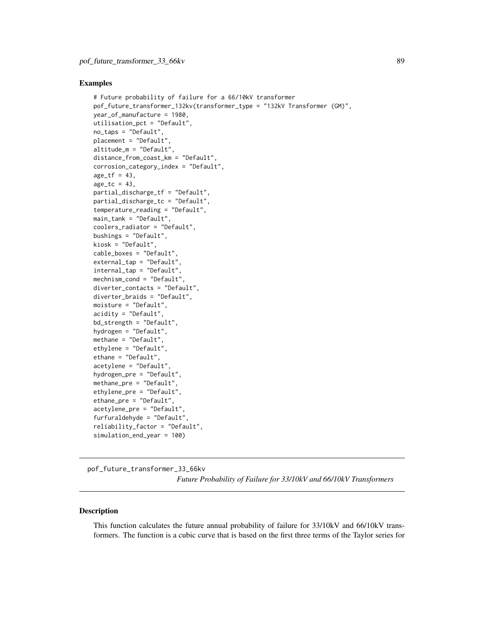## Examples

```
# Future probability of failure for a 66/10kV transformer
pof_future_transformer_132kv(transformer_type = "132kV Transformer (GM)",
year_of_manufacture = 1980,
utilisation_pct = "Default",
no_taps = "Default",
placement = "Default",
altitude_m = "Default",
distance_from_coast_km = "Default",
corrosion_category_index = "Default",
age_t f = 43,
age_t = 43,
partial_discharge_tf = "Default",
partial_discharge_tc = "Default",
temperature_reading = "Default",
main_tank = "Default",
coolers_radiator = "Default",
bushings = "Default",
kiosk = "Default",
cable_boxes = "Default",
external_tap = "Default",
internal_tap = "Default",
mechnism_cond = "Default",
diverter_contacts = "Default",
diverter_braids = "Default",
moisture = "Default",
acidity = "Default",
bd_strength = "Default",
hydrogen = "Default",
methane = "Default",
ethylene = "Default",
ethane = "Default",
acetylene = "Default",
hydrogen_pre = "Default",
methane_pre = "Default",
ethylene_pre = "Default",
ethane_pre = "Default",
acetylene_pre = "Default",
furfuraldehyde = "Default",
reliability_factor = "Default",
simulation_end_year = 100)
```
pof\_future\_transformer\_33\_66kv *Future Probability of Failure for 33/10kV and 66/10kV Transformers*

#### Description

This function calculates the future annual probability of failure for 33/10kV and 66/10kV transformers. The function is a cubic curve that is based on the first three terms of the Taylor series for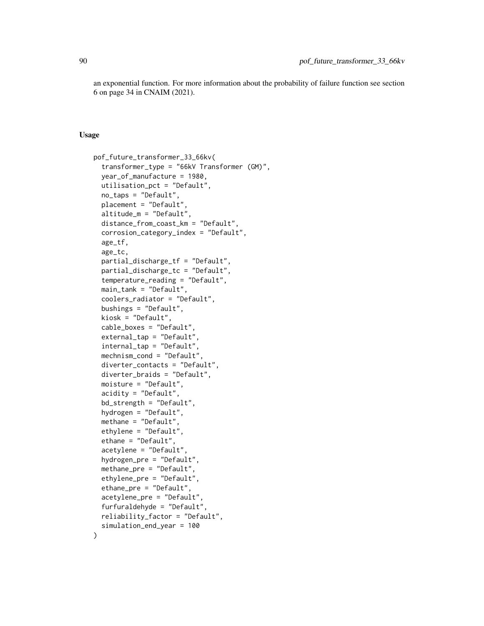an exponential function. For more information about the probability of failure function see section 6 on page 34 in CNAIM (2021).

## Usage

```
pof_future_transformer_33_66kv(
  transformer_type = "66kV Transformer (GM)",
  year_of_manufacture = 1980,
  utilisation_pct = "Default",
  no_taps = "Default",
  placement = "Default",
  altitude_m = "Default",
  distance_from_coast_km = "Default",
  corrosion_category_index = "Default",
  age_tf,
  age_tc,
 partial_discharge_tf = "Default",
  partial_discharge_tc = "Default",
  temperature_reading = "Default",
  main_tank = "Default",
  coolers_radiator = "Default",
  bushings = "Default",
  kiosk = "Default",
  cable_boxes = "Default",
  external_tap = "Default",
  internal_tap = "Default",
  mechnism_cond = "Default",
  diverter_contacts = "Default",
  diverter_braids = "Default",
  moisture = "Default",
  acidity = "Default",
  bd_strength = "Default",
  hydrogen = "Default",
  methane = "Default",
  ethylene = "Default",
  ethane = "Default",
  acetylene = "Default",
  hydrogen_pre = "Default",
  methane_pre = "Default",
  ethylene_pre = "Default",
  ethane_pre = "Default",
  acetylene_pre = "Default",
  furfuraldehyde = "Default",
  reliability_factor = "Default",
  simulation_end_year = 100
)
```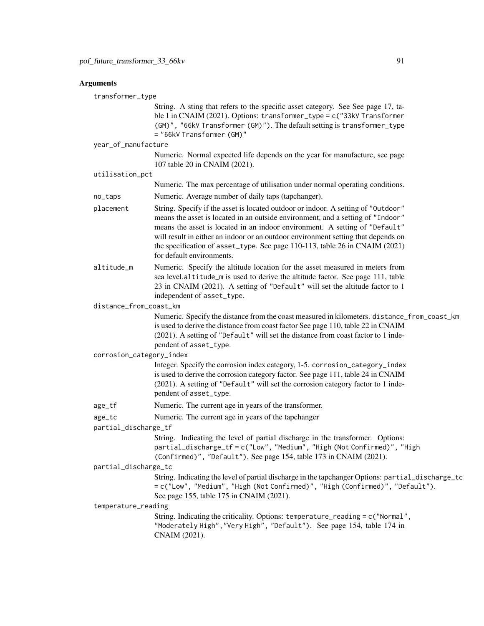## **Arguments**

transformer\_type

String. A sting that refers to the specific asset category. See See page 17, table 1 in CNAIM (2021). Options: transformer\_type = c("33kV Transformer (GM)", "66kV Transformer (GM)"). The default setting is transformer\_type = "66kV Transformer (GM)"

```
year_of_manufacture
```
Numeric. Normal expected life depends on the year for manufacture, see page 107 table 20 in CNAIM (2021).

```
utilisation_pct
```
Numeric. The max percentage of utilisation under normal operating conditions.

- no\_taps Numeric. Average number of daily taps (tapchanger).
- placement String. Specify if the asset is located outdoor or indoor. A setting of "Outdoor" means the asset is located in an outside environment, and a setting of "Indoor" means the asset is located in an indoor environment. A setting of "Default" will result in either an indoor or an outdoor environment setting that depends on the specification of asset\_type. See page 110-113, table 26 in CNAIM (2021) for default environments.
- altitude\_m Numeric. Specify the altitude location for the asset measured in meters from sea level.altitude\_m is used to derive the altitude factor. See page 111, table 23 in CNAIM (2021). A setting of "Default" will set the altitude factor to 1 independent of asset\_type.

distance\_from\_coast\_km

Numeric. Specify the distance from the coast measured in kilometers. distance\_from\_coast\_km is used to derive the distance from coast factor See page 110, table 22 in CNAIM (2021). A setting of "Default" will set the distance from coast factor to 1 independent of asset\_type.

corrosion\_category\_index

Integer. Specify the corrosion index category, 1-5. corrosion\_category\_index is used to derive the corrosion category factor. See page 111, table 24 in CNAIM (2021). A setting of "Default" will set the corrosion category factor to 1 independent of asset\_type.

age\_tf Numeric. The current age in years of the transformer.

age\_tc Numeric. The current age in years of the tapchanger

partial\_discharge\_tf

String. Indicating the level of partial discharge in the transformer. Options: partial\_discharge\_tf = c("Low", "Medium", "High (Not Confirmed)", "High (Confirmed)", "Default"). See page 154, table 173 in CNAIM (2021).

partial\_discharge\_tc

```
String. Indicating the level of partial discharge in the tapchanger Options: partial_discharge_tc
= c("Low", "Medium", "High (Not Confirmed)", "High (Confirmed)", "Default").
See page 155, table 175 in CNAIM (2021).
```
temperature\_reading

String. Indicating the criticality. Options: temperature\_reading = c("Normal", "Moderately High","Very High", "Default"). See page 154, table 174 in CNAIM (2021).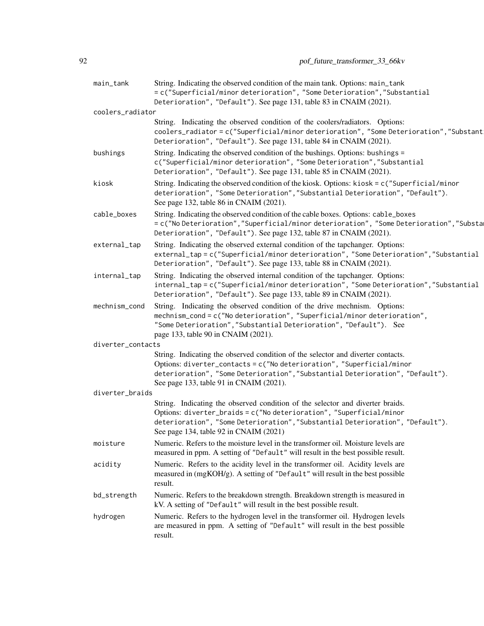| main_tank         | String. Indicating the observed condition of the main tank. Options: main_tank<br>= c("Superficial/minor deterioration", "Some Deterioration", "Substantial                                                                                                                               |
|-------------------|-------------------------------------------------------------------------------------------------------------------------------------------------------------------------------------------------------------------------------------------------------------------------------------------|
| coolers_radiator  | Deterioration", "Default"). See page 131, table 83 in CNAIM (2021).                                                                                                                                                                                                                       |
|                   | String. Indicating the observed condition of the coolers/radiators. Options:<br>coolers_radiator=c("Superficial/minor deterioration", "Some Deterioration", "Substant<br>Deterioration", "Default"). See page 131, table 84 in CNAIM (2021).                                              |
| bushings          | String. Indicating the observed condition of the bushings. Options: bushings =<br>c("Superficial/minor deterioration", "Some Deterioration", "Substantial<br>Deterioration", "Default"). See page 131, table 85 in CNAIM (2021).                                                          |
| kiosk             | String. Indicating the observed condition of the kiosk. Options: kiosk = c("Superficial/minor<br>deterioration", "Some Deterioration", "Substantial Deterioration", "Default").<br>See page 132, table 86 in CNAIM (2021).                                                                |
| cable_boxes       | String. Indicating the observed condition of the cable boxes. Options: cable_boxes<br>= c("No Deterioration", "Superficial/minor deterioration", "Some Deterioration", "Substa<br>Deterioration", "Default"). See page 132, table 87 in CNAIM (2021).                                     |
| external_tap      | String. Indicating the observed external condition of the tapchanger. Options:<br>external_tap = c("Superficial/minor deterioration", "Some Deterioration", "Substantial<br>Deterioration", "Default"). See page 133, table 88 in CNAIM (2021).                                           |
| internal_tap      | String. Indicating the observed internal condition of the tapchanger. Options:<br>internal_tap=c("Superficial/minor deterioration", "Some Deterioration", "Substantial<br>Deterioration", "Default"). See page 133, table 89 in CNAIM (2021).                                             |
| mechnism_cond     | String. Indicating the observed condition of the drive mechnism. Options:<br>mechnism_cond = c("No deterioration", "Superficial/minor deterioration",<br>"Some Deterioration", "Substantial Deterioration", "Default"). See<br>page 133, table 90 in CNAIM (2021).                        |
| diverter_contacts |                                                                                                                                                                                                                                                                                           |
|                   | String. Indicating the observed condition of the selector and diverter contacts.<br>Options: diverter_contacts = $c$ ("No deterioration", "Superficial/minor<br>deterioration", "Some Deterioration", "Substantial Deterioration", "Default").<br>See page 133, table 91 in CNAIM (2021). |
| diverter_braids   |                                                                                                                                                                                                                                                                                           |
|                   | String. Indicating the observed condition of the selector and diverter braids.<br>Options: diverter_braids = c("No deterioration", "Superficial/minor<br>deterioration", "Some Deterioration", "Substantial Deterioration", "Default").<br>See page 134, table 92 in CNAIM (2021)         |
| moisture          | Numeric. Refers to the moisture level in the transformer oil. Moisture levels are<br>measured in ppm. A setting of "Default" will result in the best possible result.                                                                                                                     |
| acidity           | Numeric. Refers to the acidity level in the transformer oil. Acidity levels are<br>measured in (mgKOH/g). A setting of "Default" will result in the best possible<br>result.                                                                                                              |
| bd_strength       | Numeric. Refers to the breakdown strength. Breakdown strength is measured in<br>kV. A setting of "Default" will result in the best possible result.                                                                                                                                       |
| hydrogen          | Numeric. Refers to the hydrogen level in the transformer oil. Hydrogen levels<br>are measured in ppm. A setting of "Default" will result in the best possible<br>result.                                                                                                                  |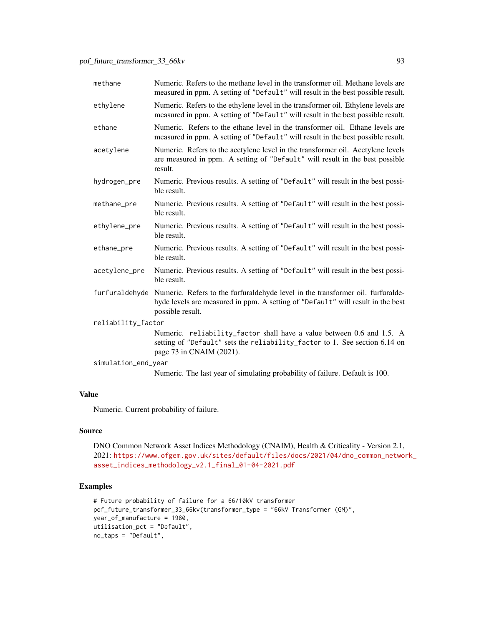| methane             | Numeric. Refers to the methane level in the transformer oil. Methane levels are<br>measured in ppm. A setting of "Default" will result in the best possible result.                                   |  |
|---------------------|-------------------------------------------------------------------------------------------------------------------------------------------------------------------------------------------------------|--|
| ethylene            | Numeric. Refers to the ethylene level in the transformer oil. Ethylene levels are<br>measured in ppm. A setting of "Default" will result in the best possible result.                                 |  |
| ethane              | Numeric. Refers to the ethane level in the transformer oil. Ethane levels are<br>measured in ppm. A setting of "Default" will result in the best possible result.                                     |  |
| acetylene           | Numeric. Refers to the acetylene level in the transformer oil. Acetylene levels<br>are measured in ppm. A setting of "Default" will result in the best possible<br>result.                            |  |
| hydrogen_pre        | Numeric. Previous results. A setting of "Default" will result in the best possi-<br>ble result.                                                                                                       |  |
| methane_pre         | Numeric. Previous results. A setting of "Default" will result in the best possi-<br>ble result.                                                                                                       |  |
| ethylene_pre        | Numeric. Previous results. A setting of "Default" will result in the best possi-<br>ble result.                                                                                                       |  |
| ethane_pre          | Numeric. Previous results. A setting of "Default" will result in the best possi-<br>ble result.                                                                                                       |  |
| acetylene_pre       | Numeric. Previous results. A setting of "Default" will result in the best possi-<br>ble result.                                                                                                       |  |
|                     | furfuraldehyde Numeric. Refers to the furfuraldehyde level in the transformer oil. furfuralde-<br>hyde levels are measured in ppm. A setting of "Default" will result in the best<br>possible result. |  |
| reliability_factor  |                                                                                                                                                                                                       |  |
|                     | Numeric. reliability_factor shall have a value between 0.6 and 1.5. A<br>setting of "Default" sets the reliability_factor to 1. See section 6.14 on<br>page 73 in CNAIM (2021).                       |  |
| simulation_end_year |                                                                                                                                                                                                       |  |
|                     | Numeric. The last year of simulating probability of failure. Default is 100.                                                                                                                          |  |

Numeric. Current probability of failure.

## Source

DNO Common Network Asset Indices Methodology (CNAIM), Health & Criticality - Version 2.1, 2021: [https://www.ofgem.gov.uk/sites/default/files/docs/2021/04/dno\\_common\\_networ](https://www.ofgem.gov.uk/sites/default/files/docs/2021/04/dno_common_network_asset_indices_methodology_v2.1_final_01-04-2021.pdf)k\_ [asset\\_indices\\_methodology\\_v2.1\\_final\\_01-04-2021.pdf](https://www.ofgem.gov.uk/sites/default/files/docs/2021/04/dno_common_network_asset_indices_methodology_v2.1_final_01-04-2021.pdf)

```
# Future probability of failure for a 66/10kV transformer
pof_future_transformer_33_66kv(transformer_type = "66kV Transformer (GM)",
year_of_manufacture = 1980,
utilisation_pct = "Default",
no_taps = "Default",
```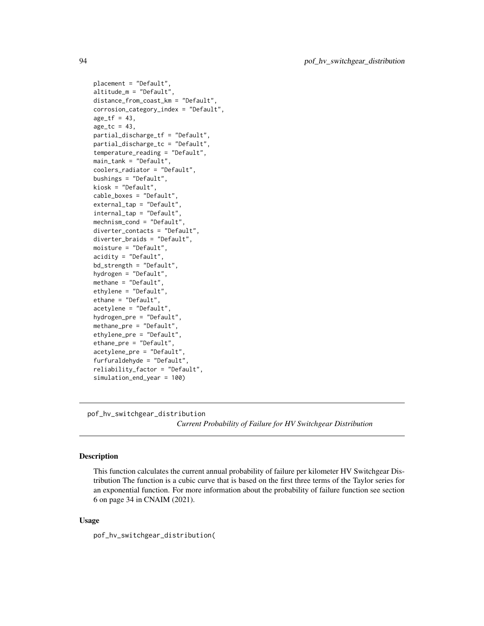```
placement = "Default",
altitude_m = "Default",
distance_from_coast_km = "Default",
corrosion_category_index = "Default",
age_t f = 43,
age\_tc = 43,
partial_discharge_tf = "Default",
partial_discharge_tc = "Default",
temperature_reading = "Default",
main_tank = "Default",
coolers_radiator = "Default",
bushings = "Default",
kiosk = "Default",
cable_boxes = "Default",
external_tap = "Default",
internal_tap = "Default",
mechnism_cond = "Default",
diverter_contacts = "Default",
diverter_braids = "Default",
moisture = "Default",
acidity = "Default",
bd_strength = "Default",
hydrogen = "Default",
methane = "Default",
ethylene = "Default",
ethane = "Default",
acetylene = "Default",
hydrogen_pre = "Default",
methane_pre = "Default",
ethylene_pre = "Default",
ethane_pre = "Default",
acetylene_pre = "Default",
furfuraldehyde = "Default",
reliability_factor = "Default",
simulation_end_year = 100)
```
pof\_hv\_switchgear\_distribution

*Current Probability of Failure for HV Switchgear Distribution*

# Description

This function calculates the current annual probability of failure per kilometer HV Switchgear Distribution The function is a cubic curve that is based on the first three terms of the Taylor series for an exponential function. For more information about the probability of failure function see section 6 on page 34 in CNAIM (2021).

## Usage

pof\_hv\_switchgear\_distribution(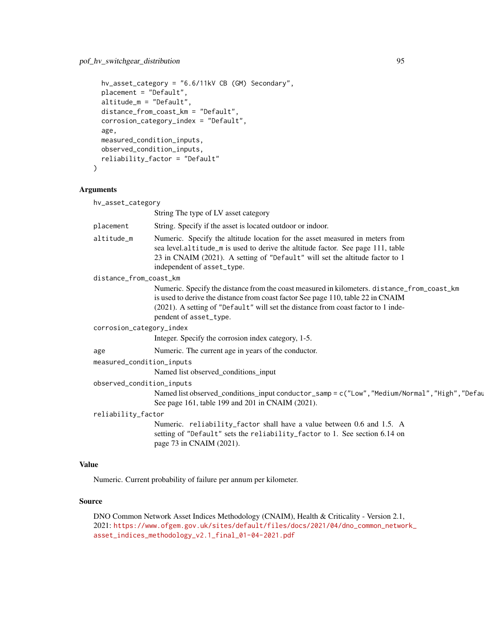```
hv_asset_category = "6.6/11kV CB (GM) Secondary",
placement = "Default",
altitude_m = "Default",
distance_from_coast_km = "Default",
corrosion_category_index = "Default",
age,
measured_condition_inputs,
observed_condition_inputs,
reliability_factor = "Default"
```
## Arguments

 $\mathcal{L}$ 

| String The type of LV asset category<br>String. Specify if the asset is located outdoor or indoor.<br>Numeric. Specify the altitude location for the asset measured in meters from<br>sea level.altitude_m is used to derive the altitude factor. See page 111, table<br>23 in CNAIM (2021). A setting of "Default" will set the altitude factor to 1<br>independent of asset_type.<br>Numeric. Specify the distance from the coast measured in kilometers. distance_from_coast_km<br>is used to derive the distance from coast factor See page 110, table 22 in CNAIM<br>(2021). A setting of "Default" will set the distance from coast factor to 1 inde-<br>pendent of asset_type.<br>Integer. Specify the corrosion index category, 1-5.<br>Numeric. The current age in years of the conductor.<br>Named list observed_conditions_input<br>Named list observed_conditions_input conductor_samp = c("Low", "Medium/Normal", "High", "Defau<br>See page 161, table 199 and 201 in CNAIM (2021). | placement<br>altitude_m<br>distance_from_coast_km<br>corrosion_category_index<br>age<br>measured_condition_inputs |
|---------------------------------------------------------------------------------------------------------------------------------------------------------------------------------------------------------------------------------------------------------------------------------------------------------------------------------------------------------------------------------------------------------------------------------------------------------------------------------------------------------------------------------------------------------------------------------------------------------------------------------------------------------------------------------------------------------------------------------------------------------------------------------------------------------------------------------------------------------------------------------------------------------------------------------------------------------------------------------------------------|-------------------------------------------------------------------------------------------------------------------|
|                                                                                                                                                                                                                                                                                                                                                                                                                                                                                                                                                                                                                                                                                                                                                                                                                                                                                                                                                                                                   |                                                                                                                   |
|                                                                                                                                                                                                                                                                                                                                                                                                                                                                                                                                                                                                                                                                                                                                                                                                                                                                                                                                                                                                   |                                                                                                                   |
|                                                                                                                                                                                                                                                                                                                                                                                                                                                                                                                                                                                                                                                                                                                                                                                                                                                                                                                                                                                                   |                                                                                                                   |
|                                                                                                                                                                                                                                                                                                                                                                                                                                                                                                                                                                                                                                                                                                                                                                                                                                                                                                                                                                                                   |                                                                                                                   |
|                                                                                                                                                                                                                                                                                                                                                                                                                                                                                                                                                                                                                                                                                                                                                                                                                                                                                                                                                                                                   |                                                                                                                   |
|                                                                                                                                                                                                                                                                                                                                                                                                                                                                                                                                                                                                                                                                                                                                                                                                                                                                                                                                                                                                   |                                                                                                                   |
|                                                                                                                                                                                                                                                                                                                                                                                                                                                                                                                                                                                                                                                                                                                                                                                                                                                                                                                                                                                                   |                                                                                                                   |
|                                                                                                                                                                                                                                                                                                                                                                                                                                                                                                                                                                                                                                                                                                                                                                                                                                                                                                                                                                                                   |                                                                                                                   |
|                                                                                                                                                                                                                                                                                                                                                                                                                                                                                                                                                                                                                                                                                                                                                                                                                                                                                                                                                                                                   |                                                                                                                   |
|                                                                                                                                                                                                                                                                                                                                                                                                                                                                                                                                                                                                                                                                                                                                                                                                                                                                                                                                                                                                   |                                                                                                                   |
|                                                                                                                                                                                                                                                                                                                                                                                                                                                                                                                                                                                                                                                                                                                                                                                                                                                                                                                                                                                                   | observed_condition_inputs                                                                                         |
|                                                                                                                                                                                                                                                                                                                                                                                                                                                                                                                                                                                                                                                                                                                                                                                                                                                                                                                                                                                                   |                                                                                                                   |
|                                                                                                                                                                                                                                                                                                                                                                                                                                                                                                                                                                                                                                                                                                                                                                                                                                                                                                                                                                                                   | reliability_factor                                                                                                |
| Numeric. reliability_factor shall have a value between 0.6 and 1.5. A                                                                                                                                                                                                                                                                                                                                                                                                                                                                                                                                                                                                                                                                                                                                                                                                                                                                                                                             | setting of "Default" sets the reliability_factor to 1. See section 6.14 on<br>page 73 in CNAIM (2021).            |

# Value

Numeric. Current probability of failure per annum per kilometer.

# Source

DNO Common Network Asset Indices Methodology (CNAIM), Health & Criticality - Version 2.1, 2021: [https://www.ofgem.gov.uk/sites/default/files/docs/2021/04/dno\\_common\\_networ](https://www.ofgem.gov.uk/sites/default/files/docs/2021/04/dno_common_network_asset_indices_methodology_v2.1_final_01-04-2021.pdf)k\_ [asset\\_indices\\_methodology\\_v2.1\\_final\\_01-04-2021.pdf](https://www.ofgem.gov.uk/sites/default/files/docs/2021/04/dno_common_network_asset_indices_methodology_v2.1_final_01-04-2021.pdf)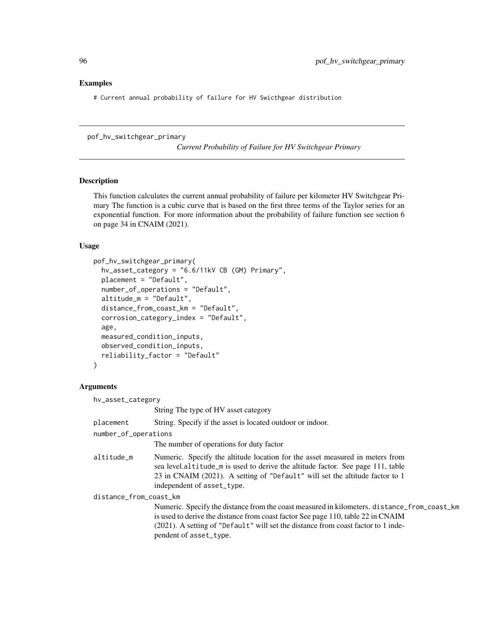## Examples

# Current annual probability of failure for HV Swicthgear distribution

pof\_hv\_switchgear\_primary

*Current Probability of Failure for HV Switchgear Primary*

# Description

This function calculates the current annual probability of failure per kilometer HV Switchgear Primary The function is a cubic curve that is based on the first three terms of the Taylor series for an exponential function. For more information about the probability of failure function see section 6 on page 34 in CNAIM (2021).

## Usage

```
pof_hv_switchgear_primary(
  hv_asset_category = "6.6/11kV CB (GM) Primary",
  placement = "Default",
  number_of_operations = "Default",
  altitude_m = "Default",
  distance_from_coast_km = "Default",
  corrosion_category_index = "Default",
  age,
 measured_condition_inputs,
  observed_condition_inputs,
  reliability_factor = "Default"
)
```

| hv_asset_category      |                                                                                                                                                                                                                                                                                                |
|------------------------|------------------------------------------------------------------------------------------------------------------------------------------------------------------------------------------------------------------------------------------------------------------------------------------------|
|                        | String The type of HV asset category                                                                                                                                                                                                                                                           |
| placement              | String. Specify if the asset is located outdoor or indoor.                                                                                                                                                                                                                                     |
| number_of_operations   |                                                                                                                                                                                                                                                                                                |
|                        | The number of operations for duty factor                                                                                                                                                                                                                                                       |
| altitude m             | Numeric. Specify the altitude location for the asset measured in meters from<br>sea level.altitude_m is used to derive the altitude factor. See page 111, table<br>23 in CNAIM (2021). A setting of "Default" will set the altitude factor to 1<br>independent of asset_type.                  |
| distance_from_coast_km |                                                                                                                                                                                                                                                                                                |
|                        | Numeric. Specify the distance from the coast measured in kilometers. distance_from_coast_km<br>is used to derive the distance from coast factor See page 110, table 22 in CNAIM<br>(2021). A setting of "Default" will set the distance from coast factor to 1 inde-<br>pendent of asset_type. |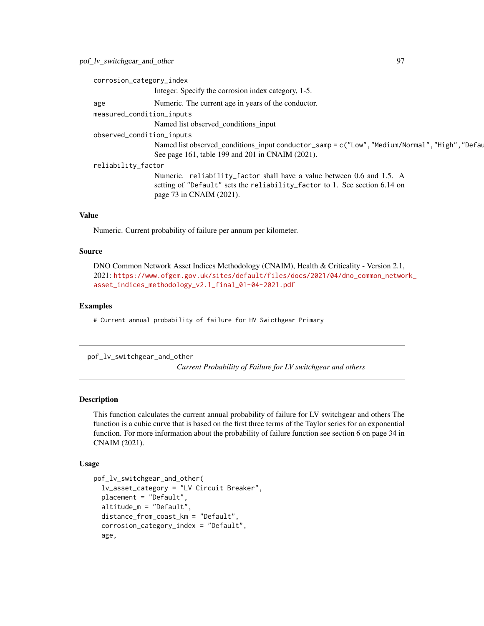| corrosion_category_index  |                                                                                                                                                                                 |
|---------------------------|---------------------------------------------------------------------------------------------------------------------------------------------------------------------------------|
|                           | Integer. Specify the corrosion index category, 1-5.                                                                                                                             |
| age                       | Numeric. The current age in years of the conductor.                                                                                                                             |
| measured_condition_inputs |                                                                                                                                                                                 |
|                           | Named list observed conditions input                                                                                                                                            |
| observed_condition_inputs |                                                                                                                                                                                 |
|                           | Named list observed_conditions_input conductor_samp = c("Low", "Medium/Normal", "High", "Defau<br>See page 161, table 199 and 201 in CNAIM (2021).                              |
| reliability_factor        |                                                                                                                                                                                 |
|                           | Numeric. reliability_factor shall have a value between 0.6 and 1.5. A<br>setting of "Default" sets the reliability_factor to 1. See section 6.14 on<br>page 73 in CNAIM (2021). |
|                           |                                                                                                                                                                                 |

Numeric. Current probability of failure per annum per kilometer.

## Source

DNO Common Network Asset Indices Methodology (CNAIM), Health & Criticality - Version 2.1, 2021: [https://www.ofgem.gov.uk/sites/default/files/docs/2021/04/dno\\_common\\_networ](https://www.ofgem.gov.uk/sites/default/files/docs/2021/04/dno_common_network_asset_indices_methodology_v2.1_final_01-04-2021.pdf)k\_ [asset\\_indices\\_methodology\\_v2.1\\_final\\_01-04-2021.pdf](https://www.ofgem.gov.uk/sites/default/files/docs/2021/04/dno_common_network_asset_indices_methodology_v2.1_final_01-04-2021.pdf)

# Examples

# Current annual probability of failure for HV Swicthgear Primary

pof\_lv\_switchgear\_and\_other

*Current Probability of Failure for LV switchgear and others*

## Description

This function calculates the current annual probability of failure for LV switchgear and others The function is a cubic curve that is based on the first three terms of the Taylor series for an exponential function. For more information about the probability of failure function see section 6 on page 34 in CNAIM (2021).

#### Usage

```
pof_lv_switchgear_and_other(
  lv_asset_category = "LV Circuit Breaker",
 placement = "Default",
  altitude_m = "Default",
  distance_from_coast_km = "Default",
  corrosion_category_index = "Default",
  age,
```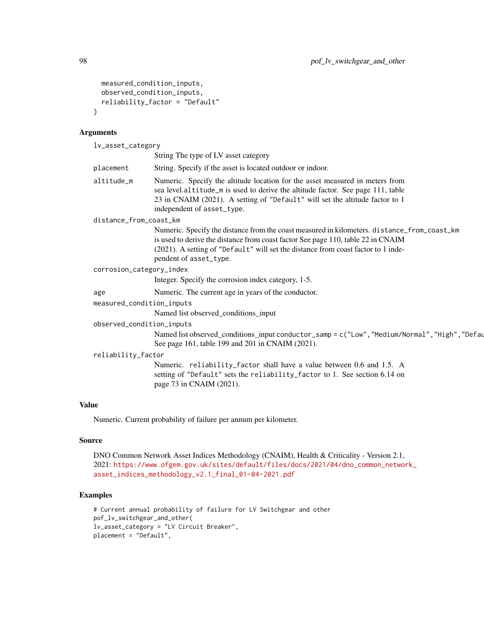```
measured_condition_inputs,
  observed_condition_inputs,
  reliability_factor = "Default"
\lambda
```
## Arguments

lv\_asset\_category String The type of LV asset category placement String. Specify if the asset is located outdoor or indoor. altitude\_m Numeric. Specify the altitude location for the asset measured in meters from sea level.altitude\_m is used to derive the altitude factor. See page 111, table 23 in CNAIM (2021). A setting of "Default" will set the altitude factor to 1 independent of asset\_type. distance\_from\_coast\_km Numeric. Specify the distance from the coast measured in kilometers. distance\_from\_coast\_km is used to derive the distance from coast factor See page 110, table 22 in CNAIM (2021). A setting of "Default" will set the distance from coast factor to 1 independent of asset\_type. corrosion\_category\_index Integer. Specify the corrosion index category, 1-5. age Numeric. The current age in years of the conductor. measured\_condition\_inputs Named list observed\_conditions\_input observed\_condition\_inputs Named list observed\_conditions\_input conductor\_samp = c("Low", "Medium/Normal", "High", "Defau See page 161, table 199 and 201 in CNAIM (2021). reliability\_factor Numeric. reliability\_factor shall have a value between 0.6 and 1.5. A setting of "Default" sets the reliability\_factor to 1. See section 6.14 on page 73 in CNAIM (2021).

# Value

Numeric. Current probability of failure per annum per kilometer.

## Source

```
DNO Common Network Asset Indices Methodology (CNAIM), Health & Criticality - Version 2.1,
2021: https://www.ofgem.gov.uk/sites/default/files/docs/2021/04/dno_common_network_
asset_indices_methodology_v2.1_final_01-04-2021.pdf
```

```
# Current annual probability of failure for LV Switchgear and other
pof_lv_switchgear_and_other(
lv_asset_category = "LV Circuit Breaker",
placement = "Default",
```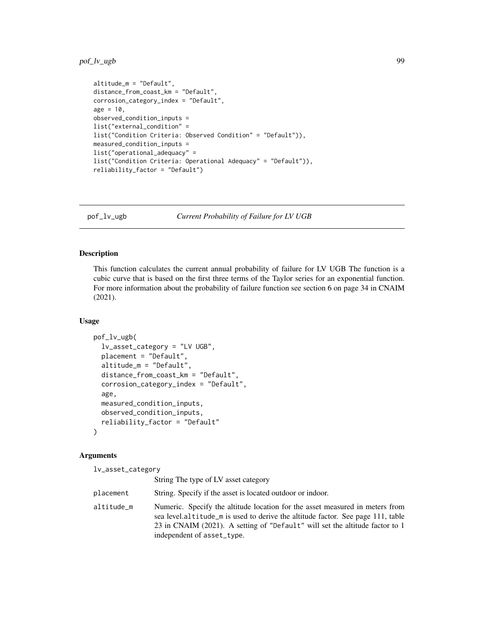# pof\_lv\_ugb 99

```
altitude_m = "Default",
distance_from_coast_km = "Default",
corrosion_category_index = "Default",
age = 10,observed_condition_inputs =
list("external_condition" =
list("Condition Criteria: Observed Condition" = "Default")),
measured_condition_inputs =
list("operational_adequacy" =
list("Condition Criteria: Operational Adequacy" = "Default")),
reliability_factor = "Default")
```
pof\_lv\_ugb *Current Probability of Failure for LV UGB*

## Description

This function calculates the current annual probability of failure for LV UGB The function is a cubic curve that is based on the first three terms of the Taylor series for an exponential function. For more information about the probability of failure function see section 6 on page 34 in CNAIM (2021).

## Usage

```
pof_lv_ugb(
  lv_asset_category = "LV UGB",
 placement = "Default",
 altitude_m = "Default",
  distance_from_coast_km = "Default",
  corrosion_category_index = "Default",
  age,
 measured_condition_inputs,
 observed_condition_inputs,
  reliability_factor = "Default"
\lambda
```

| lv_asset_category |                                                                                                                                                                                                                                                                               |
|-------------------|-------------------------------------------------------------------------------------------------------------------------------------------------------------------------------------------------------------------------------------------------------------------------------|
|                   | String The type of LV asset category                                                                                                                                                                                                                                          |
| placement         | String. Specify if the asset is located outdoor or indoor.                                                                                                                                                                                                                    |
| altitude_m        | Numeric. Specify the altitude location for the asset measured in meters from<br>sea level.altitude_m is used to derive the altitude factor. See page 111, table<br>23 in CNAIM (2021). A setting of "Default" will set the altitude factor to 1<br>independent of asset_type. |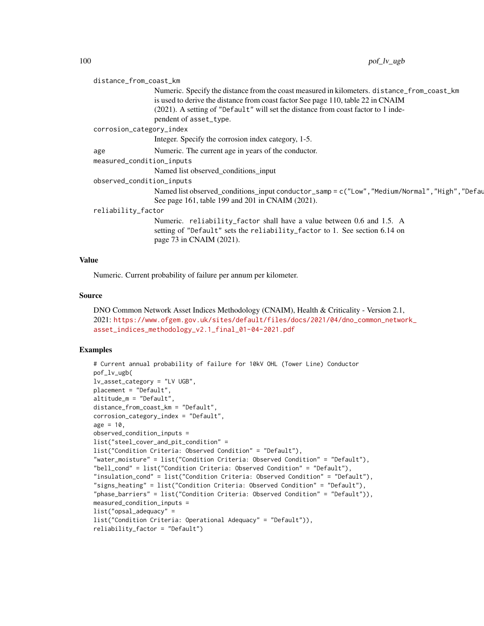| distance_from_coast_km    |                                                                                                                                                                                 |  |
|---------------------------|---------------------------------------------------------------------------------------------------------------------------------------------------------------------------------|--|
|                           | Numeric. Specify the distance from the coast measured in kilometers. distance_from_coast_km<br>is used to derive the distance from coast factor See page 110, table 22 in CNAIM |  |
|                           | (2021). A setting of "Default" will set the distance from coast factor to 1 inde-<br>pendent of asset_type.                                                                     |  |
| corrosion_category_index  |                                                                                                                                                                                 |  |
|                           | Integer. Specify the corrosion index category, 1-5.                                                                                                                             |  |
| age                       | Numeric. The current age in years of the conductor.                                                                                                                             |  |
| measured_condition_inputs |                                                                                                                                                                                 |  |
|                           | Named list observed_conditions_input                                                                                                                                            |  |
| observed_condition_inputs |                                                                                                                                                                                 |  |
|                           | Named list observed_conditions_input conductor_samp = c("Low", "Medium/Normal", "High", "Defay<br>See page 161, table 199 and 201 in CNAIM (2021).                              |  |
| reliability_factor        |                                                                                                                                                                                 |  |
|                           | Numeric. reliability_factor shall have a value between 0.6 and 1.5. A<br>setting of "Default" sets the reliability_factor to 1. See section 6.14 on<br>page 73 in CNAIM (2021). |  |

Numeric. Current probability of failure per annum per kilometer.

#### Source

```
DNO Common Network Asset Indices Methodology (CNAIM), Health & Criticality - Version 2.1,
2021: https://www.ofgem.gov.uk/sites/default/files/docs/2021/04/dno_common_network_
asset_indices_methodology_v2.1_final_01-04-2021.pdf
```

```
# Current annual probability of failure for 10kV OHL (Tower Line) Conductor
pof_lv_ugb(
lv_asset_category = "LV UGB",
placement = "Default",
altitude_m = "Default",
distance_from_coast_km = "Default",
corrosion_category_index = "Default",
age = 10,observed_condition_inputs =
list("steel_cover_and_pit_condition" =
list("Condition Criteria: Observed Condition" = "Default"),
"water_moisture" = list("Condition Criteria: Observed Condition" = "Default"),
"bell_cond" = list("Condition Criteria: Observed Condition" = "Default"),
"insulation_cond" = list("Condition Criteria: Observed Condition" = "Default"),
"signs_heating" = list("Condition Criteria: Observed Condition" = "Default"),
"phase_barriers" = list("Condition Criteria: Observed Condition" = "Default")),
measured_condition_inputs =
list("opsal_adequacy" =
list("Condition Criteria: Operational Adequacy" = "Default")),
reliability_factor = "Default")
```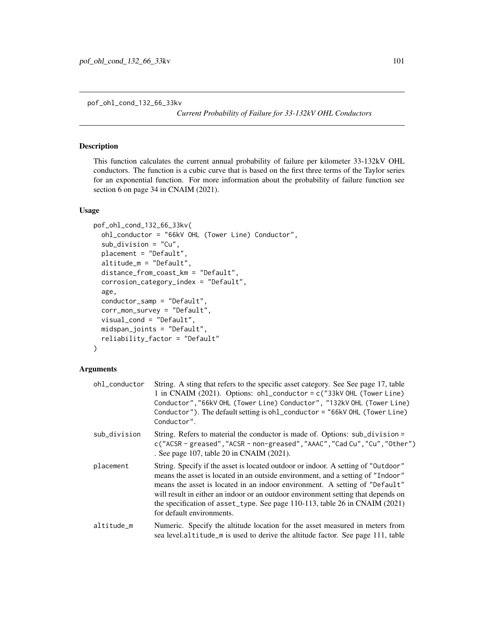pof\_ohl\_cond\_132\_66\_33kv

*Current Probability of Failure for 33-132kV OHL Conductors*

## Description

This function calculates the current annual probability of failure per kilometer 33-132kV OHL conductors. The function is a cubic curve that is based on the first three terms of the Taylor series for an exponential function. For more information about the probability of failure function see section 6 on page 34 in CNAIM (2021).

## Usage

```
pof_ohl_cond_132_66_33kv(
  ohl_conductor = "66kV OHL (Tower Line) Conductor",
  sub_division = "Cu",
  placement = "Default",
  altitude_m = "Default",
  distance_from_coast_km = "Default",
  corrosion_category_index = "Default",
  age,
  conductor_samp = "Default",
  corr_mon_survey = "Default",
  visual_cond = "Default",
  midspan_joints = "Default",
  reliability_factor = "Default"
)
```

| ohl_conductor | String. A sting that refers to the specific asset category. See See page 17, table<br>1 in CNAIM (2021). Options: $ohL_{conductor} = c("33kV OHL$ (Tower Line)<br>Conductor", "66kV OHL (Tower Line) Conductor", "132kV OHL (Tower Line)<br>Conductor"). The default setting is ohl_conductor = "66kV OHL (Tower Line)<br>Conductor".                                                                                                                |
|---------------|------------------------------------------------------------------------------------------------------------------------------------------------------------------------------------------------------------------------------------------------------------------------------------------------------------------------------------------------------------------------------------------------------------------------------------------------------|
| sub_division  | String. Refers to material the conductor is made of. Options: sub_division =<br>c("ACSR - greased", "ACSR - non-greased", "AAAC", "Cad Cu", "Cu", "Other")<br>. See page 107, table 20 in CNAIM (2021).                                                                                                                                                                                                                                              |
| placement     | String. Specify if the asset is located outdoor or indoor. A setting of "Outdoor"<br>means the asset is located in an outside environment, and a setting of "Indoor"<br>means the asset is located in an indoor environment. A setting of "Default"<br>will result in either an indoor or an outdoor environment setting that depends on<br>the specification of asset_type. See page 110-113, table 26 in CNAIM (2021)<br>for default environments. |
| altitude_m    | Numeric. Specify the altitude location for the asset measured in meters from<br>sea level.altitude_m is used to derive the altitude factor. See page 111, table                                                                                                                                                                                                                                                                                      |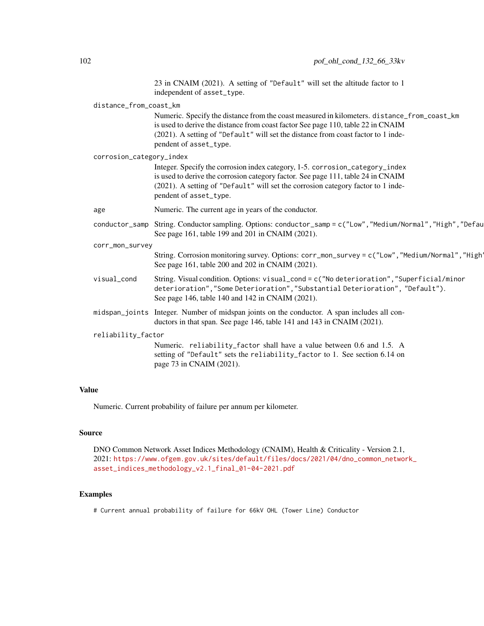|                          | 23 in CNAIM (2021). A setting of "Default" will set the altitude factor to 1<br>independent of asset_type.                                                                                                                                                                                     |
|--------------------------|------------------------------------------------------------------------------------------------------------------------------------------------------------------------------------------------------------------------------------------------------------------------------------------------|
| distance_from_coast_km   |                                                                                                                                                                                                                                                                                                |
|                          | Numeric. Specify the distance from the coast measured in kilometers. distance_from_coast_km<br>is used to derive the distance from coast factor See page 110, table 22 in CNAIM<br>(2021). A setting of "Default" will set the distance from coast factor to 1 inde-<br>pendent of asset_type. |
| corrosion_category_index |                                                                                                                                                                                                                                                                                                |
|                          | Integer. Specify the corrosion index category, 1-5. corrosion_category_index<br>is used to derive the corrosion category factor. See page 111, table 24 in CNAIM<br>(2021). A setting of "Default" will set the corrosion category factor to 1 inde-<br>pendent of asset_type.                 |
| age                      | Numeric. The current age in years of the conductor.                                                                                                                                                                                                                                            |
|                          | conductor_samp String. Conductor sampling. Options: conductor_samp = c("Low","Medium/Normal","High","Defau<br>See page 161, table 199 and 201 in CNAIM (2021).                                                                                                                                 |
| corr_mon_survey          |                                                                                                                                                                                                                                                                                                |
|                          | String. Corrosion monitoring survey. Options: corr_mon_survey = c("Low", "Medium/Normal", "High'<br>See page 161, table 200 and 202 in CNAIM (2021).                                                                                                                                           |
| visual_cond              | String. Visual condition. Options: visual_cond = $c("No determination", "Superficial/minor"$<br>deterioration","Some Deterioration","Substantial Deterioration", "Default").<br>See page 146, table 140 and 142 in CNAIM (2021).                                                               |
|                          | midspan_joints Integer. Number of midspan joints on the conductor. A span includes all con-<br>ductors in that span. See page 146, table 141 and 143 in CNAIM (2021).                                                                                                                          |
| reliability_factor       |                                                                                                                                                                                                                                                                                                |
|                          | Numeric. reliability_factor shall have a value between 0.6 and 1.5. A<br>setting of "Default" sets the reliability_factor to 1. See section 6.14 on<br>page 73 in CNAIM (2021).                                                                                                                |
|                          |                                                                                                                                                                                                                                                                                                |

Numeric. Current probability of failure per annum per kilometer.

## Source

DNO Common Network Asset Indices Methodology (CNAIM), Health & Criticality - Version 2.1, 2021: [https://www.ofgem.gov.uk/sites/default/files/docs/2021/04/dno\\_common\\_networ](https://www.ofgem.gov.uk/sites/default/files/docs/2021/04/dno_common_network_asset_indices_methodology_v2.1_final_01-04-2021.pdf)k\_ [asset\\_indices\\_methodology\\_v2.1\\_final\\_01-04-2021.pdf](https://www.ofgem.gov.uk/sites/default/files/docs/2021/04/dno_common_network_asset_indices_methodology_v2.1_final_01-04-2021.pdf)

## Examples

# Current annual probability of failure for 66kV OHL (Tower Line) Conductor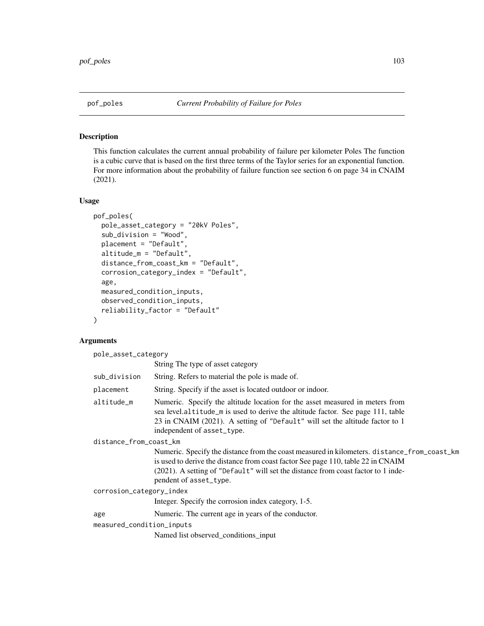## Description

This function calculates the current annual probability of failure per kilometer Poles The function is a cubic curve that is based on the first three terms of the Taylor series for an exponential function. For more information about the probability of failure function see section 6 on page 34 in CNAIM (2021).

#### Usage

```
pof_poles(
  pole_asset_category = "20kV Poles",
  sub_division = "Wood",
  placement = "Default",
  altitude_m = "Default",
  distance_from_coast_km = "Default",
  corrosion_category_index = "Default",
  age,
  measured_condition_inputs,
  observed_condition_inputs,
  reliability_factor = "Default"
)
```
## **Arguments**

pole\_asset\_category String The type of asset category sub\_division String. Refers to material the pole is made of. placement String. Specify if the asset is located outdoor or indoor. altitude\_m Numeric. Specify the altitude location for the asset measured in meters from sea level.altitude\_m is used to derive the altitude factor. See page 111, table 23 in CNAIM (2021). A setting of "Default" will set the altitude factor to 1 independent of asset\_type. distance\_from\_coast\_km Numeric. Specify the distance from the coast measured in kilometers. distance\_from\_coast\_km is used to derive the distance from coast factor See page 110, table 22 in CNAIM (2021). A setting of "Default" will set the distance from coast factor to 1 independent of asset\_type. corrosion\_category\_index Integer. Specify the corrosion index category, 1-5. age Numeric. The current age in years of the conductor. measured\_condition\_inputs Named list observed\_conditions\_input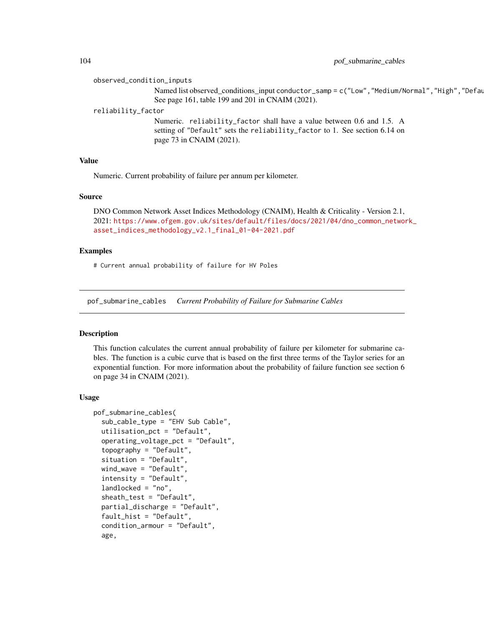observed\_condition\_inputs

Named list observed\_conditions\_input conductor\_samp = c("Low", "Medium/Normal", "High", "Defau See page 161, table 199 and 201 in CNAIM (2021).

reliability\_factor

Numeric. reliability\_factor shall have a value between 0.6 and 1.5. A setting of "Default" sets the reliability\_factor to 1. See section 6.14 on page 73 in CNAIM (2021).

## Value

Numeric. Current probability of failure per annum per kilometer.

#### Source

DNO Common Network Asset Indices Methodology (CNAIM), Health & Criticality - Version 2.1, 2021: [https://www.ofgem.gov.uk/sites/default/files/docs/2021/04/dno\\_common\\_networ](https://www.ofgem.gov.uk/sites/default/files/docs/2021/04/dno_common_network_asset_indices_methodology_v2.1_final_01-04-2021.pdf)k\_ [asset\\_indices\\_methodology\\_v2.1\\_final\\_01-04-2021.pdf](https://www.ofgem.gov.uk/sites/default/files/docs/2021/04/dno_common_network_asset_indices_methodology_v2.1_final_01-04-2021.pdf)

## Examples

# Current annual probability of failure for HV Poles

pof\_submarine\_cables *Current Probability of Failure for Submarine Cables*

#### Description

This function calculates the current annual probability of failure per kilometer for submarine cables. The function is a cubic curve that is based on the first three terms of the Taylor series for an exponential function. For more information about the probability of failure function see section 6 on page 34 in CNAIM (2021).

#### Usage

```
pof_submarine_cables(
  sub_cable_type = "EHV Sub Cable",
  utilisation_pct = "Default",
  operating_voltage_pct = "Default",
  topography = "Default",
  situation = "Default",
  wind_wave = "Default",
  intensity = "Default",
  landlocked = "no",sheath_test = "Default",
  partial_discharge = "Default",
  fault_hist = "Default",
  condition_armour = "Default",
  age,
```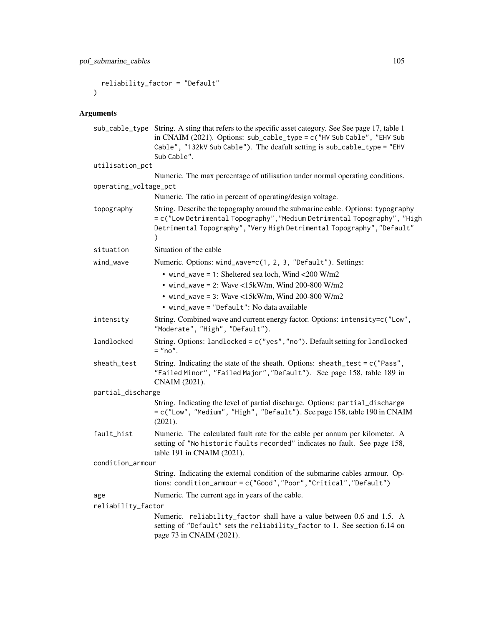```
reliability_factor = "Default"
)
```

```
sub_cable_type String. A sting that refers to the specific asset category. See See page 17, table 1
                 in CNAIM (2021). Options: sub_cable_type = c("HV Sub Cable", "EHV Sub
                 Cable", "132kV Sub Cable"). The deafult setting is sub_cable_type = "EHV
                 Sub Cable".
utilisation_pct
                Numeric. The max percentage of utilisation under normal operating conditions.
operating_voltage_pct
                Numeric. The ratio in percent of operating/design voltage.
topography String. Describe the topography around the submarine cable. Options: typography
                 = c("Low Detrimental Topography","Medium Detrimental Topography", "High
                 Detrimental Topography","Very High Detrimental Topography","Default"
                 )
situation Situation of the cable
wind_wave Mumeric. Options: wind_wave=c(1, 2, 3, "Default"). Settings:
                   • wind_wave = 1: Sheltered sea loch, Wind <200 W/m2
                   • wind_wave = 2: Wave <15kW/m, Wind 200-800 W/m2
                   • wind_wave = 3: Wave <15kW/m, Wind 200-800 W/m2
                   • wind_wave = "Default": No data available
intensity String. Combined wave and current energy factor. Options: intensity=c("Low",
                 "Moderate", "High", "Default").
landlocked String. Options: landlocked = c("yes","no"). Default setting for landlocked
                 = "no".
sheath_test String. Indicating the state of the sheath. Options: sheath_test = c("Pass",
                 "Failed Minor", "Failed Major","Default"). See page 158, table 189 in
                CNAIM (2021).
partial_discharge
                 String. Indicating the level of partial discharge. Options: partial_discharge
                 = c("Low", "Medium", "High", "Default"). See page 158, table 190 in CNAIM
                 (2021).
fault_hist Numeric. The calculated fault rate for the cable per annum per kilometer. A
                 setting of "No historic faults recorded" indicates no fault. See page 158,
                 table 191 in CNAIM (2021).
condition_armour
                 String. Indicating the external condition of the submarine cables armour. Op-
                 tions: condition_armour = c("Good","Poor","Critical","Default")
age Numeric. The current age in years of the cable.
reliability_factor
                Numeric. reliability_factor shall have a value between 0.6 and 1.5. A
                 setting of "Default" sets the reliability_factor to 1. See section 6.14 on
                 page 73 in CNAIM (2021).
```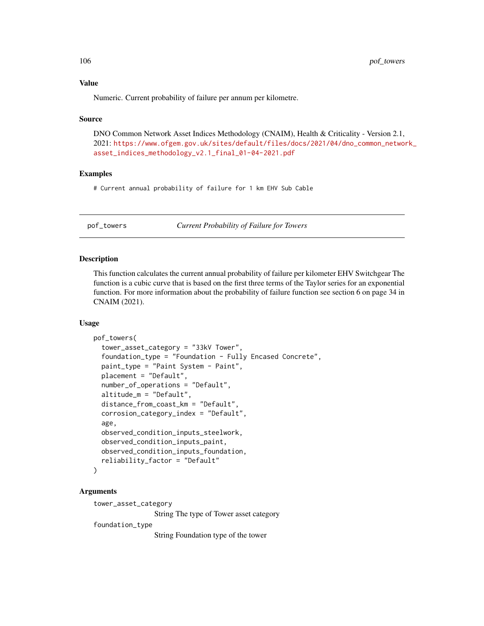Numeric. Current probability of failure per annum per kilometre.

#### Source

DNO Common Network Asset Indices Methodology (CNAIM), Health & Criticality - Version 2.1, 2021: [https://www.ofgem.gov.uk/sites/default/files/docs/2021/04/dno\\_common\\_networ](https://www.ofgem.gov.uk/sites/default/files/docs/2021/04/dno_common_network_asset_indices_methodology_v2.1_final_01-04-2021.pdf)k\_ [asset\\_indices\\_methodology\\_v2.1\\_final\\_01-04-2021.pdf](https://www.ofgem.gov.uk/sites/default/files/docs/2021/04/dno_common_network_asset_indices_methodology_v2.1_final_01-04-2021.pdf)

# Examples

# Current annual probability of failure for 1 km EHV Sub Cable

pof\_towers *Current Probability of Failure for Towers*

## Description

This function calculates the current annual probability of failure per kilometer EHV Switchgear The function is a cubic curve that is based on the first three terms of the Taylor series for an exponential function. For more information about the probability of failure function see section 6 on page 34 in CNAIM (2021).

## Usage

```
pof_towers(
  tower_asset_category = "33kV Tower",
  foundation_type = "Foundation - Fully Encased Concrete",
  paint_type = "Paint System - Paint",
  placement = "Default",
  number_of_operations = "Default",
  altitude_m = "Default",
  distance_from_coast_km = "Default",
  corrosion_category_index = "Default",
  age,
  observed_condition_inputs_steelwork,
  observed_condition_inputs_paint,
  observed_condition_inputs_foundation,
  reliability_factor = "Default"
)
```
#### Arguments

tower\_asset\_category

String The type of Tower asset category

foundation\_type

String Foundation type of the tower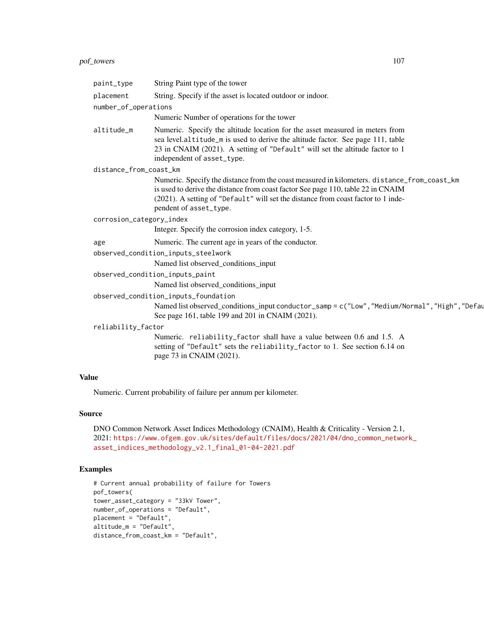# pof\_towers 107

| String Paint type of the tower<br>String. Specify if the asset is located outdoor or indoor.<br>number_of_operations<br>Numeric Number of operations for the tower<br>Numeric. Specify the altitude location for the asset measured in meters from<br>sea level.altitude_m is used to derive the altitude factor. See page 111, table<br>23 in CNAIM (2021). A setting of "Default" will set the altitude factor to 1<br>independent of asset_type.<br>distance_from_coast_km<br>Numeric. Specify the distance from the coast measured in kilometers. distance_from_coast_km<br>is used to derive the distance from coast factor See page 110, table 22 in CNAIM<br>(2021). A setting of "Default" will set the distance from coast factor to 1 inde-<br>pendent of asset_type.<br>corrosion_category_index<br>Integer. Specify the corrosion index category, 1-5.<br>Numeric. The current age in years of the conductor.<br>Named list observed_conditions_input<br>observed_condition_inputs_paint<br>Named list observed_conditions_input<br>observed_condition_inputs_foundation<br>Named list observed_conditions_input conductor_samp = c("Low", "Medium/Normal", "High", "Defay<br>See page 161, table 199 and 201 in CNAIM (2021).<br>Numeric. reliability_factor shall have a value between 0.6 and 1.5. A<br>setting of "Default" sets the reliability_factor to 1. See section 6.14 on<br>page 73 in CNAIM (2021). |                                     |  |  |
|-------------------------------------------------------------------------------------------------------------------------------------------------------------------------------------------------------------------------------------------------------------------------------------------------------------------------------------------------------------------------------------------------------------------------------------------------------------------------------------------------------------------------------------------------------------------------------------------------------------------------------------------------------------------------------------------------------------------------------------------------------------------------------------------------------------------------------------------------------------------------------------------------------------------------------------------------------------------------------------------------------------------------------------------------------------------------------------------------------------------------------------------------------------------------------------------------------------------------------------------------------------------------------------------------------------------------------------------------------------------------------------------------------------------------------|-------------------------------------|--|--|
|                                                                                                                                                                                                                                                                                                                                                                                                                                                                                                                                                                                                                                                                                                                                                                                                                                                                                                                                                                                                                                                                                                                                                                                                                                                                                                                                                                                                                               | paint_type                          |  |  |
|                                                                                                                                                                                                                                                                                                                                                                                                                                                                                                                                                                                                                                                                                                                                                                                                                                                                                                                                                                                                                                                                                                                                                                                                                                                                                                                                                                                                                               | placement                           |  |  |
|                                                                                                                                                                                                                                                                                                                                                                                                                                                                                                                                                                                                                                                                                                                                                                                                                                                                                                                                                                                                                                                                                                                                                                                                                                                                                                                                                                                                                               |                                     |  |  |
|                                                                                                                                                                                                                                                                                                                                                                                                                                                                                                                                                                                                                                                                                                                                                                                                                                                                                                                                                                                                                                                                                                                                                                                                                                                                                                                                                                                                                               |                                     |  |  |
|                                                                                                                                                                                                                                                                                                                                                                                                                                                                                                                                                                                                                                                                                                                                                                                                                                                                                                                                                                                                                                                                                                                                                                                                                                                                                                                                                                                                                               | altitude_m                          |  |  |
|                                                                                                                                                                                                                                                                                                                                                                                                                                                                                                                                                                                                                                                                                                                                                                                                                                                                                                                                                                                                                                                                                                                                                                                                                                                                                                                                                                                                                               |                                     |  |  |
|                                                                                                                                                                                                                                                                                                                                                                                                                                                                                                                                                                                                                                                                                                                                                                                                                                                                                                                                                                                                                                                                                                                                                                                                                                                                                                                                                                                                                               |                                     |  |  |
|                                                                                                                                                                                                                                                                                                                                                                                                                                                                                                                                                                                                                                                                                                                                                                                                                                                                                                                                                                                                                                                                                                                                                                                                                                                                                                                                                                                                                               |                                     |  |  |
|                                                                                                                                                                                                                                                                                                                                                                                                                                                                                                                                                                                                                                                                                                                                                                                                                                                                                                                                                                                                                                                                                                                                                                                                                                                                                                                                                                                                                               |                                     |  |  |
|                                                                                                                                                                                                                                                                                                                                                                                                                                                                                                                                                                                                                                                                                                                                                                                                                                                                                                                                                                                                                                                                                                                                                                                                                                                                                                                                                                                                                               | age                                 |  |  |
|                                                                                                                                                                                                                                                                                                                                                                                                                                                                                                                                                                                                                                                                                                                                                                                                                                                                                                                                                                                                                                                                                                                                                                                                                                                                                                                                                                                                                               | observed_condition_inputs_steelwork |  |  |
|                                                                                                                                                                                                                                                                                                                                                                                                                                                                                                                                                                                                                                                                                                                                                                                                                                                                                                                                                                                                                                                                                                                                                                                                                                                                                                                                                                                                                               |                                     |  |  |
|                                                                                                                                                                                                                                                                                                                                                                                                                                                                                                                                                                                                                                                                                                                                                                                                                                                                                                                                                                                                                                                                                                                                                                                                                                                                                                                                                                                                                               |                                     |  |  |
|                                                                                                                                                                                                                                                                                                                                                                                                                                                                                                                                                                                                                                                                                                                                                                                                                                                                                                                                                                                                                                                                                                                                                                                                                                                                                                                                                                                                                               |                                     |  |  |
|                                                                                                                                                                                                                                                                                                                                                                                                                                                                                                                                                                                                                                                                                                                                                                                                                                                                                                                                                                                                                                                                                                                                                                                                                                                                                                                                                                                                                               |                                     |  |  |
|                                                                                                                                                                                                                                                                                                                                                                                                                                                                                                                                                                                                                                                                                                                                                                                                                                                                                                                                                                                                                                                                                                                                                                                                                                                                                                                                                                                                                               |                                     |  |  |
|                                                                                                                                                                                                                                                                                                                                                                                                                                                                                                                                                                                                                                                                                                                                                                                                                                                                                                                                                                                                                                                                                                                                                                                                                                                                                                                                                                                                                               | reliability_factor                  |  |  |
|                                                                                                                                                                                                                                                                                                                                                                                                                                                                                                                                                                                                                                                                                                                                                                                                                                                                                                                                                                                                                                                                                                                                                                                                                                                                                                                                                                                                                               |                                     |  |  |
|                                                                                                                                                                                                                                                                                                                                                                                                                                                                                                                                                                                                                                                                                                                                                                                                                                                                                                                                                                                                                                                                                                                                                                                                                                                                                                                                                                                                                               | 11 A                                |  |  |

# Value

Numeric. Current probability of failure per annum per kilometer.

## Source

```
DNO Common Network Asset Indices Methodology (CNAIM), Health & Criticality - Version 2.1,
2021: https://www.ofgem.gov.uk/sites/default/files/docs/2021/04/dno_common_network_
asset_indices_methodology_v2.1_final_01-04-2021.pdf
```

```
# Current annual probability of failure for Towers
pof_towers(
tower_asset_category = "33kV Tower",
number_of_operations = "Default",
placement = "Default",
altitude_m = "Default",
distance_from_coast_km = "Default",
```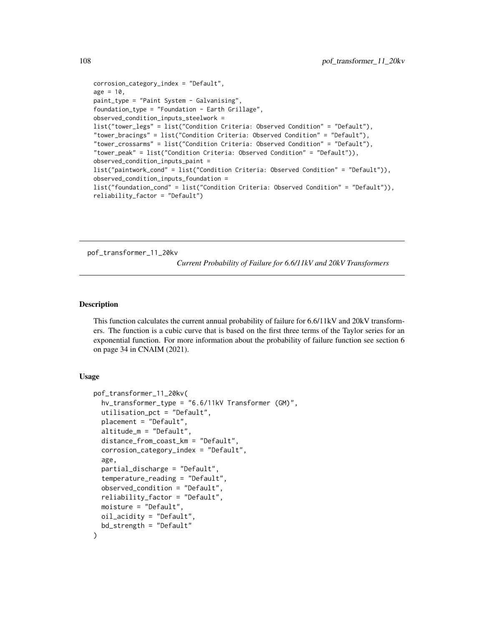```
corrosion_category_index = "Default",
age = 10,paint_type = "Paint System - Galvanising",
foundation_type = "Foundation - Earth Grillage",
observed_condition_inputs_steelwork =
list("tower_legs" = list("Condition Criteria: Observed Condition" = "Default"),
"tower_bracings" = list("Condition Criteria: Observed Condition" = "Default"),
"tower_crossarms" = list("Condition Criteria: Observed Condition" = "Default"),
"tower_peak" = list("Condition Criteria: Observed Condition" = "Default")),
observed_condition_inputs_paint =
list("paintwork_cond" = list("Condition Criteria: Observed Condition" = "Default")),
observed_condition_inputs_foundation =
list("foundation_cond" = list("Condition Criteria: Observed Condition" = "Default")),
reliability_factor = "Default")
```
pof\_transformer\_11\_20kv

*Current Probability of Failure for 6.6/11kV and 20kV Transformers*

## Description

This function calculates the current annual probability of failure for 6.6/11kV and 20kV transformers. The function is a cubic curve that is based on the first three terms of the Taylor series for an exponential function. For more information about the probability of failure function see section 6 on page 34 in CNAIM (2021).

#### Usage

```
pof_transformer_11_20kv(
  hv_transformer_type = "6.6/11kV Transformer (GM)",
  utilisation_pct = "Default",
  placement = "Default",
  altitude_m = "Default",
  distance_from_coast_km = "Default",
  corrosion_category_index = "Default",
  age,
  partial_discharge = "Default",
  temperature_reading = "Default",
  observed_condition = "Default",
  reliability_factor = "Default",
  moisture = "Default",
 oil_acidity = "Default",
  bd_strength = "Default"
)
```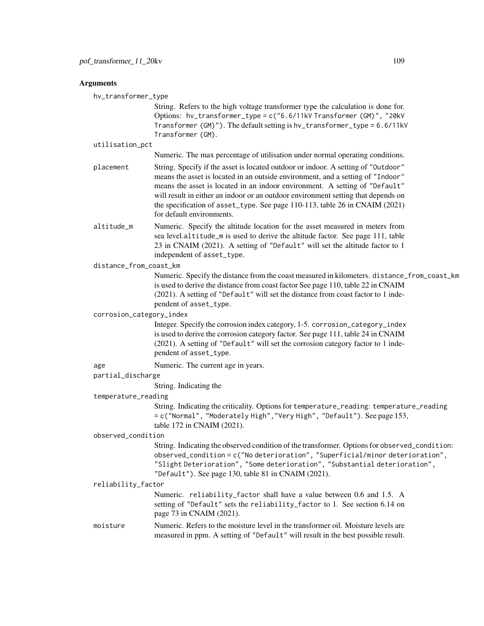# **Arguments**

hv\_transformer\_type

String. Refers to the high voltage transformer type the calculation is done for. Options: hv\_transformer\_type = c("6.6/11kV Transformer (GM)", "20kV Transformer (GM)"). The default setting is hv\_transformer\_type = 6.6/11kV Transformer (GM).

utilisation\_pct

Numeric. The max percentage of utilisation under normal operating conditions.

- placement String. Specify if the asset is located outdoor or indoor. A setting of "Outdoor" means the asset is located in an outside environment, and a setting of "Indoor" means the asset is located in an indoor environment. A setting of "Default" will result in either an indoor or an outdoor environment setting that depends on the specification of asset\_type. See page 110-113, table 26 in CNAIM (2021) for default environments.
- altitude\_m Numeric. Specify the altitude location for the asset measured in meters from sea level.altitude\_m is used to derive the altitude factor. See page 111, table 23 in CNAIM (2021). A setting of "Default" will set the altitude factor to 1 independent of asset\_type.

# distance\_from\_coast\_km

Numeric. Specify the distance from the coast measured in kilometers. distance\_from\_coast\_km is used to derive the distance from coast factor See page 110, table 22 in CNAIM (2021). A setting of "Default" will set the distance from coast factor to 1 independent of asset\_type.

corrosion\_category\_index

Integer. Specify the corrosion index category, 1-5. corrosion\_category\_index is used to derive the corrosion category factor. See page 111, table 24 in CNAIM (2021). A setting of "Default" will set the corrosion category factor to 1 independent of asset\_type.

age Numeric. The current age in years.

#### partial\_discharge

String. Indicating the

# temperature\_reading

String. Indicating the criticality. Options for temperature\_reading: temperature\_reading = c("Normal", "Moderately High","Very High", "Default"). See page 153, table 172 in CNAIM (2021).

#### observed\_condition

String. Indicating the observed condition of the transformer. Options for observed\_condition: observed\_condition = c("No deterioration", "Superficial/minor deterioration", "Slight Deterioration", "Some deterioration", "Substantial deterioration", "Default"). See page 130, table 81 in CNAIM (2021).

#### reliability\_factor

Numeric. reliability\_factor shall have a value between 0.6 and 1.5. A setting of "Default" sets the reliability\_factor to 1. See section 6.14 on page 73 in CNAIM (2021).

moisture Numeric. Refers to the moisture level in the transformer oil. Moisture levels are measured in ppm. A setting of "Default" will result in the best possible result.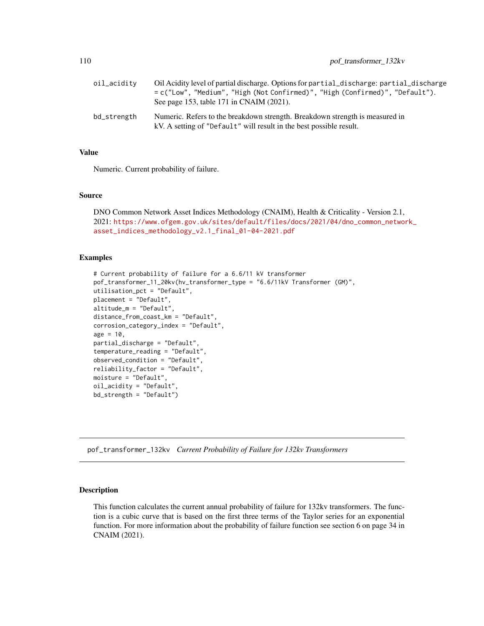<span id="page-109-0"></span>

| oil_acidity | Oil Acidity level of partial discharge. Options for partial_discharge: partial_discharge<br>= c("Low", "Medium", "High (Not Confirmed)", "High (Confirmed)", "Default").<br>See page 153, table 171 in CNAIM (2021). |
|-------------|----------------------------------------------------------------------------------------------------------------------------------------------------------------------------------------------------------------------|
| bd_strength | Numeric. Refers to the breakdown strength. Breakdown strength is measured in<br>kV. A setting of "Default" will result in the best possible result.                                                                  |

# Value

Numeric. Current probability of failure.

#### Source

```
DNO Common Network Asset Indices Methodology (CNAIM), Health & Criticality - Version 2.1,
2021: https://www.ofgem.gov.uk/sites/default/files/docs/2021/04/dno_common_network_
asset_indices_methodology_v2.1_final_01-04-2021.pdf
```
# Examples

```
# Current probability of failure for a 6.6/11 kV transformer
pof_transformer_11_20kv(hv_transformer_type = "6.6/11kV Transformer (GM)",
utilisation_pct = "Default",
placement = "Default",
altitude_m = "Default",
distance_from_coast_km = "Default",
corrosion_category_index = "Default",
age = 10,partial_discharge = "Default",
temperature_reading = "Default",
observed_condition = "Default",
reliability_factor = "Default",
moisture = "Default",
oil_acidity = "Default",
bd_strength = "Default")
```
pof\_transformer\_132kv *Current Probability of Failure for 132kv Transformers*

# Description

This function calculates the current annual probability of failure for 132kv transformers. The function is a cubic curve that is based on the first three terms of the Taylor series for an exponential function. For more information about the probability of failure function see section 6 on page 34 in CNAIM (2021).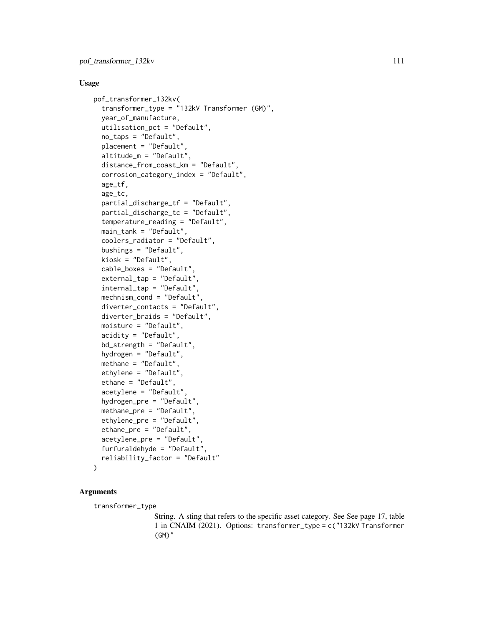# Usage

```
pof_transformer_132kv(
  transformer_type = "132kV Transformer (GM)",
  year_of_manufacture,
  utilisation_pct = "Default",
  no_taps = "Default",
  placement = "Default",
  altitude_m = "Default",
  distance_from_coast_km = "Default",
  corrosion_category_index = "Default",
  age_tf,
  age_tc,
  partial_discharge_tf = "Default",
  partial_discharge_tc = "Default",
  temperature_reading = "Default",
  main_tank = "Default",
  coolers_radiator = "Default",
  bushings = "Default",
  kiosk = "Default",
  cable_boxes = "Default",
  external_tap = "Default",
  internal_tap = "Default",
  mechnism_cond = "Default",
  diverter_contacts = "Default",
  diverter_braids = "Default",
  moisture = "Default",
  acidity = "Default",
  bd_strength = "Default",
  hydrogen = "Default",
  methane = "Default",
  ethylene = "Default",
  ethane = "Default",
  acetylene = "Default",
  hydrogen_pre = "Default",
  methane_pre = "Default",
  ethylene_pre = "Default",
  ethane_pre = "Default",
  acetylene_pre = "Default",
  furfuraldehyde = "Default",
  reliability_factor = "Default"
)
```
# Arguments

transformer\_type

String. A sting that refers to the specific asset category. See See page 17, table 1 in CNAIM (2021). Options: transformer\_type = c("132kV Transformer (GM)"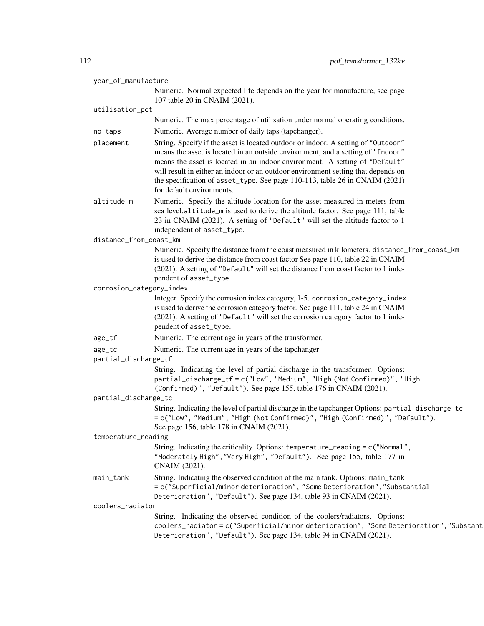| year_of_manufacture      |                                                                                                                                                                                                                                                                                                                                                                                                                                                      |
|--------------------------|------------------------------------------------------------------------------------------------------------------------------------------------------------------------------------------------------------------------------------------------------------------------------------------------------------------------------------------------------------------------------------------------------------------------------------------------------|
|                          | Numeric. Normal expected life depends on the year for manufacture, see page<br>107 table 20 in CNAIM (2021).                                                                                                                                                                                                                                                                                                                                         |
| utilisation_pct          |                                                                                                                                                                                                                                                                                                                                                                                                                                                      |
|                          | Numeric. The max percentage of utilisation under normal operating conditions.                                                                                                                                                                                                                                                                                                                                                                        |
| no_taps                  | Numeric. Average number of daily taps (tapchanger).                                                                                                                                                                                                                                                                                                                                                                                                  |
| placement                | String. Specify if the asset is located outdoor or indoor. A setting of "Outdoor"<br>means the asset is located in an outside environment, and a setting of "Indoor"<br>means the asset is located in an indoor environment. A setting of "Default"<br>will result in either an indoor or an outdoor environment setting that depends on<br>the specification of asset_type. See page 110-113, table 26 in CNAIM (2021)<br>for default environments. |
| altitude_m               | Numeric. Specify the altitude location for the asset measured in meters from<br>sea level.altitude_m is used to derive the altitude factor. See page 111, table<br>23 in CNAIM (2021). A setting of "Default" will set the altitude factor to 1<br>independent of asset_type.                                                                                                                                                                        |
| distance_from_coast_km   |                                                                                                                                                                                                                                                                                                                                                                                                                                                      |
|                          | Numeric. Specify the distance from the coast measured in kilometers. distance_from_coast_km<br>is used to derive the distance from coast factor See page 110, table 22 in CNAIM<br>(2021). A setting of "Default" will set the distance from coast factor to 1 inde-<br>pendent of asset_type.                                                                                                                                                       |
| corrosion_category_index |                                                                                                                                                                                                                                                                                                                                                                                                                                                      |
|                          | Integer. Specify the corrosion index category, 1-5. corrosion_category_index<br>is used to derive the corrosion category factor. See page 111, table 24 in CNAIM<br>(2021). A setting of "Default" will set the corrosion category factor to 1 inde-<br>pendent of asset_type.                                                                                                                                                                       |
| age_tf                   | Numeric. The current age in years of the transformer.                                                                                                                                                                                                                                                                                                                                                                                                |
| age_tc                   | Numeric. The current age in years of the tapchanger                                                                                                                                                                                                                                                                                                                                                                                                  |
| partial_discharge_tf     |                                                                                                                                                                                                                                                                                                                                                                                                                                                      |
|                          | String. Indicating the level of partial discharge in the transformer. Options:<br>partial_discharge_tf = c("Low", "Medium", "High (Not Confirmed)", "High<br>(Confirmed)", "Default"). See page 155, table 176 in CNAIM (2021).                                                                                                                                                                                                                      |
| partial_discharge_tc     |                                                                                                                                                                                                                                                                                                                                                                                                                                                      |
|                          | String. Indicating the level of partial discharge in the tapchanger Options: partial_discharge_tc<br>= c("Low", "Medium", "High (Not Confirmed)", "High (Confirmed)", "Default").<br>See page 156, table 178 in CNAIM (2021).                                                                                                                                                                                                                        |
| temperature_reading      |                                                                                                                                                                                                                                                                                                                                                                                                                                                      |
|                          | String. Indicating the criticality. Options: temperature_reading = c("Normal",<br>"Moderately High", "Very High", "Default"). See page 155, table 177 in<br>CNAIM (2021).                                                                                                                                                                                                                                                                            |
| main_tank                | String. Indicating the observed condition of the main tank. Options: main_tank<br>= c("Superficial/minor deterioration", "Some Deterioration", "Substantial<br>Deterioration", "Default"). See page 134, table 93 in CNAIM (2021).                                                                                                                                                                                                                   |
| coolers_radiator         |                                                                                                                                                                                                                                                                                                                                                                                                                                                      |
|                          | String. Indicating the observed condition of the coolers/radiators. Options:<br>coolers_radiator=c("Superficial/minor deterioration", "Some Deterioration", "Substant<br>Deterioration", "Default"). See page 134, table 94 in CNAIM (2021).                                                                                                                                                                                                         |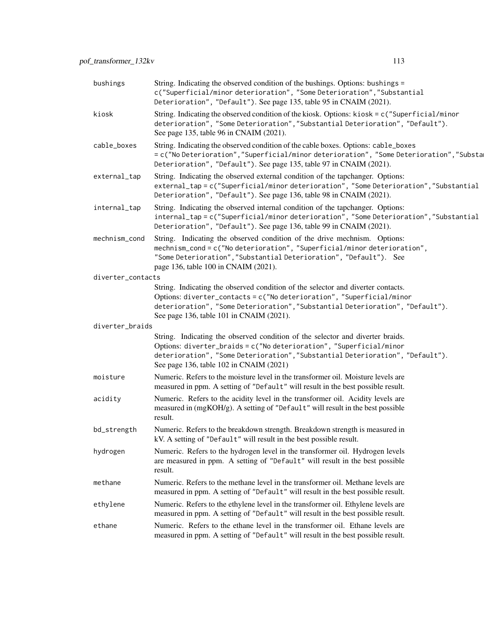| bushings          | String. Indicating the observed condition of the bushings. Options: bushings =<br>c("Superficial/minor deterioration", "Some Deterioration", "Substantial<br>Deterioration", "Default"). See page 135, table 95 in CNAIM (2021).                                                          |  |
|-------------------|-------------------------------------------------------------------------------------------------------------------------------------------------------------------------------------------------------------------------------------------------------------------------------------------|--|
| kiosk             | String. Indicating the observed condition of the kiosk. Options: kiosk = c("Superficial/minor<br>deterioration", "Some Deterioration", "Substantial Deterioration", "Default").<br>See page 135, table 96 in CNAIM (2021).                                                                |  |
| cable_boxes       | String. Indicating the observed condition of the cable boxes. Options: cable_boxes<br>= c("No Deterioration", "Superficial/minor deterioration", "Some Deterioration", "Substa<br>Deterioration", "Default"). See page 135, table 97 in CNAIM (2021).                                     |  |
| external_tap      | String. Indicating the observed external condition of the tapchanger. Options:<br>external_tap=c("Superficial/minor deterioration", "Some Deterioration", "Substantial<br>Deterioration", "Default"). See page 136, table 98 in CNAIM (2021).                                             |  |
| internal_tap      | String. Indicating the observed internal condition of the tapchanger. Options:<br>internal_tap=c("Superficial/minor deterioration", "Some Deterioration","Substantial<br>Deterioration", "Default"). See page 136, table 99 in CNAIM (2021).                                              |  |
| mechnism_cond     | String. Indicating the observed condition of the drive mechnism. Options:<br>mechnism_cond = c("No deterioration", "Superficial/minor deterioration",<br>"Some Deterioration", "Substantial Deterioration", "Default"). See<br>page 136, table 100 in CNAIM (2021).                       |  |
| diverter_contacts |                                                                                                                                                                                                                                                                                           |  |
|                   | String. Indicating the observed condition of the selector and diverter contacts.<br>Options: diverter_contacts = $c("No determination", "Superficial/minor$<br>deterioration", "Some Deterioration", "Substantial Deterioration", "Default").<br>See page 136, table 101 in CNAIM (2021). |  |
| diverter_braids   |                                                                                                                                                                                                                                                                                           |  |
|                   | String. Indicating the observed condition of the selector and diverter braids.<br>Options: diverter_braids = c("No deterioration", "Superficial/minor<br>deterioration", "Some Deterioration", "Substantial Deterioration", "Default").<br>See page 136, table 102 in CNAIM (2021)        |  |
| moisture          | Numeric. Refers to the moisture level in the transformer oil. Moisture levels are<br>measured in ppm. A setting of "Default" will result in the best possible result.                                                                                                                     |  |
| acidity           | Numeric. Refers to the acidity level in the transformer oil. Acidity levels are<br>measured in (mgKOH/g). A setting of "Default" will result in the best possible<br>result.                                                                                                              |  |
| bd_strength       | Numeric. Refers to the breakdown strength. Breakdown strength is measured in<br>kV. A setting of "Default" will result in the best possible result.                                                                                                                                       |  |
| hydrogen          | Numeric. Refers to the hydrogen level in the transformer oil. Hydrogen levels<br>are measured in ppm. A setting of "Default" will result in the best possible<br>result.                                                                                                                  |  |
| methane           | Numeric. Refers to the methane level in the transformer oil. Methane levels are<br>measured in ppm. A setting of "Default" will result in the best possible result.                                                                                                                       |  |
| ethylene          | Numeric. Refers to the ethylene level in the transformer oil. Ethylene levels are<br>measured in ppm. A setting of "Default" will result in the best possible result.                                                                                                                     |  |

ethane Numeric. Refers to the ethane level in the transformer oil. Ethane levels are measured in ppm. A setting of "Default" will result in the best possible result.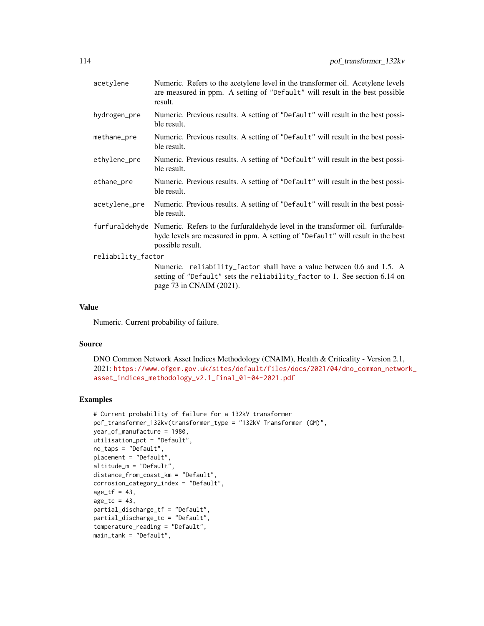| acetylene          | Numeric. Refers to the acetylene level in the transformer oil. Acetylene levels<br>are measured in ppm. A setting of "Default" will result in the best possible<br>result.               |
|--------------------|------------------------------------------------------------------------------------------------------------------------------------------------------------------------------------------|
| hydrogen_pre       | Numeric. Previous results. A setting of "Default" will result in the best possi-<br>ble result.                                                                                          |
| methane_pre        | Numeric. Previous results. A setting of "Default" will result in the best possi-<br>ble result.                                                                                          |
| ethylene_pre       | Numeric. Previous results. A setting of "Default" will result in the best possi-<br>ble result.                                                                                          |
| ethane_pre         | Numeric. Previous results. A setting of "Default" will result in the best possi-<br>ble result.                                                                                          |
| acetylene_pre      | Numeric. Previous results. A setting of "Default" will result in the best possi-<br>ble result.                                                                                          |
| furfuraldehyde     | Numeric. Refers to the furfural dehyde level in the transformer oil. furfural de-<br>hyde levels are measured in ppm. A setting of "Default" will result in the best<br>possible result. |
| reliability_factor |                                                                                                                                                                                          |
|                    | Numeric. reliability_factor shall have a value between 0.6 and 1.5. A<br>setting of "Default" sets the reliability_factor to 1. See section 6.14 on<br>page 73 in CNAIM (2021).          |

# Value

Numeric. Current probability of failure.

#### Source

```
DNO Common Network Asset Indices Methodology (CNAIM), Health & Criticality - Version 2.1,
2021: https://www.ofgem.gov.uk/sites/default/files/docs/2021/04/dno_common_network_
asset_indices_methodology_v2.1_final_01-04-2021.pdf
```

```
# Current probability of failure for a 132kV transformer
pof_transformer_132kv(transformer_type = "132kV Transformer (GM)",
year_of_manufacture = 1980,
utilisation_pct = "Default",
no_taps = "Default",
placement = "Default",
altitude_m = "Default",
distance_from_coast_km = "Default",
corrosion_category_index = "Default",
age_t f = 43,
age\_tc = 43,
partial_discharge_tf = "Default",
partial_discharge_tc = "Default",
temperature_reading = "Default",
main_tank = "Default",
```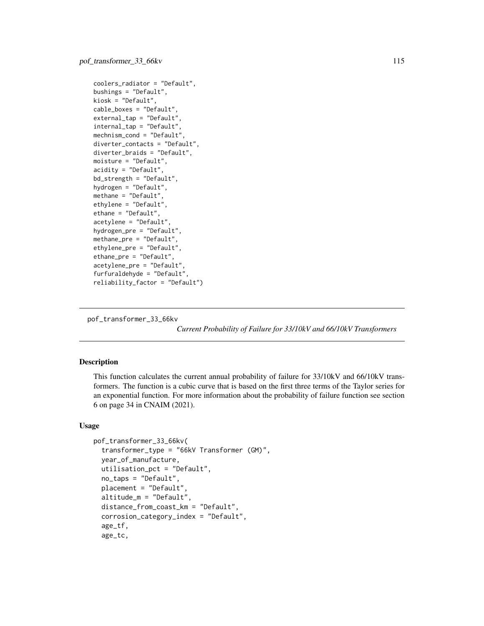```
coolers_radiator = "Default",
bushings = "Default",
kiosk = "Default",
cable_boxes = "Default",
external_tap = "Default",
internal_tap = "Default",
mechnism_cond = "Default",
diverter_contacts = "Default",
diverter_braids = "Default",
moisture = "Default",
acidity = "Default",
bd_strength = "Default",
hydrogen = "Default",
methane = "Default",
ethylene = "Default",
ethane = "Default",
acetylene = "Default",
hydrogen_pre = "Default",
methane_pre = "Default",
ethylene_pre = "Default",
ethane_pre = "Default",
acetylene_pre = "Default",
furfuraldehyde = "Default",
reliability_factor = "Default")
```
pof\_transformer\_33\_66kv

*Current Probability of Failure for 33/10kV and 66/10kV Transformers*

#### **Description**

This function calculates the current annual probability of failure for 33/10kV and 66/10kV transformers. The function is a cubic curve that is based on the first three terms of the Taylor series for an exponential function. For more information about the probability of failure function see section 6 on page 34 in CNAIM (2021).

# Usage

```
pof_transformer_33_66kv(
  transformer_type = "66kV Transformer (GM)",
  year_of_manufacture,
  utilisation_pct = "Default",
  no_taps = "Default",
  placement = "Default",
  altitude_m = "Default",
  distance_from_coast_km = "Default",
  corrosion_category_index = "Default",
  age_tf,
  age_tc,
```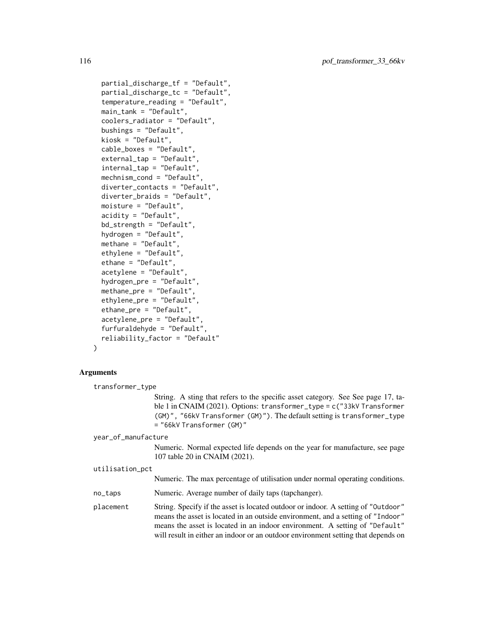```
partial_discharge_tf = "Default",
partial_discharge_tc = "Default",
temperature_reading = "Default",
main_tank = "Default",
coolers_radiator = "Default",
bushings = "Default",
kiosk = "Default",
cable_boxes = "Default",
external_tap = "Default",
internal_tap = "Default",
mechnism_cond = "Default",
diverter_contacts = "Default",
diverter_braids = "Default",
moisture = "Default",
acidity = "Default",
bd_strength = "Default",
hydrogen = "Default",
methane = "Default",
ethylene = "Default",
ethane = "Default",
acetylene = "Default",
hydrogen_pre = "Default",
methane_pre = "Default",
ethylene_pre = "Default",
ethane_pre = "Default",
acetylene_pre = "Default",
furfuraldehyde = "Default",
reliability_factor = "Default"
```

```
)
```
# Arguments

transformer\_type

String. A sting that refers to the specific asset category. See See page 17, table 1 in CNAIM (2021). Options: transformer\_type = c("33kV Transformer (GM)", "66kV Transformer (GM)"). The default setting is transformer\_type = "66kV Transformer (GM)"

#### year\_of\_manufacture

Numeric. Normal expected life depends on the year for manufacture, see page 107 table 20 in CNAIM (2021).

```
utilisation_pct
```

|  |  | Numeric. The max percentage of utilisation under normal operating conditions. |  |
|--|--|-------------------------------------------------------------------------------|--|
|--|--|-------------------------------------------------------------------------------|--|

no\_taps Numeric. Average number of daily taps (tapchanger).

placement String. Specify if the asset is located outdoor or indoor. A setting of "Outdoor" means the asset is located in an outside environment, and a setting of "Indoor" means the asset is located in an indoor environment. A setting of "Default" will result in either an indoor or an outdoor environment setting that depends on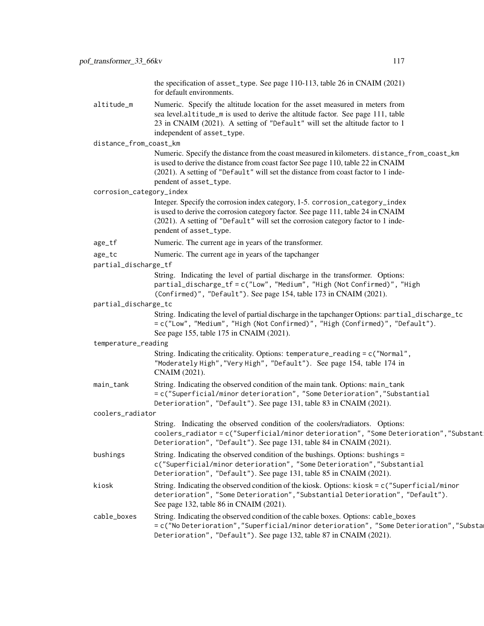the specification of asset\_type. See page 110-113, table 26 in CNAIM (2021) for default environments.

altitude\_m Numeric. Specify the altitude location for the asset measured in meters from sea level.altitude\_m is used to derive the altitude factor. See page 111, table 23 in CNAIM (2021). A setting of "Default" will set the altitude factor to 1 independent of asset\_type.

distance\_from\_coast\_km

Numeric. Specify the distance from the coast measured in kilometers. distance\_from\_coast\_km is used to derive the distance from coast factor See page 110, table 22 in CNAIM (2021). A setting of "Default" will set the distance from coast factor to 1 independent of asset\_type.

corrosion\_category\_index

Integer. Specify the corrosion index category, 1-5. corrosion\_category\_index is used to derive the corrosion category factor. See page 111, table 24 in CNAIM (2021). A setting of "Default" will set the corrosion category factor to 1 independent of asset\_type.

age\_tf Numeric. The current age in years of the transformer.

| age_tc |  | Numeric. The current age in years of the tapchanger |
|--------|--|-----------------------------------------------------|
|        |  |                                                     |

partial\_discharge\_tf

String. Indicating the level of partial discharge in the transformer. Options: partial\_discharge\_tf = c("Low", "Medium", "High (Not Confirmed)", "High (Confirmed)", "Default"). See page 154, table 173 in CNAIM (2021).

# partial\_discharge\_tc

String. Indicating the level of partial discharge in the tapchanger Options: partial\_discharge\_tc = c("Low", "Medium", "High (Not Confirmed)", "High (Confirmed)", "Default"). See page 155, table 175 in CNAIM (2021).

#### temperature\_reading

String. Indicating the criticality. Options: temperature\_reading = c("Normal", "Moderately High","Very High", "Default"). See page 154, table 174 in CNAIM (2021).

main\_tank String. Indicating the observed condition of the main tank. Options: main\_tank = c("Superficial/minor deterioration", "Some Deterioration","Substantial Deterioration", "Default"). See page 131, table 83 in CNAIM (2021).

coolers\_radiator

| String. Indicating the observed condition of the coolers/radiators. Options:         |
|--------------------------------------------------------------------------------------|
| coolers_radiator=c("Superficial/minor deterioration", "Some Deterioration","Substant |
| Deterioration", "Default"). See page 131, table 84 in CNAIM (2021).                  |

bushings String. Indicating the observed condition of the bushings. Options: bushings = c("Superficial/minor deterioration", "Some Deterioration","Substantial Deterioration", "Default"). See page 131, table 85 in CNAIM (2021).

kiosk String. Indicating the observed condition of the kiosk. Options: kiosk = c("Superficial/minor deterioration", "Some Deterioration","Substantial Deterioration", "Default"). See page 132, table 86 in CNAIM (2021).

# cable\_boxes String. Indicating the observed condition of the cable boxes. Options: cable\_boxes = c("No Deterioration", "Superficial/minor deterioration", "Some Deterioration", "Substa Deterioration", "Default"). See page 132, table 87 in CNAIM (2021).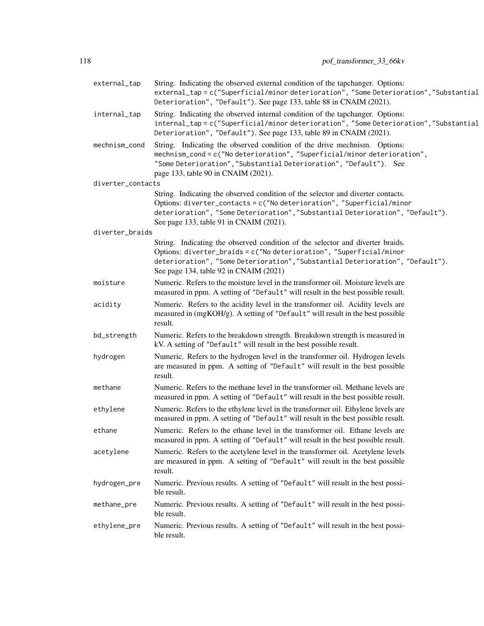| external_tap      | String. Indicating the observed external condition of the tapchanger. Options:<br>external_tap = c("Superficial/minor deterioration", "Some Deterioration", "Substantial<br>Deterioration", "Default"). See page 133, table 88 in CNAIM (2021).                                        |
|-------------------|----------------------------------------------------------------------------------------------------------------------------------------------------------------------------------------------------------------------------------------------------------------------------------------|
| internal_tap      | String. Indicating the observed internal condition of the tapchanger. Options:<br>internal_tap=c("Superficial/minor deterioration", "Some Deterioration", "Substantial<br>Deterioration", "Default"). See page 133, table 89 in CNAIM (2021).                                          |
| mechnism_cond     | String. Indicating the observed condition of the drive mechnism. Options:<br>mechnism_cond = c("No deterioration", "Superficial/minor deterioration",<br>"Some Deterioration", "Substantial Deterioration", "Default"). See<br>page 133, table 90 in CNAIM (2021).                     |
| diverter_contacts |                                                                                                                                                                                                                                                                                        |
|                   | String. Indicating the observed condition of the selector and diverter contacts.<br>Options: diverter_contacts = c("No deterioration", "Superficial/minor<br>deterioration", "Some Deterioration", "Substantial Deterioration", "Default").<br>See page 133, table 91 in CNAIM (2021). |
| diverter_braids   |                                                                                                                                                                                                                                                                                        |
|                   | String. Indicating the observed condition of the selector and diverter braids.<br>Options: diverter_braids = c("No deterioration", "Superficial/minor<br>deterioration", "Some Deterioration", "Substantial Deterioration", "Default").<br>See page 134, table 92 in CNAIM (2021)      |
| moisture          | Numeric. Refers to the moisture level in the transformer oil. Moisture levels are<br>measured in ppm. A setting of "Default" will result in the best possible result.                                                                                                                  |
| acidity           | Numeric. Refers to the acidity level in the transformer oil. Acidity levels are<br>measured in (mgKOH/g). A setting of "Default" will result in the best possible<br>result.                                                                                                           |
| bd_strength       | Numeric. Refers to the breakdown strength. Breakdown strength is measured in<br>kV. A setting of "Default" will result in the best possible result.                                                                                                                                    |
| hydrogen          | Numeric. Refers to the hydrogen level in the transformer oil. Hydrogen levels<br>are measured in ppm. A setting of "Default" will result in the best possible<br>result.                                                                                                               |
| methane           | Numeric. Refers to the methane level in the transformer oil. Methane levels are<br>measured in ppm. A setting of "Default" will result in the best possible result.                                                                                                                    |
| ethylene          | Numeric. Refers to the ethylene level in the transformer oil. Ethylene levels are<br>measured in ppm. A setting of "Default" will result in the best possible result.                                                                                                                  |
| ethane            | Numeric. Refers to the ethane level in the transformer oil. Ethane levels are<br>measured in ppm. A setting of "Default" will result in the best possible result.                                                                                                                      |
| acetylene         | Numeric. Refers to the acetylene level in the transformer oil. Acetylene levels<br>are measured in ppm. A setting of "Default" will result in the best possible<br>result.                                                                                                             |
| hydrogen_pre      | Numeric. Previous results. A setting of "Default" will result in the best possi-<br>ble result.                                                                                                                                                                                        |
| methane_pre       | Numeric. Previous results. A setting of "Default" will result in the best possi-<br>ble result.                                                                                                                                                                                        |
| ethylene_pre      | Numeric. Previous results. A setting of "Default" will result in the best possi-<br>ble result.                                                                                                                                                                                        |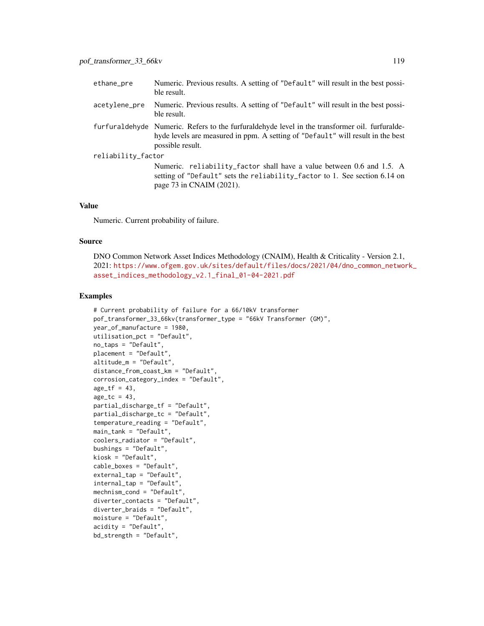| ethane_pre         | Numeric. Previous results. A setting of "Default" will result in the best possi-<br>ble result.                                                                                                          |
|--------------------|----------------------------------------------------------------------------------------------------------------------------------------------------------------------------------------------------------|
| acetylene_pre      | Numeric. Previous results. A setting of "Default" will result in the best possi-<br>ble result.                                                                                                          |
|                    | furfural dehyde Numeric. Refers to the furfural dehyde level in the transformer oil. furfural de-<br>hyde levels are measured in ppm. A setting of "Default" will result in the best<br>possible result. |
| reliability_factor |                                                                                                                                                                                                          |
|                    | Numeric. reliability_factor shall have a value between 0.6 and 1.5. A<br>setting of "Default" sets the reliability_factor to 1. See section 6.14 on<br>page 73 in CNAIM (2021).                          |

#### Value

Numeric. Current probability of failure.

#### Source

DNO Common Network Asset Indices Methodology (CNAIM), Health & Criticality - Version 2.1, 2021: [https://www.ofgem.gov.uk/sites/default/files/docs/2021/04/dno\\_common\\_networ](https://www.ofgem.gov.uk/sites/default/files/docs/2021/04/dno_common_network_asset_indices_methodology_v2.1_final_01-04-2021.pdf)k\_ [asset\\_indices\\_methodology\\_v2.1\\_final\\_01-04-2021.pdf](https://www.ofgem.gov.uk/sites/default/files/docs/2021/04/dno_common_network_asset_indices_methodology_v2.1_final_01-04-2021.pdf)

```
# Current probability of failure for a 66/10kV transformer
pof_transformer_33_66kv(transformer_type = "66kV Transformer (GM)",
year_of_manufacture = 1980,
utilisation_pct = "Default",
no_taps = "Default",
placement = "Default",
altitude_m = "Default",
distance_from_coast_km = "Default",
corrosion_category_index = "Default",
age_t f = 43,
age_t = 43,
partial_discharge_tf = "Default",
partial_discharge_tc = "Default",
temperature_reading = "Default",
main_tank = "Default",
coolers_radiator = "Default",
bushings = "Default",
kiosk = "Default",
cable_boxes = "Default",
external_tap = "Default",
internal_tap = "Default",
mechnism_cond = "Default",
diverter_contacts = "Default",
diverter_braids = "Default",
moisture = "Default",
acidity = "Default",
bd_strength = "Default",
```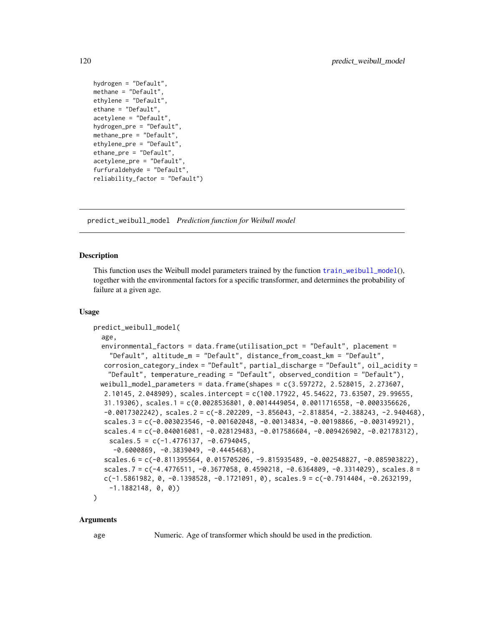```
hydrogen = "Default",
methane = "Default",
ethylene = "Default",
ethane = "Default",
acetylene = "Default",
hydrogen_pre = "Default",
methane_pre = "Default",
ethylene_pre = "Default",
ethane_pre = "Default",
acetylene_pre = "Default",
furfuraldehyde = "Default",
reliability_factor = "Default")
```
<span id="page-119-0"></span>predict\_weibull\_model *Prediction function for Weibull model*

# **Description**

This function uses the Weibull model parameters trained by the function [train\\_weibull\\_model](#page-135-0)(), together with the environmental factors for a specific transformer, and determines the probability of failure at a given age.

#### Usage

```
predict_weibull_model(
  age,
  environmental_factors = data.frame(utilisation_pct = "Default", placement =
    "Default", altitude_m = "Default", distance_from_coast_km = "Default",
  corrosion_category_index = "Default", partial_discharge = "Default", oil_acidity =
   "Default", temperature_reading = "Default", observed_condition = "Default"),
 weibull_model_parameters = data.frame(shapes = c(3.597272, 2.528015, 2.273607,
  2.10145, 2.048909), scales.intercept = c(100.17922, 45.54622, 73.63507, 29.99655,
  31.19306), scales.1 = c(0.0028536801, 0.0014449054, 0.0011716558, -0.0003356626,
  -0.0017302242), scales.2 = c(-8.202209, -3.856043, -2.818854, -2.388243, -2.940468),
  scales.3 = c(-0.003023546, -0.001602048, -0.00134834, -0.00198866, -0.003149921),scales.4 = c(-0.040016081, -0.028129483, -0.017586604, -0.009426902, -0.02178312),
    scales.5 = c(-1.4776137, -0.6794045,-0.6000869, -0.3839049, -0.4445468),scales.6 = c(-0.811395564, 0.015705206, -9.815935489, -0.002548827, -0.085903822),
  scales.7 = c(-4.4776511, -0.3677058, 0.4590218, -0.6364809, -0.3314029), scales.8 =
  c(-1.5861982, 0, -0.1398528, -0.1721091, 0), scales.9 = c(-0.7914404, -0.2632199,
    -1.1882148, 0, 0))
)
```
# Arguments

age Numeric. Age of transformer which should be used in the prediction.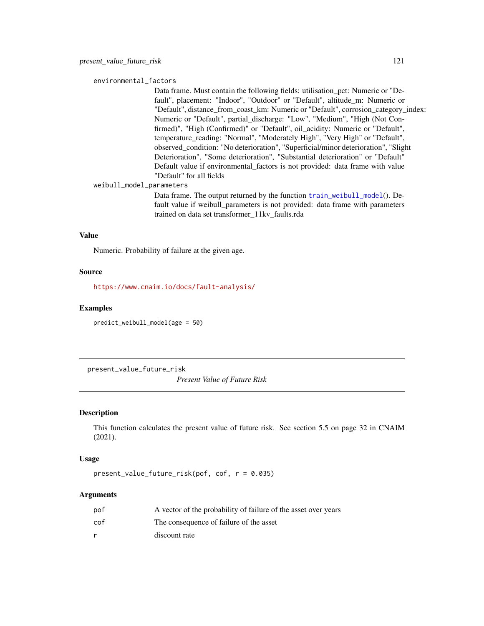#### <span id="page-120-0"></span>environmental\_factors

Data frame. Must contain the following fields: utilisation\_pct: Numeric or "Default", placement: "Indoor", "Outdoor" or "Default", altitude\_m: Numeric or "Default", distance from coast km: Numeric or "Default", corrosion category index: Numeric or "Default", partial\_discharge: "Low", "Medium", "High (Not Confirmed)", "High (Confirmed)" or "Default", oil\_acidity: Numeric or "Default", temperature\_reading: "Normal", "Moderately High", "Very High" or "Default", observed\_condition: "No deterioration", "Superficial/minor deterioration", "Slight Deterioration", "Some deterioration", "Substantial deterioration" or "Default" Default value if environmental\_factors is not provided: data frame with value "Default" for all fields

weibull\_model\_parameters

Data frame. The output returned by the function [train\\_weibull\\_model](#page-135-0)(). Default value if weibull\_parameters is not provided: data frame with parameters trained on data set transformer\_11kv\_faults.rda

#### Value

Numeric. Probability of failure at the given age.

#### Source

<https://www.cnaim.io/docs/fault-analysis/>

#### Examples

predict\_weibull\_model(age = 50)

present\_value\_future\_risk

*Present Value of Future Risk*

# Description

This function calculates the present value of future risk. See section 5.5 on page 32 in CNAIM (2021).

#### Usage

present\_value\_future\_risk(pof, cof, r = 0.035)

# Arguments

| pof | A vector of the probability of failure of the asset over years |
|-----|----------------------------------------------------------------|
| cof | The consequence of failure of the asset                        |
|     | discount rate                                                  |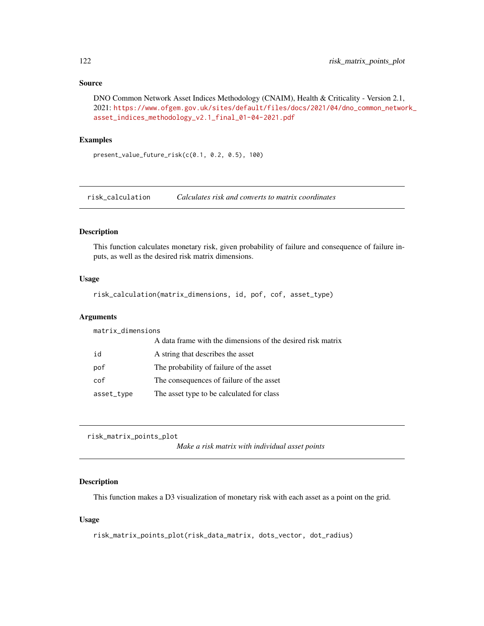# <span id="page-121-0"></span>Source

```
DNO Common Network Asset Indices Methodology (CNAIM), Health & Criticality - Version 2.1,
2021: https://www.ofgem.gov.uk/sites/default/files/docs/2021/04/dno_common_network_
asset_indices_methodology_v2.1_final_01-04-2021.pdf
```
# Examples

present\_value\_future\_risk(c(0.1, 0.2, 0.5), 100)

risk\_calculation *Calculates risk and converts to matrix coordinates*

# Description

This function calculates monetary risk, given probability of failure and consequence of failure inputs, as well as the desired risk matrix dimensions.

#### Usage

```
risk_calculation(matrix_dimensions, id, pof, cof, asset_type)
```
# Arguments

| matrix_dimensions |                                                             |  |
|-------------------|-------------------------------------------------------------|--|
|                   | A data frame with the dimensions of the desired risk matrix |  |
| id                | A string that describes the asset                           |  |
| pof               | The probability of failure of the asset                     |  |
| cof               | The consequences of failure of the asset                    |  |
| asset_type        | The asset type to be calculated for class                   |  |

```
risk_matrix_points_plot
```
*Make a risk matrix with individual asset points*

# Description

This function makes a D3 visualization of monetary risk with each asset as a point on the grid.

# Usage

```
risk_matrix_points_plot(risk_data_matrix, dots_vector, dot_radius)
```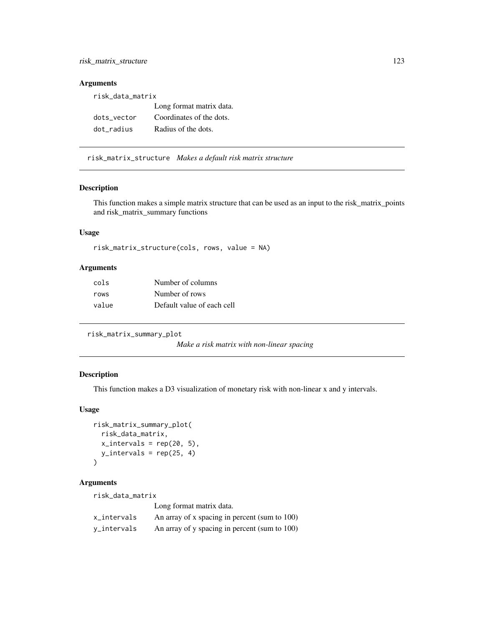# <span id="page-122-0"></span>Arguments

| risk_data_matrix |                          |  |
|------------------|--------------------------|--|
|                  | Long format matrix data. |  |
| dots vector      | Coordinates of the dots. |  |
| dot radius       | Radius of the dots.      |  |

risk\_matrix\_structure *Makes a default risk matrix structure*

# Description

This function makes a simple matrix structure that can be used as an input to the risk\_matrix\_points and risk\_matrix\_summary functions

# Usage

```
risk_matrix_structure(cols, rows, value = NA)
```
# Arguments

| cols  | Number of columns          |
|-------|----------------------------|
| rows  | Number of rows             |
| value | Default value of each cell |

```
risk_matrix_summary_plot
```
*Make a risk matrix with non-linear spacing*

# Description

This function makes a D3 visualization of monetary risk with non-linear x and y intervals.

# Usage

```
risk_matrix_summary_plot(
  risk_data_matrix,
 x_intervals = rep(20, 5),
 y_intervals = rep(25, 4)
\lambda
```
# Arguments

| risk_data_matrix |                                               |  |
|------------------|-----------------------------------------------|--|
|                  | Long format matrix data.                      |  |
| x_intervals      | An array of x spacing in percent (sum to 100) |  |
| v_intervals      | An array of y spacing in percent (sum to 100) |  |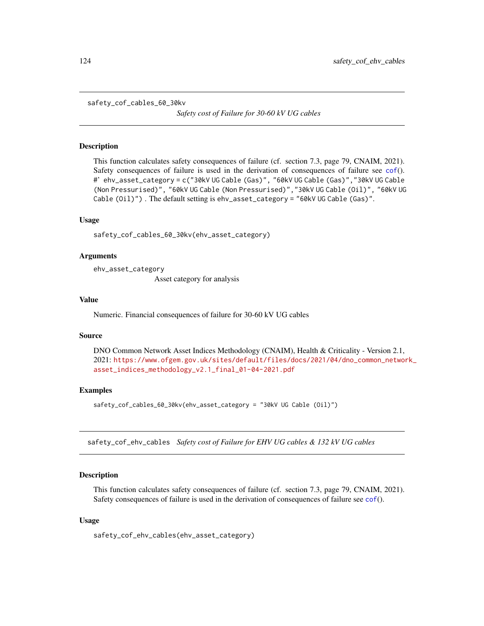<span id="page-123-0"></span>safety\_cof\_cables\_60\_30kv

*Safety cost of Failure for 30-60 kV UG cables*

#### Description

This function calculates safety consequences of failure (cf. section 7.3, page 79, CNAIM, 2021). Safety consequences of failure is used in the derivation of consequences of failure see [cof](#page-5-0)(). #' ehv\_asset\_category = c("30kV UG Cable (Gas)", "60kV UG Cable (Gas)","30kV UG Cable (Non Pressurised)", "60kV UG Cable (Non Pressurised)","30kV UG Cable (Oil)", "60kV UG Cable (Oil)") . The default setting is ehv\_asset\_category = "60kV UG Cable (Gas)".

# Usage

safety\_cof\_cables\_60\_30kv(ehv\_asset\_category)

# Arguments

ehv\_asset\_category

Asset category for analysis

# Value

Numeric. Financial consequences of failure for 30-60 kV UG cables

#### Source

DNO Common Network Asset Indices Methodology (CNAIM), Health & Criticality - Version 2.1, 2021: [https://www.ofgem.gov.uk/sites/default/files/docs/2021/04/dno\\_common\\_networ](https://www.ofgem.gov.uk/sites/default/files/docs/2021/04/dno_common_network_asset_indices_methodology_v2.1_final_01-04-2021.pdf)k\_ [asset\\_indices\\_methodology\\_v2.1\\_final\\_01-04-2021.pdf](https://www.ofgem.gov.uk/sites/default/files/docs/2021/04/dno_common_network_asset_indices_methodology_v2.1_final_01-04-2021.pdf)

# Examples

safety\_cof\_cables\_60\_30kv(ehv\_asset\_category = "30kV UG Cable (Oil)")

safety\_cof\_ehv\_cables *Safety cost of Failure for EHV UG cables & 132 kV UG cables*

#### **Description**

This function calculates safety consequences of failure (cf. section 7.3, page 79, CNAIM, 2021). Safety consequences of failure is used in the derivation of consequences of failure see [cof](#page-5-0)().

# Usage

safety\_cof\_ehv\_cables(ehv\_asset\_category)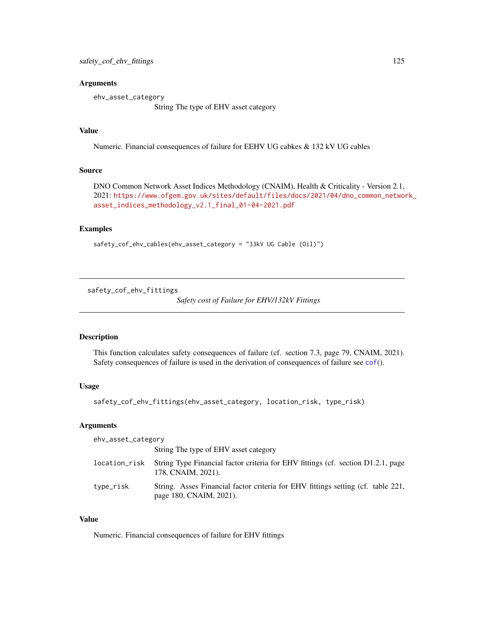# <span id="page-124-0"></span>Arguments

ehv\_asset\_category String The type of EHV asset category

# Value

Numeric. Financial consequences of failure for EEHV UG cabkes & 132 kV UG cables

#### Source

DNO Common Network Asset Indices Methodology (CNAIM), Health & Criticality - Version 2.1, 2021: [https://www.ofgem.gov.uk/sites/default/files/docs/2021/04/dno\\_common\\_networ](https://www.ofgem.gov.uk/sites/default/files/docs/2021/04/dno_common_network_asset_indices_methodology_v2.1_final_01-04-2021.pdf)k\_ [asset\\_indices\\_methodology\\_v2.1\\_final\\_01-04-2021.pdf](https://www.ofgem.gov.uk/sites/default/files/docs/2021/04/dno_common_network_asset_indices_methodology_v2.1_final_01-04-2021.pdf)

# Examples

```
safety_cof_ehv_cables(ehv_asset_category = "33kV UG Cable (Oil)")
```
safety\_cof\_ehv\_fittings

*Safety cost of Failure for EHV/132kV Fittings*

# Description

This function calculates safety consequences of failure (cf. section 7.3, page 79, CNAIM, 2021). Safety consequences of failure is used in the derivation of consequences of failure see [cof](#page-5-0)().

# Usage

```
safety_cof_ehv_fittings(ehv_asset_category, location_risk, type_risk)
```
# Arguments

| ehv_asset_category |                                                                                                             |
|--------------------|-------------------------------------------------------------------------------------------------------------|
|                    | String The type of EHV asset category                                                                       |
| location_risk      | String Type Financial factor criteria for EHV fittings (cf. section D1.2.1, page<br>178, CNAIM, 2021).      |
| type_risk          | String. Asses Financial factor criteria for EHV fittings setting (cf. table 221,<br>page 180, CNAIM, 2021). |

#### Value

Numeric. Financial consequences of failure for EHV fittings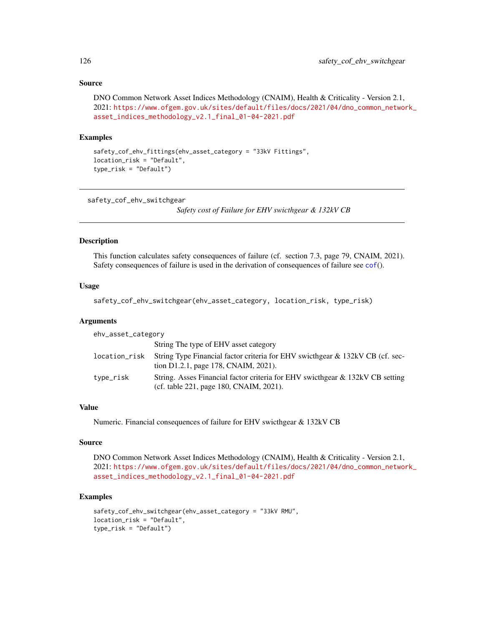# Source

```
DNO Common Network Asset Indices Methodology (CNAIM), Health & Criticality - Version 2.1,
2021: https://www.ofgem.gov.uk/sites/default/files/docs/2021/04/dno_common_network_
asset_indices_methodology_v2.1_final_01-04-2021.pdf
```
# Examples

```
safety_cof_ehv_fittings(ehv_asset_category = "33kV Fittings",
location_risk = "Default",
type_risk = "Default")
```
safety\_cof\_ehv\_switchgear

*Safety cost of Failure for EHV swicthgear & 132kV CB*

# Description

This function calculates safety consequences of failure (cf. section 7.3, page 79, CNAIM, 2021). Safety consequences of failure is used in the derivation of consequences of failure see [cof](#page-5-0)().

# Usage

safety\_cof\_ehv\_switchgear(ehv\_asset\_category, location\_risk, type\_risk)

# Arguments

| ehv_asset_category |                                                                                                                          |  |
|--------------------|--------------------------------------------------------------------------------------------------------------------------|--|
|                    | String The type of EHV asset category                                                                                    |  |
| location_risk      | String Type Financial factor criteria for EHV swicthgear & 132kV CB (cf. sec-<br>tion D1.2.1, page 178, CNAIM, 2021).    |  |
| type_risk          | String. Asses Financial factor criteria for EHV swicthgear & 132kV CB setting<br>(cf. table 221, page 180, CNAIM, 2021). |  |

# Value

Numeric. Financial consequences of failure for EHV swicthgear & 132kV CB

# Source

DNO Common Network Asset Indices Methodology (CNAIM), Health & Criticality - Version 2.1, 2021: [https://www.ofgem.gov.uk/sites/default/files/docs/2021/04/dno\\_common\\_networ](https://www.ofgem.gov.uk/sites/default/files/docs/2021/04/dno_common_network_asset_indices_methodology_v2.1_final_01-04-2021.pdf)k\_ [asset\\_indices\\_methodology\\_v2.1\\_final\\_01-04-2021.pdf](https://www.ofgem.gov.uk/sites/default/files/docs/2021/04/dno_common_network_asset_indices_methodology_v2.1_final_01-04-2021.pdf)

```
safety_cof_ehv_switchgear(ehv_asset_category = "33kV RMU",
location_risk = "Default",
type_risk = "Default")
```
<span id="page-125-0"></span>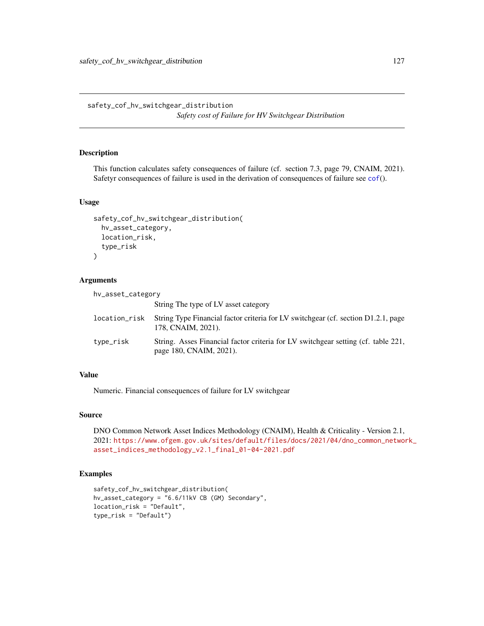<span id="page-126-0"></span>safety\_cof\_hv\_switchgear\_distribution *Safety cost of Failure for HV Switchgear Distribution*

# Description

This function calculates safety consequences of failure (cf. section 7.3, page 79, CNAIM, 2021). Safetyr consequences of failure is used in the derivation of consequences of failure see [cof](#page-5-0)().

# Usage

```
safety_cof_hv_switchgear_distribution(
  hv_asset_category,
 location_risk,
  type_risk
)
```
# Arguments

| hv_asset_category |                                                                                                              |
|-------------------|--------------------------------------------------------------------------------------------------------------|
|                   | String The type of LV asset category                                                                         |
| location_risk     | String Type Financial factor criteria for LV switchgear (cf. section D1.2.1, page<br>178. CNAIM. 2021).      |
| type_risk         | String. Asses Financial factor criteria for LV switchgear setting (cf. table 221,<br>page 180, CNAIM, 2021). |

# Value

Numeric. Financial consequences of failure for LV switchgear

# Source

DNO Common Network Asset Indices Methodology (CNAIM), Health & Criticality - Version 2.1, 2021: [https://www.ofgem.gov.uk/sites/default/files/docs/2021/04/dno\\_common\\_networ](https://www.ofgem.gov.uk/sites/default/files/docs/2021/04/dno_common_network_asset_indices_methodology_v2.1_final_01-04-2021.pdf)k\_ [asset\\_indices\\_methodology\\_v2.1\\_final\\_01-04-2021.pdf](https://www.ofgem.gov.uk/sites/default/files/docs/2021/04/dno_common_network_asset_indices_methodology_v2.1_final_01-04-2021.pdf)

```
safety_cof_hv_switchgear_distribution(
hv_asset_category = "6.6/11kV CB (GM) Secondary",
location_risk = "Default",
type_risk = "Default")
```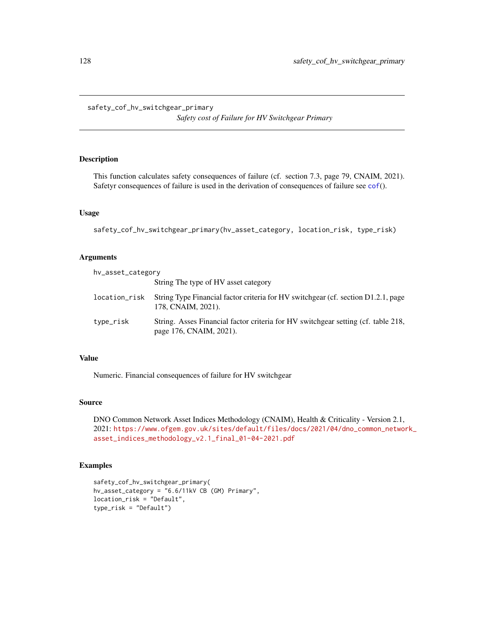*Safety cost of Failure for HV Switchgear Primary*

# <span id="page-127-0"></span>Description

This function calculates safety consequences of failure (cf. section 7.3, page 79, CNAIM, 2021). Safetyr consequences of failure is used in the derivation of consequences of failure see [cof](#page-5-0)().

# Usage

safety\_cof\_hv\_switchgear\_primary(hv\_asset\_category, location\_risk, type\_risk)

# Arguments

| hv_asset_category |                                                                                                              |
|-------------------|--------------------------------------------------------------------------------------------------------------|
|                   | String The type of HV asset category                                                                         |
| location_risk     | String Type Financial factor criteria for HV switchgear (cf. section D1.2.1, page<br>178, CNAIM, 2021).      |
| type_risk         | String. Asses Financial factor criteria for HV switchgear setting (cf. table 218,<br>page 176, CNAIM, 2021). |

# Value

Numeric. Financial consequences of failure for HV switchgear

# Source

DNO Common Network Asset Indices Methodology (CNAIM), Health & Criticality - Version 2.1, 2021: [https://www.ofgem.gov.uk/sites/default/files/docs/2021/04/dno\\_common\\_networ](https://www.ofgem.gov.uk/sites/default/files/docs/2021/04/dno_common_network_asset_indices_methodology_v2.1_final_01-04-2021.pdf)k\_ [asset\\_indices\\_methodology\\_v2.1\\_final\\_01-04-2021.pdf](https://www.ofgem.gov.uk/sites/default/files/docs/2021/04/dno_common_network_asset_indices_methodology_v2.1_final_01-04-2021.pdf)

```
safety_cof_hv_switchgear_primary(
hv_asset_category = "6.6/11kV CB (GM) Primary",
location_risk = "Default",
type_risk = "Default")
```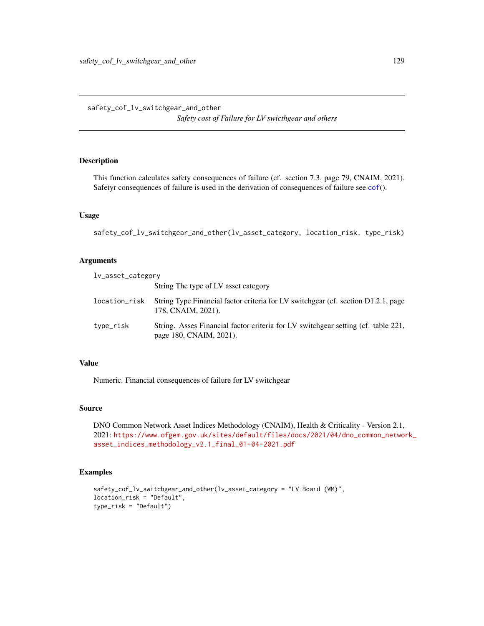*Safety cost of Failure for LV swicthgear and others*

# <span id="page-128-0"></span>Description

This function calculates safety consequences of failure (cf. section 7.3, page 79, CNAIM, 2021). Safetyr consequences of failure is used in the derivation of consequences of failure see [cof](#page-5-0)().

#### Usage

safety\_cof\_lv\_switchgear\_and\_other(lv\_asset\_category, location\_risk, type\_risk)

# Arguments

| lv_asset_category |                                                                                                              |
|-------------------|--------------------------------------------------------------------------------------------------------------|
|                   | String The type of LV asset category                                                                         |
| location_risk     | String Type Financial factor criteria for LV switchgear (cf. section D1.2.1, page<br>178, CNAIM, 2021).      |
| type_risk         | String. Asses Financial factor criteria for LV switchgear setting (cf. table 221,<br>page 180, CNAIM, 2021). |

## Value

Numeric. Financial consequences of failure for LV switchgear

#### Source

DNO Common Network Asset Indices Methodology (CNAIM), Health & Criticality - Version 2.1, 2021: [https://www.ofgem.gov.uk/sites/default/files/docs/2021/04/dno\\_common\\_networ](https://www.ofgem.gov.uk/sites/default/files/docs/2021/04/dno_common_network_asset_indices_methodology_v2.1_final_01-04-2021.pdf)k\_ [asset\\_indices\\_methodology\\_v2.1\\_final\\_01-04-2021.pdf](https://www.ofgem.gov.uk/sites/default/files/docs/2021/04/dno_common_network_asset_indices_methodology_v2.1_final_01-04-2021.pdf)

```
safety_cof_lv_switchgear_and_other(lv_asset_category = "LV Board (WM)",
location_risk = "Default",
type_risk = "Default")
```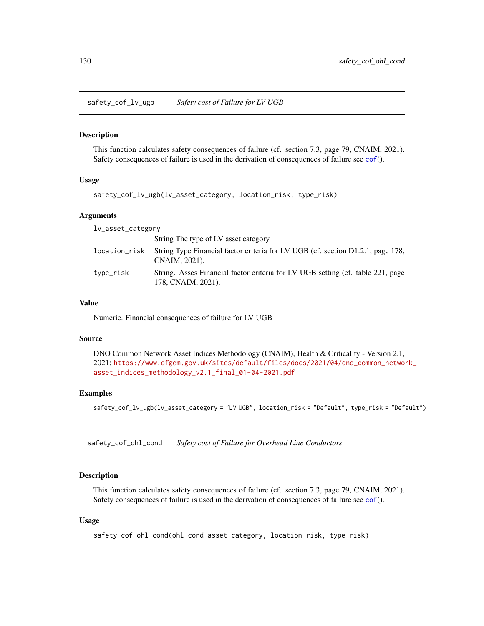<span id="page-129-0"></span>safety\_cof\_lv\_ugb *Safety cost of Failure for LV UGB*

#### Description

This function calculates safety consequences of failure (cf. section 7.3, page 79, CNAIM, 2021). Safety consequences of failure is used in the derivation of consequences of failure see [cof](#page-5-0)().

#### Usage

```
safety_cof_lv_ugb(lv_asset_category, location_risk, type_risk)
```
# Arguments

| lv_asset_category |                                                                                                       |  |
|-------------------|-------------------------------------------------------------------------------------------------------|--|
|                   | String The type of LV asset category                                                                  |  |
| location_risk     | String Type Financial factor criteria for LV UGB (cf. section D1.2.1, page 178,<br>CNAIM, 2021).      |  |
| type_risk         | String. Asses Financial factor criteria for LV UGB setting (cf. table 221, page<br>178, CNAIM, 2021). |  |

#### Value

Numeric. Financial consequences of failure for LV UGB

# Source

DNO Common Network Asset Indices Methodology (CNAIM), Health & Criticality - Version 2.1, 2021: [https://www.ofgem.gov.uk/sites/default/files/docs/2021/04/dno\\_common\\_networ](https://www.ofgem.gov.uk/sites/default/files/docs/2021/04/dno_common_network_asset_indices_methodology_v2.1_final_01-04-2021.pdf)k\_ [asset\\_indices\\_methodology\\_v2.1\\_final\\_01-04-2021.pdf](https://www.ofgem.gov.uk/sites/default/files/docs/2021/04/dno_common_network_asset_indices_methodology_v2.1_final_01-04-2021.pdf)

# Examples

safety\_cof\_lv\_ugb(lv\_asset\_category = "LV UGB", location\_risk = "Default", type\_risk = "Default")

safety\_cof\_ohl\_cond *Safety cost of Failure for Overhead Line Conductors*

#### **Description**

This function calculates safety consequences of failure (cf. section 7.3, page 79, CNAIM, 2021). Safety consequences of failure is used in the derivation of consequences of failure see [cof](#page-5-0)().

# Usage

```
safety_cof_ohl_cond(ohl_cond_asset_category, location_risk, type_risk)
```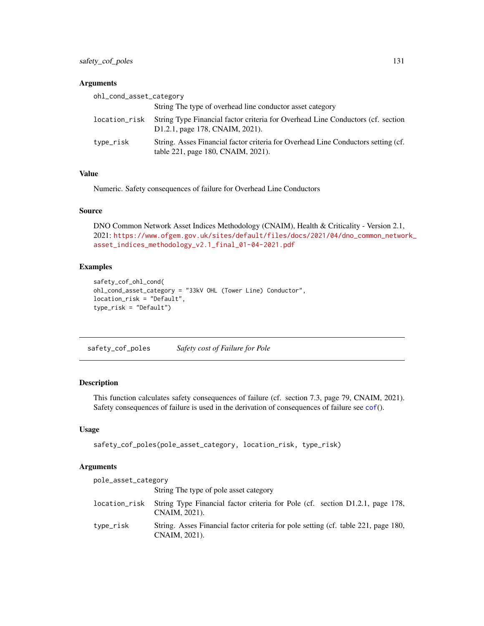<span id="page-130-0"></span>safety\_cof\_poles 131

# Arguments

| ohl_cond_asset_category |                                                                                                                         |
|-------------------------|-------------------------------------------------------------------------------------------------------------------------|
|                         | String The type of overhead line conductor asset category                                                               |
| location_risk           | String Type Financial factor criteria for Overhead Line Conductors (cf. section<br>D1.2.1, page 178, CNAIM, 2021).      |
| type_risk               | String. Asses Financial factor criteria for Overhead Line Conductors setting (cf.<br>table 221, page 180, CNAIM, 2021). |

# Value

Numeric. Safety consequences of failure for Overhead Line Conductors

# Source

DNO Common Network Asset Indices Methodology (CNAIM), Health & Criticality - Version 2.1, 2021: [https://www.ofgem.gov.uk/sites/default/files/docs/2021/04/dno\\_common\\_networ](https://www.ofgem.gov.uk/sites/default/files/docs/2021/04/dno_common_network_asset_indices_methodology_v2.1_final_01-04-2021.pdf)k\_ [asset\\_indices\\_methodology\\_v2.1\\_final\\_01-04-2021.pdf](https://www.ofgem.gov.uk/sites/default/files/docs/2021/04/dno_common_network_asset_indices_methodology_v2.1_final_01-04-2021.pdf)

# Examples

```
safety_cof_ohl_cond(
ohl_cond_asset_category = "33kV OHL (Tower Line) Conductor",
location_risk = "Default",
type_risk = "Default")
```
safety\_cof\_poles *Safety cost of Failure for Pole*

# Description

This function calculates safety consequences of failure (cf. section 7.3, page 79, CNAIM, 2021). Safety consequences of failure is used in the derivation of consequences of failure see [cof](#page-5-0)().

#### Usage

```
safety_cof_poles(pole_asset_category, location_risk, type_risk)
```
#### Arguments

| pole_asset_category |                                                                                                     |
|---------------------|-----------------------------------------------------------------------------------------------------|
|                     | String The type of pole asset category                                                              |
| location_risk       | String Type Financial factor criteria for Pole (cf. section D1.2.1, page 178,<br>CNAIM, 2021).      |
| type_risk           | String. Asses Financial factor criteria for pole setting (cf. table 221, page 180,<br>CNAIM, 2021). |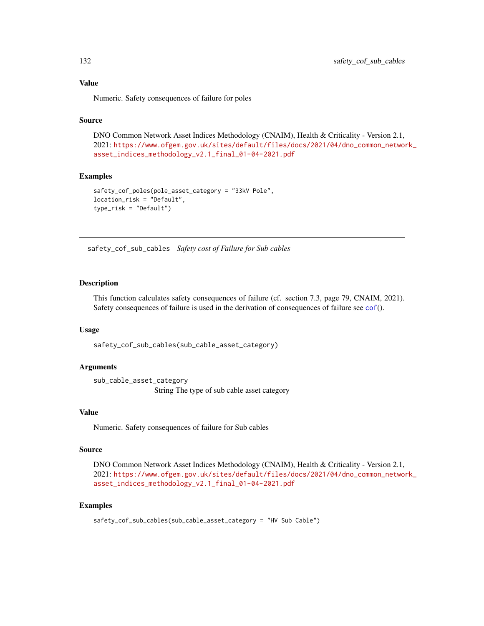# Value

Numeric. Safety consequences of failure for poles

# Source

DNO Common Network Asset Indices Methodology (CNAIM), Health & Criticality - Version 2.1, 2021: [https://www.ofgem.gov.uk/sites/default/files/docs/2021/04/dno\\_common\\_networ](https://www.ofgem.gov.uk/sites/default/files/docs/2021/04/dno_common_network_asset_indices_methodology_v2.1_final_01-04-2021.pdf)k\_ [asset\\_indices\\_methodology\\_v2.1\\_final\\_01-04-2021.pdf](https://www.ofgem.gov.uk/sites/default/files/docs/2021/04/dno_common_network_asset_indices_methodology_v2.1_final_01-04-2021.pdf)

#### Examples

```
safety_cof_poles(pole_asset_category = "33kV Pole",
location_risk = "Default",
type_risk = "Default")
```
safety\_cof\_sub\_cables *Safety cost of Failure for Sub cables*

#### **Description**

This function calculates safety consequences of failure (cf. section 7.3, page 79, CNAIM, 2021). Safety consequences of failure is used in the derivation of consequences of failure see [cof](#page-5-0)().

# Usage

safety\_cof\_sub\_cables(sub\_cable\_asset\_category)

# Arguments

sub\_cable\_asset\_category String The type of sub cable asset category

# Value

Numeric. Safety consequences of failure for Sub cables

#### Source

DNO Common Network Asset Indices Methodology (CNAIM), Health & Criticality - Version 2.1, 2021: [https://www.ofgem.gov.uk/sites/default/files/docs/2021/04/dno\\_common\\_networ](https://www.ofgem.gov.uk/sites/default/files/docs/2021/04/dno_common_network_asset_indices_methodology_v2.1_final_01-04-2021.pdf)k\_ [asset\\_indices\\_methodology\\_v2.1\\_final\\_01-04-2021.pdf](https://www.ofgem.gov.uk/sites/default/files/docs/2021/04/dno_common_network_asset_indices_methodology_v2.1_final_01-04-2021.pdf)

# Examples

safety\_cof\_sub\_cables(sub\_cable\_asset\_category = "HV Sub Cable")

<span id="page-131-0"></span>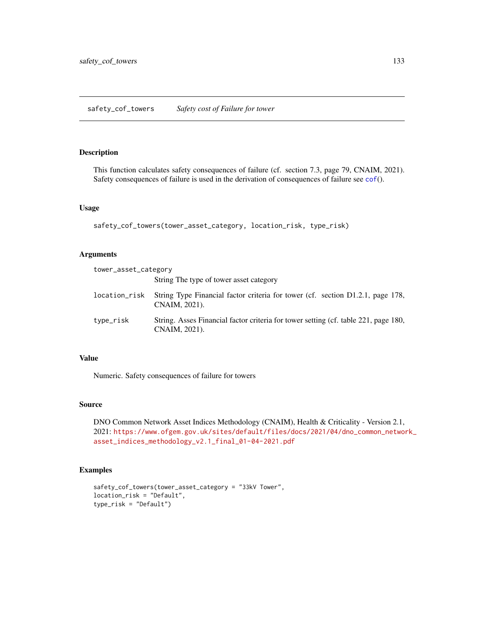# <span id="page-132-0"></span>Description

This function calculates safety consequences of failure (cf. section 7.3, page 79, CNAIM, 2021). Safety consequences of failure is used in the derivation of consequences of failure see [cof](#page-5-0)().

# Usage

```
safety_cof_towers(tower_asset_category, location_risk, type_risk)
```
# Arguments

| tower_asset_category |                                                                                                      |
|----------------------|------------------------------------------------------------------------------------------------------|
|                      | String The type of tower asset category                                                              |
| location_risk        | String Type Financial factor criteria for tower (cf. section D1.2.1, page 178,<br>CNAIM, 2021).      |
| type_risk            | String. Asses Financial factor criteria for tower setting (cf. table 221, page 180,<br>CNAIM, 2021). |

# Value

Numeric. Safety consequences of failure for towers

# Source

DNO Common Network Asset Indices Methodology (CNAIM), Health & Criticality - Version 2.1, 2021: [https://www.ofgem.gov.uk/sites/default/files/docs/2021/04/dno\\_common\\_networ](https://www.ofgem.gov.uk/sites/default/files/docs/2021/04/dno_common_network_asset_indices_methodology_v2.1_final_01-04-2021.pdf)k\_ [asset\\_indices\\_methodology\\_v2.1\\_final\\_01-04-2021.pdf](https://www.ofgem.gov.uk/sites/default/files/docs/2021/04/dno_common_network_asset_indices_methodology_v2.1_final_01-04-2021.pdf)

```
safety_cof_towers(tower_asset_category = "33kV Tower",
location_risk = "Default",
type_risk = "Default")
```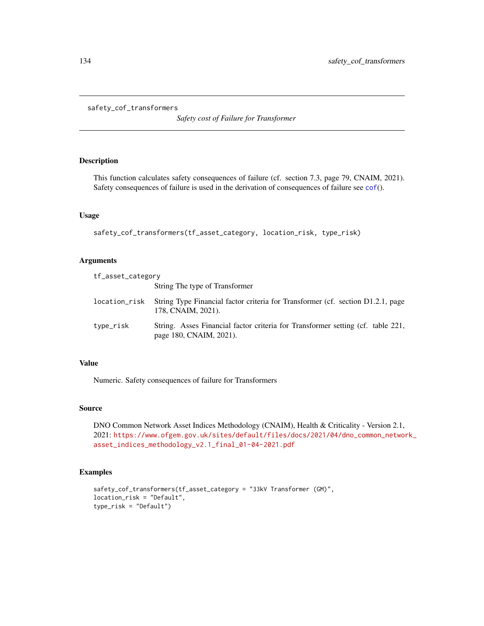```
safety_cof_transformers
```
*Safety cost of Failure for Transformer*

# Description

This function calculates safety consequences of failure (cf. section 7.3, page 79, CNAIM, 2021). Safety consequences of failure is used in the derivation of consequences of failure see [cof](#page-5-0)().

# Usage

safety\_cof\_transformers(tf\_asset\_category, location\_risk, type\_risk)

# Arguments

| tf_asset_category |                                                                                                            |
|-------------------|------------------------------------------------------------------------------------------------------------|
|                   | String The type of Transformer                                                                             |
| location_risk     | String Type Financial factor criteria for Transformer (cf. section D1.2.1, page<br>178, CNAIM, 2021).      |
| type_risk         | String. Asses Financial factor criteria for Transformer setting (cf. table 221,<br>page 180, CNAIM, 2021). |

## Value

Numeric. Safety consequences of failure for Transformers

# Source

DNO Common Network Asset Indices Methodology (CNAIM), Health & Criticality - Version 2.1, 2021: [https://www.ofgem.gov.uk/sites/default/files/docs/2021/04/dno\\_common\\_networ](https://www.ofgem.gov.uk/sites/default/files/docs/2021/04/dno_common_network_asset_indices_methodology_v2.1_final_01-04-2021.pdf)k\_ [asset\\_indices\\_methodology\\_v2.1\\_final\\_01-04-2021.pdf](https://www.ofgem.gov.uk/sites/default/files/docs/2021/04/dno_common_network_asset_indices_methodology_v2.1_final_01-04-2021.pdf)

```
safety_cof_transformers(tf_asset_category = "33kV Transformer (GM)",
location_risk = "Default",
type_risk = "Default")
```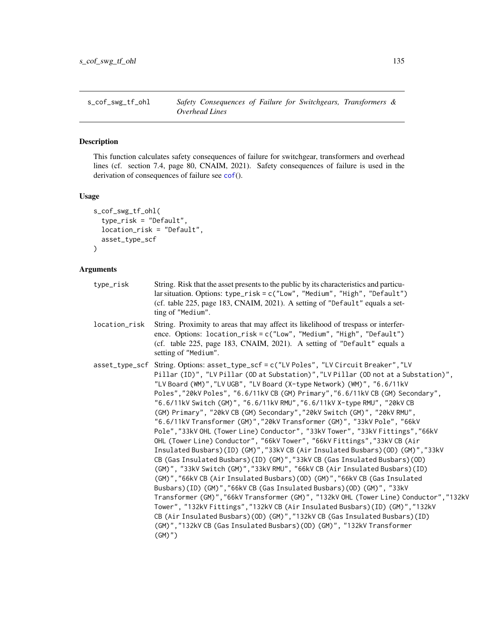<span id="page-134-0"></span>

#### **Description**

This function calculates safety consequences of failure for switchgear, transformers and overhead lines (cf. section 7.4, page 80, CNAIM, 2021). Safety consequences of failure is used in the derivation of consequences of failure see [cof](#page-5-0)().

#### Usage

```
s_cof_swg_tf_ohl(
  type_risk = "Default",
  location_risk = "Default",
  asset_type_scf
\lambda
```
# Arguments

- type\_risk String. Risk that the asset presents to the public by its characteristics and particular situation. Options: type\_risk = c("Low", "Medium", "High", "Default") (cf. table 225, page 183, CNAIM, 2021). A setting of "Default" equals a setting of "Medium".
- location\_risk String. Proximity to areas that may affect its likelihood of trespass or interference. Options: location\_risk = c("Low", "Medium", "High", "Default") (cf. table 225, page 183, CNAIM, 2021). A setting of "Default" equals a setting of "Medium".
- asset\_type\_scf String. Options: asset\_type\_scf = c("LV Poles", "LV Circuit Breaker","LV Pillar (ID)", "LV Pillar (OD at Substation)","LV Pillar (OD not at a Substation)", "LV Board (WM)","LV UGB", "LV Board (X-type Network) (WM)", "6.6/11kV Poles","20kV Poles", "6.6/11kV CB (GM) Primary","6.6/11kV CB (GM) Secondary", "6.6/11kV Switch (GM)", "6.6/11kV RMU","6.6/11kV X-type RMU", "20kV CB (GM) Primary", "20kV CB (GM) Secondary","20kV Switch (GM)", "20kV RMU", "6.6/11kV Transformer (GM)","20kV Transformer (GM)", "33kV Pole", "66kV Pole","33kV OHL (Tower Line) Conductor", "33kV Tower", "33kV Fittings","66kV OHL (Tower Line) Conductor", "66kV Tower", "66kV Fittings","33kV CB (Air Insulated Busbars)(ID) (GM)","33kV CB (Air Insulated Busbars)(OD) (GM)","33kV CB (Gas Insulated Busbars)(ID) (GM)","33kV CB (Gas Insulated Busbars)(OD) (GM)", "33kV Switch (GM)","33kV RMU", "66kV CB (Air Insulated Busbars)(ID) (GM)","66kV CB (Air Insulated Busbars)(OD) (GM)","66kV CB (Gas Insulated Busbars)(ID) (GM)","66kV CB (Gas Insulated Busbars)(OD) (GM)", "33kV Transformer (GM)","66kV Transformer (GM)", "132kV OHL (Tower Line) Conductor","132kV Tower", "132kV Fittings","132kV CB (Air Insulated Busbars)(ID) (GM)","132kV CB (Air Insulated Busbars)(OD) (GM)","132kV CB (Gas Insulated Busbars)(ID) (GM)","132kV CB (Gas Insulated Busbars)(OD) (GM)", "132kV Transformer (GM)")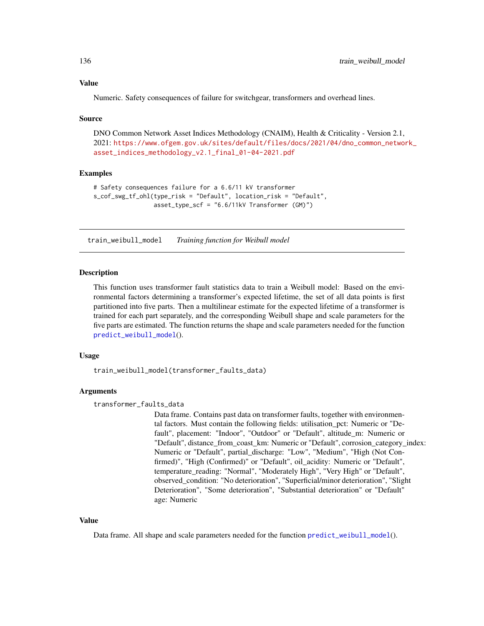#### <span id="page-135-1"></span>Value

Numeric. Safety consequences of failure for switchgear, transformers and overhead lines.

#### Source

DNO Common Network Asset Indices Methodology (CNAIM), Health & Criticality - Version 2.1, 2021: [https://www.ofgem.gov.uk/sites/default/files/docs/2021/04/dno\\_common\\_networ](https://www.ofgem.gov.uk/sites/default/files/docs/2021/04/dno_common_network_asset_indices_methodology_v2.1_final_01-04-2021.pdf)k\_ [asset\\_indices\\_methodology\\_v2.1\\_final\\_01-04-2021.pdf](https://www.ofgem.gov.uk/sites/default/files/docs/2021/04/dno_common_network_asset_indices_methodology_v2.1_final_01-04-2021.pdf)

# Examples

```
# Safety consequences failure for a 6.6/11 kV transformer
s_cof_swg_tf_ohl(type_risk = "Default", location_risk = "Default",
                asset_type_scf = "6.6/11kV Transformer (GM)")
```
<span id="page-135-0"></span>train\_weibull\_model *Training function for Weibull model*

#### Description

This function uses transformer fault statistics data to train a Weibull model: Based on the environmental factors determining a transformer's expected lifetime, the set of all data points is first partitioned into five parts. Then a multilinear estimate for the expected lifetime of a transformer is trained for each part separately, and the corresponding Weibull shape and scale parameters for the five parts are estimated. The function returns the shape and scale parameters needed for the function [predict\\_weibull\\_model](#page-119-0)().

# Usage

train\_weibull\_model(transformer\_faults\_data)

# Arguments

transformer\_faults\_data

Data frame. Contains past data on transformer faults, together with environmental factors. Must contain the following fields: utilisation\_pct: Numeric or "Default", placement: "Indoor", "Outdoor" or "Default", altitude\_m: Numeric or "Default", distance\_from\_coast\_km: Numeric or "Default", corrosion\_category\_index: Numeric or "Default", partial\_discharge: "Low", "Medium", "High (Not Confirmed)", "High (Confirmed)" or "Default", oil\_acidity: Numeric or "Default", temperature\_reading: "Normal", "Moderately High", "Very High" or "Default", observed\_condition: "No deterioration", "Superficial/minor deterioration", "Slight Deterioration", "Some deterioration", "Substantial deterioration" or "Default" age: Numeric

#### Value

Data frame. All shape and scale parameters needed for the function [predict\\_weibull\\_model](#page-119-0)().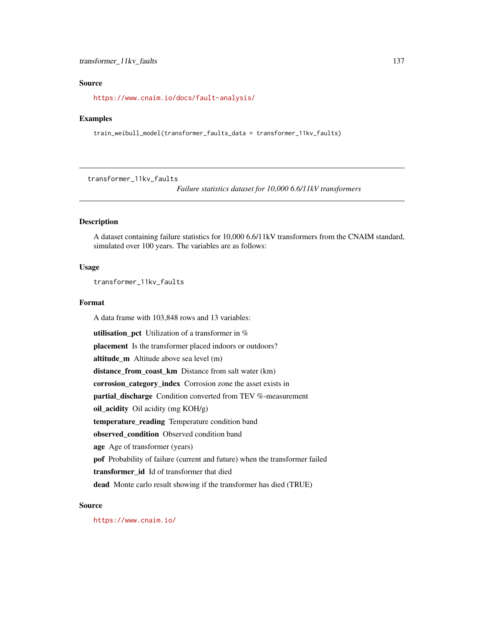# <span id="page-136-0"></span>transformer\_11kv\_faults 137

# Source

<https://www.cnaim.io/docs/fault-analysis/>

#### Examples

train\_weibull\_model(transformer\_faults\_data = transformer\_11kv\_faults)

transformer\_11kv\_faults

*Failure statistics dataset for 10,000 6.6/11kV transformers*

# Description

A dataset containing failure statistics for 10,000 6.6/11kV transformers from the CNAIM standard, simulated over 100 years. The variables are as follows:

# Usage

transformer\_11kv\_faults

#### Format

A data frame with 103,848 rows and 13 variables:

**utilisation\_pct** Utilization of a transformer in  $%$ placement Is the transformer placed indoors or outdoors? altitude\_m Altitude above sea level (m) distance\_from\_coast\_km Distance from salt water (km) corrosion\_category\_index Corrosion zone the asset exists in partial discharge Condition converted from TEV %-measurement oil\_acidity Oil acidity (mg KOH/g) temperature\_reading Temperature condition band observed\_condition Observed condition band age Age of transformer (years) pof Probability of failure (current and future) when the transformer failed transformer\_id Id of transformer that died dead Monte carlo result showing if the transformer has died (TRUE)

# Source

<https://www.cnaim.io/>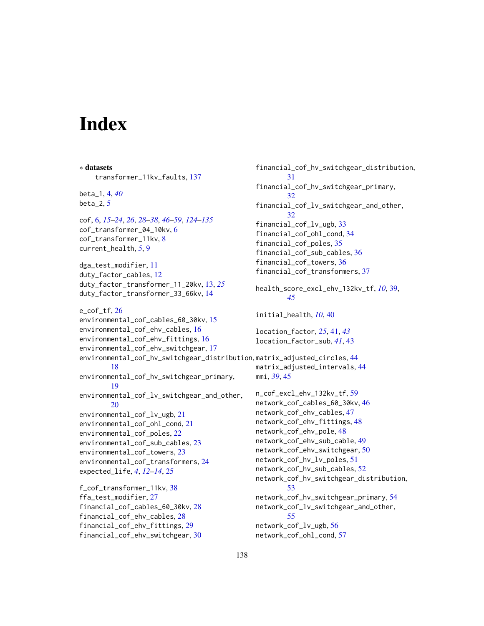# **Index**

∗ datasets transformer\_11kv\_faults, [137](#page-136-0) beta\_1, [4,](#page-3-0) *[40](#page-39-0)* beta $-2, 5$  $-2, 5$ cof, [6,](#page-5-1) *[15](#page-14-0)[–24](#page-23-0)*, *[26](#page-25-0)*, *[28](#page-27-0)[–38](#page-37-0)*, *[46–](#page-45-0)[59](#page-58-0)*, *[124–](#page-123-0)[135](#page-134-0)* cof\_transformer\_04\_10kv, [6](#page-5-1) cof\_transformer\_11kv, [8](#page-7-0) current\_health, *[5](#page-4-0)*, [9](#page-8-0) dga\_test\_modifier, [11](#page-10-0) duty\_factor\_cables, [12](#page-11-0) duty\_factor\_transformer\_11\_20kv, [13,](#page-12-0) *[25](#page-24-0)* duty\_factor\_transformer\_33\_66kv, [14](#page-13-0) e\_cof\_tf, [26](#page-25-0) environmental\_cof\_cables\_60\_30kv, [15](#page-14-0) environmental\_cof\_ehv\_cables, [16](#page-15-0) environmental\_cof\_ehv\_fittings, [16](#page-15-0) environmental\_cof\_ehv\_switchgear, [17](#page-16-0) environmental\_cof\_hv\_switchgear\_distribution, matrix\_adjusted\_circles, [44](#page-43-0) [18](#page-17-0) environmental\_cof\_hv\_switchgear\_primary, [19](#page-18-0) environmental\_cof\_lv\_switchgear\_and\_other, [20](#page-19-0) environmental\_cof\_lv\_ugb, [21](#page-20-0) environmental\_cof\_ohl\_cond, [21](#page-20-0) environmental\_cof\_poles, [22](#page-21-0) environmental\_cof\_sub\_cables, [23](#page-22-0) environmental\_cof\_towers, [23](#page-22-0) environmental\_cof\_transformers, [24](#page-23-0) expected\_life, *[4](#page-3-0)*, *[12](#page-11-0)[–14](#page-13-0)*, [25](#page-24-0) f\_cof\_transformer\_11kv, [38](#page-37-0) ffa\_test\_modifier, [27](#page-26-0) financial\_cof\_cables\_60\_30kv, [28](#page-27-0) financial\_cof\_ehv\_cables, [28](#page-27-0) financial\_cof\_ehv\_fittings, [29](#page-28-0) financial\_cof\_ehv\_switchgear, [30](#page-29-0) financial\_cof\_hv\_switchgear\_distribution, [31](#page-30-0) financial\_cof\_hv\_switchgear\_primary, [32](#page-31-0) financial\_cof\_lv\_switchgear\_and\_other, [32](#page-31-0) financial\_cof\_lv\_ugb, [33](#page-32-0) financial\_cof\_ohl\_cond, [34](#page-33-0) financial\_cof\_poles, [35](#page-34-0) financial\_cof\_sub\_cables, [36](#page-35-0) financial\_cof\_towers, [36](#page-35-0) financial\_cof\_transformers, [37](#page-36-0) health\_score\_excl\_ehv\_132kv\_tf, *[10](#page-9-0)*, [39,](#page-38-0) *[45](#page-44-0)* initial\_health, *[10](#page-9-0)*, [40](#page-39-0) location\_factor, *[25](#page-24-0)*, [41,](#page-40-0) *[43](#page-42-0)* location\_factor\_sub, *[41](#page-40-0)*, [43](#page-42-0) matrix\_adjusted\_intervals, [44](#page-43-0) mmi, *[39](#page-38-0)*, [45](#page-44-0) n\_cof\_excl\_ehv\_132kv\_tf, [59](#page-58-0) network\_cof\_cables\_60\_30kv, [46](#page-45-0) network\_cof\_ehv\_cables, [47](#page-46-0) network\_cof\_ehv\_fittings, [48](#page-47-0) network\_cof\_ehv\_pole, [48](#page-47-0) network\_cof\_ehv\_sub\_cable, [49](#page-48-0) network\_cof\_ehv\_switchgear, [50](#page-49-0) network\_cof\_hv\_lv\_poles, [51](#page-50-0) network\_cof\_hv\_sub\_cables, [52](#page-51-0) network\_cof\_hv\_switchgear\_distribution, [53](#page-52-0) network\_cof\_hv\_switchgear\_primary, [54](#page-53-0) network\_cof\_lv\_switchgear\_and\_other, [55](#page-54-0) network\_cof\_lv\_ugb, [56](#page-55-0) network\_cof\_ohl\_cond, [57](#page-56-0)